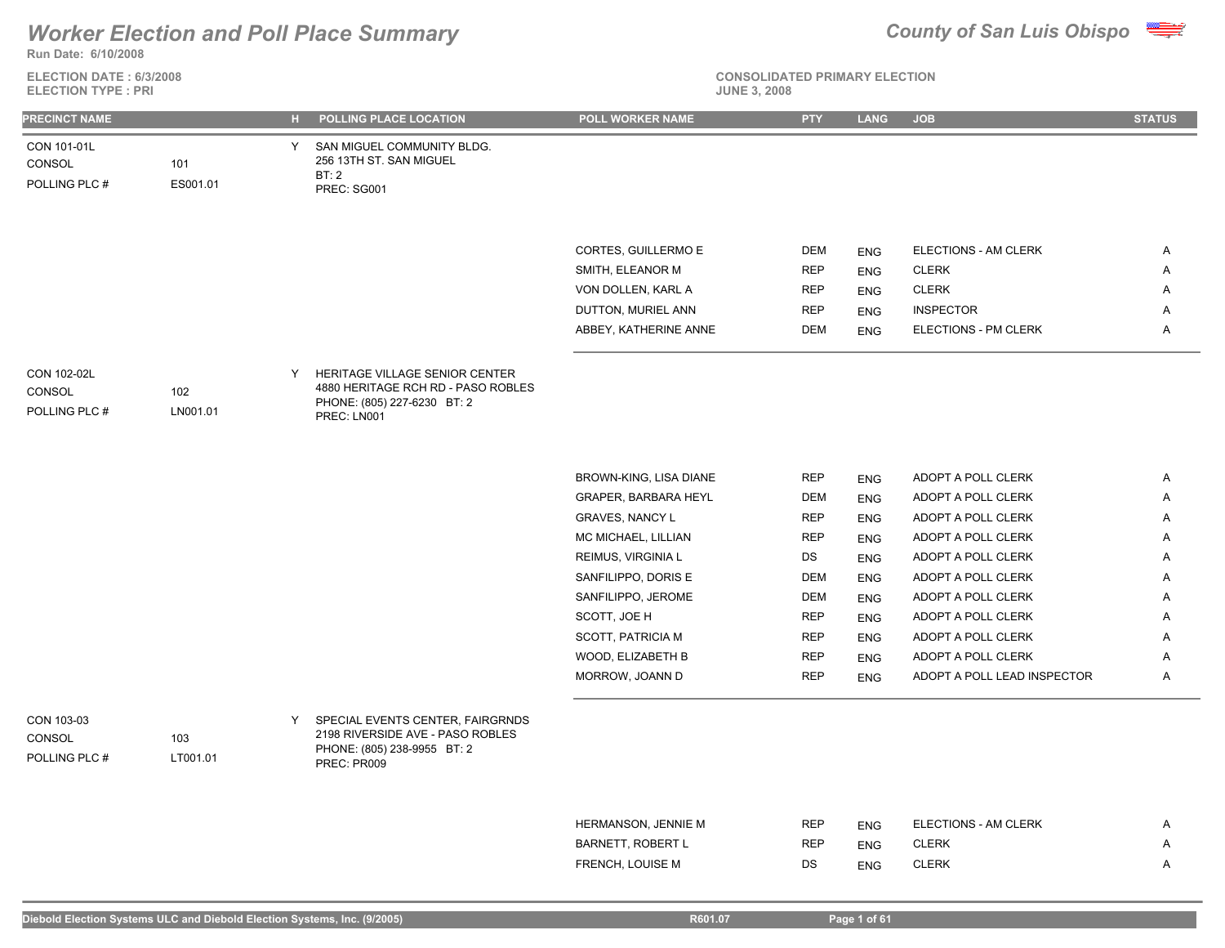

**ELECTION DATE : 6/3/2008**



| <b>ELECTION TYPE: PRI</b>              |                 |    |                                                                              | <b>JUNE 3, 2008</b>      |            |             |                             |               |
|----------------------------------------|-----------------|----|------------------------------------------------------------------------------|--------------------------|------------|-------------|-----------------------------|---------------|
| PRECINCT NAME                          |                 | н. | POLLING PLACE LOCATION                                                       | POLL WORKER NAME         | <b>PTY</b> | <b>LANG</b> | <b>JOB</b>                  | <b>STATUS</b> |
| CON 101-01L<br>CONSOL<br>POLLING PLC # | 101<br>ES001.01 | Y  | SAN MIGUEL COMMUNITY BLDG.<br>256 13TH ST. SAN MIGUEL<br>BT:2<br>PREC: SG001 |                          |            |             |                             |               |
|                                        |                 |    |                                                                              |                          |            |             |                             |               |
|                                        |                 |    |                                                                              |                          |            |             |                             |               |
|                                        |                 |    |                                                                              | CORTES, GUILLERMO E      | DEM        | <b>ENG</b>  | ELECTIONS - AM CLERK        | A             |
|                                        |                 |    |                                                                              | SMITH, ELEANOR M         | <b>REP</b> | <b>ENG</b>  | <b>CLERK</b>                | Α             |
|                                        |                 |    |                                                                              | VON DOLLEN, KARL A       | <b>REP</b> | <b>ENG</b>  | <b>CLERK</b>                | Α             |
|                                        |                 |    |                                                                              | DUTTON, MURIEL ANN       | <b>REP</b> | <b>ENG</b>  | <b>INSPECTOR</b>            | Α             |
|                                        |                 |    |                                                                              | ABBEY, KATHERINE ANNE    | DEM        | <b>ENG</b>  | ELECTIONS - PM CLERK        | A             |
|                                        |                 |    |                                                                              |                          |            |             |                             |               |
| CON 102-02L                            |                 | Y  | HERITAGE VILLAGE SENIOR CENTER<br>4880 HERITAGE RCH RD - PASO ROBLES         |                          |            |             |                             |               |
| CONSOL<br>POLLING PLC #                | 102<br>LN001.01 |    | PHONE: (805) 227-6230 BT: 2                                                  |                          |            |             |                             |               |
|                                        |                 |    | PREC: LN001                                                                  |                          |            |             |                             |               |
|                                        |                 |    |                                                                              |                          |            |             |                             |               |
|                                        |                 |    |                                                                              | BROWN-KING, LISA DIANE   | <b>REP</b> | <b>ENG</b>  | ADOPT A POLL CLERK          | Α             |
|                                        |                 |    |                                                                              | GRAPER, BARBARA HEYL     | DEM        | <b>ENG</b>  | ADOPT A POLL CLERK          | A             |
|                                        |                 |    |                                                                              | <b>GRAVES, NANCY L</b>   | <b>REP</b> | <b>ENG</b>  | ADOPT A POLL CLERK          | Α             |
|                                        |                 |    |                                                                              | MC MICHAEL, LILLIAN      | <b>REP</b> | <b>ENG</b>  | ADOPT A POLL CLERK          | Α             |
|                                        |                 |    |                                                                              | REIMUS, VIRGINIA L       | DS         | <b>ENG</b>  | ADOPT A POLL CLERK          | Α             |
|                                        |                 |    |                                                                              | SANFILIPPO, DORIS E      | <b>DEM</b> | <b>ENG</b>  | ADOPT A POLL CLERK          | Α             |
|                                        |                 |    |                                                                              | SANFILIPPO, JEROME       | DEM        | <b>ENG</b>  | ADOPT A POLL CLERK          | Α             |
|                                        |                 |    |                                                                              | SCOTT, JOE H             | <b>REP</b> | <b>ENG</b>  | ADOPT A POLL CLERK          | Α             |
|                                        |                 |    |                                                                              | <b>SCOTT, PATRICIA M</b> | <b>REP</b> | <b>ENG</b>  | ADOPT A POLL CLERK          | Α             |
|                                        |                 |    |                                                                              | WOOD, ELIZABETH B        | <b>REP</b> | <b>ENG</b>  | ADOPT A POLL CLERK          | Α             |
|                                        |                 |    |                                                                              | MORROW, JOANN D          | <b>REP</b> | <b>ENG</b>  | ADOPT A POLL LEAD INSPECTOR | A             |
|                                        |                 |    |                                                                              |                          |            |             |                             |               |
| CON 103-03                             |                 | Y  | SPECIAL EVENTS CENTER, FAIRGRNDS                                             |                          |            |             |                             |               |
| CONSOL                                 | 103             |    | 2198 RIVERSIDE AVE - PASO ROBLES<br>PHONE: (805) 238-9955 BT: 2              |                          |            |             |                             |               |
| POLLING PLC #                          | LT001.01        |    | PREC: PR009                                                                  |                          |            |             |                             |               |
|                                        |                 |    |                                                                              |                          |            |             |                             |               |
|                                        |                 |    |                                                                              | HERMANSON, JENNIE M      | <b>REP</b> | <b>ENG</b>  | ELECTIONS - AM CLERK        | A             |

| <b>HERMANSON, JENNIE M</b> | REP | ENG        | ELECTIONS - AM CLERK |  |
|----------------------------|-----|------------|----------------------|--|
| <b>BARNETT, ROBERT L</b>   | REP | <b>ENG</b> | CLERK                |  |
| FRENCH. LOUISE M           | DS  | ENG        | CLERK                |  |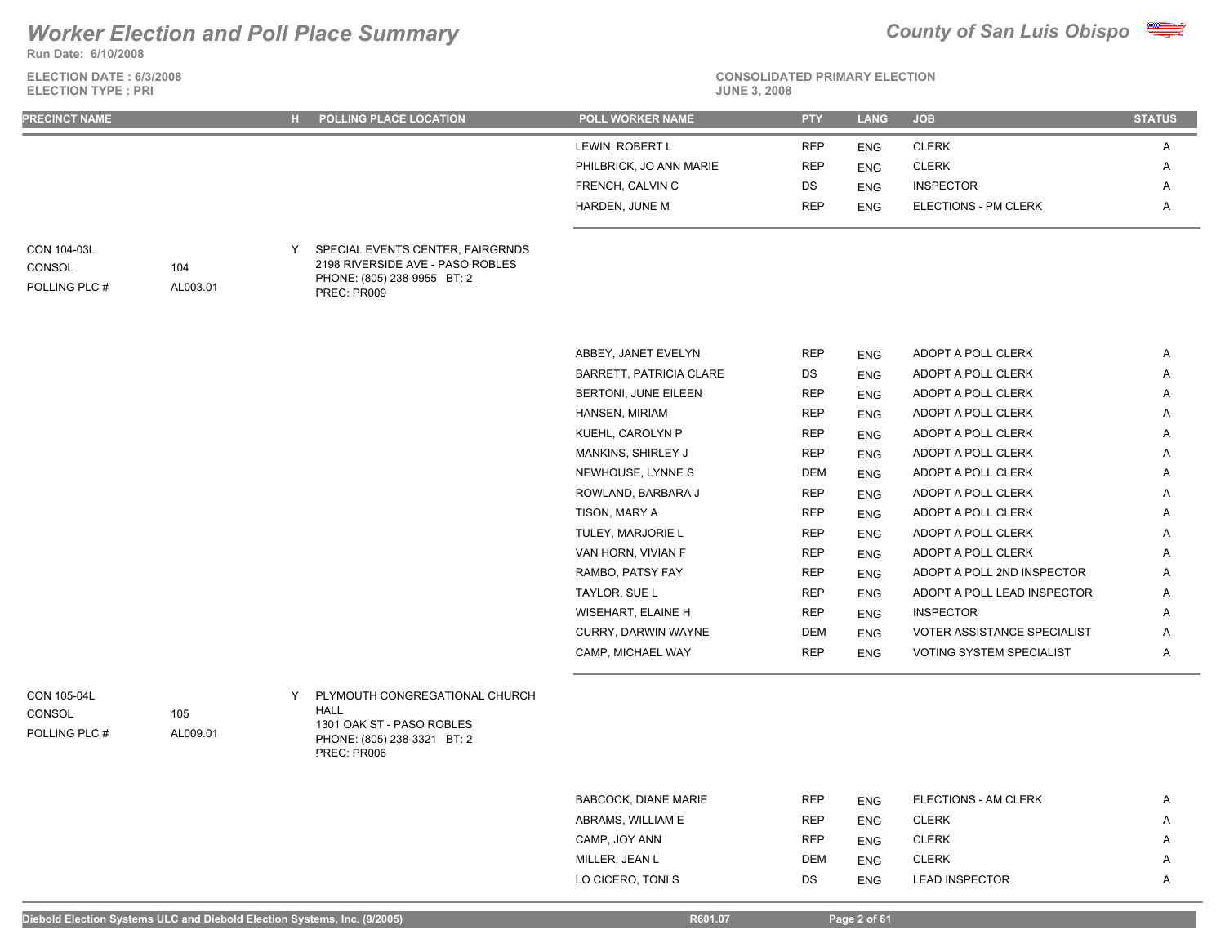**Run Date: 6/10/2008**

**ELECTION DATE : 6/3/2008 ELECTION TYPE : PRI** 



| LEWIN, ROBERT L<br>REP<br><b>CLERK</b><br>A<br><b>ENG</b><br><b>CLERK</b><br>PHILBRICK, JO ANN MARIE<br><b>REP</b><br><b>ENG</b><br>Α<br>FRENCH, CALVIN C<br>DS<br><b>INSPECTOR</b><br><b>ENG</b><br>Α<br>HARDEN, JUNE M<br><b>REP</b><br>ELECTIONS - PM CLERK<br>Α<br><b>ENG</b><br>SPECIAL EVENTS CENTER, FAIRGRNDS<br>Y<br>2198 RIVERSIDE AVE - PASO ROBLES<br>104<br>PHONE: (805) 238-9955 BT: 2<br>AL003.01<br>PREC: PR009<br><b>REP</b><br>ABBEY, JANET EVELYN<br>ADOPT A POLL CLERK<br><b>ENG</b><br>Α<br>BARRETT, PATRICIA CLARE<br>DS<br>ADOPT A POLL CLERK<br>Α<br><b>ENG</b><br>BERTONI, JUNE EILEEN<br><b>REP</b><br>ADOPT A POLL CLERK<br><b>ENG</b><br>Α<br>HANSEN, MIRIAM<br><b>REP</b><br>ADOPT A POLL CLERK<br>Α<br><b>ENG</b><br>KUEHL, CAROLYN P<br><b>REP</b><br>ADOPT A POLL CLERK<br><b>ENG</b><br>A<br>MANKINS, SHIRLEY J<br><b>REP</b><br>ADOPT A POLL CLERK<br>Α<br><b>ENG</b><br>NEWHOUSE, LYNNE S<br><b>DEM</b><br>ADOPT A POLL CLERK<br><b>ENG</b><br>Α<br>ROWLAND, BARBARA J<br><b>REP</b><br>ADOPT A POLL CLERK<br>Α<br><b>ENG</b><br>TISON, MARY A<br>REP<br>ADOPT A POLL CLERK<br><b>ENG</b><br>Α<br>TULEY, MARJORIE L<br><b>REP</b><br>ADOPT A POLL CLERK<br>Α<br><b>ENG</b><br>VAN HORN, VIVIAN F<br><b>REP</b><br>ADOPT A POLL CLERK<br>Α<br><b>ENG</b><br>RAMBO, PATSY FAY<br><b>REP</b><br>ADOPT A POLL 2ND INSPECTOR<br><b>ENG</b><br>Α<br>TAYLOR, SUE L<br><b>REP</b><br>ADOPT A POLL LEAD INSPECTOR<br><b>ENG</b><br>Α<br>WISEHART, ELAINE H<br><b>REP</b><br><b>INSPECTOR</b><br>Α<br><b>ENG</b><br>CURRY, DARWIN WAYNE<br>DEM<br>VOTER ASSISTANCE SPECIALIST<br><b>ENG</b><br>Α<br>CAMP, MICHAEL WAY<br><b>REP</b><br>VOTING SYSTEM SPECIALIST<br>Α<br><b>ENG</b><br>PLYMOUTH CONGREGATIONAL CHURCH<br>Y<br><b>HALL</b><br>105<br>1301 OAK ST - PASO ROBLES<br>AL009.01<br>PHONE: (805) 238-3321 BT: 2<br>PREC: PR006<br><b>BABCOCK, DIANE MARIE</b><br><b>REP</b><br>ELECTIONS - AM CLERK<br>Α<br><b>ENG</b> | <b>PRECINCT NAME</b>                   |  | H POLLING PLACE LOCATION | POLL WORKER NAME | <b>PTY</b> | <b>LANG</b> | <b>JOB</b> | <b>STATUS</b> |
|---------------------------------------------------------------------------------------------------------------------------------------------------------------------------------------------------------------------------------------------------------------------------------------------------------------------------------------------------------------------------------------------------------------------------------------------------------------------------------------------------------------------------------------------------------------------------------------------------------------------------------------------------------------------------------------------------------------------------------------------------------------------------------------------------------------------------------------------------------------------------------------------------------------------------------------------------------------------------------------------------------------------------------------------------------------------------------------------------------------------------------------------------------------------------------------------------------------------------------------------------------------------------------------------------------------------------------------------------------------------------------------------------------------------------------------------------------------------------------------------------------------------------------------------------------------------------------------------------------------------------------------------------------------------------------------------------------------------------------------------------------------------------------------------------------------------------------------------------------------------------------------------------------------------------------------------------------|----------------------------------------|--|--------------------------|------------------|------------|-------------|------------|---------------|
|                                                                                                                                                                                                                                                                                                                                                                                                                                                                                                                                                                                                                                                                                                                                                                                                                                                                                                                                                                                                                                                                                                                                                                                                                                                                                                                                                                                                                                                                                                                                                                                                                                                                                                                                                                                                                                                                                                                                                         |                                        |  |                          |                  |            |             |            |               |
|                                                                                                                                                                                                                                                                                                                                                                                                                                                                                                                                                                                                                                                                                                                                                                                                                                                                                                                                                                                                                                                                                                                                                                                                                                                                                                                                                                                                                                                                                                                                                                                                                                                                                                                                                                                                                                                                                                                                                         |                                        |  |                          |                  |            |             |            |               |
|                                                                                                                                                                                                                                                                                                                                                                                                                                                                                                                                                                                                                                                                                                                                                                                                                                                                                                                                                                                                                                                                                                                                                                                                                                                                                                                                                                                                                                                                                                                                                                                                                                                                                                                                                                                                                                                                                                                                                         |                                        |  |                          |                  |            |             |            |               |
|                                                                                                                                                                                                                                                                                                                                                                                                                                                                                                                                                                                                                                                                                                                                                                                                                                                                                                                                                                                                                                                                                                                                                                                                                                                                                                                                                                                                                                                                                                                                                                                                                                                                                                                                                                                                                                                                                                                                                         |                                        |  |                          |                  |            |             |            |               |
|                                                                                                                                                                                                                                                                                                                                                                                                                                                                                                                                                                                                                                                                                                                                                                                                                                                                                                                                                                                                                                                                                                                                                                                                                                                                                                                                                                                                                                                                                                                                                                                                                                                                                                                                                                                                                                                                                                                                                         |                                        |  |                          |                  |            |             |            |               |
|                                                                                                                                                                                                                                                                                                                                                                                                                                                                                                                                                                                                                                                                                                                                                                                                                                                                                                                                                                                                                                                                                                                                                                                                                                                                                                                                                                                                                                                                                                                                                                                                                                                                                                                                                                                                                                                                                                                                                         | CON 104-03L<br>CONSOL<br>POLLING PLC # |  |                          |                  |            |             |            |               |
|                                                                                                                                                                                                                                                                                                                                                                                                                                                                                                                                                                                                                                                                                                                                                                                                                                                                                                                                                                                                                                                                                                                                                                                                                                                                                                                                                                                                                                                                                                                                                                                                                                                                                                                                                                                                                                                                                                                                                         |                                        |  |                          |                  |            |             |            |               |
|                                                                                                                                                                                                                                                                                                                                                                                                                                                                                                                                                                                                                                                                                                                                                                                                                                                                                                                                                                                                                                                                                                                                                                                                                                                                                                                                                                                                                                                                                                                                                                                                                                                                                                                                                                                                                                                                                                                                                         |                                        |  |                          |                  |            |             |            |               |
|                                                                                                                                                                                                                                                                                                                                                                                                                                                                                                                                                                                                                                                                                                                                                                                                                                                                                                                                                                                                                                                                                                                                                                                                                                                                                                                                                                                                                                                                                                                                                                                                                                                                                                                                                                                                                                                                                                                                                         |                                        |  |                          |                  |            |             |            |               |
|                                                                                                                                                                                                                                                                                                                                                                                                                                                                                                                                                                                                                                                                                                                                                                                                                                                                                                                                                                                                                                                                                                                                                                                                                                                                                                                                                                                                                                                                                                                                                                                                                                                                                                                                                                                                                                                                                                                                                         |                                        |  |                          |                  |            |             |            |               |
|                                                                                                                                                                                                                                                                                                                                                                                                                                                                                                                                                                                                                                                                                                                                                                                                                                                                                                                                                                                                                                                                                                                                                                                                                                                                                                                                                                                                                                                                                                                                                                                                                                                                                                                                                                                                                                                                                                                                                         |                                        |  |                          |                  |            |             |            |               |
|                                                                                                                                                                                                                                                                                                                                                                                                                                                                                                                                                                                                                                                                                                                                                                                                                                                                                                                                                                                                                                                                                                                                                                                                                                                                                                                                                                                                                                                                                                                                                                                                                                                                                                                                                                                                                                                                                                                                                         |                                        |  |                          |                  |            |             |            |               |
|                                                                                                                                                                                                                                                                                                                                                                                                                                                                                                                                                                                                                                                                                                                                                                                                                                                                                                                                                                                                                                                                                                                                                                                                                                                                                                                                                                                                                                                                                                                                                                                                                                                                                                                                                                                                                                                                                                                                                         |                                        |  |                          |                  |            |             |            |               |
|                                                                                                                                                                                                                                                                                                                                                                                                                                                                                                                                                                                                                                                                                                                                                                                                                                                                                                                                                                                                                                                                                                                                                                                                                                                                                                                                                                                                                                                                                                                                                                                                                                                                                                                                                                                                                                                                                                                                                         |                                        |  |                          |                  |            |             |            |               |
|                                                                                                                                                                                                                                                                                                                                                                                                                                                                                                                                                                                                                                                                                                                                                                                                                                                                                                                                                                                                                                                                                                                                                                                                                                                                                                                                                                                                                                                                                                                                                                                                                                                                                                                                                                                                                                                                                                                                                         |                                        |  |                          |                  |            |             |            |               |
|                                                                                                                                                                                                                                                                                                                                                                                                                                                                                                                                                                                                                                                                                                                                                                                                                                                                                                                                                                                                                                                                                                                                                                                                                                                                                                                                                                                                                                                                                                                                                                                                                                                                                                                                                                                                                                                                                                                                                         |                                        |  |                          |                  |            |             |            |               |
|                                                                                                                                                                                                                                                                                                                                                                                                                                                                                                                                                                                                                                                                                                                                                                                                                                                                                                                                                                                                                                                                                                                                                                                                                                                                                                                                                                                                                                                                                                                                                                                                                                                                                                                                                                                                                                                                                                                                                         |                                        |  |                          |                  |            |             |            |               |
|                                                                                                                                                                                                                                                                                                                                                                                                                                                                                                                                                                                                                                                                                                                                                                                                                                                                                                                                                                                                                                                                                                                                                                                                                                                                                                                                                                                                                                                                                                                                                                                                                                                                                                                                                                                                                                                                                                                                                         |                                        |  |                          |                  |            |             |            |               |
|                                                                                                                                                                                                                                                                                                                                                                                                                                                                                                                                                                                                                                                                                                                                                                                                                                                                                                                                                                                                                                                                                                                                                                                                                                                                                                                                                                                                                                                                                                                                                                                                                                                                                                                                                                                                                                                                                                                                                         |                                        |  |                          |                  |            |             |            |               |
|                                                                                                                                                                                                                                                                                                                                                                                                                                                                                                                                                                                                                                                                                                                                                                                                                                                                                                                                                                                                                                                                                                                                                                                                                                                                                                                                                                                                                                                                                                                                                                                                                                                                                                                                                                                                                                                                                                                                                         |                                        |  |                          |                  |            |             |            |               |
|                                                                                                                                                                                                                                                                                                                                                                                                                                                                                                                                                                                                                                                                                                                                                                                                                                                                                                                                                                                                                                                                                                                                                                                                                                                                                                                                                                                                                                                                                                                                                                                                                                                                                                                                                                                                                                                                                                                                                         |                                        |  |                          |                  |            |             |            |               |
|                                                                                                                                                                                                                                                                                                                                                                                                                                                                                                                                                                                                                                                                                                                                                                                                                                                                                                                                                                                                                                                                                                                                                                                                                                                                                                                                                                                                                                                                                                                                                                                                                                                                                                                                                                                                                                                                                                                                                         |                                        |  |                          |                  |            |             |            |               |
|                                                                                                                                                                                                                                                                                                                                                                                                                                                                                                                                                                                                                                                                                                                                                                                                                                                                                                                                                                                                                                                                                                                                                                                                                                                                                                                                                                                                                                                                                                                                                                                                                                                                                                                                                                                                                                                                                                                                                         |                                        |  |                          |                  |            |             |            |               |
|                                                                                                                                                                                                                                                                                                                                                                                                                                                                                                                                                                                                                                                                                                                                                                                                                                                                                                                                                                                                                                                                                                                                                                                                                                                                                                                                                                                                                                                                                                                                                                                                                                                                                                                                                                                                                                                                                                                                                         | CON 105-04L                            |  |                          |                  |            |             |            |               |
|                                                                                                                                                                                                                                                                                                                                                                                                                                                                                                                                                                                                                                                                                                                                                                                                                                                                                                                                                                                                                                                                                                                                                                                                                                                                                                                                                                                                                                                                                                                                                                                                                                                                                                                                                                                                                                                                                                                                                         | CONSOL                                 |  |                          |                  |            |             |            |               |
|                                                                                                                                                                                                                                                                                                                                                                                                                                                                                                                                                                                                                                                                                                                                                                                                                                                                                                                                                                                                                                                                                                                                                                                                                                                                                                                                                                                                                                                                                                                                                                                                                                                                                                                                                                                                                                                                                                                                                         | POLLING PLC #                          |  |                          |                  |            |             |            |               |
|                                                                                                                                                                                                                                                                                                                                                                                                                                                                                                                                                                                                                                                                                                                                                                                                                                                                                                                                                                                                                                                                                                                                                                                                                                                                                                                                                                                                                                                                                                                                                                                                                                                                                                                                                                                                                                                                                                                                                         |                                        |  |                          |                  |            |             |            |               |
|                                                                                                                                                                                                                                                                                                                                                                                                                                                                                                                                                                                                                                                                                                                                                                                                                                                                                                                                                                                                                                                                                                                                                                                                                                                                                                                                                                                                                                                                                                                                                                                                                                                                                                                                                                                                                                                                                                                                                         |                                        |  |                          |                  |            |             |            |               |
| ABRAMS, WILLIAM E<br><b>CLERK</b><br>REP<br>Α<br><b>ENG</b>                                                                                                                                                                                                                                                                                                                                                                                                                                                                                                                                                                                                                                                                                                                                                                                                                                                                                                                                                                                                                                                                                                                                                                                                                                                                                                                                                                                                                                                                                                                                                                                                                                                                                                                                                                                                                                                                                             |                                        |  |                          |                  |            |             |            |               |
| CAMP, JOY ANN<br><b>REP</b><br><b>CLERK</b><br><b>ENG</b><br>Α                                                                                                                                                                                                                                                                                                                                                                                                                                                                                                                                                                                                                                                                                                                                                                                                                                                                                                                                                                                                                                                                                                                                                                                                                                                                                                                                                                                                                                                                                                                                                                                                                                                                                                                                                                                                                                                                                          |                                        |  |                          |                  |            |             |            |               |
| <b>CLERK</b><br>MILLER, JEAN L<br><b>DEM</b><br><b>ENG</b><br>Α                                                                                                                                                                                                                                                                                                                                                                                                                                                                                                                                                                                                                                                                                                                                                                                                                                                                                                                                                                                                                                                                                                                                                                                                                                                                                                                                                                                                                                                                                                                                                                                                                                                                                                                                                                                                                                                                                         |                                        |  |                          |                  |            |             |            |               |
| LO CICERO, TONI S<br>DS<br><b>LEAD INSPECTOR</b><br>Α<br><b>ENG</b>                                                                                                                                                                                                                                                                                                                                                                                                                                                                                                                                                                                                                                                                                                                                                                                                                                                                                                                                                                                                                                                                                                                                                                                                                                                                                                                                                                                                                                                                                                                                                                                                                                                                                                                                                                                                                                                                                     |                                        |  |                          |                  |            |             |            |               |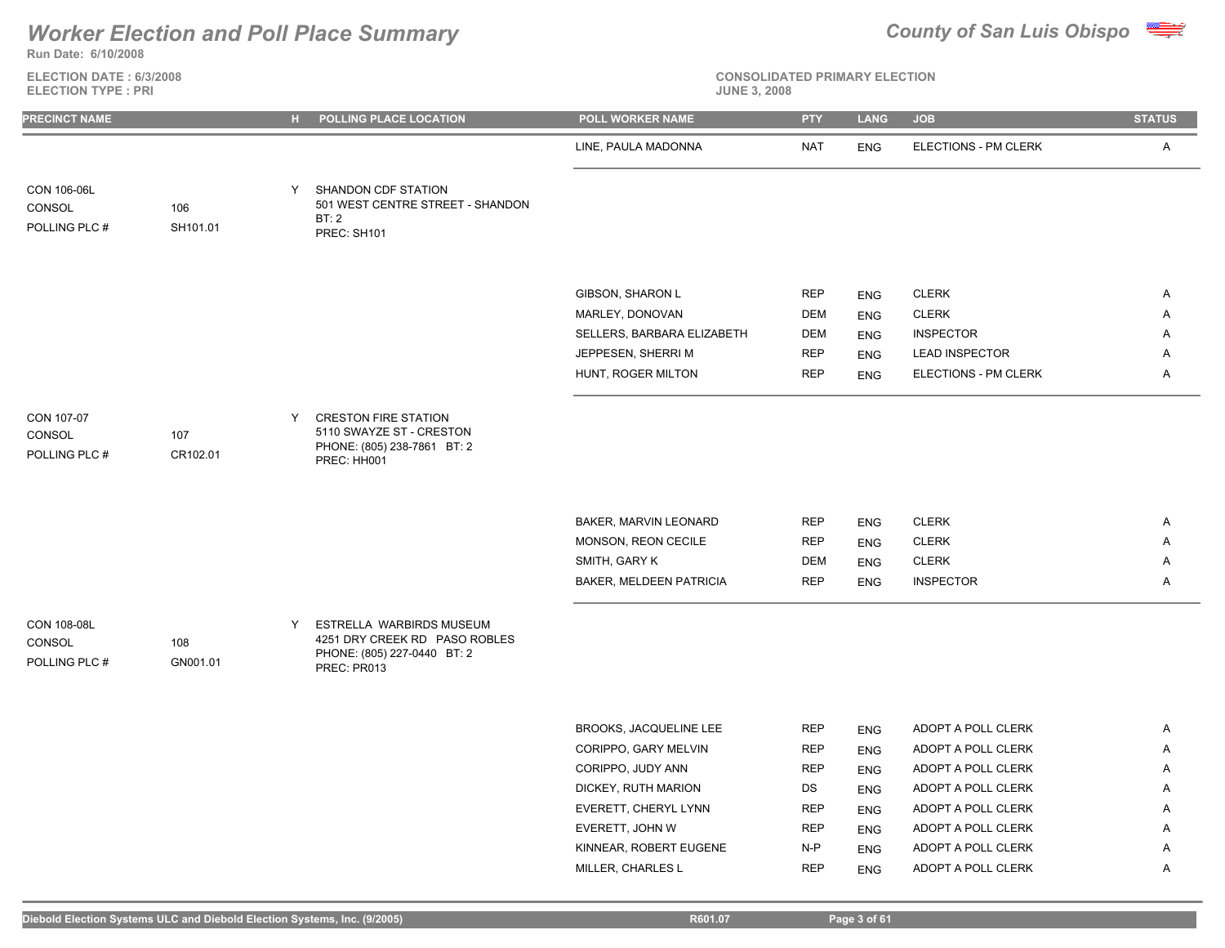

**ELECTION DATE : 6/3/2008 ELECTION TYPE : PRI** 

| <b>PRECINCT NAME</b>                                      | $H$ . | POLLING PLACE LOCATION                                                                                  | POLL WORKER NAME                         | <b>PTY</b>               | <b>LANG</b>              | <b>JOB</b>                                    | <b>STATUS</b> |
|-----------------------------------------------------------|-------|---------------------------------------------------------------------------------------------------------|------------------------------------------|--------------------------|--------------------------|-----------------------------------------------|---------------|
|                                                           |       |                                                                                                         | LINE, PAULA MADONNA                      | <b>NAT</b>               | <b>ENG</b>               | ELECTIONS - PM CLERK                          | $\mathsf{A}$  |
| CON 106-06L<br>CONSOL<br>106<br>POLLING PLC #<br>SH101.01 | Y     | SHANDON CDF STATION<br>501 WEST CENTRE STREET - SHANDON<br>BT:2<br>PREC: SH101                          |                                          |                          |                          |                                               |               |
|                                                           |       |                                                                                                         |                                          |                          |                          |                                               |               |
|                                                           |       |                                                                                                         | GIBSON, SHARON L                         | <b>REP</b>               | <b>ENG</b>               | <b>CLERK</b>                                  | A             |
|                                                           |       |                                                                                                         | MARLEY, DONOVAN                          | <b>DEM</b>               | <b>ENG</b>               | <b>CLERK</b>                                  | A             |
|                                                           |       |                                                                                                         | SELLERS, BARBARA ELIZABETH               | <b>DEM</b>               | <b>ENG</b>               | <b>INSPECTOR</b>                              | Α             |
|                                                           |       |                                                                                                         | JEPPESEN, SHERRI M<br>HUNT, ROGER MILTON | <b>REP</b><br><b>REP</b> | <b>ENG</b><br><b>ENG</b> | <b>LEAD INSPECTOR</b><br>ELECTIONS - PM CLERK | Α<br>A        |
|                                                           |       |                                                                                                         |                                          |                          |                          |                                               |               |
| CON 107-07<br>CONSOL<br>107<br>POLLING PLC #<br>CR102.01  | Y     | <b>CRESTON FIRE STATION</b><br>5110 SWAYZE ST - CRESTON<br>PHONE: (805) 238-7861 BT: 2<br>PREC: HH001   |                                          |                          |                          |                                               |               |
|                                                           |       |                                                                                                         | BAKER, MARVIN LEONARD                    | <b>REP</b>               | <b>ENG</b>               | <b>CLERK</b>                                  | $\mathsf{A}$  |
|                                                           |       |                                                                                                         | MONSON, REON CECILE                      | <b>REP</b>               | <b>ENG</b>               | <b>CLERK</b>                                  | Α             |
|                                                           |       |                                                                                                         | SMITH, GARY K                            | <b>DEM</b>               | <b>ENG</b>               | <b>CLERK</b>                                  | Α             |
|                                                           |       |                                                                                                         | BAKER, MELDEEN PATRICIA                  | <b>REP</b>               | <b>ENG</b>               | <b>INSPECTOR</b>                              | Α             |
| CON 108-08L<br>CONSOL<br>108<br>POLLING PLC #<br>GN001.01 | Y     | ESTRELLA WARBIRDS MUSEUM<br>4251 DRY CREEK RD PASO ROBLES<br>PHONE: (805) 227-0440 BT: 2<br>PREC: PR013 |                                          |                          |                          |                                               |               |
|                                                           |       |                                                                                                         | BROOKS, JACQUELINE LEE                   | <b>REP</b>               | <b>ENG</b>               | ADOPT A POLL CLERK                            | A             |
|                                                           |       |                                                                                                         | CORIPPO, GARY MELVIN                     | <b>REP</b>               | <b>ENG</b>               | ADOPT A POLL CLERK                            | Α             |
|                                                           |       |                                                                                                         | CORIPPO, JUDY ANN                        | <b>REP</b>               | <b>ENG</b>               | ADOPT A POLL CLERK                            | A             |
|                                                           |       |                                                                                                         | DICKEY, RUTH MARION                      | DS                       | <b>ENG</b>               | ADOPT A POLL CLERK                            | Α             |
|                                                           |       |                                                                                                         | EVERETT, CHERYL LYNN                     | <b>REP</b>               | <b>ENG</b>               | ADOPT A POLL CLERK                            | Α             |
|                                                           |       |                                                                                                         | EVERETT, JOHN W                          | <b>REP</b>               | <b>ENG</b>               | ADOPT A POLL CLERK                            | A             |
|                                                           |       |                                                                                                         | KINNEAR, ROBERT EUGENE                   | $N-P$                    | <b>ENG</b>               | ADOPT A POLL CLERK                            | Α             |
|                                                           |       |                                                                                                         | MILLER, CHARLES L                        | <b>REP</b>               | <b>ENG</b>               | ADOPT A POLL CLERK                            | A             |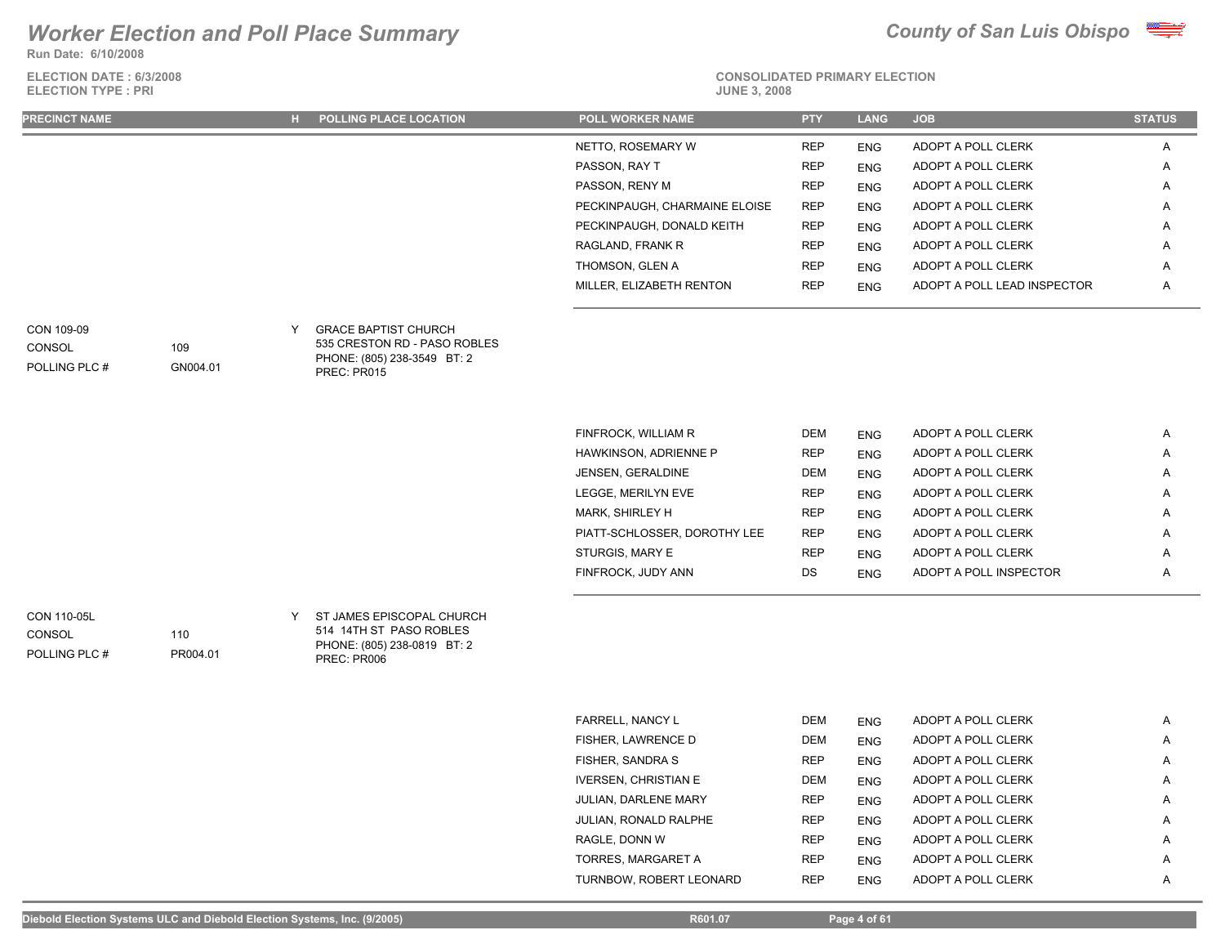**Run Date: 6/10/2008**

**ELECTION DATE : 6/3/2008 ELECTION TYPE : PRI** 



# **CONSOLIDATED PRIMARY ELECTION**

| <b>PRECINCT NAME</b> | H POLLING PLACE LOCATION | POLL WORKER NAME              | <b>PTY</b> | <b>LANG</b> | <b>JOB</b>                  | <b>STATUS</b> |
|----------------------|--------------------------|-------------------------------|------------|-------------|-----------------------------|---------------|
|                      |                          | NETTO, ROSEMARY W             | <b>REP</b> | <b>ENG</b>  | ADOPT A POLL CLERK          | $\mathsf{A}$  |
|                      |                          | PASSON, RAY T                 | <b>REP</b> | <b>ENG</b>  | ADOPT A POLL CLERK          | $\mathsf{A}$  |
|                      |                          | PASSON, RENY M                | <b>REP</b> | <b>ENG</b>  | ADOPT A POLL CLERK          | $\mathsf{A}$  |
|                      |                          | PECKINPAUGH, CHARMAINE ELOISE | <b>REP</b> | <b>ENG</b>  | ADOPT A POLL CLERK          | $\mathsf{A}$  |
|                      |                          | PECKINPAUGH, DONALD KEITH     | <b>REP</b> | <b>ENG</b>  | ADOPT A POLL CLERK          | A             |
|                      |                          | RAGLAND, FRANK R              | <b>REP</b> | <b>ENG</b>  | ADOPT A POLL CLERK          | $\mathsf{A}$  |
|                      |                          | THOMSON, GLEN A               | <b>REP</b> | <b>ENG</b>  | ADOPT A POLL CLERK          | A             |
|                      |                          | MILLER. ELIZABETH RENTON      | <b>REP</b> | <b>ENG</b>  | ADOPT A POLL LEAD INSPECTOR | $\mathsf{A}$  |
|                      |                          |                               |            |             |                             |               |

### GRACE BAPTIST CHURCH CON 109-09 Y

**CONSOL** 

### POLLING PLC #

109

110

PR004.01

GN004.01

535 CRESTON RD - PASO ROBLES PHONE: (805) 238-3549 BT: 2 PREC: PR015

| FINFROCK, WILLIAM R          | <b>DEM</b> | <b>ENG</b> | ADOPT A POLL CLERK     | A |
|------------------------------|------------|------------|------------------------|---|
| HAWKINSON, ADRIENNE P        | <b>REP</b> | <b>ENG</b> | ADOPT A POLL CLERK     | A |
| JENSEN, GERALDINE            | <b>DEM</b> | <b>ENG</b> | ADOPT A POLL CLERK     | A |
| LEGGE, MERILYN EVE           | <b>REP</b> | <b>ENG</b> | ADOPT A POLL CLERK     | A |
| MARK, SHIRLEY H              | <b>REP</b> | <b>ENG</b> | ADOPT A POLL CLERK     | A |
| PIATT-SCHLOSSER, DOROTHY LEE | <b>REP</b> | <b>ENG</b> | ADOPT A POLL CLERK     | A |
| STURGIS, MARY E              | <b>REP</b> | <b>ENG</b> | ADOPT A POLL CLERK     | A |
| FINFROCK, JUDY ANN           | DS         | <b>ENG</b> | ADOPT A POLL INSPECTOR | A |
|                              |            |            |                        |   |

POLLING PLC # **CONSOL** 

CON 110-05L CON 110-05L CONSERVERS EPISCOPAL CHURCH 514 14TH ST PASO ROBLES PHONE: (805) 238-0819 BT: 2 PREC: PR006

| FARRELL, NANCY L        | <b>DEM</b> | <b>ENG</b> | ADOPT A POLL CLERK | A |
|-------------------------|------------|------------|--------------------|---|
| FISHER, LAWRENCE D      | <b>DEM</b> | <b>ENG</b> | ADOPT A POLL CLERK | A |
| FISHER, SANDRA S        | <b>REP</b> | <b>ENG</b> | ADOPT A POLL CLERK | A |
| IVERSEN, CHRISTIAN E    | <b>DEM</b> | <b>ENG</b> | ADOPT A POLL CLERK | A |
| JULIAN, DARLENE MARY    | <b>REP</b> | <b>ENG</b> | ADOPT A POLL CLERK | A |
| JULIAN, RONALD RALPHE   | <b>REP</b> | <b>ENG</b> | ADOPT A POLL CLERK | A |
| RAGLE, DONN W           | <b>REP</b> | <b>ENG</b> | ADOPT A POLL CLERK | A |
| TORRES. MARGARET A      | <b>REP</b> | <b>ENG</b> | ADOPT A POLL CLERK | A |
| TURNBOW, ROBERT LEONARD | <b>REP</b> | <b>ENG</b> | ADOPT A POLL CLERK | A |
|                         |            |            |                    |   |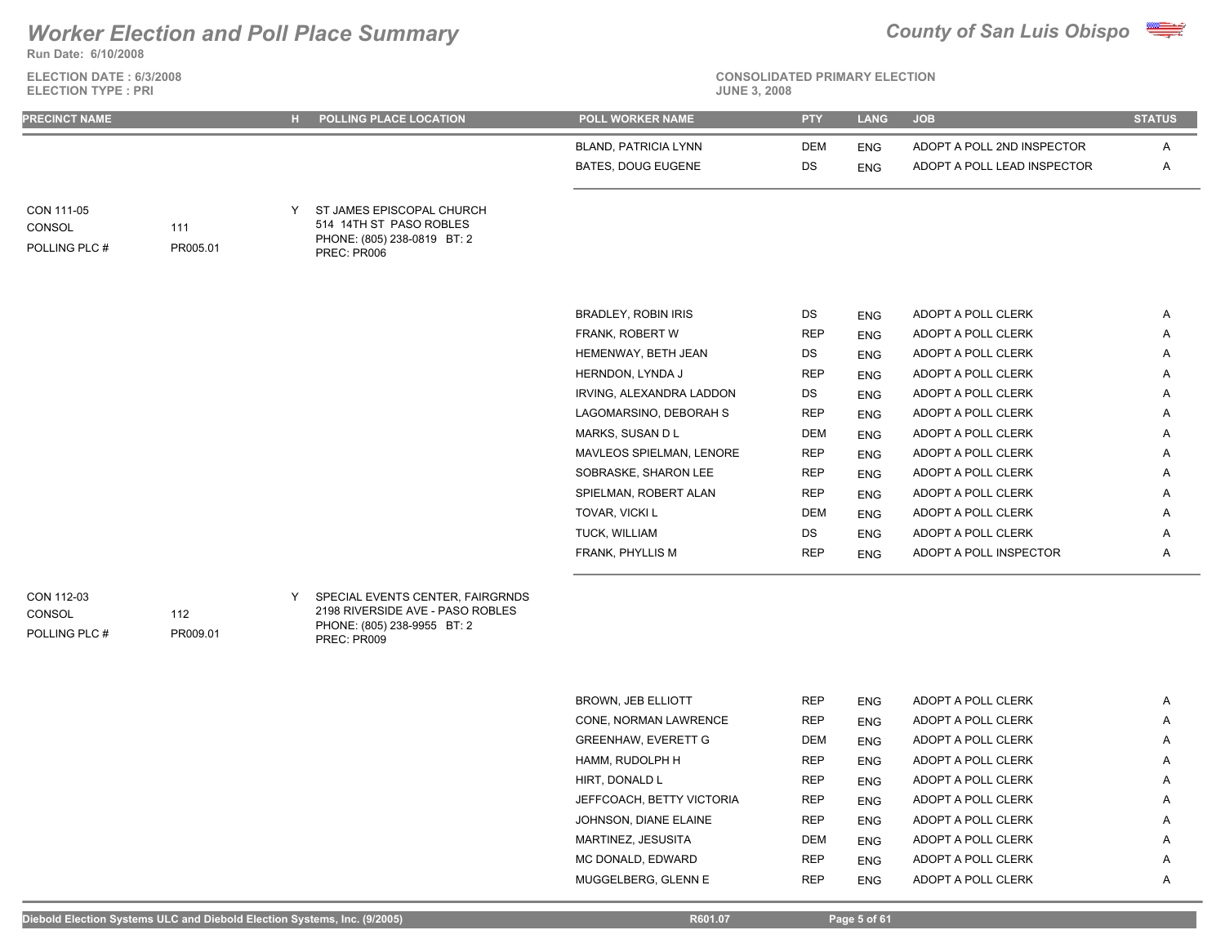**Run Date: 6/10/2008**

**ELECTION DATE : 6/3/2008 ELECTION TYPE : PRI JUNE 3, 2008**



# **CONSOLIDATED PRIMARY ELECTION**

| PRECINCT NAME                         |                 | H POLLING PLACE LOCATION                                                                           | <b>POLL WORKER NAME</b>     | <b>PTY</b> | <b>LANG</b> | <b>JOB</b>                  | <b>STATUS</b> |
|---------------------------------------|-----------------|----------------------------------------------------------------------------------------------------|-----------------------------|------------|-------------|-----------------------------|---------------|
|                                       |                 |                                                                                                    | <b>BLAND, PATRICIA LYNN</b> | <b>DEM</b> | <b>ENG</b>  | ADOPT A POLL 2ND INSPECTOR  | Α             |
|                                       |                 |                                                                                                    | <b>BATES, DOUG EUGENE</b>   | DS         | <b>ENG</b>  | ADOPT A POLL LEAD INSPECTOR | Α             |
| CON 111-05<br>CONSOL<br>POLLING PLC # | 111<br>PR005.01 | ST JAMES EPISCOPAL CHURCH<br>514 14TH ST PASO ROBLES<br>PHONE: (805) 238-0819 BT: 2<br>PREC: PR006 |                             |            |             |                             |               |
|                                       |                 |                                                                                                    | <b>BRADLEY, ROBIN IRIS</b>  | DS         | <b>ENG</b>  | ADOPT A POLL CLERK          | Α             |
|                                       |                 |                                                                                                    | FRANK, ROBERT W             | <b>REP</b> | <b>ENG</b>  | ADOPT A POLL CLERK          | A             |
|                                       |                 |                                                                                                    | HEMENWAY, BETH JEAN         | DS         | <b>ENG</b>  | ADOPT A POLL CLERK          | Α             |
|                                       |                 |                                                                                                    | HERNDON, LYNDA J            | <b>REP</b> | <b>ENG</b>  | ADOPT A POLL CLERK          | A             |
|                                       |                 |                                                                                                    | IRVING, ALEXANDRA LADDON    | DS         | <b>ENG</b>  | ADOPT A POLL CLERK          | A             |
|                                       |                 |                                                                                                    | LAGOMARSINO, DEBORAH S      | <b>REP</b> | <b>ENG</b>  | ADOPT A POLL CLERK          | A             |
|                                       |                 |                                                                                                    | MARKS, SUSAN D L            | <b>DEM</b> | <b>ENG</b>  | ADOPT A POLL CLERK          | A             |
|                                       |                 |                                                                                                    | MAVLEOS SPIELMAN, LENORE    | <b>REP</b> | <b>ENG</b>  | ADOPT A POLL CLERK          | Α             |
|                                       |                 |                                                                                                    | SOBRASKE, SHARON LEE        | <b>REP</b> | <b>ENG</b>  | ADOPT A POLL CLERK          | A             |
|                                       |                 |                                                                                                    | SPIELMAN, ROBERT ALAN       | <b>REP</b> | <b>ENG</b>  | ADOPT A POLL CLERK          | Α             |
|                                       |                 |                                                                                                    | TOVAR, VICKI L              | DEM        | <b>ENG</b>  | ADOPT A POLL CLERK          | A             |
|                                       |                 |                                                                                                    | TUCK, WILLIAM               | DS         | <b>ENG</b>  | ADOPT A POLL CLERK          | Α             |
|                                       |                 |                                                                                                    | FRANK, PHYLLIS M            | <b>REP</b> |             | ADOPT A POLL INSPECTOR      | Α             |
| CON 112-03<br><b>CONSOL</b>           | 112             | SPECIAL EVENTS CENTER, FAIRGRNDS<br>2198 RIVERSIDE AVE - PASO ROBLES                               |                             |            | <b>ENG</b>  |                             |               |

POLLING PLC #

PHONE: (805) 238-9955 BT: 2 PREC: PR009

> BROWN, JEB ELLIOTT REP ENG ADOPT A POLL CLERK A CONE, NORMAN LAWRENCE REP ENG ADOPT A POLL CLERK A GREENHAW, EVERETT G DEM ENG ADOPT A POLL CLERK A HAMM, RUDOLPH H REP ENG ADOPT A POLL CLERK A HIRT, DONALD LETTER LATER HIRT, DONALD LETTER REP LATER AND A REP ADOPT A POLL CLERK A REP AND A REP JEFFCOACH, BETTY VICTORIA REP ENG ADOPT A POLL CLERK A A JOHNSON, DIANE ELAINE **REP** ENG ADOPT A POLL CLERK A MARTINEZ, JESUSITA DEM ENG ADOPT A POLL CLERK A MC DONALD, EDWARD REP ENG ADOPT A POLL CLERK A MUGGELBERG, GLENN E REP ENG ADOPT A POLL CLERK A

PR009.01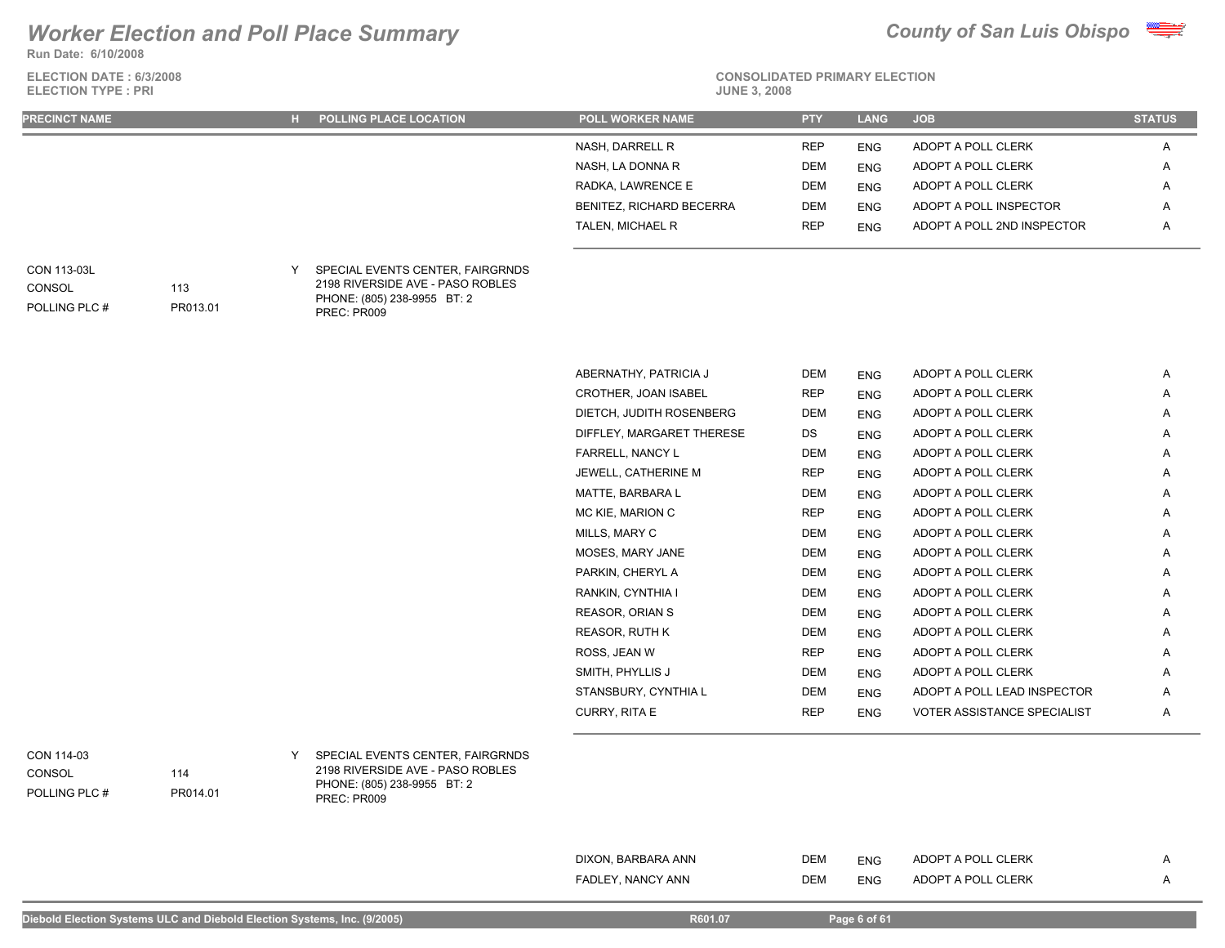**Run Date: 6/10/2008**



| ELECTION DATE: 6/3/2008<br><b>ELECTION TYPE: PRI</b> |                 |   |                                                                                                                    | <b>CONSOLIDATED PRIMARY ELECTION</b><br><b>JUNE 3, 2008</b> |            |             |                             |               |  |  |
|------------------------------------------------------|-----------------|---|--------------------------------------------------------------------------------------------------------------------|-------------------------------------------------------------|------------|-------------|-----------------------------|---------------|--|--|
| <b>PRECINCT NAME</b>                                 |                 |   | H POLLING PLACE LOCATION                                                                                           | POLL WORKER NAME                                            | <b>PTY</b> | <b>LANG</b> | <b>JOB</b>                  | <b>STATUS</b> |  |  |
|                                                      |                 |   |                                                                                                                    | NASH, DARRELL R                                             | <b>REP</b> | <b>ENG</b>  | ADOPT A POLL CLERK          | Α             |  |  |
|                                                      |                 |   |                                                                                                                    | NASH, LA DONNA R                                            | DEM        | <b>ENG</b>  | ADOPT A POLL CLERK          | Α             |  |  |
|                                                      |                 |   |                                                                                                                    | RADKA, LAWRENCE E                                           | DEM        | <b>ENG</b>  | ADOPT A POLL CLERK          | Α             |  |  |
|                                                      |                 |   |                                                                                                                    | <b>BENITEZ, RICHARD BECERRA</b>                             | <b>DEM</b> | <b>ENG</b>  | ADOPT A POLL INSPECTOR      | A             |  |  |
|                                                      |                 |   |                                                                                                                    | TALEN, MICHAEL R                                            | <b>REP</b> | <b>ENG</b>  | ADOPT A POLL 2ND INSPECTOR  | A             |  |  |
| CON 113-03L<br>CONSOL<br>POLLING PLC #               | 113<br>PR013.01 | Y | SPECIAL EVENTS CENTER, FAIRGRNDS<br>2198 RIVERSIDE AVE - PASO ROBLES<br>PHONE: (805) 238-9955 BT: 2<br>PREC: PR009 |                                                             |            |             |                             |               |  |  |
|                                                      |                 |   |                                                                                                                    | ABERNATHY, PATRICIA J                                       | <b>DEM</b> | <b>ENG</b>  | ADOPT A POLL CLERK          | $\mathsf{A}$  |  |  |
|                                                      |                 |   |                                                                                                                    | CROTHER, JOAN ISABEL                                        | REP        | <b>ENG</b>  | ADOPT A POLL CLERK          | Α             |  |  |
|                                                      |                 |   |                                                                                                                    | DIETCH, JUDITH ROSENBERG                                    | <b>DEM</b> | <b>ENG</b>  | ADOPT A POLL CLERK          | A             |  |  |
|                                                      |                 |   |                                                                                                                    | DIFFLEY, MARGARET THERESE                                   | DS         | <b>ENG</b>  | ADOPT A POLL CLERK          | Α             |  |  |
|                                                      |                 |   |                                                                                                                    | FARRELL, NANCY L                                            | <b>DEM</b> | <b>ENG</b>  | ADOPT A POLL CLERK          | A             |  |  |
|                                                      |                 |   |                                                                                                                    | JEWELL, CATHERINE M                                         | <b>REP</b> | <b>ENG</b>  | ADOPT A POLL CLERK          | Α             |  |  |
|                                                      |                 |   |                                                                                                                    | MATTE, BARBARA L                                            | DEM        | <b>ENG</b>  | ADOPT A POLL CLERK          | Α             |  |  |
|                                                      |                 |   |                                                                                                                    | MC KIE, MARION C                                            | <b>REP</b> | <b>ENG</b>  | ADOPT A POLL CLERK          | Α             |  |  |
|                                                      |                 |   |                                                                                                                    | MILLS, MARY C                                               | <b>DEM</b> | <b>ENG</b>  | ADOPT A POLL CLERK          | Α             |  |  |
|                                                      |                 |   |                                                                                                                    | MOSES, MARY JANE                                            | <b>DEM</b> | <b>ENG</b>  | ADOPT A POLL CLERK          | Α             |  |  |
|                                                      |                 |   |                                                                                                                    | PARKIN, CHERYL A                                            | <b>DEM</b> | <b>ENG</b>  | ADOPT A POLL CLERK          | Α             |  |  |
|                                                      |                 |   |                                                                                                                    | RANKIN, CYNTHIA I                                           | DEM        | <b>ENG</b>  | ADOPT A POLL CLERK          | Α             |  |  |
|                                                      |                 |   |                                                                                                                    | REASOR, ORIAN S                                             | <b>DEM</b> | <b>ENG</b>  | ADOPT A POLL CLERK          | Α             |  |  |
|                                                      |                 |   |                                                                                                                    | REASOR, RUTH K                                              | <b>DEM</b> | <b>ENG</b>  | ADOPT A POLL CLERK          | A             |  |  |
|                                                      |                 |   |                                                                                                                    | ROSS, JEAN W                                                | <b>REP</b> | <b>ENG</b>  | ADOPT A POLL CLERK          | A             |  |  |
|                                                      |                 |   |                                                                                                                    | SMITH, PHYLLIS J                                            | DEM        | <b>ENG</b>  | ADOPT A POLL CLERK          | A             |  |  |
|                                                      |                 |   |                                                                                                                    | STANSBURY, CYNTHIA L                                        | DEM        | <b>ENG</b>  | ADOPT A POLL LEAD INSPECTOR | A             |  |  |
|                                                      |                 |   |                                                                                                                    | CURRY, RITA E                                               | <b>REP</b> | <b>ENG</b>  | VOTER ASSISTANCE SPECIALIST | A             |  |  |
| CON 114-03<br>CONSOL<br>POLLING PLC #                | 114<br>PR014.01 | Y | SPECIAL EVENTS CENTER, FAIRGRNDS<br>2198 RIVERSIDE AVE - PASO ROBLES<br>PHONE: (805) 238-9955 BT: 2<br>PREC: PR009 |                                                             |            |             |                             |               |  |  |

| ' ANN<br>$\sim$ NANC | <b>DEM</b> | F100<br>ENG | <b>CLERK</b><br>ו ה<br>noc |  |
|----------------------|------------|-------------|----------------------------|--|
|                      |            |             |                            |  |

DIXON, BARBARA ANN DEM ENG ADOPT A POLL CLERK A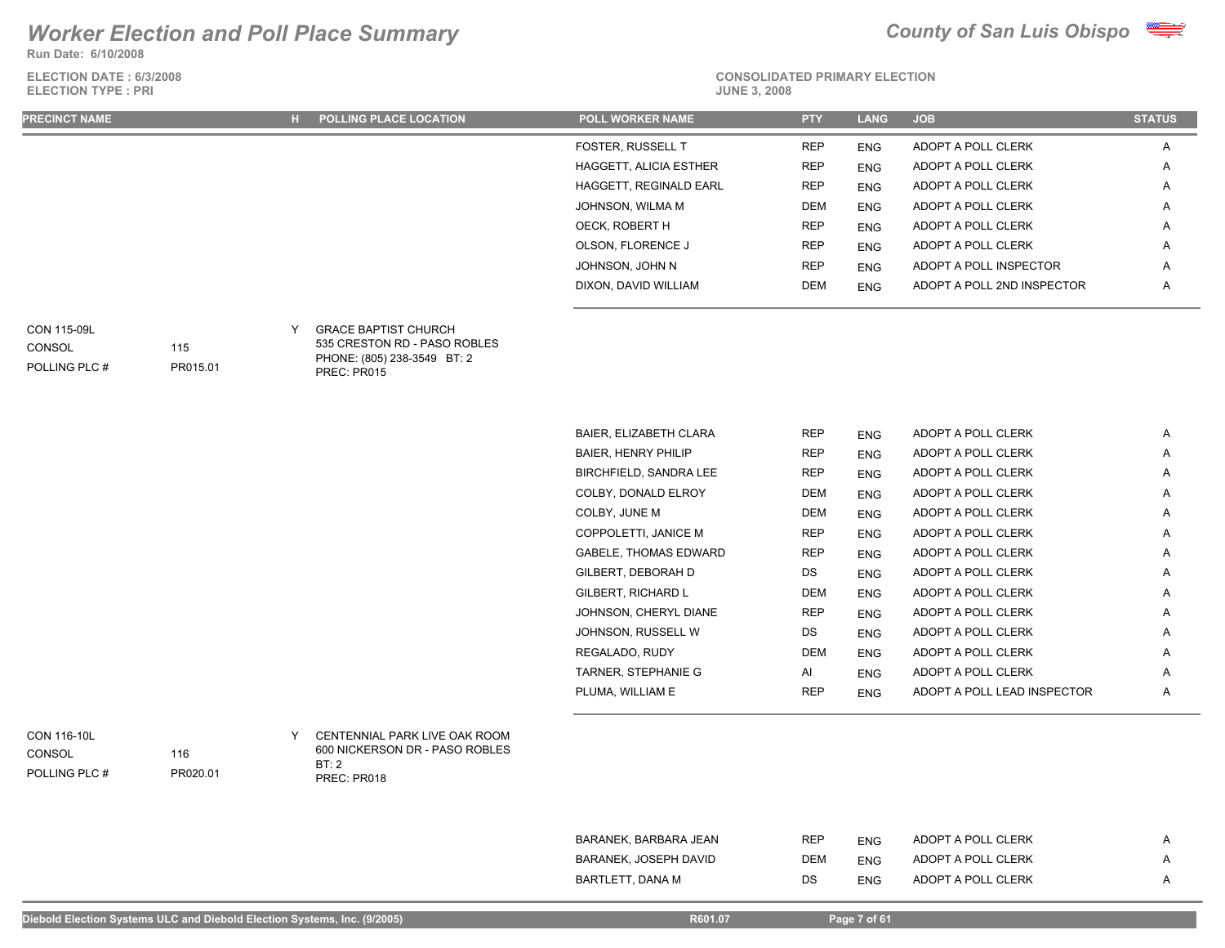**Run Date: 6/10/2008**

**ELECTION DATE : 6/3/2008 ELECTION TYPE : PRI** 





# **CONSOLIDATED PRIMARY ELECTION**

| <b>PRECINCT NAME</b> | <b>H</b> POLLING PLACE LOCATION | <b>POLL WORKER NAME</b>       | <b>PTY</b> | <b>LANG</b> | <b>JOB</b>                 | <b>STATUS</b>  |
|----------------------|---------------------------------|-------------------------------|------------|-------------|----------------------------|----------------|
|                      |                                 | FOSTER, RUSSELL T             | <b>REP</b> | <b>ENG</b>  | ADOPT A POLL CLERK         | $\mathsf{A}$   |
|                      |                                 | <b>HAGGETT, ALICIA ESTHER</b> | <b>REP</b> | <b>ENG</b>  | ADOPT A POLL CLERK         | $\mathsf{A}$   |
|                      |                                 | HAGGETT, REGINALD EARL        | <b>REP</b> | <b>ENG</b>  | ADOPT A POLL CLERK         | $\mathsf{A}$   |
|                      |                                 | JOHNSON, WILMA M              | DEM        | <b>ENG</b>  | ADOPT A POLL CLERK         | $\overline{a}$ |
|                      |                                 | OECK, ROBERT H                | <b>REP</b> | <b>ENG</b>  | ADOPT A POLL CLERK         | $\overline{a}$ |
|                      |                                 | OLSON, FLORENCE J             | <b>REP</b> | <b>ENG</b>  | ADOPT A POLL CLERK         | $\overline{a}$ |
|                      |                                 | JOHNSON, JOHN N               | <b>REP</b> | <b>ENG</b>  | ADOPT A POLL INSPECTOR     | $\mathsf{A}$   |
|                      |                                 | DIXON, DAVID WILLIAM          | <b>DEM</b> | <b>ENG</b>  | ADOPT A POLL 2ND INSPECTOR | $\mathsf{A}$   |
|                      |                                 |                               |            |             |                            |                |

**CONSOL** 

POLLING PLC #

GRACE BAPTIST CHURCH CON 115-09L Y 535 CRESTON RD - PASO ROBLES PHONE: (805) 238-3549 BT: 2

PREC: PR015

115

PR015.01

| BAIER, ELIZABETH CLARA       | <b>REP</b> | <b>ENG</b> | ADOPT A POLL CLERK          | A |
|------------------------------|------------|------------|-----------------------------|---|
| <b>BAIER, HENRY PHILIP</b>   | <b>REP</b> | <b>ENG</b> | ADOPT A POLL CLERK          | A |
| BIRCHFIELD, SANDRA LEE       | <b>REP</b> | <b>ENG</b> | ADOPT A POLL CLERK          | A |
| COLBY, DONALD ELROY          | DEM        | <b>ENG</b> | ADOPT A POLL CLERK          | A |
| COLBY, JUNE M                | <b>DEM</b> | <b>ENG</b> | ADOPT A POLL CLERK          | Α |
| COPPOLETTI, JANICE M         | <b>REP</b> | <b>ENG</b> | ADOPT A POLL CLERK          | A |
| <b>GABELE, THOMAS EDWARD</b> | <b>REP</b> | <b>ENG</b> | ADOPT A POLL CLERK          | A |
| GILBERT, DEBORAH D           | DS.        | <b>ENG</b> | ADOPT A POLL CLERK          | A |
| GILBERT, RICHARD L           | <b>DEM</b> | <b>ENG</b> | ADOPT A POLL CLERK          | A |
| JOHNSON, CHERYL DIANE        | <b>REP</b> | <b>ENG</b> | ADOPT A POLL CLERK          | A |
| JOHNSON, RUSSELL W           | DS         | <b>ENG</b> | ADOPT A POLL CLERK          | A |
| REGALADO, RUDY               | <b>DEM</b> | <b>ENG</b> | ADOPT A POLL CLERK          | A |
| TARNER, STEPHANIE G          | AI         | <b>ENG</b> | ADOPT A POLL CLERK          | A |
| PLUMA. WILLIAM E             | <b>REP</b> | <b>ENG</b> | ADOPT A POLL LEAD INSPECTOR | A |

POLLING PLC # CONSOL

CENTENNIAL PARK LIVE OAK ROOM CON 116-10L Y 600 NICKERSON DR - PASO ROBLES BT: 2 PREC: PR018

| BARANEK, BARBARA JEAN | REP | ENG | ADOPT A POLL CLERK |  |
|-----------------------|-----|-----|--------------------|--|
| BARANEK, JOSEPH DAVID | DEM | ENG | ADOPT A POLL CLERK |  |
| BARTLETT. DANA M      | DS  | ENG | ADOPT A POLL CLERK |  |

116

PR020.01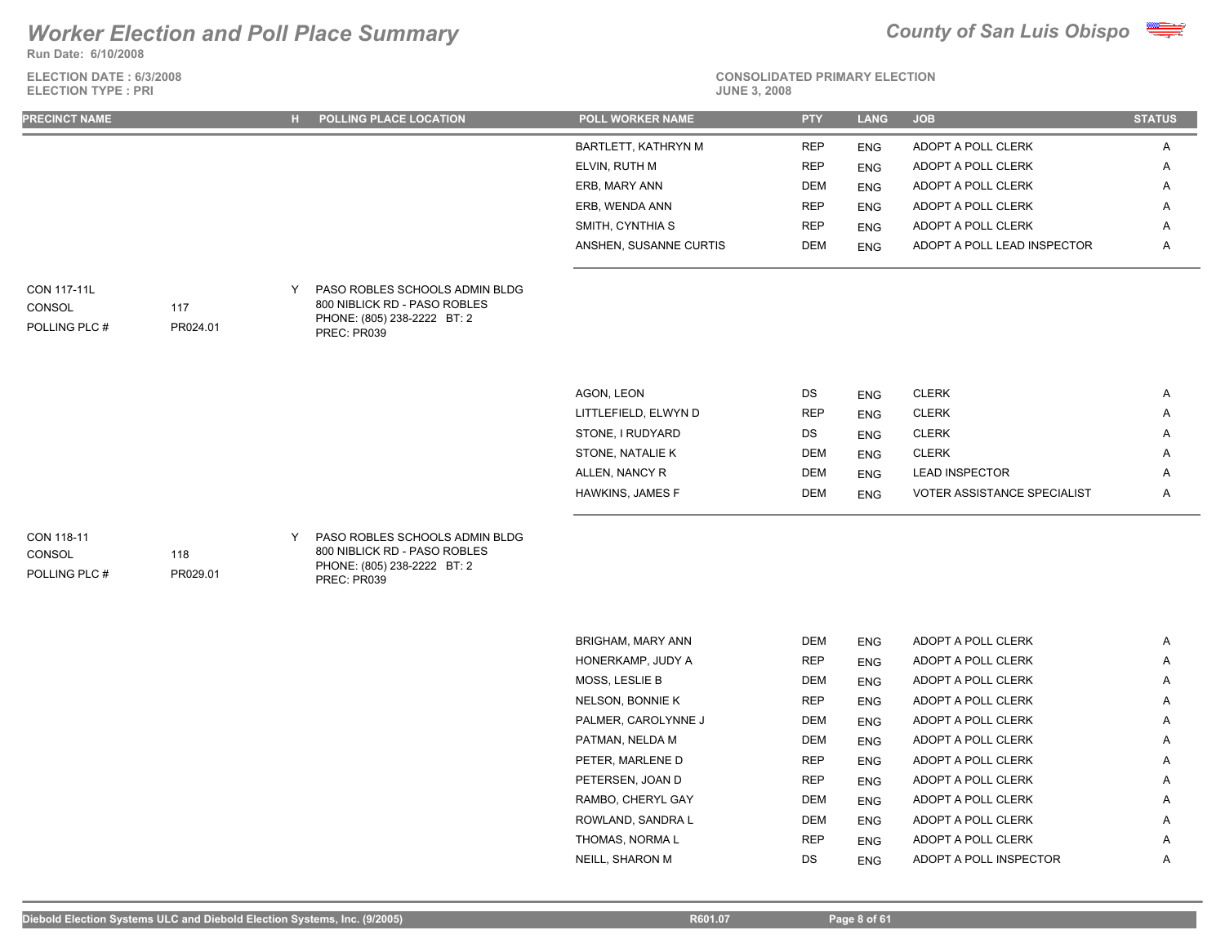**Run Date: 6/10/2008**



| ELECTION DATE: 6/3/2008<br><b>ELECTION TYPE: PRI</b> |                 |   |                                                                                                              | <b>CONSOLIDATED PRIMARY ELECTION</b><br><b>JUNE 3, 2008</b> |                          |                           |                                          |               |  |
|------------------------------------------------------|-----------------|---|--------------------------------------------------------------------------------------------------------------|-------------------------------------------------------------|--------------------------|---------------------------|------------------------------------------|---------------|--|
| <b>PRECINCT NAME</b>                                 |                 |   | H POLLING PLACE LOCATION                                                                                     | <b>POLL WORKER NAME</b>                                     | <b>PTY</b>               | <b>LANG</b>               | <b>JOB</b>                               | <b>STATUS</b> |  |
|                                                      |                 |   |                                                                                                              | BARTLETT, KATHRYN M                                         | <b>REP</b>               | <b>ENG</b>                | ADOPT A POLL CLERK                       | Α             |  |
|                                                      |                 |   |                                                                                                              | ELVIN, RUTH M                                               | <b>REP</b>               | <b>ENG</b>                | ADOPT A POLL CLERK                       | A             |  |
|                                                      |                 |   |                                                                                                              | ERB, MARY ANN                                               | <b>DEM</b>               | <b>ENG</b>                | ADOPT A POLL CLERK                       | A             |  |
|                                                      |                 |   |                                                                                                              | ERB, WENDA ANN                                              | <b>REP</b>               | <b>ENG</b>                | ADOPT A POLL CLERK                       | Α             |  |
|                                                      |                 |   |                                                                                                              | SMITH, CYNTHIA S                                            | <b>REP</b>               | <b>ENG</b>                | ADOPT A POLL CLERK                       | A             |  |
|                                                      |                 |   |                                                                                                              | ANSHEN, SUSANNE CURTIS                                      | <b>DEM</b>               | <b>ENG</b>                | ADOPT A POLL LEAD INSPECTOR              | A             |  |
| <b>CON 117-11L</b><br>CONSOL<br>POLLING PLC #        | 117<br>PR024.01 | Y | PASO ROBLES SCHOOLS ADMIN BLDG<br>800 NIBLICK RD - PASO ROBLES<br>PHONE: (805) 238-2222 BT: 2<br>PREC: PR039 |                                                             |                          |                           |                                          |               |  |
|                                                      |                 |   |                                                                                                              |                                                             |                          |                           |                                          |               |  |
|                                                      |                 |   |                                                                                                              | AGON, LEON                                                  | DS                       | <b>ENG</b>                | <b>CLERK</b>                             | A             |  |
|                                                      |                 |   |                                                                                                              | LITTLEFIELD, ELWYN D                                        | <b>REP</b>               | <b>ENG</b>                | <b>CLERK</b>                             | A             |  |
|                                                      |                 |   |                                                                                                              | STONE, I RUDYARD                                            | DS                       | <b>ENG</b>                | <b>CLERK</b>                             | Α             |  |
|                                                      |                 |   |                                                                                                              | STONE, NATALIE K                                            | <b>DEM</b>               | <b>ENG</b>                | <b>CLERK</b>                             | A             |  |
|                                                      |                 |   |                                                                                                              | ALLEN, NANCY R                                              | <b>DEM</b>               | <b>ENG</b>                | <b>LEAD INSPECTOR</b>                    | A             |  |
|                                                      |                 |   |                                                                                                              | HAWKINS, JAMES F                                            | <b>DEM</b>               | <b>ENG</b>                | <b>VOTER ASSISTANCE SPECIALIST</b>       | Α             |  |
| CON 118-11<br>CONSOL<br>POLLING PLC #                | 118<br>PR029.01 | Y | PASO ROBLES SCHOOLS ADMIN BLDG<br>800 NIBLICK RD - PASO ROBLES<br>PHONE: (805) 238-2222 BT: 2<br>PREC: PR039 |                                                             |                          |                           |                                          |               |  |
|                                                      |                 |   |                                                                                                              |                                                             |                          |                           |                                          |               |  |
|                                                      |                 |   |                                                                                                              | <b>BRIGHAM, MARY ANN</b><br>HONERKAMP ILIDY A               | <b>DEM</b><br><b>DED</b> | <b>ENG</b><br><b>CNIC</b> | ADOPT A POLL CLERK<br>ADOPT A POLL CLERK | A<br>Δ        |  |
|                                                      |                 |   |                                                                                                              |                                                             |                          |                           |                                          |               |  |

| BRIGHAM, MARY ANN   | DEM        | <b>ENG</b> | ADOPT A POLL CLERK     | A |
|---------------------|------------|------------|------------------------|---|
| HONERKAMP, JUDY A   | <b>REP</b> | <b>ENG</b> | ADOPT A POLL CLERK     | A |
| MOSS, LESLIE B      | <b>DEM</b> | <b>ENG</b> | ADOPT A POLL CLERK     | Α |
| NELSON, BONNIE K    | <b>REP</b> | <b>ENG</b> | ADOPT A POLL CLERK     | A |
| PALMER, CAROLYNNE J | DEM        | <b>ENG</b> | ADOPT A POLL CLERK     | A |
| PATMAN, NELDA M     | <b>DEM</b> | <b>ENG</b> | ADOPT A POLL CLERK     | Α |
| PETER, MARLENE D    | <b>REP</b> | <b>ENG</b> | ADOPT A POLL CLERK     | Α |
| PETERSEN, JOAN D    | <b>REP</b> | <b>ENG</b> | ADOPT A POLL CLERK     | A |
| RAMBO, CHERYL GAY   | <b>DEM</b> | <b>ENG</b> | ADOPT A POLL CLERK     | A |
| ROWLAND, SANDRA L   | <b>DEM</b> | <b>ENG</b> | ADOPT A POLL CLERK     | A |
| THOMAS, NORMA L     | <b>REP</b> | <b>ENG</b> | ADOPT A POLL CLERK     | A |
| NEILL, SHARON M     | DS.        | <b>ENG</b> | ADOPT A POLL INSPECTOR | A |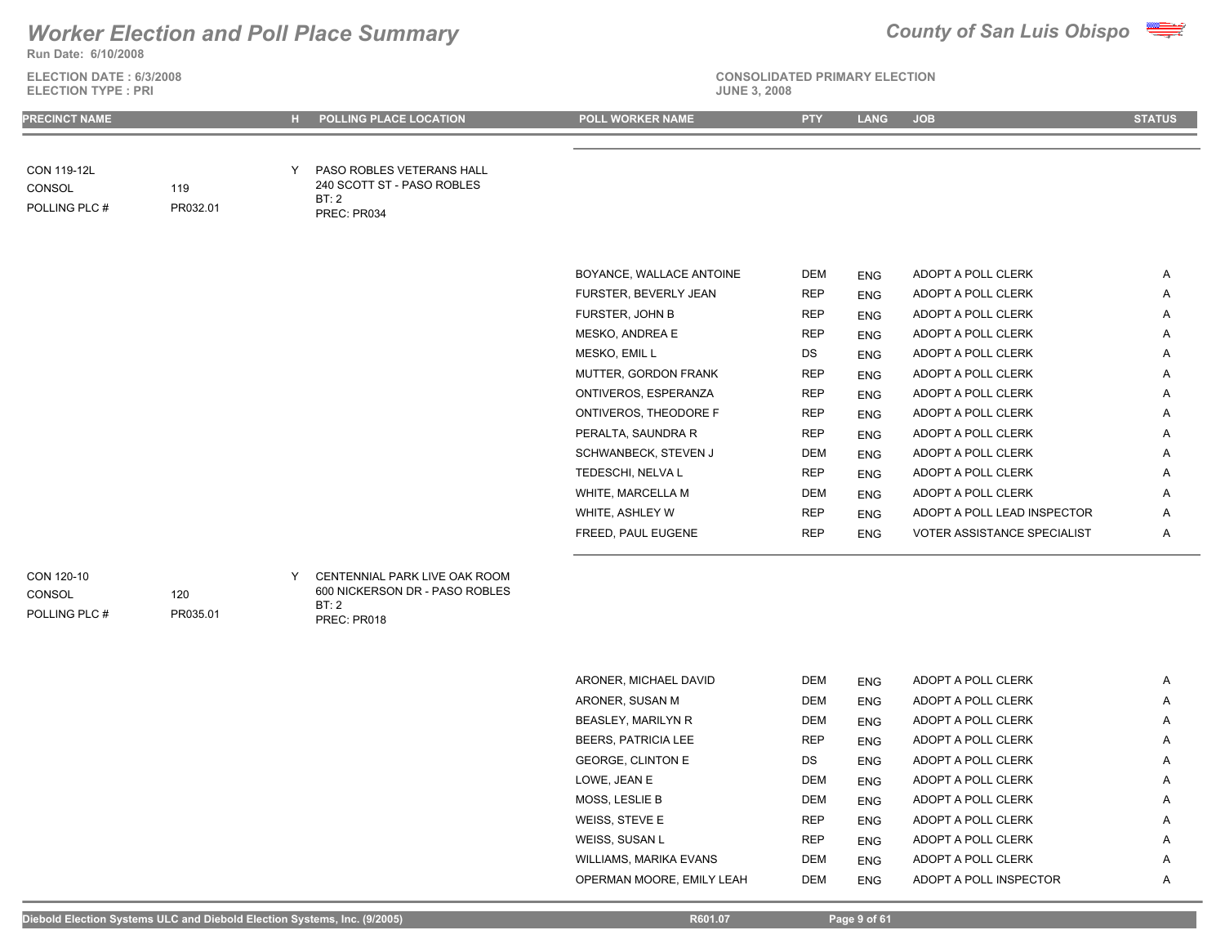

**Run Date: 6/10/2008**

**CONSOL** 

**ELECTION DATE : 6/3/2008 ELECTION TYPE : PRI JUNE 3, 2008**

### **CONSOLIDATED PRIMARY ELECTION**

**PRECINCT NAME H POLLING PLACE LOCATION POLL WORKER NAME PTY LANG JOB STATUS**  PASO ROBLES VETERANS HALL CON 119-12L Y 240 SCOTT ST - PASO ROBLES BT: 2 PREC: PR034 119 POLLING PLC # PR032.01 BOYANCE, WALLACE ANTOINE DEM ENG ADOPT A POLL CLERK A FURSTER, BEVERLY JEAN REP ENG ADOPT A POLL CLERK A FURSTER, JOHN B **REP** ENG ADOPT A POLL CLERK A MESKO, ANDREA E REP ENG ADOPT A POLL CLERK A MESKO, EMIL LAND CONSTRUCTED A DS ENG ADOPT A POLL CLERK A LAND A LAND A LAND A LAND A LAND A LAND A LAND A LA MUTTER, GORDON FRANK REP ENG ADOPT A POLL CLERK A ONTIVEROS, ESPERANZA REP ENG ADOPT A POLL CLERK A ONTIVEROS, THEODORE F REP ENG ADOPT A POLL CLERK A PERALTA, SAUNDRA R REP ENG ADOPT A POLL CLERK A SCHWANBECK, STEVEN J DEM ENG ADOPT A POLL CLERK A TEDESCHI, NELVA L REP ENG ADOPT A POLL CLERK A WHITE, MARCELLA M DEM DEM ENG ADOPT A POLL CLERK A WHITE, ASHLEY W **REP** ENG ADOPT A POLL LEAD INSPECTOR A FREED, PAUL EUGENE THE REP ENG VOTER ASSISTANCE SPECIALIST A A CENTENNIAL PARK LIVE OAK ROOM CON 120-10 Y 120

**CONSOL** 

POLLING PLC #

PR035.01

600 NICKERSON DR - PASO ROBLES BT: 2 PREC: PR018

| ARONER, MICHAEL DAVID      | <b>DEM</b> | <b>ENG</b> | ADOPT A POLL CLERK     | Α |
|----------------------------|------------|------------|------------------------|---|
| ARONER, SUSAN M            | <b>DEM</b> | <b>ENG</b> | ADOPT A POLL CLERK     | Α |
| <b>BEASLEY, MARILYN R</b>  | <b>DEM</b> | <b>ENG</b> | ADOPT A POLL CLERK     | A |
| <b>BEERS. PATRICIA LEE</b> | <b>REP</b> | <b>ENG</b> | ADOPT A POLL CLERK     | A |
| <b>GEORGE. CLINTON E</b>   | <b>DS</b>  | <b>ENG</b> | ADOPT A POLL CLERK     | A |
| LOWE, JEAN E               | <b>DEM</b> | <b>ENG</b> | ADOPT A POLL CLERK     | A |
| <b>MOSS, LESLIE B</b>      | <b>DEM</b> | <b>ENG</b> | ADOPT A POLL CLERK     | A |
| WEISS, STEVE E             | <b>REP</b> | <b>ENG</b> | ADOPT A POLL CLERK     | Α |
| WEISS, SUSAN L             | <b>REP</b> | <b>ENG</b> | ADOPT A POLL CLERK     | A |
| WILLIAMS, MARIKA EVANS     | <b>DEM</b> | <b>ENG</b> | ADOPT A POLL CLERK     | A |
| OPERMAN MOORE, EMILY LEAH  | <b>DEM</b> | <b>ENG</b> | ADOPT A POLL INSPECTOR | A |
|                            |            |            |                        |   |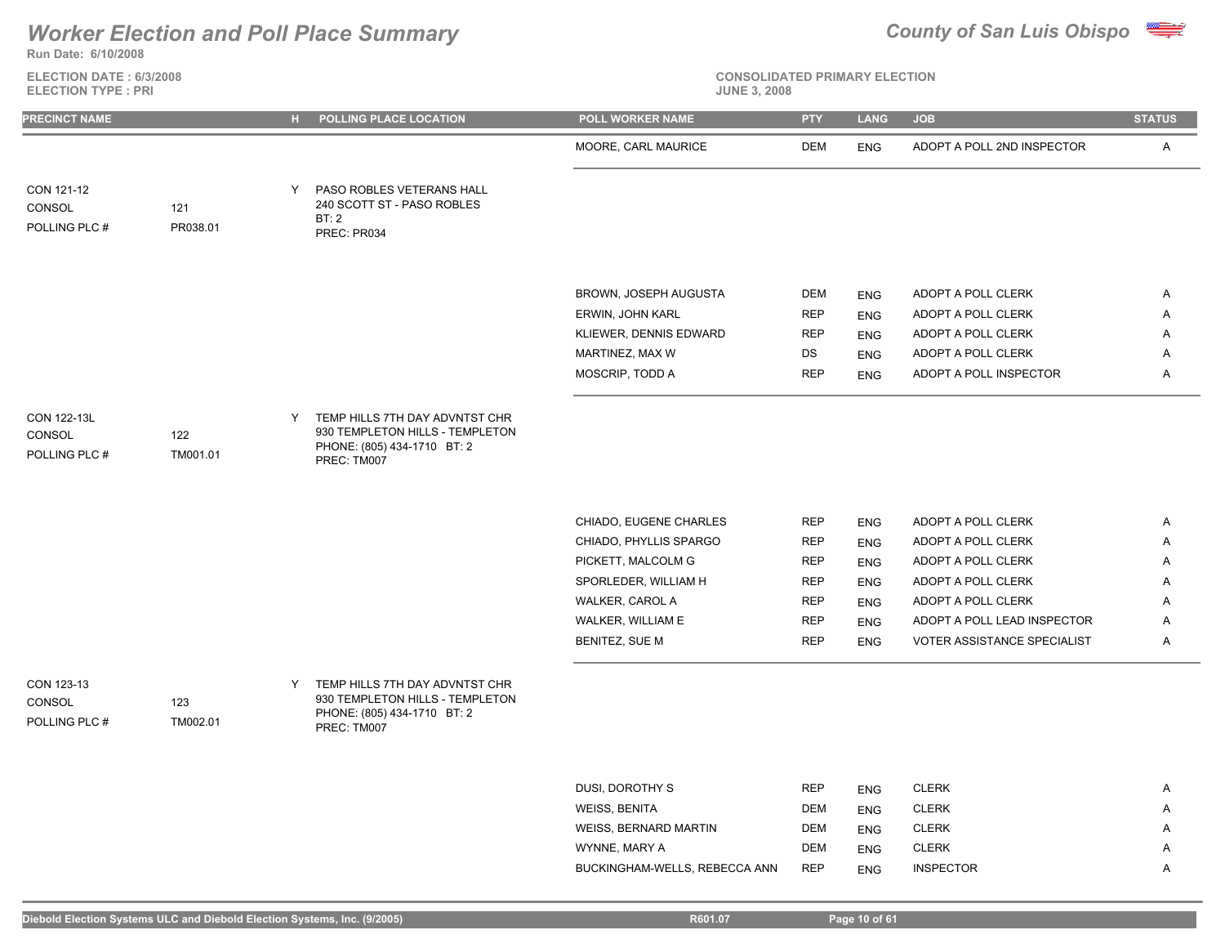

**ELECTION DATE : 6/3/2008 ELECTION TYPE : PRI** 



# **CONSOLIDATED PRIMARY ELECTION**

| <b>PRECINCT NAME</b>  |          |   | H POLLING PLACE LOCATION                                                                         | <b>POLL WORKER NAME</b>              | <b>PTY</b>               | <b>LANG</b>              | <b>JOB</b>                                        | <b>STATUS</b> |
|-----------------------|----------|---|--------------------------------------------------------------------------------------------------|--------------------------------------|--------------------------|--------------------------|---------------------------------------------------|---------------|
|                       |          |   |                                                                                                  | MOORE, CARL MAURICE                  | DEM                      | <b>ENG</b>               | ADOPT A POLL 2ND INSPECTOR                        | A             |
| CON 121-12            |          | Y | PASO ROBLES VETERANS HALL                                                                        |                                      |                          |                          |                                                   |               |
| CONSOL                | 121      |   | 240 SCOTT ST - PASO ROBLES                                                                       |                                      |                          |                          |                                                   |               |
| POLLING PLC #         | PR038.01 |   | BT:2<br>PREC: PR034                                                                              |                                      |                          |                          |                                                   |               |
|                       |          |   |                                                                                                  |                                      |                          |                          |                                                   |               |
|                       |          |   |                                                                                                  |                                      |                          |                          |                                                   |               |
|                       |          |   |                                                                                                  | BROWN, JOSEPH AUGUSTA                | DEM                      | <b>ENG</b>               | ADOPT A POLL CLERK                                | Α             |
|                       |          |   |                                                                                                  | ERWIN, JOHN KARL                     | <b>REP</b>               | <b>ENG</b>               | ADOPT A POLL CLERK                                | Α             |
|                       |          |   |                                                                                                  | KLIEWER, DENNIS EDWARD               | <b>REP</b>               | <b>ENG</b>               | ADOPT A POLL CLERK                                | Α             |
|                       |          |   |                                                                                                  | MARTINEZ, MAX W                      | DS                       | <b>ENG</b>               | ADOPT A POLL CLERK                                | Α             |
|                       |          |   |                                                                                                  | MOSCRIP, TODD A                      | <b>REP</b>               | <b>ENG</b>               | ADOPT A POLL INSPECTOR                            | A             |
|                       |          |   |                                                                                                  |                                      |                          |                          |                                                   |               |
| CON 122-13L<br>CONSOL | 122      | Y | TEMP HILLS 7TH DAY ADVNTST CHR<br>930 TEMPLETON HILLS - TEMPLETON<br>PHONE: (805) 434-1710 BT: 2 |                                      |                          |                          |                                                   |               |
| POLLING PLC #         | TM001.01 |   | PREC: TM007                                                                                      |                                      |                          |                          |                                                   |               |
|                       |          |   |                                                                                                  |                                      |                          |                          |                                                   |               |
|                       |          |   |                                                                                                  |                                      |                          |                          |                                                   |               |
|                       |          |   |                                                                                                  | CHIADO, EUGENE CHARLES               | <b>REP</b>               | <b>ENG</b>               | ADOPT A POLL CLERK                                | A             |
|                       |          |   |                                                                                                  | CHIADO, PHYLLIS SPARGO               | <b>REP</b>               | <b>ENG</b>               | ADOPT A POLL CLERK                                | Α             |
|                       |          |   |                                                                                                  | PICKETT, MALCOLM G                   | <b>REP</b>               | <b>ENG</b>               | ADOPT A POLL CLERK                                | Α             |
|                       |          |   |                                                                                                  | SPORLEDER, WILLIAM H                 | <b>REP</b>               | <b>ENG</b>               | ADOPT A POLL CLERK                                | Α             |
|                       |          |   |                                                                                                  | WALKER, CAROL A<br>WALKER, WILLIAM E | <b>REP</b><br><b>REP</b> | <b>ENG</b>               | ADOPT A POLL CLERK<br>ADOPT A POLL LEAD INSPECTOR | Α<br>Α        |
|                       |          |   |                                                                                                  | BENITEZ, SUE M                       | <b>REP</b>               | <b>ENG</b><br><b>ENG</b> | VOTER ASSISTANCE SPECIALIST                       | Α             |
|                       |          |   |                                                                                                  |                                      |                          |                          |                                                   |               |
| CON 123-13            |          | Y | TEMP HILLS 7TH DAY ADVNTST CHR                                                                   |                                      |                          |                          |                                                   |               |
| CONSOL                | 123      |   | 930 TEMPLETON HILLS - TEMPLETON                                                                  |                                      |                          |                          |                                                   |               |
| POLLING PLC #         | TM002.01 |   | PHONE: (805) 434-1710 BT: 2<br>PREC: TM007                                                       |                                      |                          |                          |                                                   |               |
|                       |          |   |                                                                                                  |                                      |                          |                          |                                                   |               |
|                       |          |   |                                                                                                  |                                      |                          |                          |                                                   |               |
|                       |          |   |                                                                                                  | DUSI, DOROTHY S                      | <b>REP</b>               | <b>ENG</b>               | <b>CLERK</b>                                      | Α             |
|                       |          |   |                                                                                                  | <b>WEISS, BENITA</b>                 | <b>DEM</b>               | <b>ENG</b>               | <b>CLERK</b>                                      | Α             |
|                       |          |   |                                                                                                  | WEISS, BERNARD MARTIN                | <b>DEM</b>               | <b>ENG</b>               | <b>CLERK</b>                                      | Α             |

WYNNE, MARY A DEM ENG CLERK A BUCKINGHAM-WELLS, REBECCA ANN REP ENG INSPECTOR A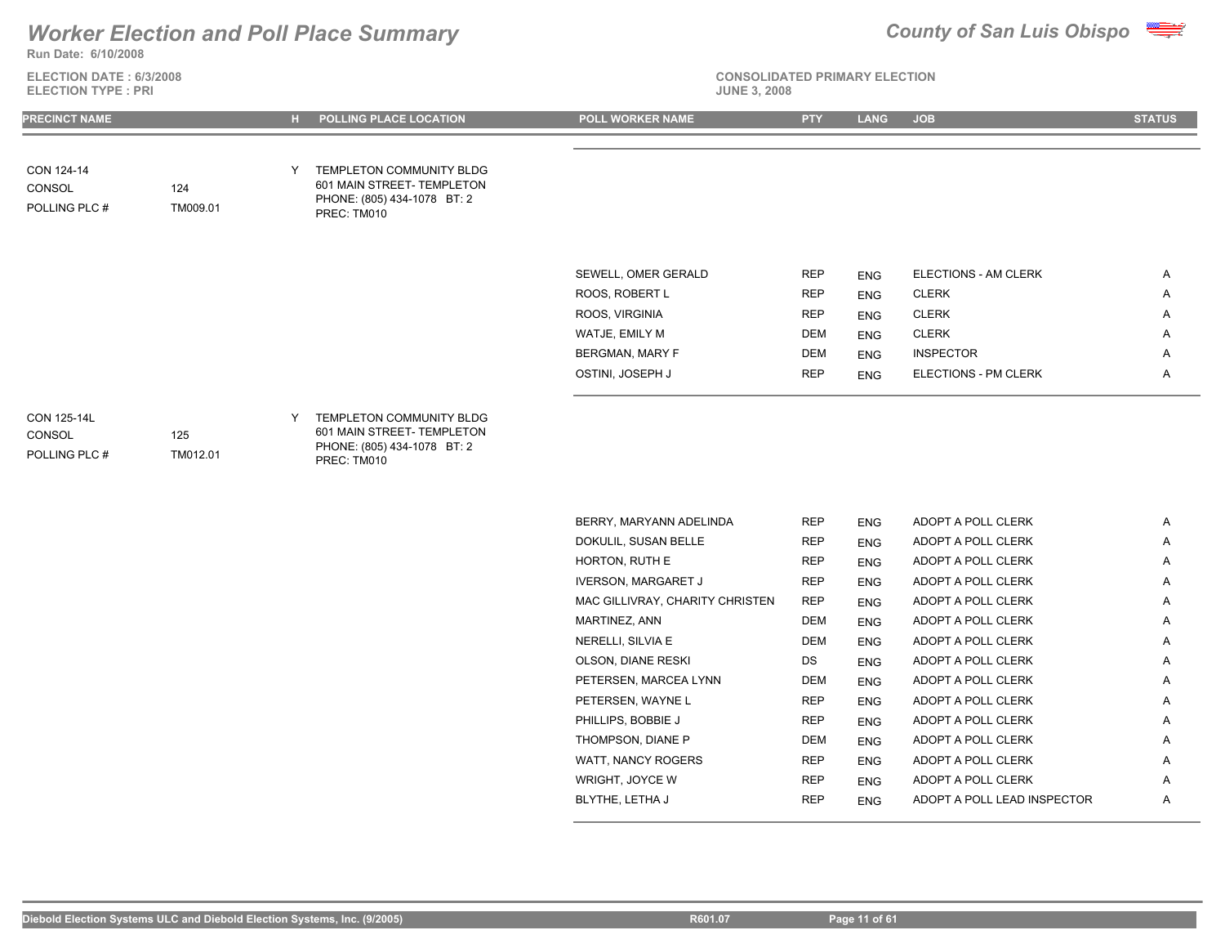**Run Date: 6/10/2008**

**ELECTION DATE : 6/3/2008 ELECTION TYPE : PRI** 

# **CONSOLIDATED PRIMARY ELECTION**



| <b>PRECINCT NAME</b>                   |                 |    | H POLLING PLACE LOCATION                                                                               | <b>POLL WORKER NAME</b>         | <b>PTY</b> | <b>LANG</b> | <b>JOB</b>           | <b>STATUS</b> |
|----------------------------------------|-----------------|----|--------------------------------------------------------------------------------------------------------|---------------------------------|------------|-------------|----------------------|---------------|
|                                        |                 |    |                                                                                                        |                                 |            |             |                      |               |
| CON 124-14<br>CONSOL<br>POLLING PLC #  | 124<br>TM009.01 | Y. | TEMPLETON COMMUNITY BLDG<br>601 MAIN STREET- TEMPLETON<br>PHONE: (805) 434-1078 BT: 2<br>PREC: TM010   |                                 |            |             |                      |               |
|                                        |                 |    |                                                                                                        | SEWELL, OMER GERALD             | <b>REP</b> | <b>ENG</b>  | ELECTIONS - AM CLERK | A             |
|                                        |                 |    |                                                                                                        | ROOS, ROBERT L                  | <b>REP</b> | <b>ENG</b>  | <b>CLERK</b>         | Α             |
|                                        |                 |    |                                                                                                        | ROOS, VIRGINIA                  | <b>REP</b> | <b>ENG</b>  | <b>CLERK</b>         | Α             |
|                                        |                 |    |                                                                                                        | WATJE, EMILY M                  | <b>DEM</b> | <b>ENG</b>  | <b>CLERK</b>         | A             |
|                                        |                 |    |                                                                                                        | <b>BERGMAN, MARY F</b>          | <b>DEM</b> | <b>ENG</b>  | <b>INSPECTOR</b>     | Α             |
|                                        |                 |    |                                                                                                        | OSTINI, JOSEPH J                | <b>REP</b> | <b>ENG</b>  | ELECTIONS - PM CLERK | Α             |
|                                        |                 |    |                                                                                                        |                                 |            |             |                      |               |
| CON 125-14L<br>CONSOL<br>POLLING PLC # | 125<br>TM012.01 |    | Y TEMPLETON COMMUNITY BLDG<br>601 MAIN STREET- TEMPLETON<br>PHONE: (805) 434-1078 BT: 2<br>PREC: TM010 |                                 |            |             |                      |               |
|                                        |                 |    |                                                                                                        | BERRY, MARYANN ADELINDA         | <b>REP</b> | <b>ENG</b>  | ADOPT A POLL CLERK   | Α             |
|                                        |                 |    |                                                                                                        | DOKULIL, SUSAN BELLE            | <b>REP</b> | <b>ENG</b>  | ADOPT A POLL CLERK   | Α             |
|                                        |                 |    |                                                                                                        | HORTON, RUTH E                  | <b>REP</b> | <b>ENG</b>  | ADOPT A POLL CLERK   | Α             |
|                                        |                 |    |                                                                                                        | <b>IVERSON, MARGARET J</b>      | <b>REP</b> | <b>ENG</b>  | ADOPT A POLL CLERK   | Α             |
|                                        |                 |    |                                                                                                        | MAC GILLIVRAY, CHARITY CHRISTEN | <b>REP</b> | <b>ENG</b>  | ADOPT A POLL CLERK   | Α             |
|                                        |                 |    |                                                                                                        | MARTINEZ, ANN                   | DEM        | <b>ENG</b>  | ADOPT A POLL CLERK   | Α             |
|                                        |                 |    |                                                                                                        | NERELLI, SILVIA E               | <b>DEM</b> | <b>ENG</b>  | ADOPT A POLL CLERK   | Α             |
|                                        |                 |    |                                                                                                        | OLSON, DIANE RESKI              | DS         | <b>ENG</b>  | ADOPT A POLL CLERK   | Α             |
|                                        |                 |    |                                                                                                        | PETERSEN, MARCEA LYNN           | DEM        | <b>ENG</b>  | ADOPT A POLL CLERK   | Α             |
|                                        |                 |    |                                                                                                        | PETERSEN, WAYNE L               | <b>REP</b> | <b>ENG</b>  | ADOPT A POLL CLERK   | Α             |
|                                        |                 |    |                                                                                                        | PHILLIPS, BOBBIE J              | <b>REP</b> | <b>ENG</b>  | ADOPT A POLL CLERK   | Α             |
|                                        |                 |    |                                                                                                        | THOMPSON, DIANE P               | DEM        | <b>ENG</b>  | ADOPT A POLL CLERK   | Α             |
|                                        |                 |    |                                                                                                        | WATT, NANCY ROGERS              | <b>REP</b> | <b>ENG</b>  | ADOPT A POLL CLERK   | A             |
|                                        |                 |    |                                                                                                        | WRIGHT, JOYCE W                 | <b>REP</b> | <b>ENG</b>  | ADOPT A POLL CLERK   | Α             |

BLYTHE, LETHA J REP ENG ADOPT A POLL LEAD INSPECTOR A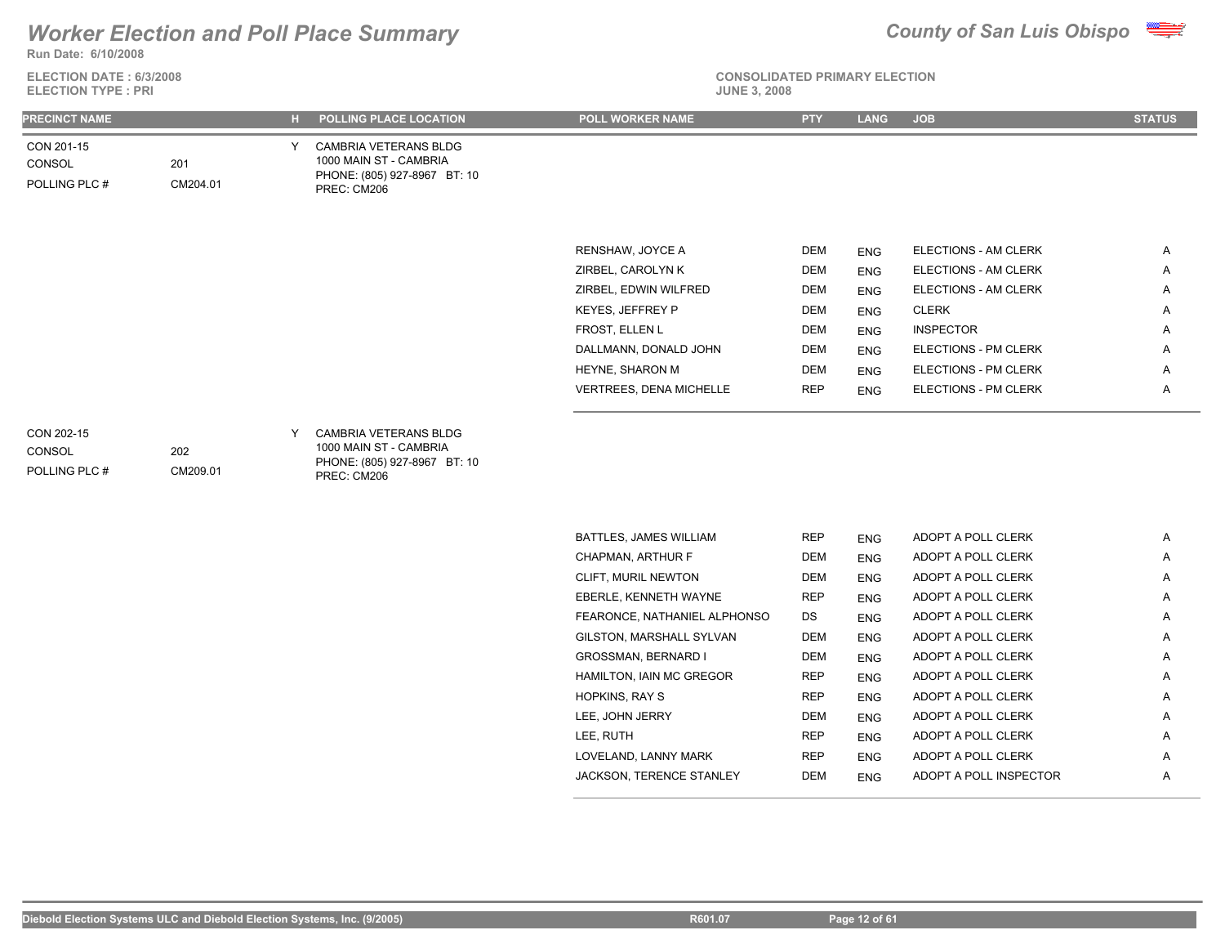

**ELECTION DATE : 6/3/2008 ELECTION TYPE : PRI** 



**CONSOLIDATED PRIMARY ELECTION**

| <b>PRECINCT NAME</b>                  |                 | H. | POLLING PLACE LOCATION                                                                         | <b>POLL WORKER NAME</b>      | <b>PTY</b> | <b>LANG</b> | <b>JOB</b>                  | <b>STATUS</b> |
|---------------------------------------|-----------------|----|------------------------------------------------------------------------------------------------|------------------------------|------------|-------------|-----------------------------|---------------|
| CON 201-15<br>CONSOL<br>POLLING PLC # | 201<br>CM204.01 | Y  | CAMBRIA VETERANS BLDG<br>1000 MAIN ST - CAMBRIA<br>PHONE: (805) 927-8967 BT: 10<br>PREC: CM206 |                              |            |             |                             |               |
|                                       |                 |    |                                                                                                |                              |            |             |                             |               |
|                                       |                 |    |                                                                                                | RENSHAW, JOYCE A             | <b>DEM</b> | <b>ENG</b>  | ELECTIONS - AM CLERK        | Α             |
|                                       |                 |    |                                                                                                | ZIRBEL, CAROLYN K            | <b>DEM</b> | <b>ENG</b>  | ELECTIONS - AM CLERK        | Α             |
|                                       |                 |    |                                                                                                | ZIRBEL, EDWIN WILFRED        | <b>DEM</b> | <b>ENG</b>  | ELECTIONS - AM CLERK        | Α             |
|                                       |                 |    |                                                                                                | KEYES, JEFFREY P             | <b>DEM</b> | <b>ENG</b>  | <b>CLERK</b>                | Α             |
|                                       |                 |    |                                                                                                | FROST, ELLEN L               | <b>DEM</b> | <b>ENG</b>  | <b>INSPECTOR</b>            | Α             |
|                                       |                 |    |                                                                                                | DALLMANN, DONALD JOHN        | <b>DEM</b> | <b>ENG</b>  | ELECTIONS - PM CLERK        | Α             |
|                                       |                 |    |                                                                                                | HEYNE, SHARON M              | <b>DEM</b> | <b>ENG</b>  | <b>ELECTIONS - PM CLERK</b> | Α             |
|                                       |                 |    |                                                                                                | VERTREES, DENA MICHELLE      | <b>REP</b> | <b>ENG</b>  | ELECTIONS - PM CLERK        | Α             |
| CON 202-15<br>CONSOL<br>POLLING PLC # | 202<br>CM209.01 | Y  | CAMBRIA VETERANS BLDG<br>1000 MAIN ST - CAMBRIA<br>PHONE: (805) 927-8967 BT: 10<br>PREC: CM206 |                              |            |             |                             |               |
|                                       |                 |    |                                                                                                | BATTLES, JAMES WILLIAM       | <b>REP</b> | <b>ENG</b>  | ADOPT A POLL CLERK          | Α             |
|                                       |                 |    |                                                                                                | CHAPMAN, ARTHUR F            | <b>DEM</b> | <b>ENG</b>  | ADOPT A POLL CLERK          | Α             |
|                                       |                 |    |                                                                                                | CLIFT, MURIL NEWTON          | <b>DEM</b> | <b>ENG</b>  | ADOPT A POLL CLERK          | Α             |
|                                       |                 |    |                                                                                                | EBERLE, KENNETH WAYNE        | <b>REP</b> | <b>ENG</b>  | ADOPT A POLL CLERK          | Α             |
|                                       |                 |    |                                                                                                | FEARONCE, NATHANIEL ALPHONSO | DS         | <b>ENG</b>  | ADOPT A POLL CLERK          | Α             |
|                                       |                 |    |                                                                                                | GILSTON, MARSHALL SYLVAN     | DEM        | <b>ENG</b>  | ADOPT A POLL CLERK          | Α             |
|                                       |                 |    |                                                                                                | GROSSMAN, BERNARD I          | DEM        | <b>ENG</b>  | ADOPT A POLL CLERK          | Α             |
|                                       |                 |    |                                                                                                | HAMILTON, IAIN MC GREGOR     | <b>REP</b> | <b>ENG</b>  | ADOPT A POLL CLERK          | Α             |
|                                       |                 |    |                                                                                                | HOPKINS, RAY S               | <b>REP</b> | <b>ENG</b>  | ADOPT A POLL CLERK          | Α             |
|                                       |                 |    |                                                                                                | LEE, JOHN JERRY              | <b>DEM</b> | <b>ENG</b>  | ADOPT A POLL CLERK          | Α             |
|                                       |                 |    |                                                                                                |                              |            |             |                             |               |

LEE, RUTH REP ENG ADOPT A POLL CLERK A LOVELAND, LANNY MARK REP ENG ADOPT A POLL CLERK A JACKSON, TERENCE STANLEY DEM ENG ADOPT A POLL INSPECTOR A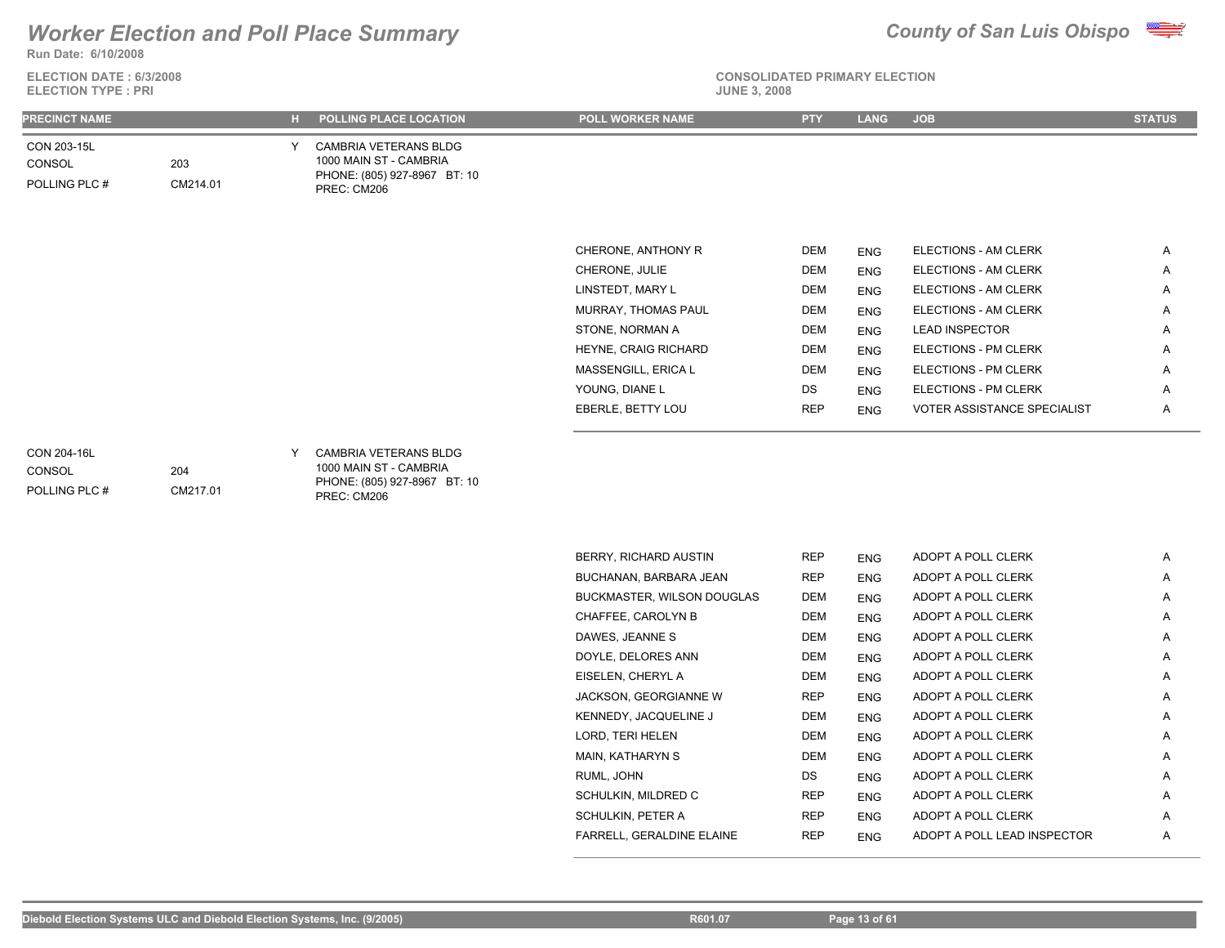

**ELECTION DATE : 6/3/2008 ELECTION TYPE : PRI** 



| <b>PRECINCT NAME</b>                   |                 |   | POLLING PLACE LOCATION                                                                                | POLL WORKER NAME           | <b>PTY</b>     | <b>LANG</b> | <b>JOB</b>                  | <b>STATUS</b> |
|----------------------------------------|-----------------|---|-------------------------------------------------------------------------------------------------------|----------------------------|----------------|-------------|-----------------------------|---------------|
| CON 203-15L<br>CONSOL<br>POLLING PLC # | 203<br>CM214.01 |   | CAMBRIA VETERANS BLDG<br>1000 MAIN ST - CAMBRIA<br>PHONE: (805) 927-8967 BT: 10<br>PREC: CM206        |                            |                |             |                             |               |
|                                        |                 |   |                                                                                                       | CHERONE, ANTHONY R         | DEM            | <b>ENG</b>  | ELECTIONS - AM CLERK        | A             |
|                                        |                 |   |                                                                                                       | CHERONE, JULIE             | <b>DEM</b>     | <b>ENG</b>  | ELECTIONS - AM CLERK        | Α             |
|                                        |                 |   |                                                                                                       | LINSTEDT, MARY L           | <b>DEM</b>     | <b>ENG</b>  | ELECTIONS - AM CLERK        | Α             |
|                                        |                 |   |                                                                                                       | MURRAY, THOMAS PAUL        | DEM            | <b>ENG</b>  | ELECTIONS - AM CLERK        | Α             |
|                                        |                 |   |                                                                                                       | STONE, NORMAN A            | <b>DEM</b>     | <b>ENG</b>  | <b>LEAD INSPECTOR</b>       | A             |
|                                        |                 |   |                                                                                                       | HEYNE, CRAIG RICHARD       | <b>DEM</b>     | <b>ENG</b>  | ELECTIONS - PM CLERK        | A             |
|                                        |                 |   |                                                                                                       | MASSENGILL, ERICA L        | <b>DEM</b>     | <b>ENG</b>  | ELECTIONS - PM CLERK        | Α             |
|                                        |                 |   |                                                                                                       | YOUNG, DIANE L             | DS             | <b>ENG</b>  | ELECTIONS - PM CLERK        | Α             |
|                                        |                 |   |                                                                                                       | EBERLE, BETTY LOU          | <b>REP</b>     | <b>ENG</b>  | VOTER ASSISTANCE SPECIALIST | A             |
| CON 204-16L<br>CONSOL<br>POLLING PLC # | 204<br>CM217.01 | Y | <b>CAMBRIA VETERANS BLDG</b><br>1000 MAIN ST - CAMBRIA<br>PHONE: (805) 927-8967 BT: 10<br>PREC: CM206 |                            |                |             |                             |               |
|                                        |                 |   |                                                                                                       | BERRY, RICHARD AUSTIN      | <b>REP</b>     | <b>ENG</b>  | ADOPT A POLL CLERK          | Α             |
|                                        |                 |   |                                                                                                       | BUCHANAN, BARBARA JEAN     | <b>REP</b>     | <b>ENG</b>  | ADOPT A POLL CLERK          | A             |
|                                        |                 |   |                                                                                                       | BUCKMASTER, WILSON DOUGLAS | DEM            | <b>ENG</b>  | ADOPT A POLL CLERK          | A             |
|                                        |                 |   |                                                                                                       | CHAFFEE, CAROLYN B         | <b>DEM</b>     | <b>ENG</b>  | ADOPT A POLL CLERK          | Α             |
|                                        |                 |   |                                                                                                       | <b>DAMPO IFAMILO</b>       | P <sub>1</sub> |             | 1000T10110T17               |               |

| BUCHANAN, BARBARA JEAN            | <b>REP</b> | <b>ENG</b> | ADOPT A POLL CLERK          | A |
|-----------------------------------|------------|------------|-----------------------------|---|
| <b>BUCKMASTER, WILSON DOUGLAS</b> | DEM        | <b>ENG</b> | ADOPT A POLL CLERK          | A |
| CHAFFEE, CAROLYN B                | <b>DEM</b> | <b>ENG</b> | ADOPT A POLL CLERK          | Α |
| DAWES, JEANNE S                   | DEM        | <b>ENG</b> | ADOPT A POLL CLERK          | A |
| DOYLE, DELORES ANN                | DEM        | <b>ENG</b> | ADOPT A POLL CLERK          | A |
| EISELEN, CHERYL A                 | <b>DEM</b> | <b>ENG</b> | ADOPT A POLL CLERK          | A |
| JACKSON, GEORGIANNE W             | <b>REP</b> | <b>ENG</b> | ADOPT A POLL CLERK          | A |
| KENNEDY, JACQUELINE J             | <b>DEM</b> | <b>ENG</b> | ADOPT A POLL CLERK          | A |
| LORD, TERI HELEN                  | DEM        | <b>ENG</b> | ADOPT A POLL CLERK          | Α |
| MAIN, KATHARYN S                  | <b>DEM</b> | <b>ENG</b> | ADOPT A POLL CLERK          | A |
| RUML, JOHN                        | DS         | <b>ENG</b> | ADOPT A POLL CLERK          | Α |
| SCHULKIN, MILDRED C               | <b>REP</b> | <b>ENG</b> | ADOPT A POLL CLERK          | A |
| SCHULKIN, PETER A                 | <b>REP</b> | <b>ENG</b> | ADOPT A POLL CLERK          | A |
| FARRELL, GERALDINE ELAINE         | <b>REP</b> | <b>ENG</b> | ADOPT A POLL LEAD INSPECTOR | Α |
|                                   |            |            |                             |   |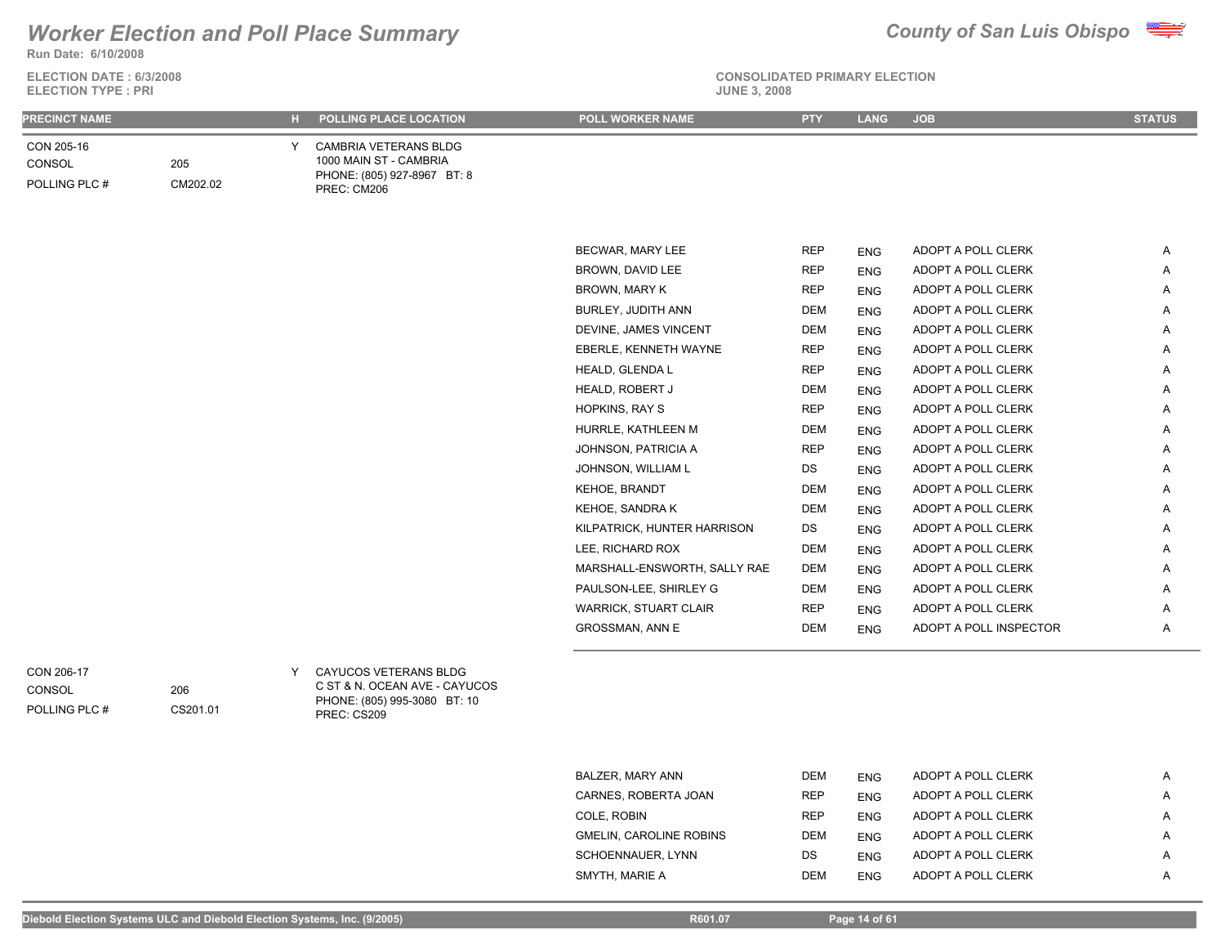

**ELECTION DATE : 6/3/2008**



**CONSOLIDATED PRIMARY ELECTION**

| <b>ELECTION TYPE: PRI</b>             |                 |   |                                                                                                       | <b>JUNE 3, 2008</b>          |            |             |                        |               |
|---------------------------------------|-----------------|---|-------------------------------------------------------------------------------------------------------|------------------------------|------------|-------------|------------------------|---------------|
| <b>PRECINCT NAME</b>                  |                 |   | H POLLING PLACE LOCATION                                                                              | <b>POLL WORKER NAME</b>      | <b>PTY</b> | <b>LANG</b> | <b>JOB</b>             | <b>STATUS</b> |
| CON 205-16<br>CONSOL<br>POLLING PLC # | 205<br>CM202.02 | Y | <b>CAMBRIA VETERANS BLDG</b><br>1000 MAIN ST - CAMBRIA<br>PHONE: (805) 927-8967 BT: 8<br>PREC: CM206  |                              |            |             |                        |               |
|                                       |                 |   |                                                                                                       |                              |            |             |                        |               |
|                                       |                 |   |                                                                                                       | BECWAR, MARY LEE             | <b>REP</b> | <b>ENG</b>  | ADOPT A POLL CLERK     | Α             |
|                                       |                 |   |                                                                                                       | BROWN, DAVID LEE             | <b>REP</b> | <b>ENG</b>  | ADOPT A POLL CLERK     | Α             |
|                                       |                 |   |                                                                                                       | BROWN, MARY K                | <b>REP</b> | <b>ENG</b>  | ADOPT A POLL CLERK     | Α             |
|                                       |                 |   |                                                                                                       | BURLEY, JUDITH ANN           | <b>DEM</b> | <b>ENG</b>  | ADOPT A POLL CLERK     | A             |
|                                       |                 |   |                                                                                                       | DEVINE, JAMES VINCENT        | <b>DEM</b> | <b>ENG</b>  | ADOPT A POLL CLERK     | A             |
|                                       |                 |   |                                                                                                       | EBERLE, KENNETH WAYNE        | <b>REP</b> | <b>ENG</b>  | ADOPT A POLL CLERK     | A             |
|                                       |                 |   |                                                                                                       | HEALD, GLENDA L              | <b>REP</b> | <b>ENG</b>  | ADOPT A POLL CLERK     | A             |
|                                       |                 |   |                                                                                                       | HEALD, ROBERT J              | <b>DEM</b> | <b>ENG</b>  | ADOPT A POLL CLERK     | Α             |
|                                       |                 |   |                                                                                                       | HOPKINS, RAY S               | <b>REP</b> | <b>ENG</b>  | ADOPT A POLL CLERK     | Α             |
|                                       |                 |   |                                                                                                       | HURRLE, KATHLEEN M           | <b>DEM</b> | <b>ENG</b>  | ADOPT A POLL CLERK     | Α             |
|                                       |                 |   |                                                                                                       | JOHNSON, PATRICIA A          | <b>REP</b> | <b>ENG</b>  | ADOPT A POLL CLERK     | Α             |
|                                       |                 |   |                                                                                                       | JOHNSON, WILLIAM L           | DS         | <b>ENG</b>  | ADOPT A POLL CLERK     | Α             |
|                                       |                 |   |                                                                                                       | KEHOE, BRANDT                | <b>DEM</b> | <b>ENG</b>  | ADOPT A POLL CLERK     | A             |
|                                       |                 |   |                                                                                                       | KEHOE, SANDRA K              | <b>DEM</b> | <b>ENG</b>  | ADOPT A POLL CLERK     | A             |
|                                       |                 |   |                                                                                                       | KILPATRICK, HUNTER HARRISON  | DS         | <b>ENG</b>  | ADOPT A POLL CLERK     | A             |
|                                       |                 |   |                                                                                                       | LEE, RICHARD ROX             | <b>DEM</b> | <b>ENG</b>  | ADOPT A POLL CLERK     | A             |
|                                       |                 |   |                                                                                                       | MARSHALL-ENSWORTH, SALLY RAE | <b>DEM</b> | <b>ENG</b>  | ADOPT A POLL CLERK     | A             |
|                                       |                 |   |                                                                                                       | PAULSON-LEE, SHIRLEY G       | <b>DEM</b> | <b>ENG</b>  | ADOPT A POLL CLERK     | Α             |
|                                       |                 |   |                                                                                                       | WARRICK, STUART CLAIR        | <b>REP</b> | <b>ENG</b>  | ADOPT A POLL CLERK     | A             |
|                                       |                 |   |                                                                                                       | GROSSMAN, ANN E              | <b>DEM</b> | <b>ENG</b>  | ADOPT A POLL INSPECTOR | A             |
|                                       |                 |   |                                                                                                       |                              |            |             |                        |               |
| CON 206-17<br>CONSOL<br>POLLING PLC # | 206<br>CS201.01 | Y | CAYUCOS VETERANS BLDG<br>C ST & N. OCEAN AVE - CAYUCOS<br>PHONE: (805) 995-3080 BT: 10<br>PREC: CS209 |                              |            |             |                        |               |

| BALZER, MARY ANN               | <b>DEM</b> | <b>ENG</b> | ADOPT A POLL CLERK | A |
|--------------------------------|------------|------------|--------------------|---|
| CARNES, ROBERTA JOAN           | <b>REP</b> | <b>ENG</b> | ADOPT A POLL CLERK | Α |
| COLE. ROBIN                    | <b>REP</b> | <b>ENG</b> | ADOPT A POLL CLERK | A |
| <b>GMELIN, CAROLINE ROBINS</b> | <b>DEM</b> | <b>ENG</b> | ADOPT A POLL CLERK | Α |
| SCHOENNAUER, LYNN              | DS.        | <b>ENG</b> | ADOPT A POLL CLERK | А |
| SMYTH. MARIE A                 | <b>DEM</b> | <b>ENG</b> | ADOPT A POLL CLERK | Α |

Diebold Election Systems ULC and Diebold Election Systems, Inc. (9/2005) **R601.07** R601.07 **R601.07** Page 14 of 61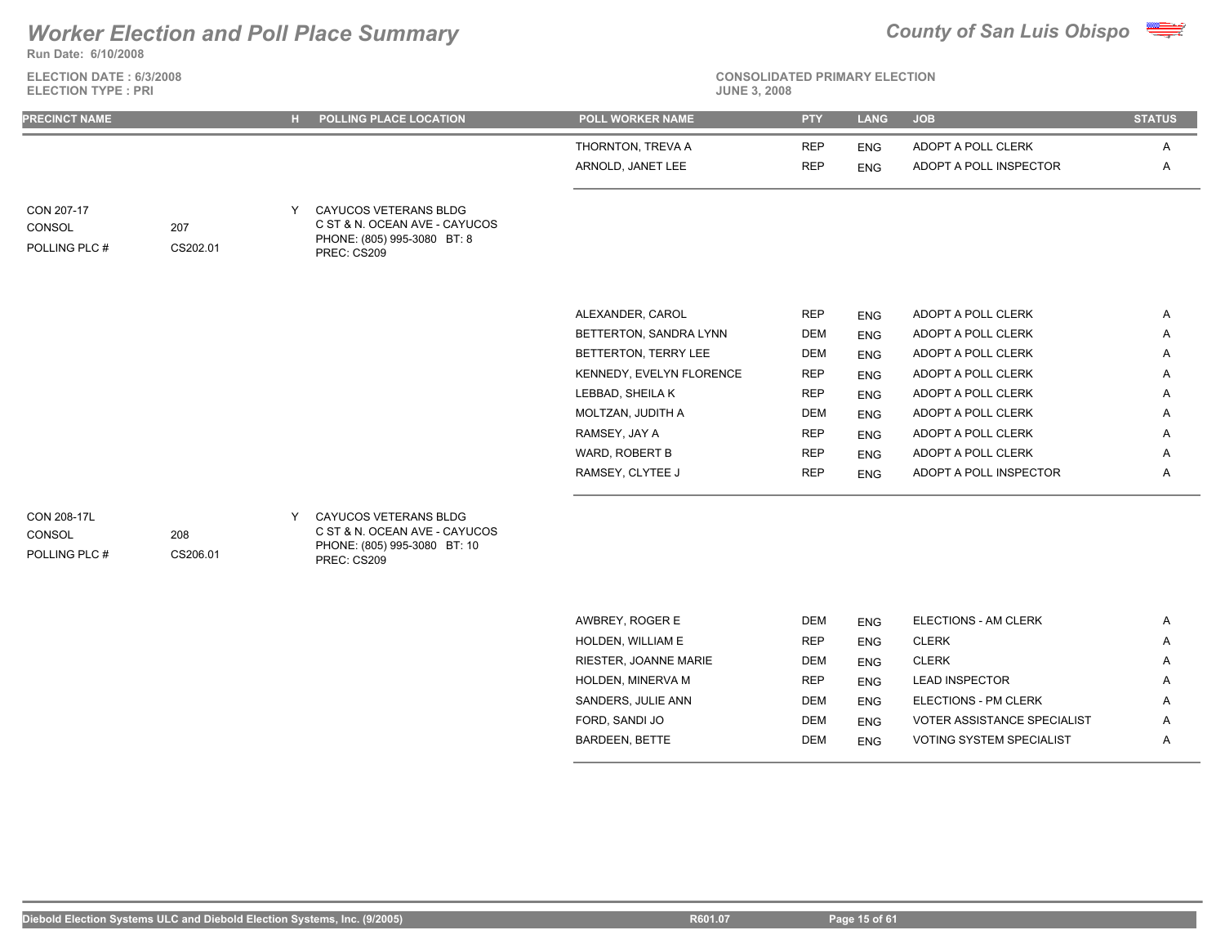**Run Date: 6/10/2008**

**ELECTION DATE : 6/3/2008 ELECTION TYPE : PRI** 



**CONSOLIDATED PRIMARY ELECTION**

|                                      |                 | н. | POLLING PLACE LOCATION                                                                               | <b>POLL WORKER NAME</b>  | <b>PTY</b> | <b>LANG</b> | <b>JOB</b>             | <b>STATUS</b> |
|--------------------------------------|-----------------|----|------------------------------------------------------------------------------------------------------|--------------------------|------------|-------------|------------------------|---------------|
|                                      |                 |    |                                                                                                      | THORNTON, TREVA A        | <b>REP</b> | <b>ENG</b>  | ADOPT A POLL CLERK     | A             |
|                                      |                 |    |                                                                                                      | ARNOLD, JANET LEE        | <b>REP</b> | <b>ENG</b>  | ADOPT A POLL INSPECTOR | Α             |
| CON 207-17<br>CONSOL<br>POLLING PLC# | 207<br>CS202.01 | Y  | CAYUCOS VETERANS BLDG<br>C ST & N. OCEAN AVE - CAYUCOS<br>PHONE: (805) 995-3080 BT: 8<br>PREC: CS209 |                          |            |             |                        |               |
|                                      |                 |    |                                                                                                      | ALEXANDER, CAROL         | <b>REP</b> | <b>ENG</b>  | ADOPT A POLL CLERK     | $\mathsf{A}$  |
|                                      |                 |    |                                                                                                      | BETTERTON, SANDRA LYNN   | <b>DEM</b> | <b>ENG</b>  | ADOPT A POLL CLERK     | Α             |
|                                      |                 |    |                                                                                                      | BETTERTON, TERRY LEE     | <b>DEM</b> | <b>ENG</b>  | ADOPT A POLL CLERK     | Α             |
|                                      |                 |    |                                                                                                      | KENNEDY, EVELYN FLORENCE | <b>REP</b> | <b>ENG</b>  | ADOPT A POLL CLERK     | A             |
|                                      |                 |    |                                                                                                      | LEBBAD, SHEILA K         | <b>REP</b> | <b>ENG</b>  | ADOPT A POLL CLERK     | A             |
|                                      |                 |    |                                                                                                      | MOLTZAN, JUDITH A        | DEM        | <b>ENG</b>  | ADOPT A POLL CLERK     | Α             |
|                                      |                 |    |                                                                                                      | RAMSEY, JAY A            | <b>REP</b> | <b>ENG</b>  | ADOPT A POLL CLERK     | Α             |
|                                      |                 |    |                                                                                                      | WARD, ROBERT B           | <b>REP</b> | <b>ENG</b>  | ADOPT A POLL CLERK     | A             |
|                                      |                 |    |                                                                                                      | RAMSEY, CLYTEE J         | <b>REP</b> | <b>ENG</b>  | ADOPT A POLL INSPECTOR | Α             |

PREC: CS209

| AWBREY, ROGER E          | <b>DEM</b> | <b>ENG</b> | ELECTIONS - AM CLERK               | A |
|--------------------------|------------|------------|------------------------------------|---|
| <b>HOLDEN, WILLIAM E</b> | <b>REP</b> | <b>ENG</b> | <b>CLERK</b>                       | A |
| RIESTER, JOANNE MARIE    | <b>DEM</b> | <b>ENG</b> | <b>CLERK</b>                       | A |
| <b>HOLDEN, MINERVA M</b> | <b>REP</b> | <b>ENG</b> | <b>LEAD INSPECTOR</b>              | A |
| SANDERS, JULIE ANN       | <b>DEM</b> | <b>ENG</b> | ELECTIONS - PM CLERK               | A |
| FORD, SANDI JO           | <b>DEM</b> | <b>ENG</b> | <b>VOTER ASSISTANCE SPECIALIST</b> | A |
| <b>BARDEEN, BETTE</b>    | <b>DEM</b> | <b>ENG</b> | <b>VOTING SYSTEM SPECIALIST</b>    | A |
|                          |            |            |                                    |   |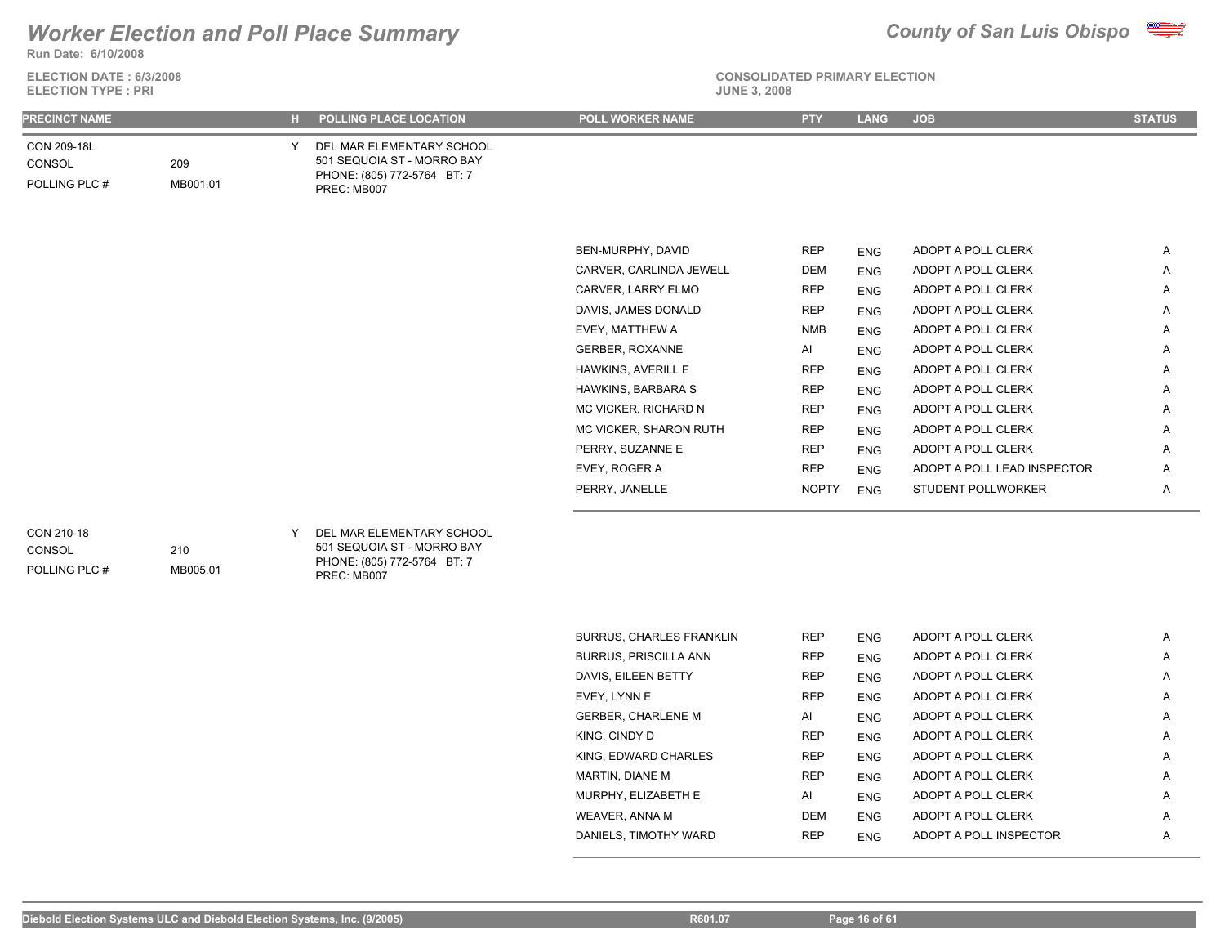

**Run Date: 6/10/2008**

| <b>ELECTION DATE: 6/3/2008</b> | <b>CONSOLIDATED PRIMARY ELECTI</b> |
|--------------------------------|------------------------------------|
| <b>ELECTION TYPE : PRI</b>     | <b>JUNE 3, 2008</b>                |



**CONSOLIDATED PRIMARY ELECTION**

| <b>PRECINCT NAME</b>                         |                 | . H . | POLLING PLACE LOCATION                                                                                | POLL WORKER NAME        | <b>PTY</b>   | <b>LANG</b> | <b>JOB</b>                  | <b>STATUS</b> |
|----------------------------------------------|-----------------|-------|-------------------------------------------------------------------------------------------------------|-------------------------|--------------|-------------|-----------------------------|---------------|
| CON 209-18L<br><b>CONSOL</b><br>POLLING PLC# | 209<br>MB001.01 |       | DEL MAR ELEMENTARY SCHOOL<br>501 SEQUOIA ST - MORRO BAY<br>PHONE: (805) 772-5764 BT: 7<br>PREC: MB007 |                         |              |             |                             |               |
|                                              |                 |       |                                                                                                       |                         |              |             |                             |               |
|                                              |                 |       |                                                                                                       | BEN-MURPHY, DAVID       | <b>REP</b>   | <b>ENG</b>  | ADOPT A POLL CLERK          | A             |
|                                              |                 |       |                                                                                                       | CARVER, CARLINDA JEWELL | <b>DEM</b>   | <b>ENG</b>  | ADOPT A POLL CLERK          | A             |
|                                              |                 |       |                                                                                                       | CARVER, LARRY ELMO      | <b>REP</b>   | <b>ENG</b>  | ADOPT A POLL CLERK          | Α             |
|                                              |                 |       |                                                                                                       | DAVIS, JAMES DONALD     | <b>REP</b>   | <b>ENG</b>  | ADOPT A POLL CLERK          | A             |
|                                              |                 |       |                                                                                                       | EVEY, MATTHEW A         | <b>NMB</b>   | <b>ENG</b>  | ADOPT A POLL CLERK          | Α             |
|                                              |                 |       |                                                                                                       | <b>GERBER, ROXANNE</b>  | Al           | <b>ENG</b>  | ADOPT A POLL CLERK          | Α             |
|                                              |                 |       |                                                                                                       | HAWKINS, AVERILL E      | <b>REP</b>   | <b>ENG</b>  | ADOPT A POLL CLERK          | A             |
|                                              |                 |       |                                                                                                       | HAWKINS, BARBARA S      | <b>REP</b>   | <b>ENG</b>  | ADOPT A POLL CLERK          | Α             |
|                                              |                 |       |                                                                                                       | MC VICKER, RICHARD N    | <b>REP</b>   | <b>ENG</b>  | ADOPT A POLL CLERK          | A             |
|                                              |                 |       |                                                                                                       | MC VICKER, SHARON RUTH  | <b>REP</b>   | <b>ENG</b>  | ADOPT A POLL CLERK          | Α             |
|                                              |                 |       |                                                                                                       | PERRY, SUZANNE E        | <b>REP</b>   | <b>ENG</b>  | ADOPT A POLL CLERK          | Α             |
|                                              |                 |       |                                                                                                       | EVEY, ROGER A           | <b>REP</b>   | <b>ENG</b>  | ADOPT A POLL LEAD INSPECTOR | Α             |
|                                              |                 |       |                                                                                                       | PERRY, JANELLE          | <b>NOPTY</b> | <b>ENG</b>  | STUDENT POLLWORKER          | Α             |

### POLLING PLC # CONSOL

501 SEQUOIA ST - MORRO BAY PHONE: (805) 772-5764 BT: 7

PREC: MB007

| <b>BURRUS, CHARLES FRANKLIN</b> | <b>REP</b> | <b>ENG</b> | ADOPT A POLL CLERK     | A |
|---------------------------------|------------|------------|------------------------|---|
| <b>BURRUS, PRISCILLA ANN</b>    | <b>REP</b> | <b>ENG</b> | ADOPT A POLL CLERK     | A |
| DAVIS, EILEEN BETTY             | <b>REP</b> | <b>ENG</b> | ADOPT A POLL CLERK     | A |
| EVEY, LYNN E                    | <b>REP</b> | <b>ENG</b> | ADOPT A POLL CLERK     | A |
| <b>GERBER, CHARLENE M</b>       | AI         | <b>ENG</b> | ADOPT A POLL CLERK     | A |
| KING, CINDY D                   | <b>REP</b> | <b>ENG</b> | ADOPT A POLL CLERK     | A |
| KING. EDWARD CHARLES            | <b>REP</b> | <b>ENG</b> | ADOPT A POLL CLERK     | A |
| MARTIN, DIANE M                 | <b>REP</b> | <b>ENG</b> | ADOPT A POLL CLERK     | A |
| MURPHY, ELIZABETH E             | AI         | <b>ENG</b> | ADOPT A POLL CLERK     | A |
| WEAVER, ANNA M                  | <b>DEM</b> | <b>ENG</b> | ADOPT A POLL CLERK     | A |
| DANIELS, TIMOTHY WARD           | <b>REP</b> | <b>ENG</b> | ADOPT A POLL INSPECTOR | A |
|                                 |            |            |                        |   |

210

MB005.01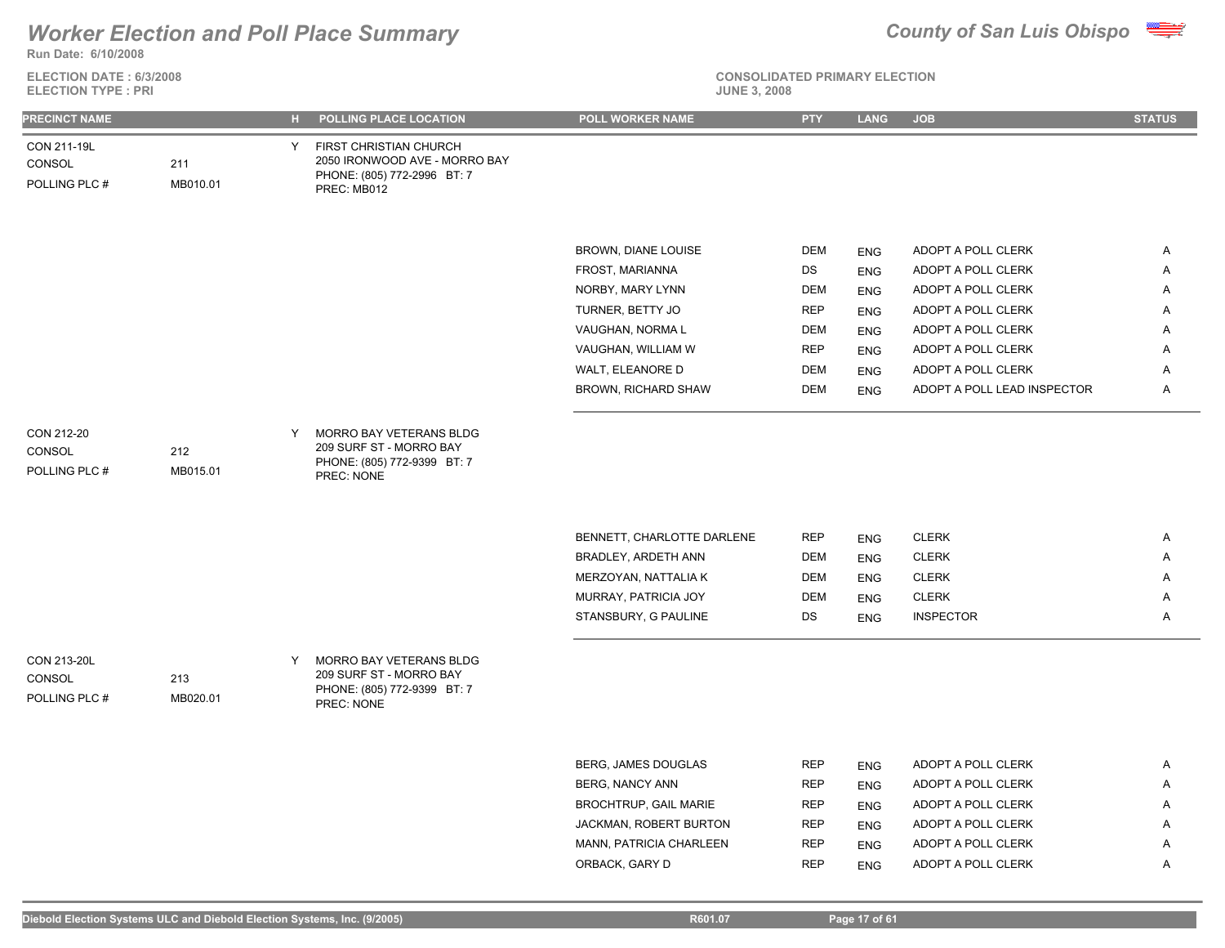

**ELECTION DATE : 6/3/2008 ELECTION TYPE : PRI** 



**CONSOLIDATED PRIMARY ELECTION**

| <b>PRECINCT NAME</b>                   |                 |   | H POLLING PLACE LOCATION                                                                              | POLL WORKER NAME             | <b>PTY</b> | <b>LANG</b> | <b>JOB</b>                  | <b>STATUS</b> |
|----------------------------------------|-----------------|---|-------------------------------------------------------------------------------------------------------|------------------------------|------------|-------------|-----------------------------|---------------|
| CON 211-19L<br>CONSOL<br>POLLING PLC # | 211<br>MB010.01 | Y | FIRST CHRISTIAN CHURCH<br>2050 IRONWOOD AVE - MORRO BAY<br>PHONE: (805) 772-2996 BT: 7<br>PREC: MB012 |                              |            |             |                             |               |
|                                        |                 |   |                                                                                                       |                              |            |             |                             |               |
|                                        |                 |   |                                                                                                       | BROWN, DIANE LOUISE          | <b>DEM</b> | <b>ENG</b>  | ADOPT A POLL CLERK          | Α             |
|                                        |                 |   |                                                                                                       | FROST, MARIANNA              | DS         | <b>ENG</b>  | ADOPT A POLL CLERK          | Α             |
|                                        |                 |   |                                                                                                       | NORBY, MARY LYNN             | <b>DEM</b> | <b>ENG</b>  | ADOPT A POLL CLERK          | Α             |
|                                        |                 |   |                                                                                                       | TURNER, BETTY JO             | <b>REP</b> | <b>ENG</b>  | ADOPT A POLL CLERK          | Α             |
|                                        |                 |   |                                                                                                       | VAUGHAN, NORMA L             | <b>DEM</b> | <b>ENG</b>  | ADOPT A POLL CLERK          | Α             |
|                                        |                 |   |                                                                                                       | VAUGHAN, WILLIAM W           | <b>REP</b> | <b>ENG</b>  | ADOPT A POLL CLERK          | Α             |
|                                        |                 |   |                                                                                                       | WALT, ELEANORE D             | <b>DEM</b> | <b>ENG</b>  | ADOPT A POLL CLERK          | Α             |
|                                        |                 |   |                                                                                                       | BROWN, RICHARD SHAW          | <b>DEM</b> | <b>ENG</b>  | ADOPT A POLL LEAD INSPECTOR | A             |
|                                        |                 |   |                                                                                                       |                              |            |             |                             |               |
| CON 212-20<br>CONSOL<br>POLLING PLC #  | 212<br>MB015.01 | Y | MORRO BAY VETERANS BLDG<br>209 SURF ST - MORRO BAY<br>PHONE: (805) 772-9399 BT: 7<br>PREC: NONE       |                              |            |             |                             |               |
|                                        |                 |   |                                                                                                       | BENNETT, CHARLOTTE DARLENE   | REP        | <b>ENG</b>  | <b>CLERK</b>                | A             |
|                                        |                 |   |                                                                                                       | BRADLEY, ARDETH ANN          | <b>DEM</b> | <b>ENG</b>  | <b>CLERK</b>                | Α             |
|                                        |                 |   |                                                                                                       | MERZOYAN, NATTALIA K         | <b>DEM</b> | <b>ENG</b>  | <b>CLERK</b>                | Α             |
|                                        |                 |   |                                                                                                       | MURRAY, PATRICIA JOY         | <b>DEM</b> | <b>ENG</b>  | <b>CLERK</b>                | Α             |
|                                        |                 |   |                                                                                                       | STANSBURY, G PAULINE         | DS         | <b>ENG</b>  | <b>INSPECTOR</b>            | Α             |
|                                        |                 |   |                                                                                                       |                              |            |             |                             |               |
| CON 213-20L<br>CONSOL<br>POLLING PLC # | 213<br>MB020.01 |   | MORRO BAY VETERANS BLDG<br>209 SURF ST - MORRO BAY<br>PHONE: (805) 772-9399 BT: 7<br>PREC: NONE       |                              |            |             |                             |               |
|                                        |                 |   |                                                                                                       |                              |            |             |                             |               |
|                                        |                 |   |                                                                                                       | BERG, JAMES DOUGLAS          | <b>REP</b> | ENG         | ADOPT A POLL CLERK          | A             |
|                                        |                 |   |                                                                                                       | <b>BERG, NANCY ANN</b>       | <b>REP</b> | <b>ENG</b>  | ADOPT A POLL CLERK          | Α             |
|                                        |                 |   |                                                                                                       | <b>BROCHTRUP, GAIL MARIE</b> | <b>REP</b> | <b>ENG</b>  | ADOPT A POLL CLERK          | A             |
|                                        |                 |   |                                                                                                       | JACKMAN, ROBERT BURTON       | <b>REP</b> | <b>ENG</b>  | ADOPT A POLL CLERK          | Α             |

MANN, PATRICIA CHARLEEN REP ENG ADOPT A POLL CLERK A ORBACK, GARY D REP ENG ADOPT A POLL CLERK A REP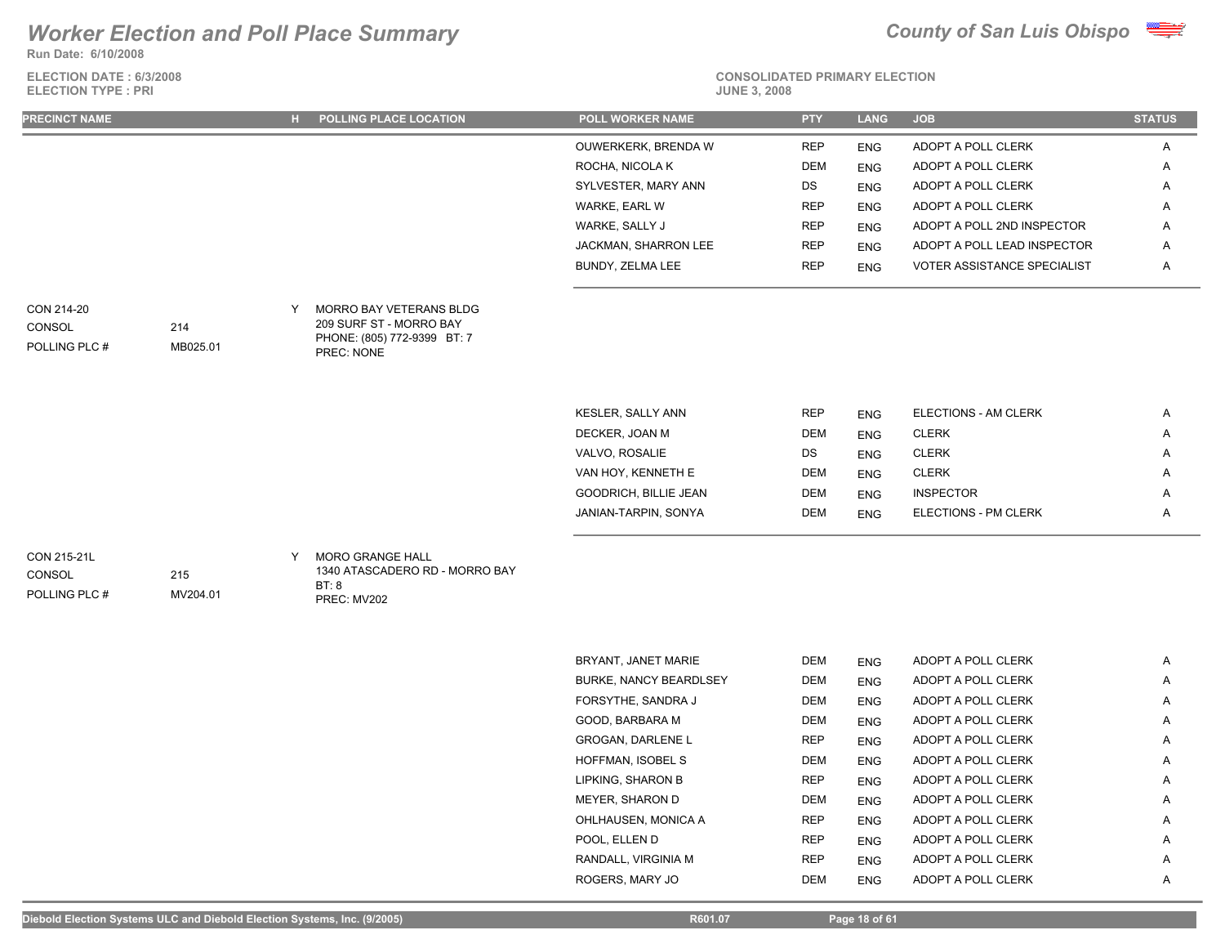**Run Date: 6/10/2008**

**ELECTION DATE : 6/3/2008 ELECTION TYPE : PRI** 





# **CONSOLIDATED PRIMARY ELECTION**

| <b>PRECINCT NAME</b> | <b>H</b> POLLING PLACE LOCATION | <b>POLL WORKER NAME</b> | <b>PTY</b> | <b>LANG</b> | <b>JOB</b>                  | <b>STATUS</b>         |
|----------------------|---------------------------------|-------------------------|------------|-------------|-----------------------------|-----------------------|
|                      |                                 | OUWERKERK, BRENDA W     | <b>REP</b> | <b>ENG</b>  | ADOPT A POLL CLERK          | $\mathbf{\mathsf{m}}$ |
|                      |                                 | ROCHA, NICOLA K         | <b>DEM</b> | <b>ENG</b>  | ADOPT A POLL CLERK          | $\mathsf{A}$          |
|                      |                                 | SYLVESTER, MARY ANN     | DS         | <b>ENG</b>  | ADOPT A POLL CLERK          | $\mathsf{A}$          |
|                      |                                 | WARKE, EARL W           | <b>REP</b> | <b>ENG</b>  | ADOPT A POLL CLERK          | $\mathbf{\mathsf{m}}$ |
|                      |                                 | WARKE, SALLY J          | <b>REP</b> | <b>ENG</b>  | ADOPT A POLL 2ND INSPECTOR  | $\overline{A}$        |
|                      |                                 | JACKMAN, SHARRON LEE    | <b>REP</b> | <b>ENG</b>  | ADOPT A POLL LEAD INSPECTOR | $\overline{A}$        |
|                      |                                 | BUNDY, ZELMA LEE        | <b>REP</b> | <b>ENG</b>  | VOTER ASSISTANCE SPECIALIST | $\mathsf{A}$          |
|                      |                                 |                         |            |             |                             |                       |

| CON 214-20    |          | MORRO BAY VETERANS BLDG                   |
|---------------|----------|-------------------------------------------|
| CONSOL        | 214      | 209 SURF ST - MORRO BAY                   |
| POLLING PLC # | MB025.01 | PHONE: (805) 772-9399 BT: 7<br>PREC: NONE |

| KESLER, SALLY ANN            | <b>REP</b> | <b>ENG</b> | ELECTIONS - AM CLERK        | A |
|------------------------------|------------|------------|-----------------------------|---|
| DECKER, JOAN M               | <b>DEM</b> | <b>ENG</b> | <b>CLERK</b>                | A |
| VALVO, ROSALIE               | DS.        | <b>ENG</b> | <b>CLERK</b>                | A |
| VAN HOY, KENNETH E           | <b>DEM</b> | <b>ENG</b> | <b>CLERK</b>                | A |
| <b>GOODRICH, BILLIE JEAN</b> | <b>DEM</b> | <b>ENG</b> | <b>INSPECTOR</b>            | Α |
| JANIAN-TARPIN, SONYA         | <b>DEM</b> | <b>ENG</b> | <b>ELECTIONS - PM CLERK</b> | A |
|                              |            |            |                             |   |

**CONSOL** 

POLLING PLC #

MORO GRANGE HALL CON 215-21L Y 1340 ATASCADERO RD - MORRO BAY BT: 8 PREC: MV202

| BRYANT, JANET MARIE           | <b>DEM</b> | <b>ENG</b> | ADOPT A POLL CLERK | A |
|-------------------------------|------------|------------|--------------------|---|
| <b>BURKE, NANCY BEARDLSEY</b> | <b>DEM</b> | <b>ENG</b> | ADOPT A POLL CLERK | A |
| FORSYTHE, SANDRA J            | DEM        | <b>ENG</b> | ADOPT A POLL CLERK | A |
| GOOD. BARBARA M               | <b>DEM</b> | <b>ENG</b> | ADOPT A POLL CLERK | A |
| <b>GROGAN, DARLENE L</b>      | <b>REP</b> | <b>ENG</b> | ADOPT A POLL CLERK | Α |
| HOFFMAN, ISOBEL S             | <b>DEM</b> | <b>ENG</b> | ADOPT A POLL CLERK | Α |
| LIPKING, SHARON B             | <b>REP</b> | <b>ENG</b> | ADOPT A POLL CLERK | A |
| MEYER, SHARON D               | <b>DEM</b> | <b>ENG</b> | ADOPT A POLL CLERK | A |
| OHLHAUSEN, MONICA A           | <b>REP</b> | <b>ENG</b> | ADOPT A POLL CLERK | A |
| POOL. ELLEN D                 | <b>REP</b> | <b>ENG</b> | ADOPT A POLL CLERK | Α |
| RANDALL, VIRGINIA M           | <b>REP</b> | <b>ENG</b> | ADOPT A POLL CLERK | Α |
| ROGERS, MARY JO               | <b>DEM</b> | <b>ENG</b> | ADOPT A POLL CLERK | A |
|                               |            |            |                    |   |

215

MV204.01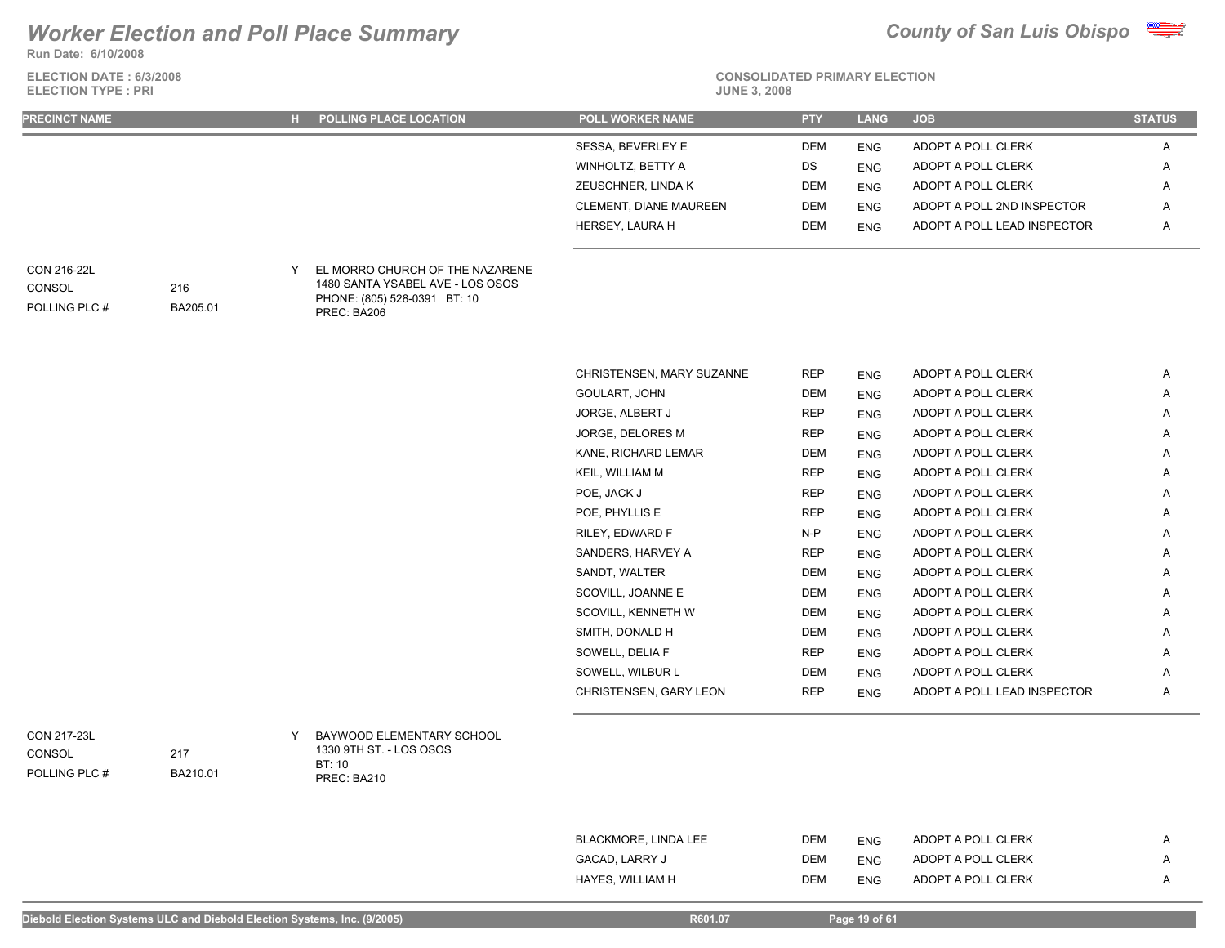**Run Date: 6/10/2008**



| <b>ELECTION DATE: 6/3/2008</b><br><b>ELECTION TYPE: PRI</b> |                 |   |                                                                                                                    | <b>CONSOLIDATED PRIMARY ELECTION</b><br><b>JUNE 3, 2008</b> |            |             |                             |               |  |  |
|-------------------------------------------------------------|-----------------|---|--------------------------------------------------------------------------------------------------------------------|-------------------------------------------------------------|------------|-------------|-----------------------------|---------------|--|--|
| <b>PRECINCT NAME</b>                                        |                 |   | H POLLING PLACE LOCATION                                                                                           | <b>POLL WORKER NAME</b>                                     | <b>PTY</b> | <b>LANG</b> | <b>JOB</b>                  | <b>STATUS</b> |  |  |
|                                                             |                 |   |                                                                                                                    | SESSA, BEVERLEY E                                           | <b>DEM</b> | <b>ENG</b>  | ADOPT A POLL CLERK          | A             |  |  |
|                                                             |                 |   |                                                                                                                    | WINHOLTZ, BETTY A                                           | DS         | <b>ENG</b>  | ADOPT A POLL CLERK          | Α             |  |  |
|                                                             |                 |   |                                                                                                                    | ZEUSCHNER, LINDA K                                          | <b>DEM</b> | <b>ENG</b>  | ADOPT A POLL CLERK          | Α             |  |  |
|                                                             |                 |   |                                                                                                                    | CLEMENT, DIANE MAUREEN                                      | DEM        | <b>ENG</b>  | ADOPT A POLL 2ND INSPECTOR  | A             |  |  |
|                                                             |                 |   |                                                                                                                    | HERSEY, LAURA H                                             | DEM        | <b>ENG</b>  | ADOPT A POLL LEAD INSPECTOR | Α             |  |  |
| CON 216-22L<br>CONSOL<br>POLLING PLC #                      | 216<br>BA205.01 | Y | EL MORRO CHURCH OF THE NAZARENE<br>1480 SANTA YSABEL AVE - LOS OSOS<br>PHONE: (805) 528-0391 BT: 10<br>PREC: BA206 |                                                             |            |             |                             |               |  |  |
|                                                             |                 |   |                                                                                                                    | CHRISTENSEN, MARY SUZANNE                                   | <b>REP</b> | <b>ENG</b>  | ADOPT A POLL CLERK          | Α             |  |  |
|                                                             |                 |   |                                                                                                                    | GOULART, JOHN                                               | DEM        | <b>ENG</b>  | ADOPT A POLL CLERK          | A             |  |  |
|                                                             |                 |   |                                                                                                                    | JORGE, ALBERT J                                             | <b>REP</b> | <b>ENG</b>  | ADOPT A POLL CLERK          | A             |  |  |
|                                                             |                 |   |                                                                                                                    | JORGE, DELORES M                                            | <b>REP</b> | <b>ENG</b>  | ADOPT A POLL CLERK          | Α             |  |  |
|                                                             |                 |   |                                                                                                                    | KANE, RICHARD LEMAR                                         | DEM        | <b>ENG</b>  | ADOPT A POLL CLERK          | Α             |  |  |
|                                                             |                 |   |                                                                                                                    | KEIL, WILLIAM M                                             | <b>REP</b> | <b>ENG</b>  | ADOPT A POLL CLERK          | Α             |  |  |
|                                                             |                 |   |                                                                                                                    | POE, JACK J                                                 | <b>REP</b> | <b>ENG</b>  | ADOPT A POLL CLERK          | A             |  |  |
|                                                             |                 |   |                                                                                                                    | POE, PHYLLIS E                                              | <b>REP</b> | <b>ENG</b>  | ADOPT A POLL CLERK          | Α             |  |  |
|                                                             |                 |   |                                                                                                                    | RILEY, EDWARD F                                             | $N-P$      | <b>ENG</b>  | ADOPT A POLL CLERK          | A             |  |  |
|                                                             |                 |   |                                                                                                                    | SANDERS, HARVEY A                                           | <b>REP</b> | <b>ENG</b>  | ADOPT A POLL CLERK          | Α             |  |  |
|                                                             |                 |   |                                                                                                                    | SANDT, WALTER                                               | <b>DEM</b> | <b>ENG</b>  | ADOPT A POLL CLERK          | A             |  |  |
|                                                             |                 |   |                                                                                                                    | SCOVILL, JOANNE E                                           | <b>DEM</b> | <b>ENG</b>  | ADOPT A POLL CLERK          | Α             |  |  |
|                                                             |                 |   |                                                                                                                    | SCOVILL, KENNETH W                                          | DEM        | <b>ENG</b>  | ADOPT A POLL CLERK          | A             |  |  |
|                                                             |                 |   |                                                                                                                    | SMITH, DONALD H                                             | <b>DEM</b> | <b>ENG</b>  | ADOPT A POLL CLERK          | Α             |  |  |
|                                                             |                 |   |                                                                                                                    | SOWELL, DELIA F                                             | <b>REP</b> | <b>ENG</b>  | ADOPT A POLL CLERK          | Α             |  |  |
|                                                             |                 |   |                                                                                                                    | SOWELL, WILBUR L                                            | <b>DEM</b> | <b>ENG</b>  | ADOPT A POLL CLERK          | Α             |  |  |
|                                                             |                 |   |                                                                                                                    | CHRISTENSEN, GARY LEON                                      | <b>REP</b> | <b>ENG</b>  | ADOPT A POLL LEAD INSPECTOR | A             |  |  |
| CON 217-23L<br><b>CONSOL</b><br>POLLING PLC #               | 217<br>BA210.01 | Y | BAYWOOD ELEMENTARY SCHOOL<br>1330 9TH ST. - LOS OSOS<br>BT: 10<br>PREC: BA210                                      |                                                             |            |             |                             |               |  |  |

Diebold Election Systems ULC and Diebold Election Systems, Inc. (9/2005) **Research Control Control Control Control** Research Page 19 of 61

BLACKMORE, LINDA LEE DEM ENG ADOPT A POLL CLERK A GACAD, LARRY J DEM ENG ADOPT A POLL CLERK A HAYES, WILLIAM H DEM ENG ADOPT A POLL CLERK A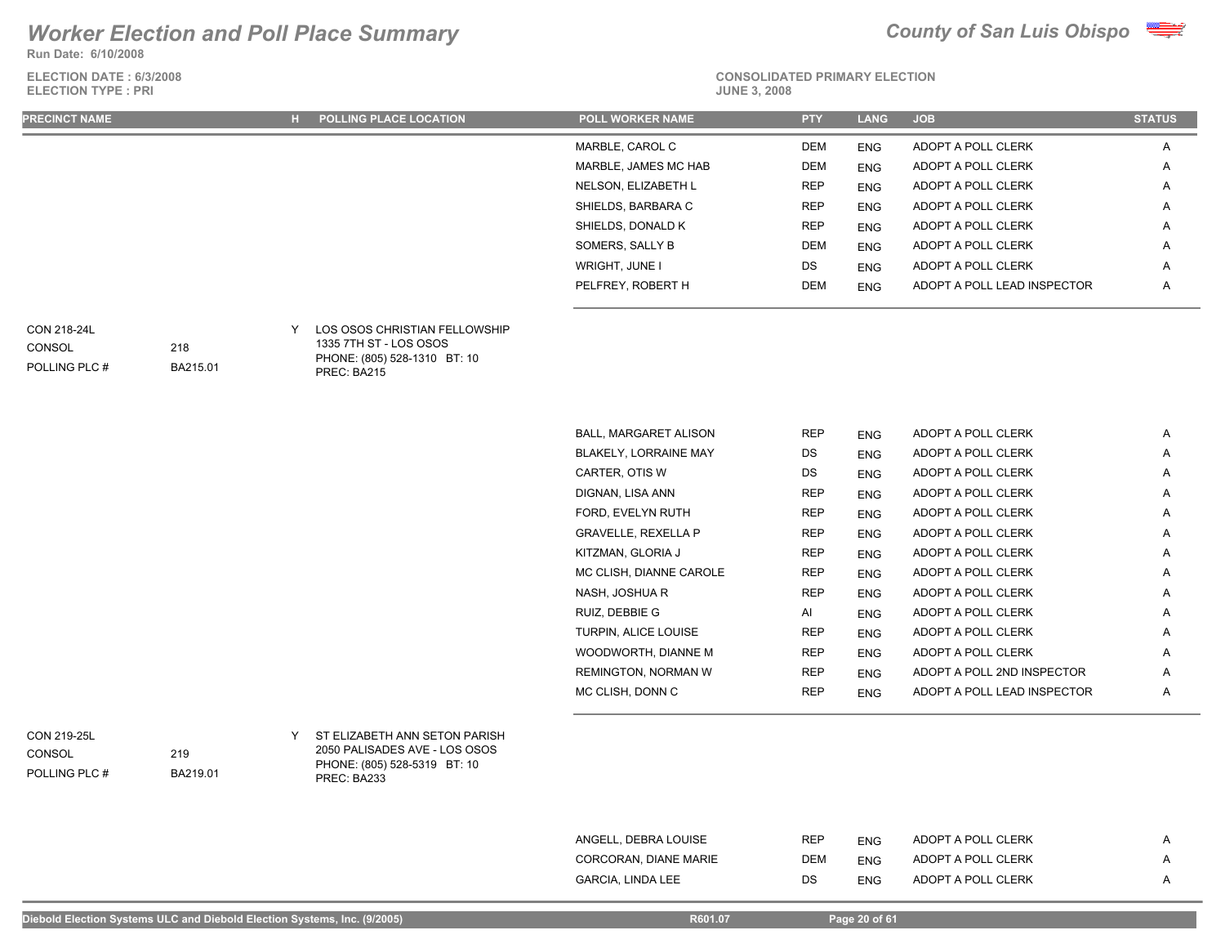**Run Date: 6/10/2008**

**ELECTION DATE : 6/3/2008 ELECTION TYPE : PRI** 



**CONSOLIDATED PRIMARY ELECTION**

| <b>PRECINCT NAME</b> | H. | <b>POLLING PLACE LOCATION</b> | <b>POLL WORKER NAME</b> | <b>PTY</b> | <b>LANG</b> | <b>JOB</b>                  | <b>STATUS</b> |
|----------------------|----|-------------------------------|-------------------------|------------|-------------|-----------------------------|---------------|
|                      |    |                               | MARBLE, CAROL C         | <b>DEM</b> | <b>ENG</b>  | ADOPT A POLL CLERK          | A             |
|                      |    |                               | MARBLE, JAMES MC HAB    | <b>DEM</b> | <b>ENG</b>  | ADOPT A POLL CLERK          | A             |
|                      |    |                               | NELSON, ELIZABETH L     | <b>REP</b> | <b>ENG</b>  | ADOPT A POLL CLERK          | $\mathsf{A}$  |
|                      |    |                               | SHIELDS, BARBARA C      | <b>REP</b> | <b>ENG</b>  | ADOPT A POLL CLERK          | $\mathsf{A}$  |
|                      |    |                               | SHIELDS, DONALD K       | <b>REP</b> | <b>ENG</b>  | ADOPT A POLL CLERK          | $\mathsf{A}$  |
|                      |    |                               | SOMERS, SALLY B         | <b>DEM</b> | <b>ENG</b>  | ADOPT A POLL CLERK          | $\mathsf{A}$  |
|                      |    |                               | WRIGHT, JUNE I          | DS         | <b>ENG</b>  | ADOPT A POLL CLERK          | A             |
|                      |    |                               | PELFREY, ROBERT H       | <b>DEM</b> | <b>ENG</b>  | ADOPT A POLL LEAD INSPECTOR | A             |
|                      |    |                               |                         |            |             |                             |               |

### CON 218-24L

POLLING PLC # **CONSOL** 

| LOS OSOS CHRISTIAN FELLOWSHIP |
|-------------------------------|
| 1335 7TH ST - LOS OSOS        |
| PHONE: (805) 528-1310 BT: 10  |

PREC: BA215 BA215.01

218

| <b>BALL, MARGARET ALISON</b> | <b>REP</b> | <b>ENG</b> | ADOPT A POLL CLERK          | A |
|------------------------------|------------|------------|-----------------------------|---|
| <b>BLAKELY, LORRAINE MAY</b> | DS.        | <b>ENG</b> | ADOPT A POLL CLERK          | A |
| CARTER, OTIS W               | DS         | <b>ENG</b> | ADOPT A POLL CLERK          | A |
| DIGNAN, LISA ANN             | <b>REP</b> | <b>ENG</b> | ADOPT A POLL CLERK          | A |
| FORD, EVELYN RUTH            | REP        | <b>ENG</b> | ADOPT A POLL CLERK          | A |
| <b>GRAVELLE, REXELLA P</b>   | <b>REP</b> | <b>ENG</b> | ADOPT A POLL CLERK          | A |
| KITZMAN, GLORIA J            | <b>REP</b> | <b>ENG</b> | ADOPT A POLL CLERK          | A |
| MC CLISH, DIANNE CAROLE      | <b>REP</b> | <b>ENG</b> | ADOPT A POLL CLERK          | A |
| NASH, JOSHUA R               | <b>REP</b> | <b>ENG</b> | ADOPT A POLL CLERK          | A |
| RUIZ, DEBBIE G               | AI         | <b>ENG</b> | ADOPT A POLL CLERK          | A |
| <b>TURPIN, ALICE LOUISE</b>  | REP        | <b>ENG</b> | ADOPT A POLL CLERK          | A |
| WOODWORTH, DIANNE M          | <b>REP</b> | <b>ENG</b> | ADOPT A POLL CLERK          | A |
| REMINGTON, NORMAN W          | <b>REP</b> | <b>ENG</b> | ADOPT A POLL 2ND INSPECTOR  | Α |
| MC CLISH, DONN C             | <b>REP</b> | <b>ENG</b> | ADOPT A POLL LEAD INSPECTOR | Α |

POLLING PLC # CONSOL

ST ELIZABETH ANN SETON PARISH CON 219-25L Y 2050 PALISADES AVE - LOS OSOS PHONE: (805) 528-5319 BT: 10 PREC: BA233

| ANGELL, DEBRA LOUISE  | REP | <b>FNG</b> | ADOPT A POLL CLERK |  |
|-----------------------|-----|------------|--------------------|--|
| CORCORAN. DIANE MARIE | DEM | <b>ENG</b> | ADOPT A POLL CLERK |  |
| GARCIA. LINDA LEE     | DS  | <b>ENG</b> | ADOPT A POLL CLERK |  |

219

BA219.01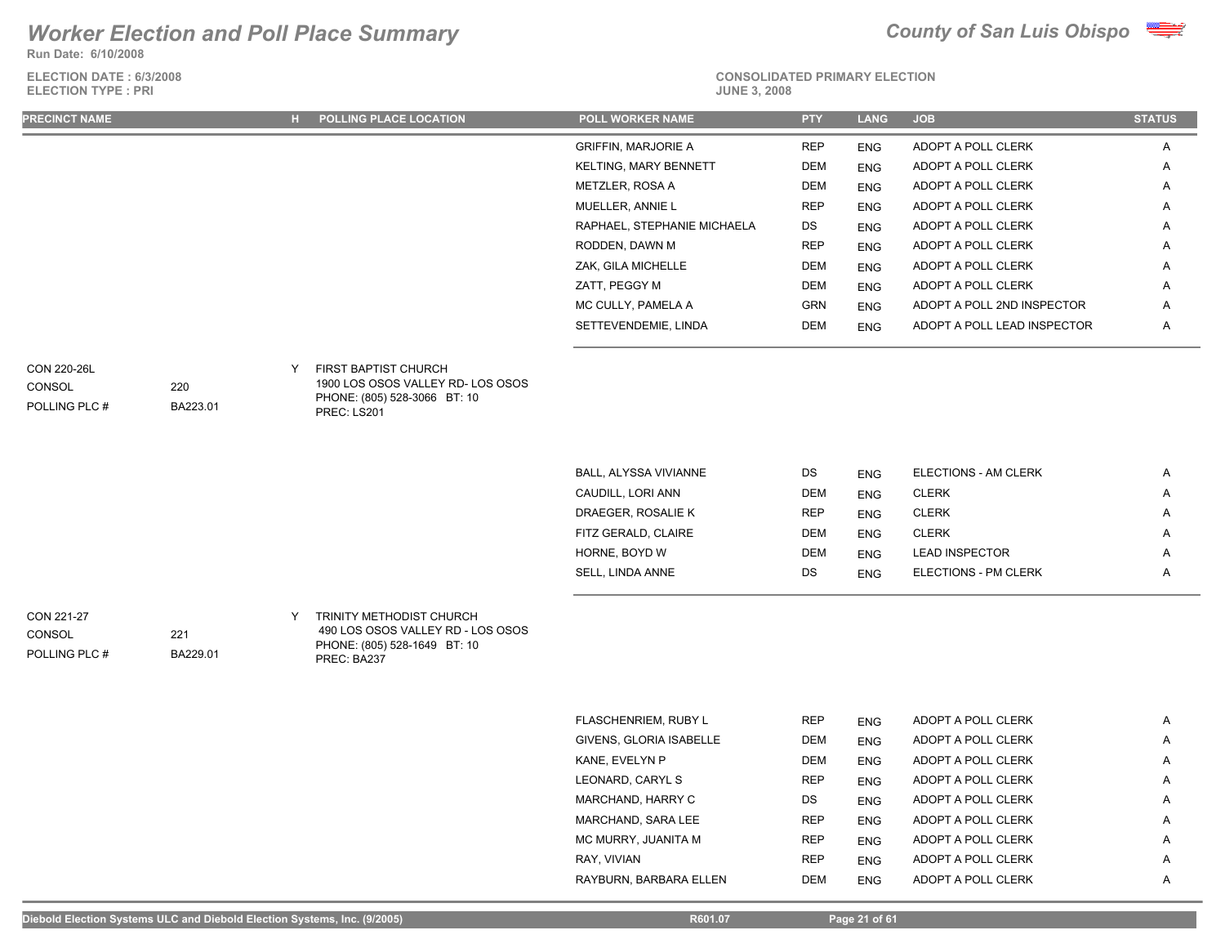**Run Date: 6/10/2008**

| <b>ELECTION DATE: 6/3/2008</b> |  |
|--------------------------------|--|
| <b>ELECTION TYPE: PRI</b>      |  |



### **CONSOLIDATED PRIMARY ELECTION**

| <b>ELECTION TYPE: PRI</b> |                 |   |                                                                                  | <b>JUNE 3, 2008</b>                             |                   |             |                                          |               |  |
|---------------------------|-----------------|---|----------------------------------------------------------------------------------|-------------------------------------------------|-------------------|-------------|------------------------------------------|---------------|--|
| <b>PRECINCT NAME</b>      |                 |   | H POLLING PLACE LOCATION                                                         | <b>POLL WORKER NAME</b>                         | <b>PTY</b>        | <b>LANG</b> | <b>JOB</b>                               | <b>STATUS</b> |  |
|                           |                 |   |                                                                                  | <b>GRIFFIN, MARJORIE A</b>                      | <b>REP</b>        | <b>ENG</b>  | ADOPT A POLL CLERK                       | A             |  |
|                           |                 |   |                                                                                  | KELTING, MARY BENNETT                           | DEM               | <b>ENG</b>  | ADOPT A POLL CLERK                       | A             |  |
|                           |                 |   |                                                                                  | METZLER, ROSA A                                 | DEM               | <b>ENG</b>  | ADOPT A POLL CLERK                       | Α             |  |
|                           |                 |   |                                                                                  | MUELLER, ANNIE L                                | <b>REP</b>        | <b>ENG</b>  | ADOPT A POLL CLERK                       | Α             |  |
|                           |                 |   |                                                                                  | RAPHAEL, STEPHANIE MICHAELA                     | DS                | <b>ENG</b>  | ADOPT A POLL CLERK                       | Α             |  |
|                           |                 |   |                                                                                  | RODDEN, DAWN M                                  | <b>REP</b>        | <b>ENG</b>  | ADOPT A POLL CLERK                       | Α             |  |
|                           |                 |   |                                                                                  | ZAK, GILA MICHELLE                              | DEM               | <b>ENG</b>  | ADOPT A POLL CLERK                       | Α             |  |
|                           |                 |   |                                                                                  | ZATT, PEGGY M                                   | DEM               | <b>ENG</b>  | ADOPT A POLL CLERK                       | Α             |  |
|                           |                 |   |                                                                                  | MC CULLY, PAMELA A                              | GRN               | <b>ENG</b>  | ADOPT A POLL 2ND INSPECTOR               | Α             |  |
|                           |                 |   |                                                                                  | SETTEVENDEMIE, LINDA                            | DEM               | <b>ENG</b>  | ADOPT A POLL LEAD INSPECTOR              | Α             |  |
| <b>CON 220-26L</b>        |                 | Y | FIRST BAPTIST CHURCH                                                             |                                                 |                   |             |                                          |               |  |
| <b>CONSOL</b>             | 220             |   | 1900 LOS OSOS VALLEY RD- LOS OSOS                                                |                                                 |                   |             |                                          |               |  |
| POLLING PLC #             | BA223.01        |   | PHONE: (805) 528-3066 BT: 10<br>PREC: LS201                                      |                                                 |                   |             |                                          |               |  |
|                           |                 |   |                                                                                  |                                                 |                   |             |                                          |               |  |
|                           |                 |   |                                                                                  |                                                 |                   |             |                                          |               |  |
|                           |                 |   |                                                                                  | BALL, ALYSSA VIVIANNE                           | DS                | <b>ENG</b>  | ELECTIONS - AM CLERK                     | Α             |  |
|                           |                 |   |                                                                                  | CAUDILL, LORI ANN                               | DEM               | <b>ENG</b>  | <b>CLERK</b>                             | Α             |  |
|                           |                 |   |                                                                                  | DRAEGER, ROSALIE K                              | <b>REP</b>        | <b>ENG</b>  | <b>CLERK</b>                             | A             |  |
|                           |                 |   |                                                                                  | FITZ GERALD, CLAIRE                             | DEM               | <b>ENG</b>  | <b>CLERK</b>                             | Α             |  |
|                           |                 |   |                                                                                  | HORNE, BOYD W                                   | DEM               | <b>ENG</b>  | <b>LEAD INSPECTOR</b>                    | Α             |  |
|                           |                 |   |                                                                                  | SELL, LINDA ANNE                                | DS                | <b>ENG</b>  | ELECTIONS - PM CLERK                     | Α             |  |
| CON 221-27                |                 | Y | TRINITY METHODIST CHURCH                                                         |                                                 |                   |             |                                          |               |  |
| CONSOL<br>POLLING PLC #   | 221<br>BA229.01 |   | 490 LOS OSOS VALLEY RD - LOS OSOS<br>PHONE: (805) 528-1649 BT: 10<br>PREC: BA237 |                                                 |                   |             |                                          |               |  |
|                           |                 |   |                                                                                  |                                                 |                   |             |                                          |               |  |
|                           |                 |   |                                                                                  |                                                 |                   |             |                                          |               |  |
|                           |                 |   |                                                                                  | FLASCHENRIEM, RUBY L<br>GIVENS, GLORIA ISABELLE | <b>REP</b><br>DEM | <b>ENG</b>  | ADOPT A POLL CLERK<br>ADOPT A POLL CLERK | Α             |  |
|                           |                 |   |                                                                                  |                                                 |                   | <b>ENG</b>  |                                          | Α             |  |
|                           |                 |   |                                                                                  | KANE, EVELYN P                                  | DEM<br><b>REP</b> | <b>ENG</b>  | ADOPT A POLL CLERK                       | Α             |  |
|                           |                 |   |                                                                                  | LEONARD, CARYL S                                |                   | <b>ENG</b>  | ADOPT A POLL CLERK                       | Α             |  |

MARCHAND, HARRY C DS ENG ADOPT A POLL CLERK A MARCHAND, SARA LEE REP ENG ADOPT A POLL CLERK A MC MURRY, JUANITA M REP ENG ADOPT A POLL CLERK A RAY, VIVIAN **REP** ENG ADOPT A POLL CLERK A RAYBURN, BARBARA ELLEN DEM ENG ADOPT A POLL CLERK A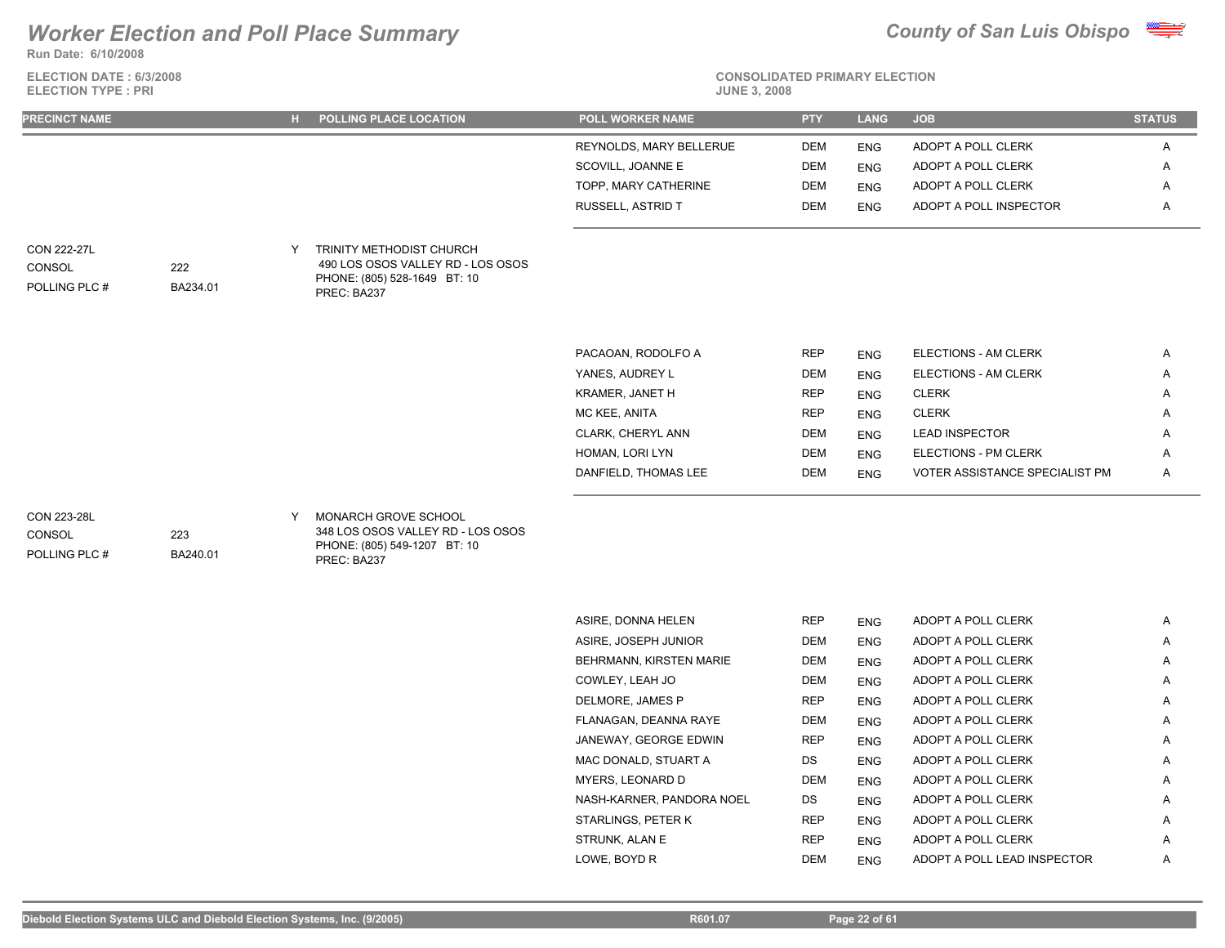**Run Date: 6/10/2008**

**ELECTION DATE : 6/3/2008 ELECTION TYPE : PRI** 



| <b>PRECINCT NAME</b>                          |                 |   | H POLLING PLACE LOCATION                                                                                     | <b>POLL WORKER NAME</b>                             | <b>PTY</b>  | <b>LANG</b>          | <b>JOB</b>                                | <b>STATUS</b> |
|-----------------------------------------------|-----------------|---|--------------------------------------------------------------------------------------------------------------|-----------------------------------------------------|-------------|----------------------|-------------------------------------------|---------------|
|                                               |                 |   |                                                                                                              | REYNOLDS, MARY BELLERUE                             | DEM         | <b>ENG</b>           | ADOPT A POLL CLERK                        | A             |
|                                               |                 |   |                                                                                                              | SCOVILL, JOANNE E                                   | DEM         | <b>ENG</b>           | ADOPT A POLL CLERK                        | Α             |
|                                               |                 |   |                                                                                                              | TOPP, MARY CATHERINE                                | <b>DEM</b>  | <b>ENG</b>           | ADOPT A POLL CLERK                        | Α             |
|                                               |                 |   |                                                                                                              | RUSSELL, ASTRID T                                   | DEM         | <b>ENG</b>           | ADOPT A POLL INSPECTOR                    | Α             |
| <b>CON 222-27L</b><br>CONSOL<br>POLLING PLC # | 222<br>BA234.01 | Y | TRINITY METHODIST CHURCH<br>490 LOS OSOS VALLEY RD - LOS OSOS<br>PHONE: (805) 528-1649 BT: 10<br>PREC: BA237 |                                                     |             |                      |                                           |               |
|                                               |                 |   |                                                                                                              | PACAOAN, RODOLFO A                                  | <b>REP</b>  | <b>ENG</b>           | ELECTIONS - AM CLERK                      | Α             |
|                                               |                 |   |                                                                                                              | YANES, AUDREY L                                     | <b>DEM</b>  | <b>ENG</b>           | ELECTIONS - AM CLERK                      | Α             |
|                                               |                 |   |                                                                                                              | KRAMER, JANET H                                     | <b>REP</b>  | <b>ENG</b>           | <b>CLERK</b>                              | Α             |
|                                               |                 |   |                                                                                                              | MC KEE, ANITA                                       | <b>REP</b>  | <b>ENG</b>           | <b>CLERK</b>                              | Α             |
|                                               |                 |   |                                                                                                              | CLARK, CHERYL ANN                                   | <b>DEM</b>  | <b>ENG</b>           | <b>LEAD INSPECTOR</b>                     | A             |
|                                               |                 |   |                                                                                                              | HOMAN, LORI LYN                                     | DEM         | <b>ENG</b>           | ELECTIONS - PM CLERK                      | A             |
|                                               |                 |   |                                                                                                              | DANFIELD, THOMAS LEE                                | DEM         | <b>ENG</b>           | VOTER ASSISTANCE SPECIALIST PM            | Α             |
| CON 223-28L<br>CONSOL<br>POLLING PLC #        | 223<br>BA240.01 | Y | MONARCH GROVE SCHOOL<br>348 LOS OSOS VALLEY RD - LOS OSOS<br>PHONE: (805) 549-1207 BT: 10<br>PREC: BA237     |                                                     |             |                      |                                           |               |
|                                               |                 |   |                                                                                                              |                                                     |             |                      |                                           |               |
|                                               |                 |   |                                                                                                              | ASIRE, DONNA HELEN                                  | <b>REP</b>  | ENG                  | ADOPT A POLL CLERK                        | Α             |
|                                               |                 |   |                                                                                                              | ASIRE, JOSEPH JUNIOR<br>DELIDMANINI IZIDOTENI MADIE | DEM<br>DEM. | <b>ENG</b><br>$-110$ | ADOPT A POLL CLERK<br>ADODE A DOLL OLEDIZ | Α             |

| <b>AVII \L, DVINNA I ILLLIN</b> | 1 N.L.I    | ENU        | ADUITATULE ULEINN           | $\sqrt{ }$ |
|---------------------------------|------------|------------|-----------------------------|------------|
| ASIRE, JOSEPH JUNIOR            | <b>DEM</b> | <b>ENG</b> | ADOPT A POLL CLERK          | A          |
| BEHRMANN, KIRSTEN MARIE         | <b>DEM</b> | <b>ENG</b> | ADOPT A POLL CLERK          | A          |
| COWLEY. LEAH JO                 | <b>DEM</b> | <b>ENG</b> | ADOPT A POLL CLERK          | A          |
| DELMORE, JAMES P                | <b>REP</b> | <b>ENG</b> | ADOPT A POLL CLERK          | A          |
| FLANAGAN, DEANNA RAYE           | DEM        | <b>ENG</b> | ADOPT A POLL CLERK          | Α          |
| JANEWAY, GEORGE EDWIN           | <b>REP</b> | <b>ENG</b> | ADOPT A POLL CLERK          | Α          |
| MAC DONALD, STUART A            | <b>DS</b>  | <b>ENG</b> | ADOPT A POLL CLERK          | A          |
| MYERS. LEONARD D                | <b>DEM</b> | <b>ENG</b> | ADOPT A POLL CLERK          | A          |
| NASH-KARNER, PANDORA NOEL       | <b>DS</b>  | <b>ENG</b> | ADOPT A POLL CLERK          | A          |
| STARLINGS, PETER K              | <b>REP</b> | <b>ENG</b> | ADOPT A POLL CLERK          | A          |
| STRUNK. ALAN E                  | <b>REP</b> | <b>ENG</b> | ADOPT A POLL CLERK          | A          |
| LOWE, BOYD R                    | <b>DEM</b> | <b>ENG</b> | ADOPT A POLL LEAD INSPECTOR | A          |
|                                 |            |            |                             |            |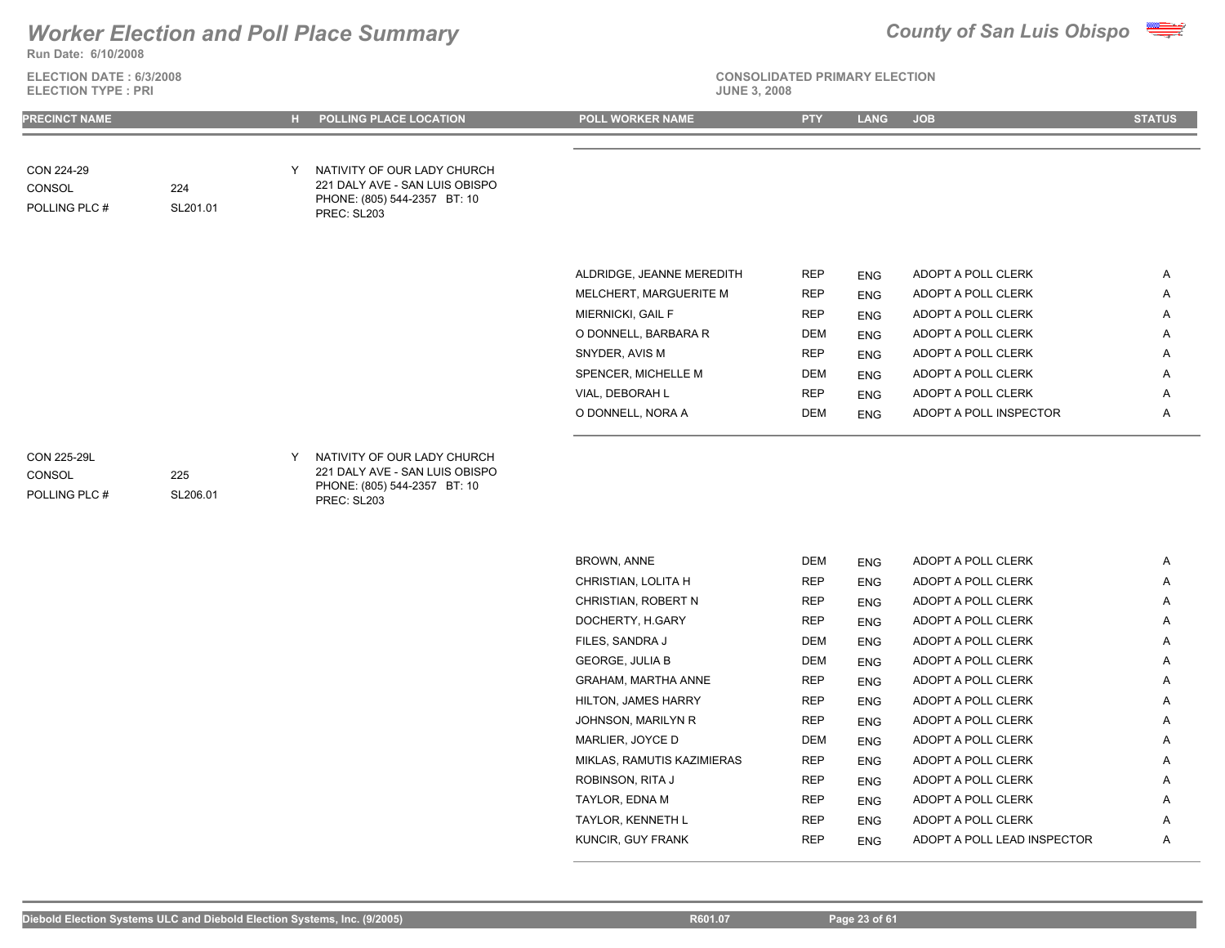

**Run Date: 6/10/2008**

**ELECTION DATE : 6/3/2008 ELECTION TYPE : PRI** 

# **CONSOLIDATED PRIMARY ELECTION**

|  |  | <b>JUNE 3, 200</b> |  |
|--|--|--------------------|--|
|  |  |                    |  |

| PRECINCT NAME                          |                 |   | POLLING PLACE LOCATION                                                                                       | <b>POLL WORKER NAME</b>    | <b>PTY</b> | <b>LANG</b> | <b>JOB</b>             | <b>STATUS</b> |
|----------------------------------------|-----------------|---|--------------------------------------------------------------------------------------------------------------|----------------------------|------------|-------------|------------------------|---------------|
|                                        |                 |   |                                                                                                              |                            |            |             |                        |               |
| CON 224-29<br>CONSOL<br>POLLING PLC #  | 224<br>SL201.01 | Y | NATIVITY OF OUR LADY CHURCH<br>221 DALY AVE - SAN LUIS OBISPO<br>PHONE: (805) 544-2357 BT: 10<br>PREC: SL203 |                            |            |             |                        |               |
|                                        |                 |   |                                                                                                              | ALDRIDGE, JEANNE MEREDITH  | <b>REP</b> | <b>ENG</b>  | ADOPT A POLL CLERK     | Α             |
|                                        |                 |   |                                                                                                              | MELCHERT, MARGUERITE M     | <b>REP</b> | <b>ENG</b>  | ADOPT A POLL CLERK     | A             |
|                                        |                 |   |                                                                                                              | MIERNICKI, GAIL F          | <b>REP</b> | <b>ENG</b>  | ADOPT A POLL CLERK     | Α             |
|                                        |                 |   |                                                                                                              | O DONNELL, BARBARA R       | DEM        | <b>ENG</b>  | ADOPT A POLL CLERK     | Α             |
|                                        |                 |   |                                                                                                              | SNYDER, AVIS M             | <b>REP</b> | <b>ENG</b>  | ADOPT A POLL CLERK     | Α             |
|                                        |                 |   |                                                                                                              | SPENCER, MICHELLE M        | DEM        | <b>ENG</b>  | ADOPT A POLL CLERK     | Α             |
|                                        |                 |   |                                                                                                              | VIAL, DEBORAH L            | <b>REP</b> | <b>ENG</b>  | ADOPT A POLL CLERK     | Α             |
|                                        |                 |   |                                                                                                              | O DONNELL, NORA A          | DEM        | <b>ENG</b>  | ADOPT A POLL INSPECTOR | Α             |
| CON 225-29L<br>CONSOL<br>POLLING PLC # | 225<br>SL206.01 | Y | NATIVITY OF OUR LADY CHURCH<br>221 DALY AVE - SAN LUIS OBISPO<br>PHONE: (805) 544-2357 BT: 10<br>PREC: SL203 |                            |            |             |                        |               |
|                                        |                 |   |                                                                                                              | BROWN, ANNE                | DEM        | <b>ENG</b>  | ADOPT A POLL CLERK     | A             |
|                                        |                 |   |                                                                                                              | CHRISTIAN, LOLITA H        | <b>REP</b> | <b>ENG</b>  | ADOPT A POLL CLERK     | Α             |
|                                        |                 |   |                                                                                                              | CHRISTIAN, ROBERT N        | <b>REP</b> | <b>ENG</b>  | ADOPT A POLL CLERK     | Α             |
|                                        |                 |   |                                                                                                              | DOCHERTY, H.GARY           | <b>REP</b> | <b>ENG</b>  | ADOPT A POLL CLERK     | Α             |
|                                        |                 |   |                                                                                                              | FILES, SANDRA J            | DEM        | <b>ENG</b>  | ADOPT A POLL CLERK     | Α             |
|                                        |                 |   |                                                                                                              | <b>GEORGE, JULIA B</b>     | DEM        | <b>ENG</b>  | ADOPT A POLL CLERK     | Α             |
|                                        |                 |   |                                                                                                              | GRAHAM, MARTHA ANNE        | <b>REP</b> | <b>ENG</b>  | ADOPT A POLL CLERK     | Α             |
|                                        |                 |   |                                                                                                              | <b>HILTON, JAMES HARRY</b> | <b>REP</b> | <b>ENG</b>  | ADOPT A POLL CLERK     | Α             |

JOHNSON, MARILYN R REP ENG ADOPT A POLL CLERK A MARLIER, JOYCE D DEM ENG ADOPT A POLL CLERK A MIKLAS, RAMUTIS KAZIMIERAS REP ENG ADOPT A POLL CLERK A ROBINSON, RITA J REP ENG ADOPT A POLL CLERK A A TAYLOR, EDNA M REP ENG ADOPT A POLL CLERK A TAYLOR, KENNETH L REP ENG ADOPT A POLL CLERK A KUNCIR, GUY FRANK **REP** ENG ADOPT A POLL LEAD INSPECTOR A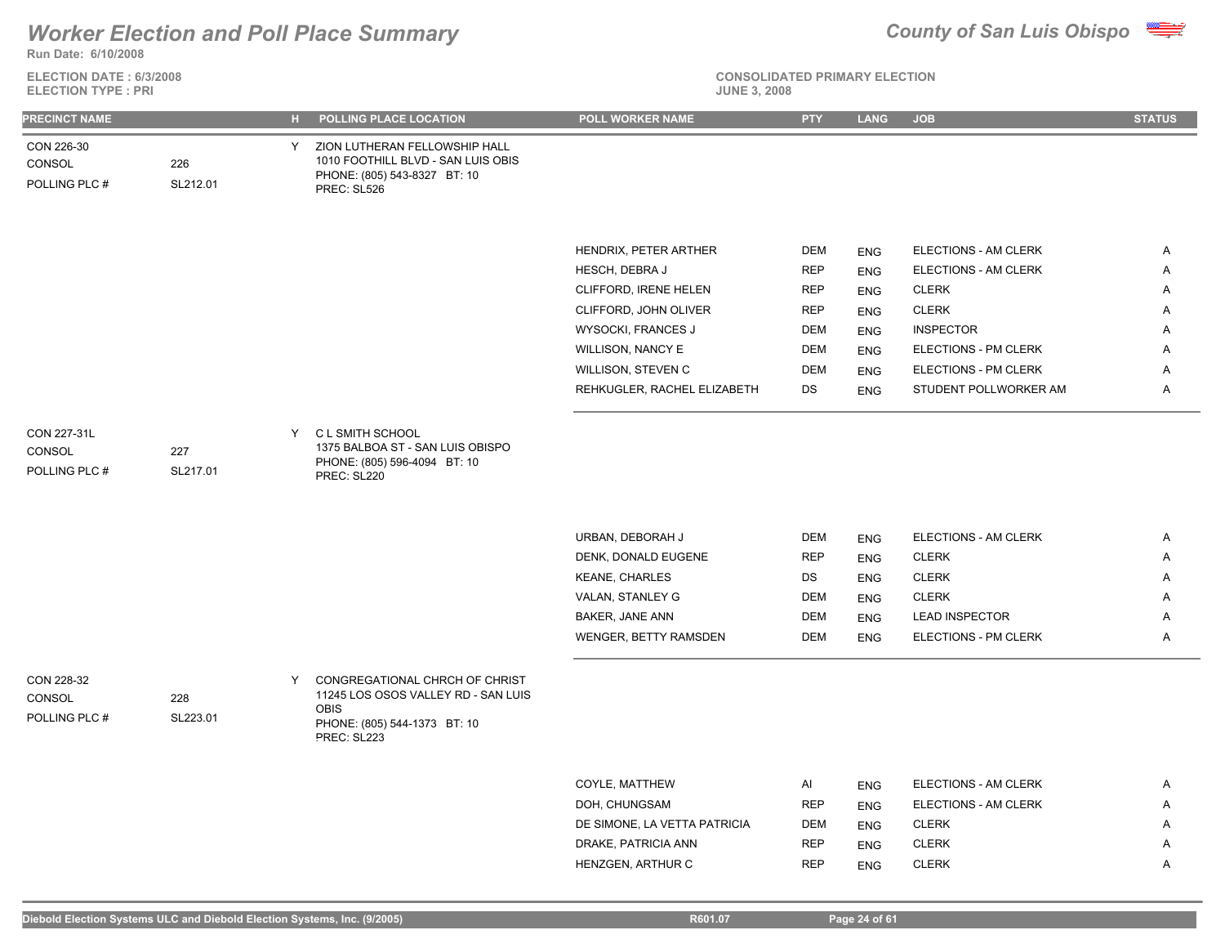

**Run Date: 6/10/2008**

**ELECTION DATE : 6/3/2008 ELECTION TYPE : PRI JUNE 3, 2008**

| <b>JUNE 3, 200</b> |  |  |
|--------------------|--|--|
|--------------------|--|--|

| <b>PRECINCT NAME</b>                   |                 |   | H POLLING PLACE LOCATION                                                                                           | <b>POLL WORKER NAME</b>      | <b>PTY</b> | <b>LANG</b> | <b>JOB</b>            | <b>STATUS</b> |
|----------------------------------------|-----------------|---|--------------------------------------------------------------------------------------------------------------------|------------------------------|------------|-------------|-----------------------|---------------|
| CON 226-30<br>CONSOL<br>POLLING PLC #  | 226<br>SL212.01 | Y | ZION LUTHERAN FELLOWSHIP HALL<br>1010 FOOTHILL BLVD - SAN LUIS OBIS<br>PHONE: (805) 543-8327 BT: 10<br>PREC: SL526 |                              |            |             |                       |               |
|                                        |                 |   |                                                                                                                    | HENDRIX, PETER ARTHER        | <b>DEM</b> | <b>ENG</b>  | ELECTIONS - AM CLERK  | A             |
|                                        |                 |   |                                                                                                                    | HESCH, DEBRA J               | <b>REP</b> | <b>ENG</b>  | ELECTIONS - AM CLERK  | Α             |
|                                        |                 |   |                                                                                                                    | CLIFFORD, IRENE HELEN        | <b>REP</b> | <b>ENG</b>  | <b>CLERK</b>          | A             |
|                                        |                 |   |                                                                                                                    | CLIFFORD, JOHN OLIVER        | <b>REP</b> | <b>ENG</b>  | <b>CLERK</b>          | Α             |
|                                        |                 |   |                                                                                                                    | WYSOCKI, FRANCES J           | DEM        | <b>ENG</b>  | <b>INSPECTOR</b>      | A             |
|                                        |                 |   |                                                                                                                    | WILLISON, NANCY E            | <b>DEM</b> | <b>ENG</b>  | ELECTIONS - PM CLERK  | A             |
|                                        |                 |   |                                                                                                                    | WILLISON, STEVEN C           | <b>DEM</b> | <b>ENG</b>  | ELECTIONS - PM CLERK  | A             |
|                                        |                 |   |                                                                                                                    | REHKUGLER, RACHEL ELIZABETH  | DS         | <b>ENG</b>  | STUDENT POLLWORKER AM | A             |
|                                        |                 |   |                                                                                                                    |                              |            |             |                       |               |
| CON 227-31L<br>CONSOL<br>POLLING PLC # | 227<br>SL217.01 | Y | C L SMITH SCHOOL<br>1375 BALBOA ST - SAN LUIS OBISPO<br>PHONE: (805) 596-4094 BT: 10<br>PREC: SL220                |                              |            |             |                       |               |
|                                        |                 |   |                                                                                                                    |                              |            |             |                       |               |
|                                        |                 |   |                                                                                                                    | URBAN, DEBORAH J             | <b>DEM</b> | <b>ENG</b>  | ELECTIONS - AM CLERK  | Α             |
|                                        |                 |   |                                                                                                                    | DENK, DONALD EUGENE          | <b>REP</b> | <b>ENG</b>  | <b>CLERK</b>          | A             |
|                                        |                 |   |                                                                                                                    | <b>KEANE, CHARLES</b>        | DS         | <b>ENG</b>  | <b>CLERK</b>          | Α             |
|                                        |                 |   |                                                                                                                    | VALAN, STANLEY G             | <b>DEM</b> | <b>ENG</b>  | <b>CLERK</b>          | Α             |
|                                        |                 |   |                                                                                                                    | BAKER, JANE ANN              | <b>DEM</b> | <b>ENG</b>  | <b>LEAD INSPECTOR</b> | Α             |
|                                        |                 |   |                                                                                                                    | WENGER, BETTY RAMSDEN        | <b>DEM</b> | <b>ENG</b>  | ELECTIONS - PM CLERK  | A             |
| CON 228-32                             |                 | Y | CONGREGATIONAL CHRCH OF CHRIST<br>11245 LOS OSOS VALLEY RD - SAN LUIS                                              |                              |            |             |                       |               |
| CONSOL<br>POLLING PLC #                | 228<br>SL223.01 |   | OBIS<br>PHONE: (805) 544-1373 BT: 10<br>PREC: SL223                                                                |                              |            |             |                       |               |
|                                        |                 |   |                                                                                                                    |                              |            |             |                       |               |
|                                        |                 |   |                                                                                                                    | COYLE, MATTHEW               | Al         | <b>ENG</b>  | ELECTIONS - AM CLERK  | Α             |
|                                        |                 |   |                                                                                                                    | DOH, CHUNGSAM                | <b>REP</b> | <b>ENG</b>  | ELECTIONS - AM CLERK  | A             |
|                                        |                 |   |                                                                                                                    | DE SIMONE, LA VETTA PATRICIA | DEM        | <b>ENG</b>  | <b>CLERK</b>          | A             |
|                                        |                 |   |                                                                                                                    | DRAKE, PATRICIA ANN          | <b>REP</b> | <b>ENG</b>  | <b>CLERK</b>          | A             |
|                                        |                 |   |                                                                                                                    | HENZGEN, ARTHUR C            | <b>REP</b> | <b>ENG</b>  | <b>CLERK</b>          | Α             |
|                                        |                 |   |                                                                                                                    |                              |            |             |                       |               |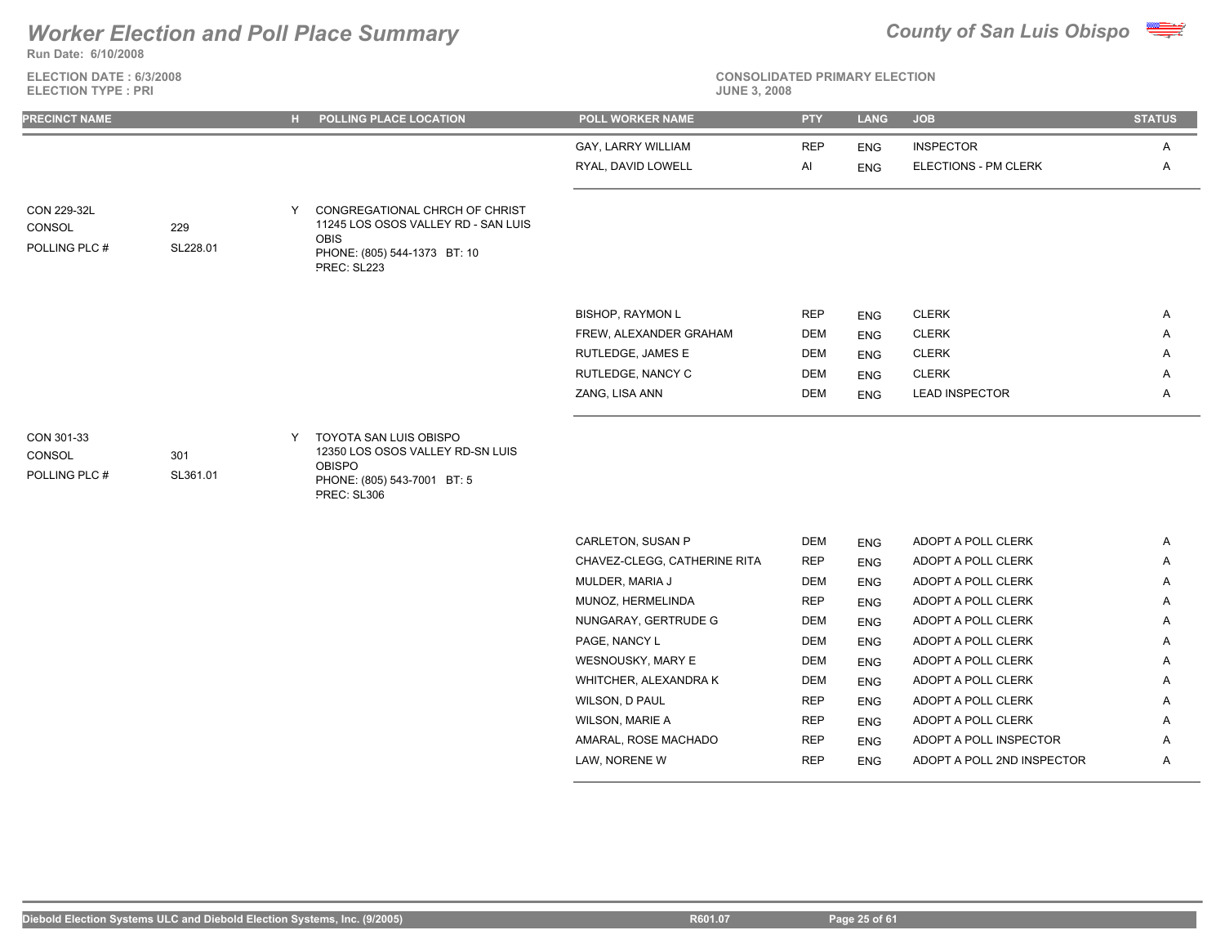**Run Date: 6/10/2008**

### **ELECTION DATE : 6/3/2008 ELECTION TYPE : PRI**



**CONSOLIDATED PRIMARY ELECTION**

| <b>PRECINCT NAME</b>                   |                 |   | H POLLING PLACE LOCATION                                                                                                     | <b>POLL WORKER NAME</b>      | <b>PTY</b> | <b>LANG</b> | <b>JOB</b>                  | <b>STATUS</b> |
|----------------------------------------|-----------------|---|------------------------------------------------------------------------------------------------------------------------------|------------------------------|------------|-------------|-----------------------------|---------------|
|                                        |                 |   |                                                                                                                              | GAY, LARRY WILLIAM           | <b>REP</b> | <b>ENG</b>  | <b>INSPECTOR</b>            | Α             |
|                                        |                 |   |                                                                                                                              | RYAL, DAVID LOWELL           | Al         | <b>ENG</b>  | <b>ELECTIONS - PM CLERK</b> | Α             |
|                                        |                 |   |                                                                                                                              |                              |            |             |                             |               |
| CON 229-32L<br>CONSOL<br>POLLING PLC # | 229<br>SL228.01 | Y | CONGREGATIONAL CHRCH OF CHRIST<br>11245 LOS OSOS VALLEY RD - SAN LUIS<br>OBIS<br>PHONE: (805) 544-1373 BT: 10<br>PREC: SL223 |                              |            |             |                             |               |
|                                        |                 |   |                                                                                                                              | <b>BISHOP, RAYMON L</b>      | <b>REP</b> | <b>ENG</b>  | <b>CLERK</b>                | A             |
|                                        |                 |   |                                                                                                                              | FREW, ALEXANDER GRAHAM       | <b>DEM</b> | <b>ENG</b>  | <b>CLERK</b>                | A             |
|                                        |                 |   |                                                                                                                              | RUTLEDGE, JAMES E            | <b>DEM</b> | <b>ENG</b>  | <b>CLERK</b>                | A             |
|                                        |                 |   |                                                                                                                              | RUTLEDGE, NANCY C            | <b>DEM</b> | <b>ENG</b>  | <b>CLERK</b>                | A             |
|                                        |                 |   |                                                                                                                              | ZANG, LISA ANN               | <b>DEM</b> | <b>ENG</b>  | <b>LEAD INSPECTOR</b>       | Α             |
| CON 301-33<br>CONSOL<br>POLLING PLC #  | 301<br>SL361.01 | Y | TOYOTA SAN LUIS OBISPO<br>12350 LOS OSOS VALLEY RD-SN LUIS<br><b>OBISPO</b><br>PHONE: (805) 543-7001 BT: 5<br>PREC: SL306    |                              |            |             |                             |               |
|                                        |                 |   |                                                                                                                              | CARLETON, SUSAN P            | <b>DEM</b> | <b>ENG</b>  | ADOPT A POLL CLERK          | A             |
|                                        |                 |   |                                                                                                                              | CHAVEZ-CLEGG, CATHERINE RITA | <b>REP</b> | <b>ENG</b>  | ADOPT A POLL CLERK          | A             |
|                                        |                 |   |                                                                                                                              | MULDER, MARIA J              | <b>DEM</b> | <b>ENG</b>  | ADOPT A POLL CLERK          | A             |
|                                        |                 |   |                                                                                                                              | MUNOZ, HERMELINDA            | <b>REP</b> | <b>ENG</b>  | ADOPT A POLL CLERK          | Α             |
|                                        |                 |   |                                                                                                                              | NUNGARAY, GERTRUDE G         | <b>DEM</b> | <b>ENG</b>  | ADOPT A POLL CLERK          | A             |
|                                        |                 |   |                                                                                                                              | PAGE, NANCY L                | <b>DEM</b> | <b>ENG</b>  | ADOPT A POLL CLERK          | Α             |
|                                        |                 |   |                                                                                                                              | WESNOUSKY, MARY E            | <b>DEM</b> | <b>ENG</b>  | ADOPT A POLL CLERK          | A             |
|                                        |                 |   |                                                                                                                              | WHITCHER, ALEXANDRA K        | <b>DEM</b> | <b>ENG</b>  | ADOPT A POLL CLERK          | A             |
|                                        |                 |   |                                                                                                                              | WILSON, D PAUL               | <b>REP</b> | <b>ENG</b>  | ADOPT A POLL CLERK          | Α             |
|                                        |                 |   |                                                                                                                              | <b>WILSON, MARIE A</b>       | <b>REP</b> | <b>ENG</b>  | ADOPT A POLL CLERK          | A             |

AMARAL, ROSE MACHADO REP ENG ADOPT A POLL INSPECTOR A LAW, NORENE W **REP** ENG ADOPT A POLL 2ND INSPECTOR A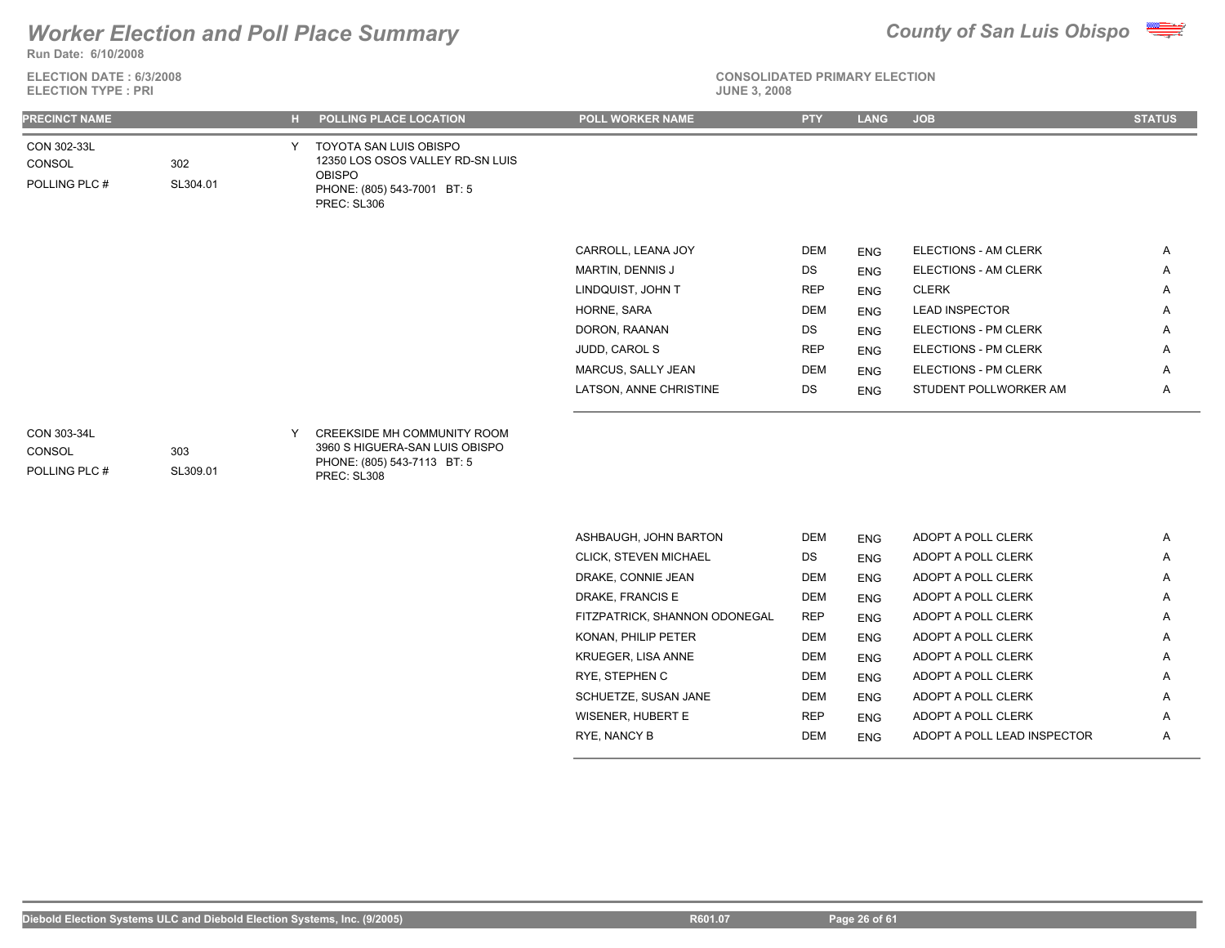

**Run Date: 6/10/2008**

**ELECTION DATE : 6/3/2008 ELECTION TYPE : PRI** 

|--|--|--|

| <b>PRECINCT NAME</b>                   |                 | <b>POLLING PLACE LOCATION</b>                                                                                             | <b>POLL WORKER NAME</b>      | <b>PTY</b> | <b>LANG</b> | <b>JOB</b>                  | <b>STATUS</b> |
|----------------------------------------|-----------------|---------------------------------------------------------------------------------------------------------------------------|------------------------------|------------|-------------|-----------------------------|---------------|
| CON 302-33L<br>CONSOL<br>POLLING PLC # | 302<br>SL304.01 | TOYOTA SAN LUIS OBISPO<br>12350 LOS OSOS VALLEY RD-SN LUIS<br><b>OBISPO</b><br>PHONE: (805) 543-7001 BT: 5<br>PREC: SL306 |                              |            |             |                             |               |
|                                        |                 |                                                                                                                           | CARROLL, LEANA JOY           | DEM        | <b>ENG</b>  | <b>ELECTIONS - AM CLERK</b> | Α             |
|                                        |                 |                                                                                                                           | MARTIN, DENNIS J             | DS         | <b>ENG</b>  | ELECTIONS - AM CLERK        | Α             |
|                                        |                 |                                                                                                                           | LINDQUIST, JOHN T            | <b>REP</b> | <b>ENG</b>  | <b>CLERK</b>                | Α             |
|                                        |                 |                                                                                                                           | HORNE, SARA                  | <b>DEM</b> | <b>ENG</b>  | <b>LEAD INSPECTOR</b>       | Α             |
|                                        |                 |                                                                                                                           | DORON, RAANAN                | DS         | <b>ENG</b>  | ELECTIONS - PM CLERK        | Α             |
|                                        |                 |                                                                                                                           | JUDD, CAROL S                | <b>REP</b> | <b>ENG</b>  | ELECTIONS - PM CLERK        | Α             |
|                                        |                 |                                                                                                                           | MARCUS, SALLY JEAN           | <b>DEM</b> | <b>ENG</b>  | ELECTIONS - PM CLERK        | Α             |
|                                        |                 |                                                                                                                           | LATSON, ANNE CHRISTINE       | DS         | <b>ENG</b>  | STUDENT POLLWORKER AM       | Α             |
| CON 303-34L<br>CONSOL<br>POLLING PLC # | 303<br>SL309.01 | CREEKSIDE MH COMMUNITY ROOM<br>3960 S HIGUERA-SAN LUIS OBISPO<br>PHONE: (805) 543-7113 BT: 5<br>PREC: SL308               |                              |            |             |                             |               |
|                                        |                 |                                                                                                                           |                              |            |             |                             |               |
|                                        |                 |                                                                                                                           | ASHBAUGH, JOHN BARTON        | <b>DEM</b> | <b>ENG</b>  | ADOPT A POLL CLERK          | Α             |
|                                        |                 |                                                                                                                           | <b>CLICK, STEVEN MICHAEL</b> | DS         | <b>ENG</b>  | ADOPT A POLL CLERK          | Α             |
|                                        |                 |                                                                                                                           | DRAKE, CONNIE JEAN           | <b>DEM</b> | <b>ENG</b>  | ADOPT A POLL CLERK          | A             |

| <b>CLICK. STEVEN MICHAEL</b>  | DS.        | <b>ENG</b> | ADOPT A POLL CLERK          | A |
|-------------------------------|------------|------------|-----------------------------|---|
| DRAKE, CONNIE JEAN            | <b>DEM</b> | <b>ENG</b> | ADOPT A POLL CLERK          | A |
| DRAKE, FRANCIS E              | DEM        | <b>ENG</b> | ADOPT A POLL CLERK          | A |
| FITZPATRICK, SHANNON ODONEGAL | <b>REP</b> | <b>ENG</b> | ADOPT A POLL CLERK          | A |
| KONAN. PHILIP PETER           | DEM        | <b>ENG</b> | ADOPT A POLL CLERK          | A |
| <b>KRUEGER, LISA ANNE</b>     | <b>DEM</b> | <b>ENG</b> | ADOPT A POLL CLERK          | A |
| RYE. STEPHEN C                | <b>DEM</b> | <b>ENG</b> | ADOPT A POLL CLERK          | A |
| SCHUETZE, SUSAN JANE          | <b>DEM</b> | <b>ENG</b> | ADOPT A POLL CLERK          | A |
| WISENER, HUBERT E             | <b>REP</b> | <b>ENG</b> | ADOPT A POLL CLERK          | A |
| RYE, NANCY B                  | <b>DEM</b> | <b>ENG</b> | ADOPT A POLL LEAD INSPECTOR | A |
|                               |            |            |                             |   |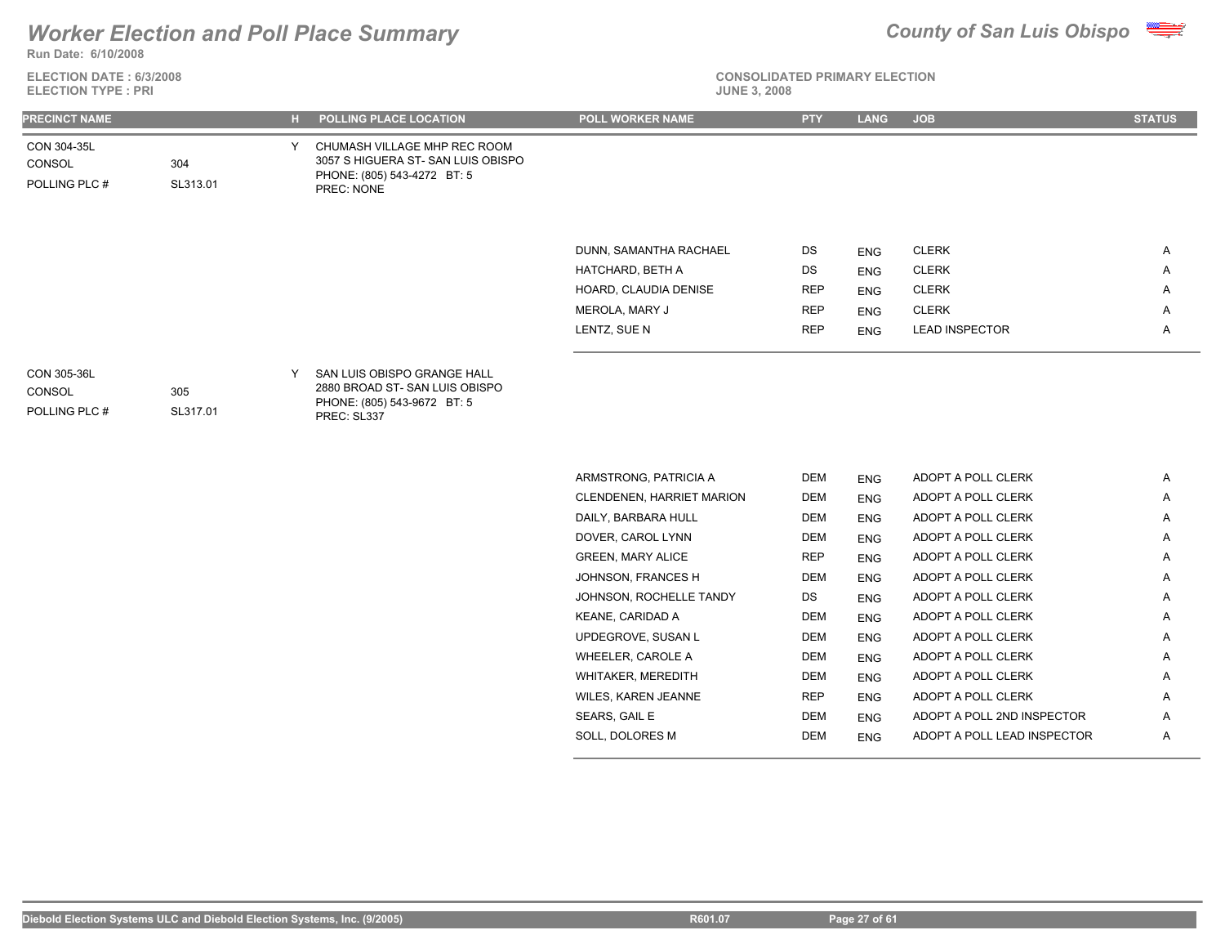

**ELECTION DATE : 6/3/2008 ELECTION TYPE : PRI** 



| PRECINCT NAME                          |                 |   | H POLLING PLACE LOCATION                                                                                        | <b>POLL WORKER NAME</b> | <b>PTY</b> | <b>LANG</b> | <b>JOB</b>            | <b>STATUS</b> |
|----------------------------------------|-----------------|---|-----------------------------------------------------------------------------------------------------------------|-------------------------|------------|-------------|-----------------------|---------------|
| CON 304-35L<br>CONSOL<br>POLLING PLC # | 304<br>SL313.01 | Y | CHUMASH VILLAGE MHP REC ROOM<br>3057 S HIGUERA ST- SAN LUIS OBISPO<br>PHONE: (805) 543-4272 BT: 5<br>PREC: NONE |                         |            |             |                       |               |
|                                        |                 |   |                                                                                                                 | DUNN, SAMANTHA RACHAEL  | DS         | <b>ENG</b>  | <b>CLERK</b>          | Α             |
|                                        |                 |   |                                                                                                                 | HATCHARD, BETH A        | DS         | ENG         | <b>CLERK</b>          | Α             |
|                                        |                 |   |                                                                                                                 | HOARD, CLAUDIA DENISE   | <b>REP</b> | ENG         | <b>CLERK</b>          | A             |
|                                        |                 |   |                                                                                                                 | MEROLA, MARY J          | <b>REP</b> | ENG         | <b>CLERK</b>          | Α             |
|                                        |                 |   |                                                                                                                 | LENTZ, SUE N            | <b>REP</b> | <b>ENG</b>  | <b>LEAD INSPECTOR</b> | Α             |
| CON 305-36L<br>CONSOL<br>POLLING PLC # | 305<br>SL317.01 | Y | SAN LUIS OBISPO GRANGE HALL<br>2880 BROAD ST-SAN LUIS OBISPO<br>PHONE: (805) 543-9672 BT: 5<br>PREC: SL337      |                         |            |             |                       |               |

| ARMSTRONG, PATRICIA A            | <b>DEM</b> | <b>ENG</b> | ADOPT A POLL CLERK          | A |
|----------------------------------|------------|------------|-----------------------------|---|
| <b>CLENDENEN, HARRIET MARION</b> | DEM        | <b>ENG</b> | ADOPT A POLL CLERK          | A |
| DAILY, BARBARA HULL              | DEM        | <b>ENG</b> | ADOPT A POLL CLERK          | A |
| DOVER, CAROL LYNN                | DEM        | <b>ENG</b> | ADOPT A POLL CLERK          | A |
| <b>GREEN, MARY ALICE</b>         | <b>REP</b> | <b>ENG</b> | ADOPT A POLL CLERK          | A |
| JOHNSON, FRANCES H               | DEM        | <b>ENG</b> | ADOPT A POLL CLERK          | A |
| JOHNSON, ROCHELLE TANDY          | DS         | <b>ENG</b> | ADOPT A POLL CLERK          | Α |
| KEANE, CARIDAD A                 | DEM        | <b>ENG</b> | ADOPT A POLL CLERK          | A |
| UPDEGROVE, SUSAN L               | DEM        | <b>ENG</b> | ADOPT A POLL CLERK          | Α |
| WHEELER, CAROLE A                | DEM        | <b>ENG</b> | ADOPT A POLL CLERK          | Α |
| WHITAKER, MEREDITH               | DEM        | <b>ENG</b> | ADOPT A POLL CLERK          | A |
| <b>WILES, KAREN JEANNE</b>       | <b>REP</b> | <b>ENG</b> | ADOPT A POLL CLERK          | A |
| SEARS, GAIL E                    | DEM        | <b>ENG</b> | ADOPT A POLL 2ND INSPECTOR  | A |
| SOLL, DOLORES M                  | DEM        | <b>ENG</b> | ADOPT A POLL LEAD INSPECTOR | A |
|                                  |            |            |                             |   |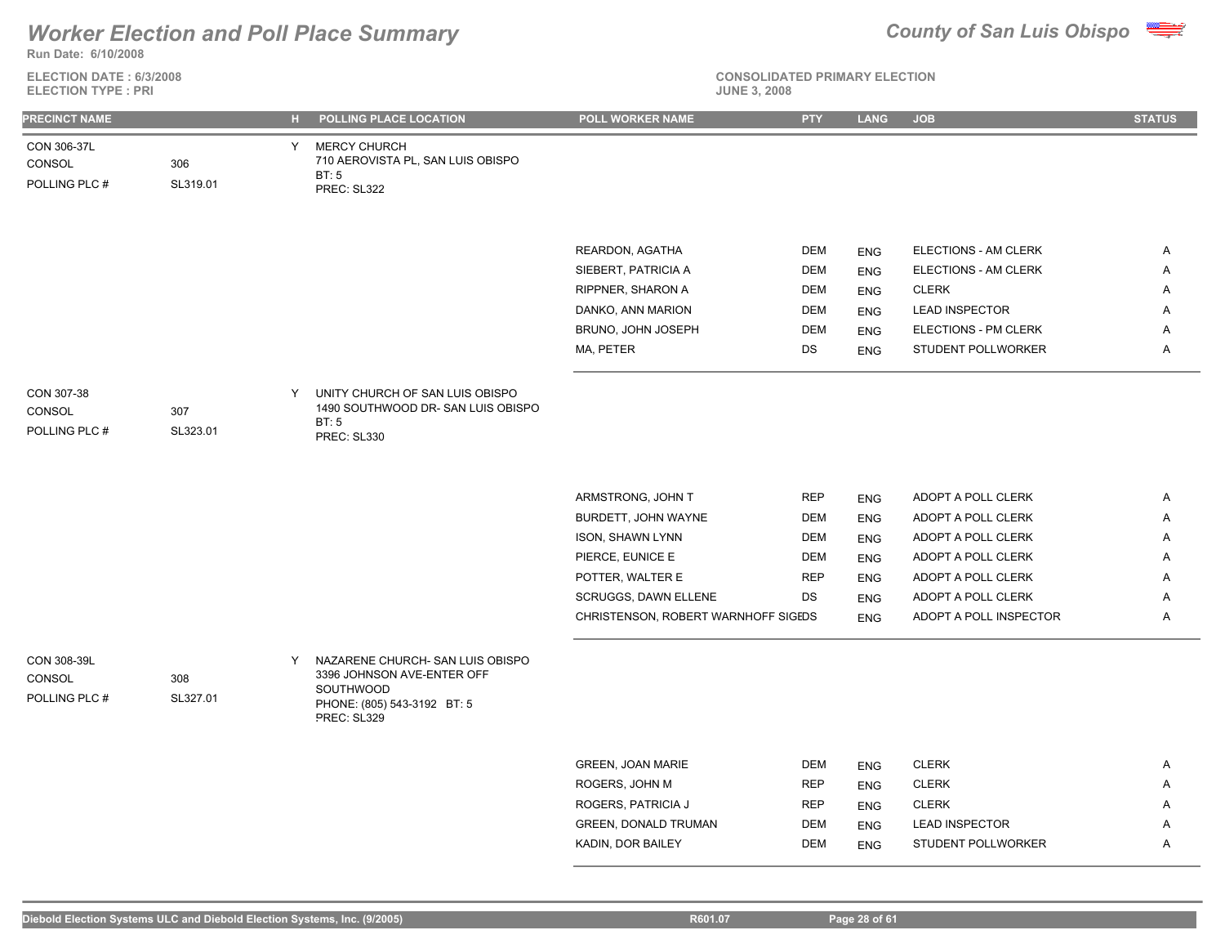

**Run Date: 6/10/2008**

**ELECTION DATE : 6/3/2008 ELECTION TYPE : PRI** 

# **CONSOLIDATED PRIMARY ELECTION**

| <b>PRECINCT NAME</b>                   |                 |   | H POLLING PLACE LOCATION                                                                                                  | POLL WORKER NAME                     | <b>PTY</b>        | <b>LANG</b> | <b>JOB</b>                   | <b>STATUS</b> |
|----------------------------------------|-----------------|---|---------------------------------------------------------------------------------------------------------------------------|--------------------------------------|-------------------|-------------|------------------------------|---------------|
| CON 306-37L<br>CONSOL<br>POLLING PLC # | 306<br>SL319.01 | Y | <b>MERCY CHURCH</b><br>710 AEROVISTA PL, SAN LUIS OBISPO<br>BT:5<br>PREC: SL322                                           |                                      |                   |             |                              |               |
|                                        |                 |   |                                                                                                                           |                                      |                   |             |                              |               |
|                                        |                 |   |                                                                                                                           | REARDON, AGATHA                      | DEM               | <b>ENG</b>  | ELECTIONS - AM CLERK         | $\mathsf{A}$  |
|                                        |                 |   |                                                                                                                           | SIEBERT, PATRICIA A                  | DEM               | <b>ENG</b>  | ELECTIONS - AM CLERK         | A             |
|                                        |                 |   |                                                                                                                           | RIPPNER, SHARON A                    | <b>DEM</b>        | <b>ENG</b>  | <b>CLERK</b>                 | Α             |
|                                        |                 |   |                                                                                                                           | DANKO, ANN MARION                    | <b>DEM</b>        | <b>ENG</b>  | <b>LEAD INSPECTOR</b>        | A             |
|                                        |                 |   |                                                                                                                           | BRUNO, JOHN JOSEPH                   | <b>DEM</b>        | <b>ENG</b>  | ELECTIONS - PM CLERK         | Α             |
|                                        |                 |   |                                                                                                                           | MA, PETER                            | DS                | <b>ENG</b>  | STUDENT POLLWORKER           | A             |
| CON 307-38<br>CONSOL<br>POLLING PLC #  | 307<br>SL323.01 | Y | UNITY CHURCH OF SAN LUIS OBISPO<br>1490 SOUTHWOOD DR- SAN LUIS OBISPO<br>BT:5<br>PREC: SL330                              |                                      |                   |             |                              |               |
|                                        |                 |   |                                                                                                                           |                                      |                   |             |                              |               |
|                                        |                 |   |                                                                                                                           | ARMSTRONG, JOHN T                    | <b>REP</b>        | <b>ENG</b>  | ADOPT A POLL CLERK           | $\mathsf{A}$  |
|                                        |                 |   |                                                                                                                           | BURDETT, JOHN WAYNE                  | DEM               | <b>ENG</b>  | ADOPT A POLL CLERK           | A             |
|                                        |                 |   |                                                                                                                           | ISON, SHAWN LYNN                     | <b>DEM</b>        | <b>ENG</b>  | ADOPT A POLL CLERK           | Α             |
|                                        |                 |   |                                                                                                                           | PIERCE, EUNICE E                     | <b>DEM</b>        | <b>ENG</b>  | ADOPT A POLL CLERK           | A             |
|                                        |                 |   |                                                                                                                           | POTTER, WALTER E                     | <b>REP</b>        | <b>ENG</b>  | ADOPT A POLL CLERK           | Α             |
|                                        |                 |   |                                                                                                                           | SCRUGGS, DAWN ELLENE                 | DS                | <b>ENG</b>  | ADOPT A POLL CLERK           | Α             |
|                                        |                 |   |                                                                                                                           | CHRISTENSON, ROBERT WARNHOFF SIGEDS  |                   | <b>ENG</b>  | ADOPT A POLL INSPECTOR       | Α             |
| CON 308-39L<br>CONSOL<br>POLLING PLC # | 308<br>SL327.01 | Y | NAZARENE CHURCH- SAN LUIS OBISPO<br>3396 JOHNSON AVE-ENTER OFF<br>SOUTHWOOD<br>PHONE: (805) 543-3192 BT: 5<br>PREC: SL329 |                                      |                   |             |                              |               |
|                                        |                 |   |                                                                                                                           |                                      |                   |             |                              |               |
|                                        |                 |   |                                                                                                                           | GREEN, JOAN MARIE                    | <b>DEM</b>        | <b>ENG</b>  | <b>CLERK</b>                 | Α             |
|                                        |                 |   |                                                                                                                           | ROGERS, JOHN M<br>ROGERS, PATRICIA J | REP<br><b>REP</b> | ENG         | <b>CLERK</b><br><b>CLERK</b> | Α             |
|                                        |                 |   |                                                                                                                           | <b>GREEN, DONALD TRUMAN</b>          | <b>DEM</b>        | <b>ENG</b>  | <b>LEAD INSPECTOR</b>        | A<br>A        |
|                                        |                 |   |                                                                                                                           |                                      |                   | <b>ENG</b>  |                              |               |

KADIN, DOR BAILEY **DEM** ENG STUDENT POLLWORKER A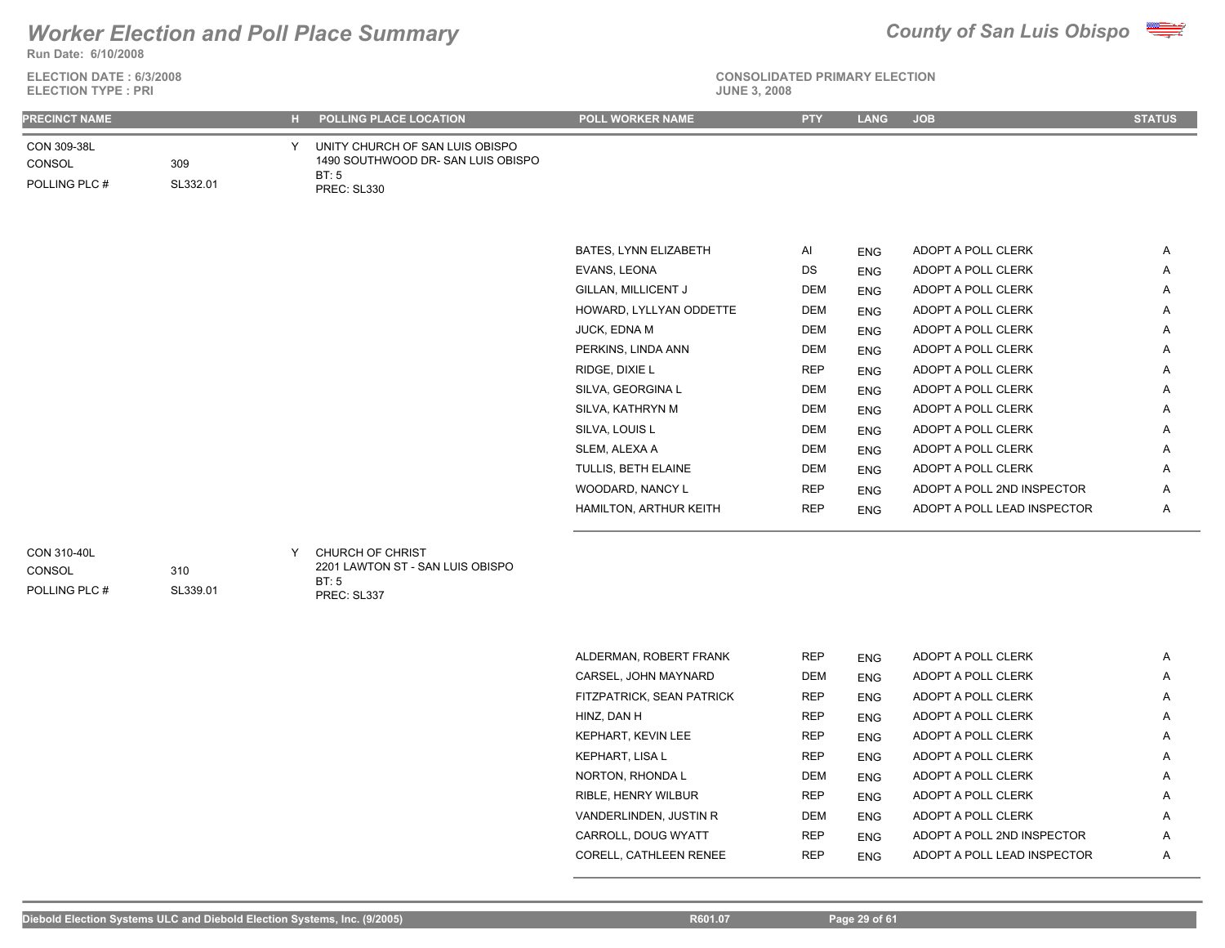### **Run Date: 6/10/2008** *Worker Election and Poll Place Summary County of San Luis Obispo*



**ELECTION DATE : 6/3/2008**<br>**ELECTION TYPE : PPI** 

### **CONSOLIDATED PRIMARY ELECTION**

| <b>ELECTION TYPE: PRI</b>              |                 |    |                                                                                              | <b>JUNE 3, 2008</b>       |            |             |                             |               |
|----------------------------------------|-----------------|----|----------------------------------------------------------------------------------------------|---------------------------|------------|-------------|-----------------------------|---------------|
| <b>PRECINCT NAME</b>                   |                 | H. | POLLING PLACE LOCATION                                                                       | POLL WORKER NAME          | <b>PTY</b> | <b>LANG</b> | <b>JOB</b>                  | <b>STATUS</b> |
| CON 309-38L<br>CONSOL<br>POLLING PLC # | 309<br>SL332.01 | Y  | UNITY CHURCH OF SAN LUIS OBISPO<br>1490 SOUTHWOOD DR- SAN LUIS OBISPO<br>BT:5<br>PREC: SL330 |                           |            |             |                             |               |
|                                        |                 |    |                                                                                              | BATES, LYNN ELIZABETH     | Al         | <b>ENG</b>  | ADOPT A POLL CLERK          | Α             |
|                                        |                 |    |                                                                                              | EVANS, LEONA              | DS         | <b>ENG</b>  | ADOPT A POLL CLERK          | Α             |
|                                        |                 |    |                                                                                              | GILLAN, MILLICENT J       | <b>DEM</b> | <b>ENG</b>  | ADOPT A POLL CLERK          | Α             |
|                                        |                 |    |                                                                                              | HOWARD, LYLLYAN ODDETTE   | <b>DEM</b> | <b>ENG</b>  | ADOPT A POLL CLERK          | Α             |
|                                        |                 |    |                                                                                              | JUCK, EDNA M              | <b>DEM</b> | <b>ENG</b>  | ADOPT A POLL CLERK          | Α             |
|                                        |                 |    |                                                                                              | PERKINS, LINDA ANN        | <b>DEM</b> | <b>ENG</b>  | ADOPT A POLL CLERK          | Α             |
|                                        |                 |    |                                                                                              | RIDGE, DIXIE L            | <b>REP</b> | <b>ENG</b>  | ADOPT A POLL CLERK          | Α             |
|                                        |                 |    |                                                                                              | SILVA, GEORGINA L         | <b>DEM</b> | <b>ENG</b>  | ADOPT A POLL CLERK          | Α             |
|                                        |                 |    |                                                                                              | SILVA, KATHRYN M          | <b>DEM</b> | <b>ENG</b>  | ADOPT A POLL CLERK          | Α             |
|                                        |                 |    |                                                                                              | SILVA, LOUIS L            | <b>DEM</b> | <b>ENG</b>  | ADOPT A POLL CLERK          | Α             |
|                                        |                 |    |                                                                                              | SLEM, ALEXA A             | <b>DEM</b> | <b>ENG</b>  | ADOPT A POLL CLERK          | Α             |
|                                        |                 |    |                                                                                              | TULLIS, BETH ELAINE       | <b>DEM</b> | <b>ENG</b>  | ADOPT A POLL CLERK          | Α             |
|                                        |                 |    |                                                                                              | WOODARD, NANCY L          | <b>REP</b> | <b>ENG</b>  | ADOPT A POLL 2ND INSPECTOR  | Α             |
|                                        |                 |    |                                                                                              | HAMILTON, ARTHUR KEITH    | <b>REP</b> | <b>ENG</b>  | ADOPT A POLL LEAD INSPECTOR | Α             |
| CON 310-40L<br>CONSOL<br>POLLING PLC # | 310<br>SL339.01 | Y  | CHURCH OF CHRIST<br>2201 LAWTON ST - SAN LUIS OBISPO<br><b>BT: 5</b><br>PREC: SL337          |                           |            |             |                             |               |
|                                        |                 |    |                                                                                              |                           |            |             |                             |               |
|                                        |                 |    |                                                                                              | ALDERMAN, ROBERT FRANK    | <b>REP</b> | <b>ENG</b>  | ADOPT A POLL CLERK          | Α             |
|                                        |                 |    |                                                                                              | CARSEL, JOHN MAYNARD      | DEM        | <b>ENG</b>  | ADOPT A POLL CLERK          | A             |
|                                        |                 |    |                                                                                              | FITZPATRICK, SEAN PATRICK | <b>REP</b> | <b>ENG</b>  | ADOPT A POLL CLERK          | Α             |
|                                        |                 |    |                                                                                              | HINZ, DAN H               | <b>REP</b> | <b>ENG</b>  | ADOPT A POLL CLERK          | Α             |
|                                        |                 |    |                                                                                              | <b>KEPHART, KEVIN LEE</b> | <b>REP</b> | <b>ENG</b>  | ADOPT A POLL CLERK          | Α             |

KEPHART, LISA L **REP** ENG ADOPT A POLL CLERK A NORTON, RHONDA L DEM ENG ADOPT A POLL CLERK A RIBLE, HENRY WILBUR **REP** ENG ADOPT A POLL CLERK A VANDERLINDEN, JUSTIN R DEM ENG ADOPT A POLL CLERK A CARROLL, DOUG WYATT REP ENG ADOPT A POLL 2ND INSPECTOR A A CORELL, CATHLEEN RENEE REP ENG ADOPT A POLL LEAD INSPECTOR A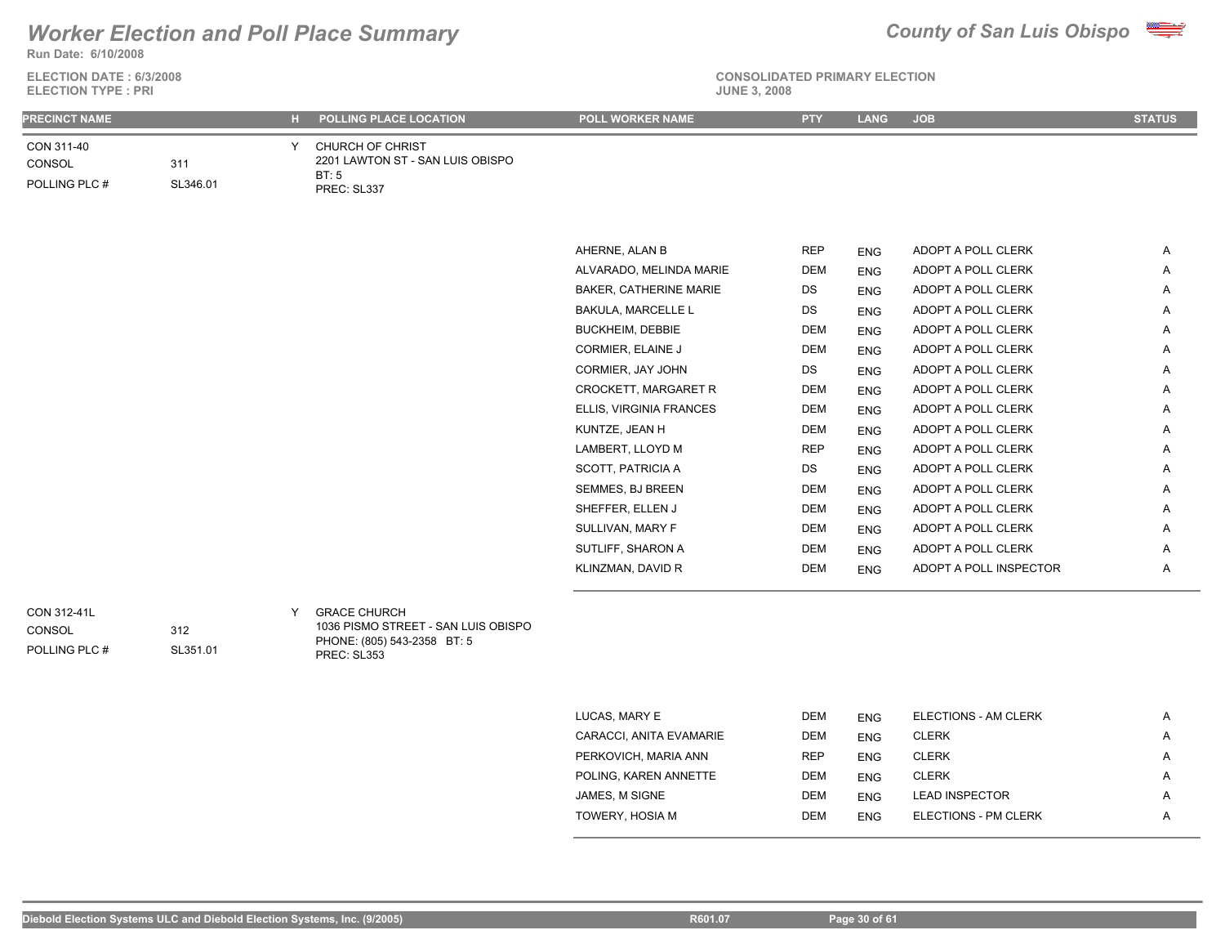### **Run Date: 6/10/2008** *Worker Election and Poll Place Summary County of San Luis Obispo*



**ELECTION DATE : 6/3/2008**

| <b>ELECTION TYPE: PRI</b>              |                 |   |                                                                                                          | <b>JUNE 3, 2008</b>       |            |            |                        |               |  |
|----------------------------------------|-----------------|---|----------------------------------------------------------------------------------------------------------|---------------------------|------------|------------|------------------------|---------------|--|
| <b>PRECINCT NAME</b>                   |                 |   | H POLLING PLACE LOCATION                                                                                 | POLL WORKER NAME          | <b>PTY</b> | LANG       | <b>JOB</b>             | <b>STATUS</b> |  |
| CON 311-40<br>CONSOL<br>POLLING PLC #  | 311<br>SL346.01 | Y | CHURCH OF CHRIST<br>2201 LAWTON ST - SAN LUIS OBISPO<br>BT:5<br>PREC: SL337                              |                           |            |            |                        |               |  |
|                                        |                 |   |                                                                                                          | AHERNE, ALAN B            | <b>REP</b> | <b>ENG</b> | ADOPT A POLL CLERK     | A             |  |
|                                        |                 |   |                                                                                                          | ALVARADO, MELINDA MARIE   | <b>DEM</b> | <b>ENG</b> | ADOPT A POLL CLERK     | A             |  |
|                                        |                 |   |                                                                                                          | BAKER, CATHERINE MARIE    | DS         | ENG        | ADOPT A POLL CLERK     | A             |  |
|                                        |                 |   |                                                                                                          | <b>BAKULA, MARCELLE L</b> | DS         | <b>ENG</b> | ADOPT A POLL CLERK     | A             |  |
|                                        |                 |   |                                                                                                          | <b>BUCKHEIM, DEBBIE</b>   | <b>DEM</b> | <b>ENG</b> | ADOPT A POLL CLERK     | A             |  |
|                                        |                 |   |                                                                                                          | CORMIER, ELAINE J         | <b>DEM</b> | <b>ENG</b> | ADOPT A POLL CLERK     | A             |  |
|                                        |                 |   |                                                                                                          | CORMIER, JAY JOHN         | DS         | <b>ENG</b> | ADOPT A POLL CLERK     | A             |  |
|                                        |                 |   |                                                                                                          | CROCKETT, MARGARET R      | <b>DEM</b> | <b>ENG</b> | ADOPT A POLL CLERK     | A             |  |
|                                        |                 |   |                                                                                                          | ELLIS, VIRGINIA FRANCES   | DEM        | <b>ENG</b> | ADOPT A POLL CLERK     | A             |  |
|                                        |                 |   |                                                                                                          | KUNTZE, JEAN H            | <b>DEM</b> | <b>ENG</b> | ADOPT A POLL CLERK     | A             |  |
|                                        |                 |   |                                                                                                          | LAMBERT, LLOYD M          | <b>REP</b> | ENG        | ADOPT A POLL CLERK     | A             |  |
|                                        |                 |   |                                                                                                          | <b>SCOTT, PATRICIA A</b>  | DS         | <b>ENG</b> | ADOPT A POLL CLERK     | A             |  |
|                                        |                 |   |                                                                                                          | SEMMES, BJ BREEN          | <b>DEM</b> | <b>ENG</b> | ADOPT A POLL CLERK     | A             |  |
|                                        |                 |   |                                                                                                          | SHEFFER, ELLEN J          | DEM        | <b>ENG</b> | ADOPT A POLL CLERK     | A             |  |
|                                        |                 |   |                                                                                                          | SULLIVAN, MARY F          | <b>DEM</b> | <b>ENG</b> | ADOPT A POLL CLERK     | A             |  |
|                                        |                 |   |                                                                                                          | SUTLIFF, SHARON A         | <b>DEM</b> | <b>ENG</b> | ADOPT A POLL CLERK     | A             |  |
|                                        |                 |   |                                                                                                          | KLINZMAN, DAVID R         | <b>DEM</b> | <b>ENG</b> | ADOPT A POLL INSPECTOR | A             |  |
| CON 312-41L<br>CONSOL<br>POLLING PLC # | 312<br>SL351.01 | Y | <b>GRACE CHURCH</b><br>1036 PISMO STREET - SAN LUIS OBISPO<br>PHONE: (805) 543-2358 BT: 5<br>PREC: SL353 |                           |            |            |                        |               |  |

| LUCAS, MARY E           | <b>DEM</b> | <b>ENG</b> | <b>ELECTIONS - AM CLERK</b> | A |
|-------------------------|------------|------------|-----------------------------|---|
| CARACCI, ANITA EVAMARIE | <b>DEM</b> | <b>ENG</b> | <b>CLERK</b>                | A |
| PERKOVICH, MARIA ANN    | <b>REP</b> | <b>ENG</b> | <b>CLERK</b>                | A |
| POLING. KAREN ANNETTE   | <b>DEM</b> | <b>ENG</b> | <b>CLERK</b>                | Α |
| JAMES, M SIGNE          | <b>DEM</b> | <b>ENG</b> | <b>LEAD INSPECTOR</b>       | Α |
| TOWERY, HOSIA M         | <b>DEM</b> | <b>ENG</b> | <b>ELECTIONS - PM CLERK</b> | Α |
|                         |            |            |                             |   |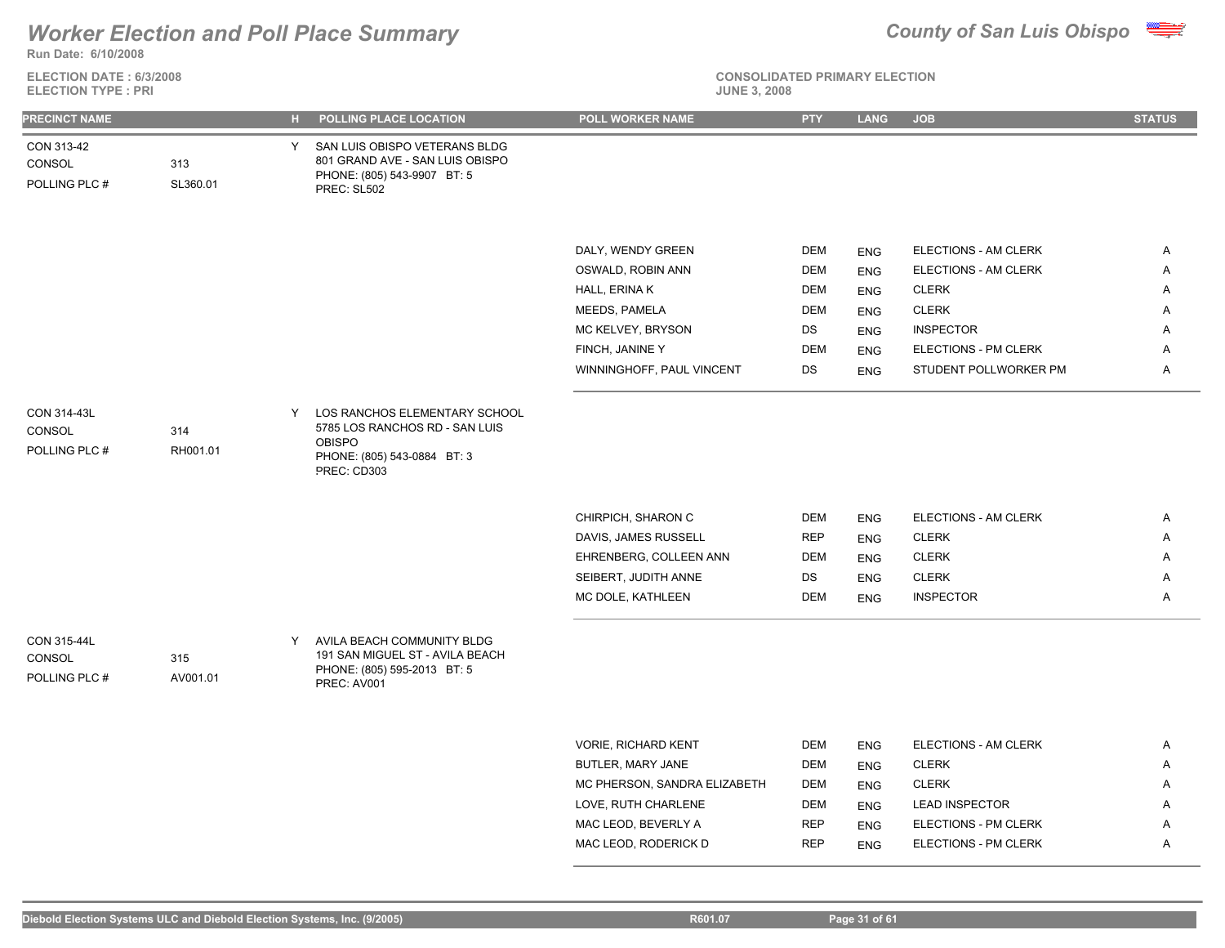

**ELECTION DATE : 6/3/2008**



### **CONSOLIDATED PRIMARY ELECTION ELECTION TYPE : PRI JUNE 3, 2008**

|  |  |  | <b>JUNE 3, 20</b> |
|--|--|--|-------------------|
|  |  |  |                   |

| <b>PRECINCT NAME</b>                   |                 | н. | POLLING PLACE LOCATION                                                                                                           | POLL WORKER NAME             | <b>PTY</b> | <b>LANG</b> | <b>JOB</b>            | <b>STATUS</b> |
|----------------------------------------|-----------------|----|----------------------------------------------------------------------------------------------------------------------------------|------------------------------|------------|-------------|-----------------------|---------------|
| CON 313-42<br>CONSOL<br>POLLING PLC #  | 313<br>SL360.01 | Y. | SAN LUIS OBISPO VETERANS BLDG<br>801 GRAND AVE - SAN LUIS OBISPO<br>PHONE: (805) 543-9907 BT: 5<br>PREC: SL502                   |                              |            |             |                       |               |
|                                        |                 |    |                                                                                                                                  | DALY, WENDY GREEN            | <b>DEM</b> | <b>ENG</b>  | ELECTIONS - AM CLERK  | A             |
|                                        |                 |    |                                                                                                                                  | OSWALD, ROBIN ANN            | <b>DEM</b> | <b>ENG</b>  | ELECTIONS - AM CLERK  | Α             |
|                                        |                 |    |                                                                                                                                  | HALL, ERINA K                | <b>DEM</b> | <b>ENG</b>  | <b>CLERK</b>          | Α             |
|                                        |                 |    |                                                                                                                                  | MEEDS, PAMELA                | <b>DEM</b> | <b>ENG</b>  | <b>CLERK</b>          | Α             |
|                                        |                 |    |                                                                                                                                  | MC KELVEY, BRYSON            | DS         | <b>ENG</b>  | <b>INSPECTOR</b>      | Α             |
|                                        |                 |    |                                                                                                                                  | FINCH, JANINE Y              | <b>DEM</b> | <b>ENG</b>  | ELECTIONS - PM CLERK  | Α             |
|                                        |                 |    |                                                                                                                                  | WINNINGHOFF, PAUL VINCENT    | DS         | <b>ENG</b>  | STUDENT POLLWORKER PM | Α             |
| CON 314-43L<br>CONSOL<br>POLLING PLC # | 314<br>RH001.01 |    | Y LOS RANCHOS ELEMENTARY SCHOOL<br>5785 LOS RANCHOS RD - SAN LUIS<br><b>OBISPO</b><br>PHONE: (805) 543-0884 BT: 3<br>PREC: CD303 |                              |            |             |                       |               |
|                                        |                 |    |                                                                                                                                  | CHIRPICH, SHARON C           | <b>DEM</b> | <b>ENG</b>  | ELECTIONS - AM CLERK  | A             |
|                                        |                 |    |                                                                                                                                  | DAVIS, JAMES RUSSELL         | <b>REP</b> | <b>ENG</b>  | <b>CLERK</b>          | Α             |
|                                        |                 |    |                                                                                                                                  | EHRENBERG, COLLEEN ANN       | <b>DEM</b> | <b>ENG</b>  | <b>CLERK</b>          | Α             |
|                                        |                 |    |                                                                                                                                  | SEIBERT, JUDITH ANNE         | DS         | <b>ENG</b>  | <b>CLERK</b>          | Α             |
|                                        |                 |    |                                                                                                                                  | MC DOLE, KATHLEEN            | <b>DEM</b> | <b>ENG</b>  | <b>INSPECTOR</b>      | Α             |
| CON 315-44L<br>CONSOL<br>POLLING PLC # | 315<br>AV001.01 | Y  | AVILA BEACH COMMUNITY BLDG<br>191 SAN MIGUEL ST - AVILA BEACH<br>PHONE: (805) 595-2013 BT: 5<br>PREC: AV001                      |                              |            |             |                       |               |
|                                        |                 |    |                                                                                                                                  |                              |            |             |                       |               |
|                                        |                 |    |                                                                                                                                  | <b>VORIE, RICHARD KENT</b>   | <b>DEM</b> | <b>ENG</b>  | ELECTIONS - AM CLERK  | Α             |
|                                        |                 |    |                                                                                                                                  | BUTLER, MARY JANE            | <b>DEM</b> | <b>ENG</b>  | <b>CLERK</b>          | Α             |
|                                        |                 |    |                                                                                                                                  | MC PHERSON, SANDRA ELIZABETH | DEM        | <b>ENG</b>  | <b>CLERK</b>          | Α             |
|                                        |                 |    |                                                                                                                                  | LOVE, RUTH CHARLENE          | <b>DEM</b> | <b>ENG</b>  | <b>LEAD INSPECTOR</b> | Α             |
|                                        |                 |    |                                                                                                                                  | MAC LEOD, BEVERLY A          | <b>REP</b> | <b>ENG</b>  | ELECTIONS - PM CLERK  | Α             |

MAC LEOD, RODERICK D REP ENG ELECTIONS - PM CLERK A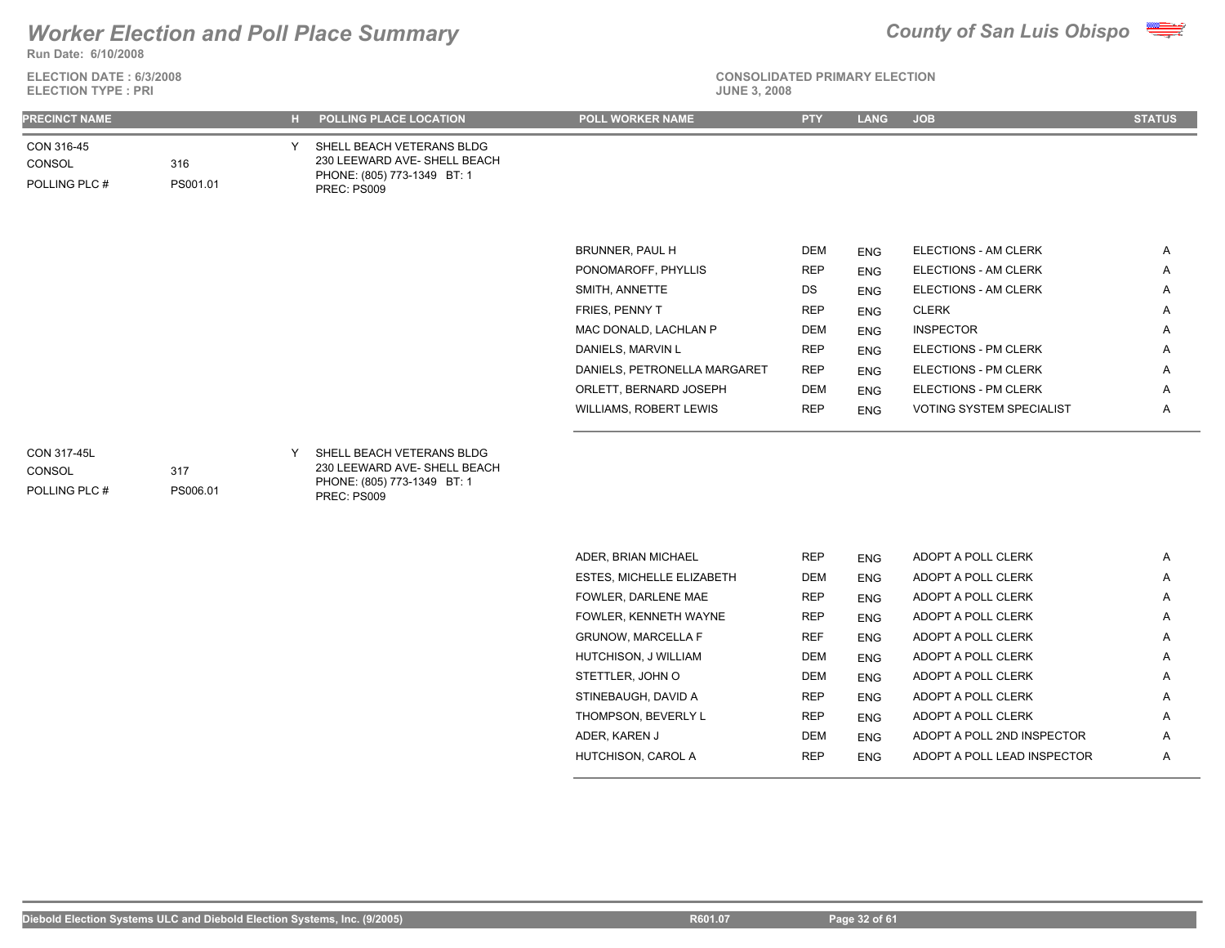

**ELECTION DATE : 6/3/2008 Run Date: 6/10/2008**

**ELECTION TYPE : PRI** 

## **CONSOLIDATED PRIMARY ELECTION**

| <b>PRECINCT NAME</b>                   |                 |   | H POLLING PLACE LOCATION                                                                                | <b>POLL WORKER NAME</b>      | <b>PTY</b> | <b>LANG</b> | <b>JOB</b>               | <b>STATUS</b> |
|----------------------------------------|-----------------|---|---------------------------------------------------------------------------------------------------------|------------------------------|------------|-------------|--------------------------|---------------|
| CON 316-45<br>CONSOL<br>POLLING PLC #  | 316<br>PS001.01 | Y | SHELL BEACH VETERANS BLDG<br>230 LEEWARD AVE- SHELL BEACH<br>PHONE: (805) 773-1349 BT: 1<br>PREC: PS009 |                              |            |             |                          |               |
|                                        |                 |   |                                                                                                         | BRUNNER, PAUL H              | <b>DEM</b> | <b>ENG</b>  | ELECTIONS - AM CLERK     | Α             |
|                                        |                 |   |                                                                                                         | PONOMAROFF, PHYLLIS          | <b>REP</b> | <b>ENG</b>  | ELECTIONS - AM CLERK     | A             |
|                                        |                 |   |                                                                                                         | SMITH, ANNETTE               | DS         | <b>ENG</b>  | ELECTIONS - AM CLERK     | Α             |
|                                        |                 |   |                                                                                                         | FRIES, PENNY T               | <b>REP</b> | <b>ENG</b>  | <b>CLERK</b>             | Α             |
|                                        |                 |   |                                                                                                         | MAC DONALD, LACHLAN P        | <b>DEM</b> | <b>ENG</b>  | <b>INSPECTOR</b>         | A             |
|                                        |                 |   |                                                                                                         | DANIELS, MARVIN L            | <b>REP</b> | <b>ENG</b>  | ELECTIONS - PM CLERK     | Α             |
|                                        |                 |   |                                                                                                         | DANIELS, PETRONELLA MARGARET | <b>REP</b> | <b>ENG</b>  | ELECTIONS - PM CLERK     | Α             |
|                                        |                 |   |                                                                                                         | ORLETT, BERNARD JOSEPH       | DEM        | <b>ENG</b>  | ELECTIONS - PM CLERK     | Α             |
|                                        |                 |   |                                                                                                         | WILLIAMS, ROBERT LEWIS       | <b>REP</b> | <b>ENG</b>  | VOTING SYSTEM SPECIALIST | Α             |
| CON 317-45L<br>CONSOL<br>POLLING PLC # | 317<br>PS006.01 | Y | SHELL BEACH VETERANS BLDG<br>230 LEEWARD AVE- SHELL BEACH<br>PHONE: (805) 773-1349 BT: 1<br>PREC: PS009 |                              |            |             |                          |               |
|                                        |                 |   |                                                                                                         | ADER, BRIAN MICHAEL          | <b>REP</b> | <b>ENG</b>  | ADOPT A POLL CLERK       | Α             |
|                                        |                 |   |                                                                                                         | ESTES, MICHELLE ELIZABETH    | DEM        | <b>ENG</b>  | ADOPT A POLL CLERK       | Α             |
|                                        |                 |   |                                                                                                         | FOWLER, DARLENE MAE          | <b>REP</b> | <b>ENG</b>  | ADOPT A POLL CLERK       | Α             |
|                                        |                 |   |                                                                                                         | FOWLER, KENNETH WAYNE        | <b>REP</b> | <b>ENG</b>  | ADOPT A POLL CLERK       | Α             |
|                                        |                 |   |                                                                                                         | <b>GRUNOW, MARCELLA F</b>    | <b>REF</b> | <b>ENG</b>  | ADOPT A POLL CLERK       | A             |
|                                        |                 |   |                                                                                                         | HUTCHISON, J WILLIAM         | <b>DEM</b> | <b>ENG</b>  | ADOPT A POLL CLERK       | Α             |
|                                        |                 |   |                                                                                                         | STETTLER, JOHN O             | DEM        | <b>ENG</b>  | ADOPT A POLL CLERK       | Α             |
|                                        |                 |   |                                                                                                         | STINEBAUGH, DAVID A          | <b>REP</b> | <b>ENG</b>  | ADOPT A POLL CLERK       | Α             |
|                                        |                 |   |                                                                                                         | THOMPSON, BEVERLY L          | <b>REP</b> | <b>ENG</b>  | ADOPT A POLL CLERK       | Α             |

ADER, KAREN JAN DEM ENG ADOPT A POLL 2ND INSPECTOR A A HUTCHISON, CAROL A REP ENG ADOPT A POLL LEAD INSPECTOR A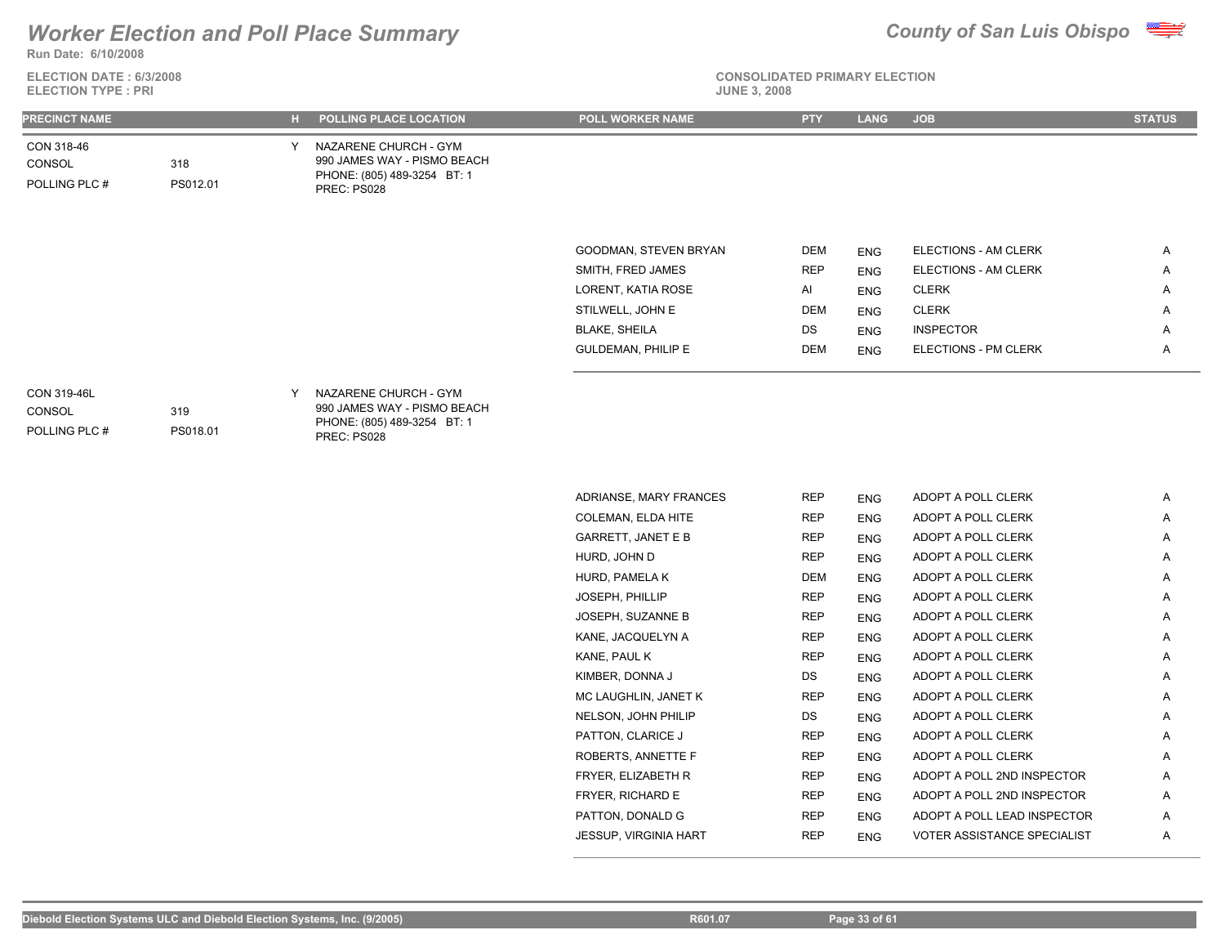

**ELECTION DATE : 6/3/2008 ELECTION TYPE : PRI** 



**CONSOLIDATED PRIMARY ELECTION**

| PRECINCT NAME                                 |                 |   | H POLLING PLACE LOCATION                                                                           | POLL WORKER NAME          | <b>PTY</b> | <b>LANG</b>              | <b>JOB</b>                 | <b>STATUS</b> |
|-----------------------------------------------|-----------------|---|----------------------------------------------------------------------------------------------------|---------------------------|------------|--------------------------|----------------------------|---------------|
| CON 318-46<br>CONSOL<br>POLLING PLC #         | 318<br>PS012.01 | Y | NAZARENE CHURCH - GYM<br>990 JAMES WAY - PISMO BEACH<br>PHONE: (805) 489-3254 BT: 1<br>PREC: PS028 |                           |            |                          |                            |               |
|                                               |                 |   |                                                                                                    | GOODMAN, STEVEN BRYAN     | DEM        |                          | ELECTIONS - AM CLERK       | Α             |
|                                               |                 |   |                                                                                                    | SMITH, FRED JAMES         | <b>REP</b> | <b>ENG</b><br><b>ENG</b> | ELECTIONS - AM CLERK       | Α             |
|                                               |                 |   |                                                                                                    | LORENT, KATIA ROSE        | Al         |                          | <b>CLERK</b>               | Α             |
|                                               |                 |   |                                                                                                    | STILWELL, JOHN E          | <b>DEM</b> | <b>ENG</b><br><b>ENG</b> | <b>CLERK</b>               | Α             |
|                                               |                 |   |                                                                                                    | <b>BLAKE, SHEILA</b>      | DS         | <b>ENG</b>               | <b>INSPECTOR</b>           | Α             |
|                                               |                 |   |                                                                                                    | <b>GULDEMAN, PHILIP E</b> | <b>DEM</b> | <b>ENG</b>               | ELECTIONS - PM CLERK       | Α             |
| <b>CON 319-46L</b><br>CONSOL<br>POLLING PLC # | 319<br>PS018.01 | Y | NAZARENE CHURCH - GYM<br>990 JAMES WAY - PISMO BEACH<br>PHONE: (805) 489-3254 BT: 1<br>PREC: PS028 |                           |            |                          |                            |               |
|                                               |                 |   |                                                                                                    | ADRIANSE, MARY FRANCES    | <b>REP</b> |                          | ADOPT A POLL CLERK         | Α             |
|                                               |                 |   |                                                                                                    | COLEMAN, ELDA HITE        | <b>REP</b> | <b>ENG</b><br><b>ENG</b> | ADOPT A POLL CLERK         | Α             |
|                                               |                 |   |                                                                                                    | <b>GARRETT, JANET E B</b> | <b>REP</b> | <b>ENG</b>               | ADOPT A POLL CLERK         | Α             |
|                                               |                 |   |                                                                                                    | HURD, JOHN D              | <b>REP</b> | <b>ENG</b>               | ADOPT A POLL CLERK         | Α             |
|                                               |                 |   |                                                                                                    | HURD, PAMELA K            | <b>DEM</b> | <b>ENG</b>               | ADOPT A POLL CLERK         | Α             |
|                                               |                 |   |                                                                                                    | JOSEPH, PHILLIP           | <b>REP</b> | <b>ENG</b>               | ADOPT A POLL CLERK         | Α             |
|                                               |                 |   |                                                                                                    | JOSEPH, SUZANNE B         | <b>REP</b> | <b>ENG</b>               | ADOPT A POLL CLERK         | A             |
|                                               |                 |   |                                                                                                    | KANE, JACQUELYN A         | <b>REP</b> | <b>ENG</b>               | ADOPT A POLL CLERK         | A             |
|                                               |                 |   |                                                                                                    | KANE, PAUL K              | <b>REP</b> | <b>ENG</b>               | ADOPT A POLL CLERK         | Α             |
|                                               |                 |   |                                                                                                    | KIMBER, DONNA J           | DS         | <b>ENG</b>               | ADOPT A POLL CLERK         | Α             |
|                                               |                 |   |                                                                                                    | MC LAUGHLIN, JANET K      | <b>REP</b> | <b>ENG</b>               | ADOPT A POLL CLERK         | Α             |
|                                               |                 |   |                                                                                                    | NELSON, JOHN PHILIP       | DS         | <b>ENG</b>               | ADOPT A POLL CLERK         | Α             |
|                                               |                 |   |                                                                                                    | PATTON, CLARICE J         | <b>REP</b> | ENG                      | ADOPT A POLL CLERK         | A             |
|                                               |                 |   |                                                                                                    | ROBERTS, ANNETTE F        | <b>REP</b> | <b>ENG</b>               | ADOPT A POLL CLERK         |               |
|                                               |                 |   |                                                                                                    | FRYER, ELIZABETH R        | <b>REP</b> | <b>ENG</b>               | ADOPT A POLL 2ND INSPECTOR | A             |

FRYER, RICHARD E REP ENG ADOPT A POLL 2ND INSPECTOR A PATTON, DONALD G **REP** ENG ADOPT A POLL LEAD INSPECTOR A JESSUP, VIRGINIA HART **REP** ENG VOTER ASSISTANCE SPECIALIST A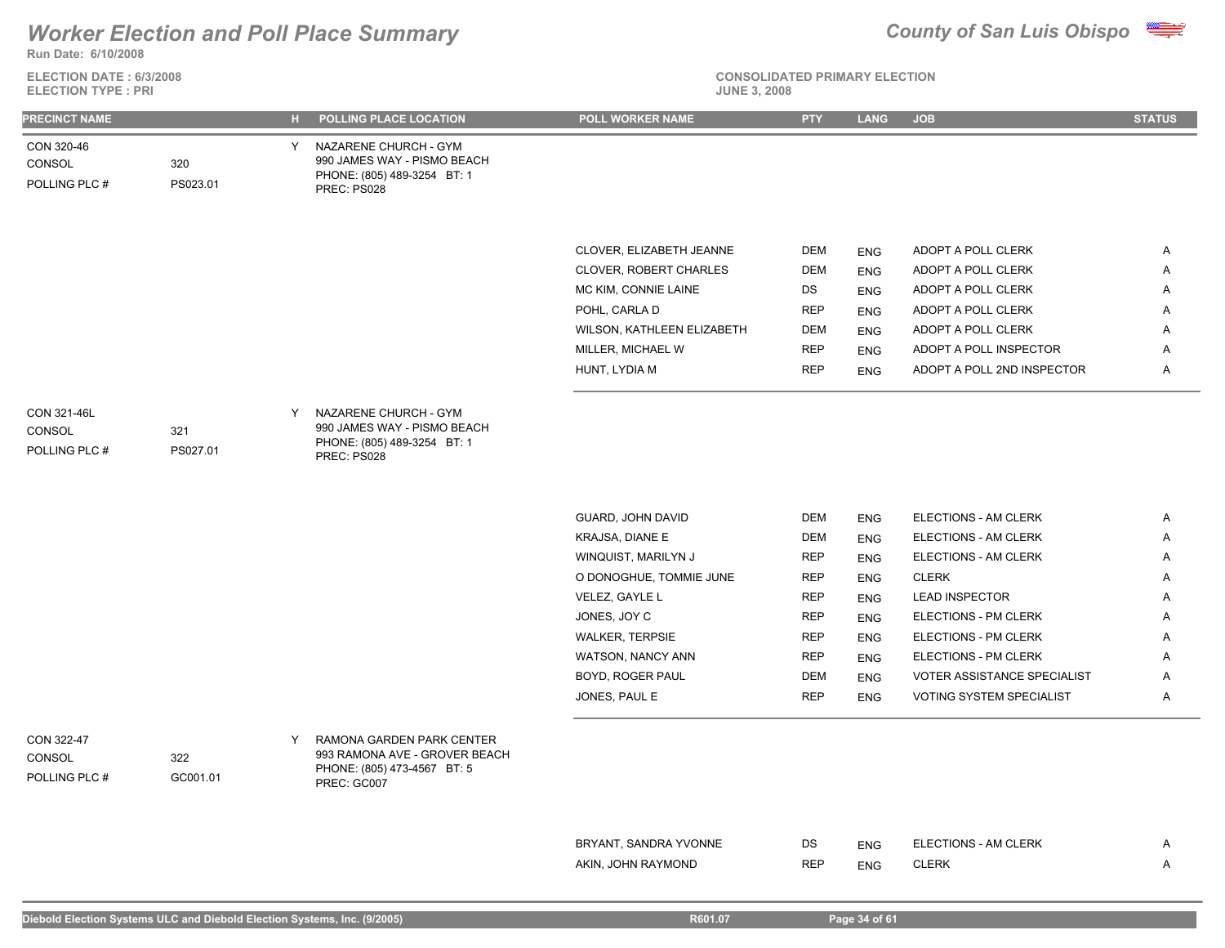**Run Date: 6/10/2008**

### **ELECTION DATE : 6/3/2008 ELECTION TYPE : PRI**





| <b>PRECINCT NAME</b><br>POLLING PLACE LOCATION<br>н.                                                                                                                      | POLL WORKER NAME              | <b>PTY</b> | <b>LANG</b> | <b>JOB</b>                  | <b>STATUS</b> |
|---------------------------------------------------------------------------------------------------------------------------------------------------------------------------|-------------------------------|------------|-------------|-----------------------------|---------------|
| CON 320-46<br>NAZARENE CHURCH - GYM<br>Y<br>990 JAMES WAY - PISMO BEACH<br>320<br>CONSOL<br>PHONE: (805) 489-3254 BT: 1<br>POLLING PLC #<br>PS023.01<br>PREC: PS028       |                               |            |             |                             |               |
|                                                                                                                                                                           |                               |            |             |                             |               |
|                                                                                                                                                                           | CLOVER, ELIZABETH JEANNE      | <b>DEM</b> | <b>ENG</b>  | ADOPT A POLL CLERK          | $\mathsf{A}$  |
|                                                                                                                                                                           | <b>CLOVER, ROBERT CHARLES</b> | <b>DEM</b> | <b>ENG</b>  | ADOPT A POLL CLERK          | A             |
|                                                                                                                                                                           | MC KIM, CONNIE LAINE          | DS         | <b>ENG</b>  | ADOPT A POLL CLERK          | Α             |
|                                                                                                                                                                           | POHL, CARLA D                 | <b>REP</b> | <b>ENG</b>  | ADOPT A POLL CLERK          | A             |
|                                                                                                                                                                           | WILSON, KATHLEEN ELIZABETH    | <b>DEM</b> | <b>ENG</b>  | ADOPT A POLL CLERK          | Α             |
|                                                                                                                                                                           | MILLER, MICHAEL W             | <b>REP</b> | <b>ENG</b>  | ADOPT A POLL INSPECTOR      | Α             |
|                                                                                                                                                                           | HUNT, LYDIA M                 | <b>REP</b> | <b>ENG</b>  | ADOPT A POLL 2ND INSPECTOR  | A             |
| CON 321-46L<br>NAZARENE CHURCH - GYM<br>Y<br>990 JAMES WAY - PISMO BEACH<br>CONSOL<br>321<br>PHONE: (805) 489-3254 BT: 1<br>POLLING PLC #<br>PS027.01<br>PREC: PS028      |                               |            |             |                             |               |
|                                                                                                                                                                           |                               |            |             |                             |               |
|                                                                                                                                                                           | GUARD, JOHN DAVID             | <b>DEM</b> | <b>ENG</b>  | ELECTIONS - AM CLERK        | A             |
|                                                                                                                                                                           | KRAJSA, DIANE E               | DEM        | <b>ENG</b>  | ELECTIONS - AM CLERK        | Α             |
|                                                                                                                                                                           | WINQUIST, MARILYN J           | <b>REP</b> | <b>ENG</b>  | ELECTIONS - AM CLERK        | A             |
|                                                                                                                                                                           | O DONOGHUE, TOMMIE JUNE       | <b>REP</b> | <b>ENG</b>  | <b>CLERK</b>                | Α             |
|                                                                                                                                                                           | VELEZ, GAYLE L                | <b>REP</b> | <b>ENG</b>  | <b>LEAD INSPECTOR</b>       | Α             |
|                                                                                                                                                                           | JONES, JOY C                  | <b>REP</b> | <b>ENG</b>  | ELECTIONS - PM CLERK        | Α             |
|                                                                                                                                                                           | <b>WALKER, TERPSIE</b>        | <b>REP</b> | <b>ENG</b>  | ELECTIONS - PM CLERK        | Α             |
|                                                                                                                                                                           | WATSON, NANCY ANN             | REP        | <b>ENG</b>  | ELECTIONS - PM CLERK        | Α             |
|                                                                                                                                                                           | BOYD, ROGER PAUL              | <b>DEM</b> | <b>ENG</b>  | VOTER ASSISTANCE SPECIALIST | A             |
|                                                                                                                                                                           | JONES, PAUL E                 | <b>REP</b> | <b>ENG</b>  | VOTING SYSTEM SPECIALIST    | Α             |
| CON 322-47<br>RAMONA GARDEN PARK CENTER<br>Y<br>993 RAMONA AVE - GROVER BEACH<br>CONSOL<br>322<br>PHONE: (805) 473-4567 BT: 5<br>POLLING PLC #<br>GC001.01<br>PREC: GC007 |                               |            |             |                             |               |
|                                                                                                                                                                           |                               |            |             |                             |               |
|                                                                                                                                                                           | BRYANT, SANDRA YVONNE         | DS         | <b>ENG</b>  | ELECTIONS - AM CLERK        | A             |
|                                                                                                                                                                           | AKIN, JOHN RAYMOND            | <b>REP</b> | <b>ENG</b>  | <b>CLERK</b>                | A             |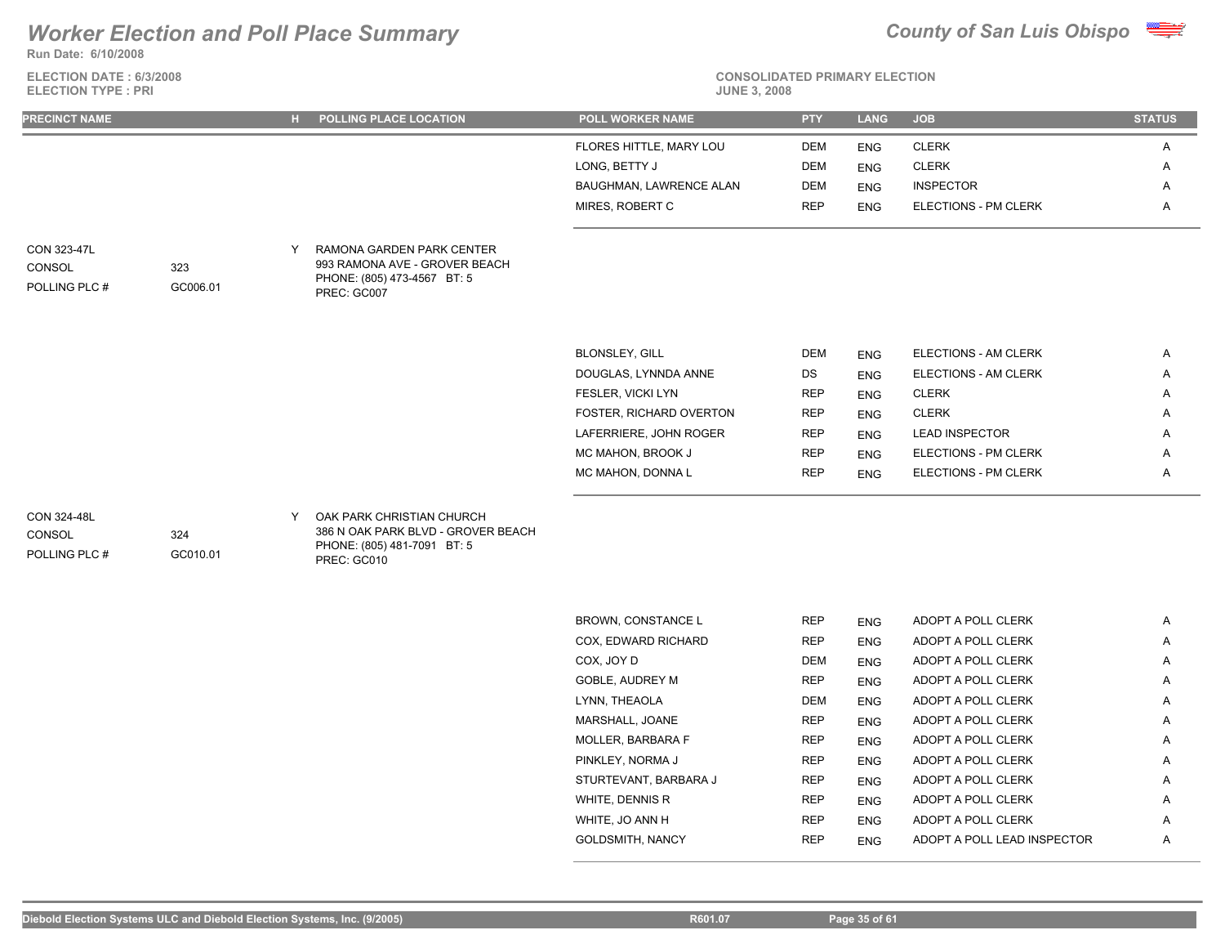**Run Date: 6/10/2008**

**ELECTION DATE : 6/3/2008 ELECTION TYPE : PRI** 



# **CONSOLIDATED PRIMARY ELECTION**

| <b>PRECINCT NAME</b>                   |                 |   | H POLLING PLACE LOCATION                                                                                      | <b>POLL WORKER NAME</b> | <b>PTY</b> | <b>LANG</b> | <b>JOB</b>                  | <b>STATUS</b> |
|----------------------------------------|-----------------|---|---------------------------------------------------------------------------------------------------------------|-------------------------|------------|-------------|-----------------------------|---------------|
|                                        |                 |   |                                                                                                               | FLORES HITTLE, MARY LOU | <b>DEM</b> | <b>ENG</b>  | <b>CLERK</b>                | Α             |
|                                        |                 |   |                                                                                                               | LONG, BETTY J           | <b>DEM</b> | <b>ENG</b>  | <b>CLERK</b>                | Α             |
|                                        |                 |   |                                                                                                               | BAUGHMAN, LAWRENCE ALAN | <b>DEM</b> | <b>ENG</b>  | <b>INSPECTOR</b>            | Α             |
|                                        |                 |   |                                                                                                               | MIRES, ROBERT C         | <b>REP</b> | <b>ENG</b>  | <b>ELECTIONS - PM CLERK</b> | Α             |
| CON 323-47L<br>CONSOL<br>POLLING PLC # | 323<br>GC006.01 | Y | RAMONA GARDEN PARK CENTER<br>993 RAMONA AVE - GROVER BEACH<br>PHONE: (805) 473-4567 BT: 5<br>PREC: GC007      |                         |            |             |                             |               |
|                                        |                 |   |                                                                                                               |                         |            |             |                             |               |
|                                        |                 |   |                                                                                                               | <b>BLONSLEY, GILL</b>   | <b>DEM</b> | <b>ENG</b>  | ELECTIONS - AM CLERK        | A             |
|                                        |                 |   |                                                                                                               | DOUGLAS, LYNNDA ANNE    | DS         | <b>ENG</b>  | ELECTIONS - AM CLERK        | Α             |
|                                        |                 |   |                                                                                                               | FESLER, VICKI LYN       | <b>REP</b> | <b>ENG</b>  | <b>CLERK</b>                | Α             |
|                                        |                 |   |                                                                                                               | FOSTER, RICHARD OVERTON | <b>REP</b> | <b>ENG</b>  | <b>CLERK</b>                | Α             |
|                                        |                 |   |                                                                                                               | LAFERRIERE, JOHN ROGER  | <b>REP</b> | <b>ENG</b>  | <b>LEAD INSPECTOR</b>       | Α             |
|                                        |                 |   |                                                                                                               | MC MAHON, BROOK J       | <b>REP</b> | <b>ENG</b>  | <b>ELECTIONS - PM CLERK</b> | Α             |
|                                        |                 |   |                                                                                                               | MC MAHON, DONNA L       | <b>REP</b> | <b>ENG</b>  | ELECTIONS - PM CLERK        | Α             |
| CON 324-48L<br>CONSOL<br>POLLING PLC # | 324<br>GC010.01 | Y | OAK PARK CHRISTIAN CHURCH<br>386 N OAK PARK BLVD - GROVER BEACH<br>PHONE: (805) 481-7091 BT: 5<br>PREC: GC010 |                         |            |             |                             |               |
|                                        |                 |   |                                                                                                               |                         |            |             |                             |               |
|                                        |                 |   |                                                                                                               | BROWN, CONSTANCE L      | <b>REP</b> | <b>ENG</b>  | ADOPT A POLL CLERK          | A             |
|                                        |                 |   |                                                                                                               | COX, EDWARD RICHARD     | <b>REP</b> | <b>ENG</b>  | ADOPT A POLL CLERK          | Α             |
|                                        |                 |   |                                                                                                               | COX, JOY D              | <b>DEM</b> | <b>ENG</b>  | ADOPT A POLL CLERK          | Α             |
|                                        |                 |   |                                                                                                               | <b>GOBLE, AUDREY M</b>  | <b>REP</b> | <b>ENG</b>  | ADOPT A POLL CLERK          | Α             |
|                                        |                 |   |                                                                                                               | LYNN, THEAOLA           | <b>DEM</b> | <b>ENG</b>  | ADOPT A POLL CLERK          | Α             |
|                                        |                 |   |                                                                                                               | MARSHALL, JOANE         | <b>REP</b> | <b>ENG</b>  | ADOPT A POLL CLERK          | A             |

MOLLER, BARBARA F **REP** ENG ADOPT A POLL CLERK A PINKLEY, NORMA J REP ENG ADOPT A POLL CLERK A A STURTEVANT, BARBARA J REP ENG ADOPT A POLL CLERK A WHITE, DENNIS R **REP** ENG ADOPT A POLL CLERK A WHITE, JO ANN H **REP** ENG ADOPT A POLL CLERK A GOLDSMITH, NANCY **REP** ENG ADOPT A POLL LEAD INSPECTOR A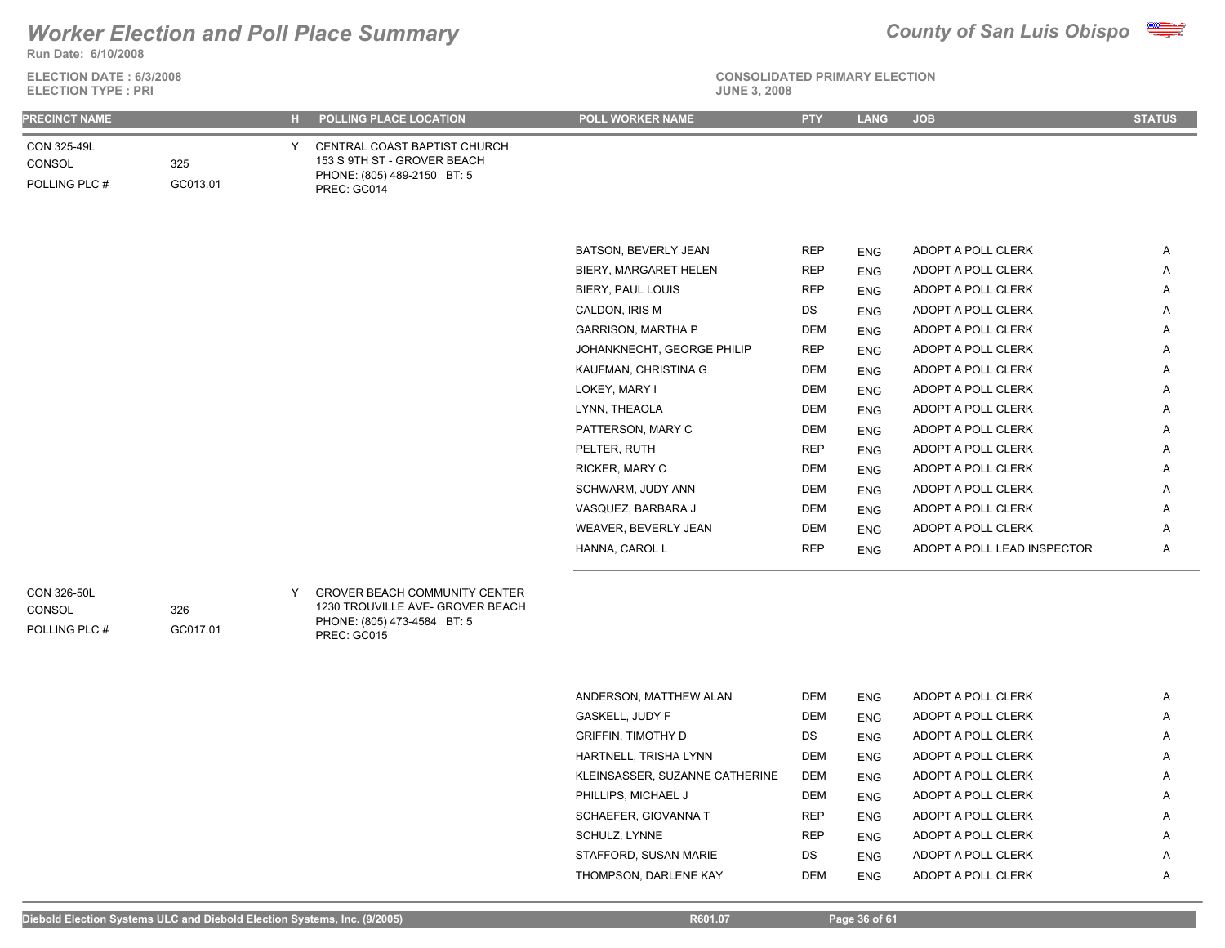

**Run Date: 6/10/2008**

| ELECTION DATE: 6/3/2008 |
|-------------------------|
| FI FCTION TYPF · PRI    |

### **CONSOLIDATED PRIMARY ELECTION**

| <b>ELECTION TYPE: PRI</b>              |                 |  |                                                                                                           |                         |            |             | <b>JUNE 3, 2008</b> |               |  |  |  |
|----------------------------------------|-----------------|--|-----------------------------------------------------------------------------------------------------------|-------------------------|------------|-------------|---------------------|---------------|--|--|--|
| <b>PRECINCT NAME</b>                   |                 |  | H POLLING PLACE LOCATION                                                                                  | <b>POLL WORKER NAME</b> | <b>PTY</b> | <b>LANG</b> | <b>JOB</b>          | <b>STATUS</b> |  |  |  |
| CON 325-49L<br>CONSOL<br>POLLING PLC # | 325<br>GC013.01 |  | CENTRAL COAST BAPTIST CHURCH<br>153 S 9TH ST - GROVER BEACH<br>PHONE: (805) 489-2150 BT: 5<br>PREC: GC014 |                         |            |             |                     |               |  |  |  |
|                                        |                 |  |                                                                                                           | BATSON, BEVERLY JEAN    | <b>REP</b> | <b>ENG</b>  | ADOPT A POLL CLERK  | Α             |  |  |  |
|                                        |                 |  |                                                                                                           | BIERY, MARGARET HELEN   | <b>REP</b> | <b>ENG</b>  | ADOPT A POLL CLERK  | A             |  |  |  |
|                                        |                 |  |                                                                                                           | BIERY, PAUL LOUIS       | <b>REP</b> | <b>ENG</b>  | ADOPT A POLL CLERK  | A             |  |  |  |
|                                        |                 |  |                                                                                                           | CALDON, IRIS M          | DS         | <b>ENG</b>  | ADOPT A POLL CLERK  | Α             |  |  |  |

| KAUFMAN, CHRISTINA G        | <b>DEM</b> | <b>ENG</b> | ADOPT A POLL CLERK          | A |
|-----------------------------|------------|------------|-----------------------------|---|
| LOKEY, MARY I               | <b>DEM</b> | <b>ENG</b> | ADOPT A POLL CLERK          | A |
| LYNN, THEAOLA               | <b>DEM</b> | <b>ENG</b> | ADOPT A POLL CLERK          | A |
| PATTERSON, MARY C           | <b>DEM</b> | <b>ENG</b> | ADOPT A POLL CLERK          | A |
| PELTER, RUTH                | <b>REP</b> | <b>ENG</b> | ADOPT A POLL CLERK          | A |
| RICKER, MARY C              | <b>DEM</b> | <b>ENG</b> | ADOPT A POLL CLERK          | A |
| SCHWARM, JUDY ANN           | <b>DEM</b> | <b>ENG</b> | ADOPT A POLL CLERK          | A |
| VASQUEZ. BARBARA J          | DEM        | <b>ENG</b> | ADOPT A POLL CLERK          | A |
| <b>WEAVER, BEVERLY JEAN</b> | <b>DEM</b> | <b>ENG</b> | ADOPT A POLL CLERK          | A |
| HANNA, CAROL L              | <b>REP</b> | <b>ENG</b> | ADOPT A POLL LEAD INSPECTOR | A |
|                             |            |            |                             |   |

GARRISON, MARTHA P DEM ENG ADOPT A POLL CLERK A JOHANKNECHT, GEORGE PHILIP REP ENG ADOPT A POLL CLERK A

**CONSOL** 

326

GC017.01

POLLING PLC #

### GROVER BEACH COMMUNITY CENTER CON 326-50L Y 1230 TROUVILLE AVE- GROVER BEACH PHONE: (805) 473-4584 BT: 5 PREC: GC015

| ANDERSON. MATTHEW ALAN         | <b>DEM</b> | <b>ENG</b> | ADOPT A POLL CLERK | A |
|--------------------------------|------------|------------|--------------------|---|
| <b>GASKELL, JUDY F</b>         | <b>DEM</b> | <b>ENG</b> | ADOPT A POLL CLERK | A |
| <b>GRIFFIN. TIMOTHY D</b>      | DS.        | <b>ENG</b> | ADOPT A POLL CLERK | A |
| HARTNELL, TRISHA LYNN          | <b>DEM</b> | <b>ENG</b> | ADOPT A POLL CLERK | A |
| KLEINSASSER. SUZANNE CATHERINE | <b>DEM</b> | <b>ENG</b> | ADOPT A POLL CLERK | A |
| PHILLIPS, MICHAEL J            | <b>DEM</b> | <b>ENG</b> | ADOPT A POLL CLERK | A |
| SCHAEFER, GIOVANNA T           | <b>REP</b> | <b>ENG</b> | ADOPT A POLL CLERK | A |
| SCHULZ, LYNNE                  | <b>REP</b> | <b>ENG</b> | ADOPT A POLL CLERK | A |
| STAFFORD. SUSAN MARIE          | DS.        | <b>ENG</b> | ADOPT A POLL CLERK | A |
| THOMPSON. DARLENE KAY          | <b>DEM</b> | <b>ENG</b> | ADOPT A POLL CLERK | A |
|                                |            |            |                    |   |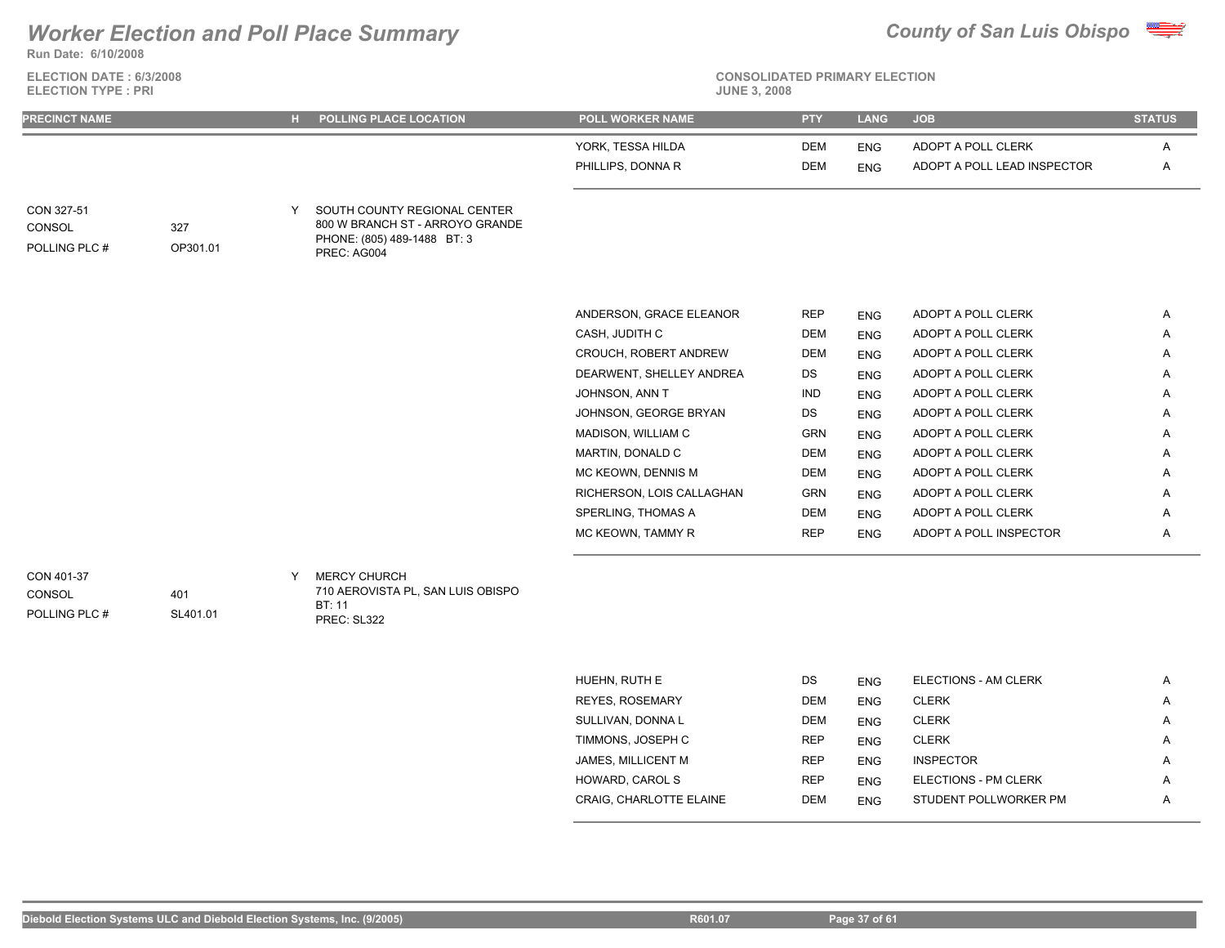**Run Date: 6/10/2008**

### **ELECTION DATE : 6/3/2008 ELECTION TYPE : PRI**



**CONSOLIDATED PRIMARY ELECTION**

| <b>PRECINCT NAME</b>                 |                 | H POLLING PLACE LOCATION                                                                                      | <b>POLL WORKER NAME</b>   | <b>PTY</b> | <b>LANG</b> | <b>JOB</b>                  | <b>STATUS</b> |
|--------------------------------------|-----------------|---------------------------------------------------------------------------------------------------------------|---------------------------|------------|-------------|-----------------------------|---------------|
|                                      |                 |                                                                                                               | YORK, TESSA HILDA         | <b>DEM</b> | <b>ENG</b>  | ADOPT A POLL CLERK          | A             |
|                                      |                 |                                                                                                               | PHILLIPS, DONNA R         | <b>DEM</b> | <b>ENG</b>  | ADOPT A POLL LEAD INSPECTOR | $\mathsf{A}$  |
| CON 327-51<br>CONSOL<br>POLLING PLC# | 327<br>OP301.01 | SOUTH COUNTY REGIONAL CENTER<br>800 W BRANCH ST - ARROYO GRANDE<br>PHONE: (805) 489-1488 BT: 3<br>PREC: AG004 |                           |            |             |                             |               |
|                                      |                 |                                                                                                               | ANDERSON, GRACE ELEANOR   | <b>REP</b> | <b>ENG</b>  | ADOPT A POLL CLERK          | A             |
|                                      |                 |                                                                                                               | CASH, JUDITH C            | <b>DEM</b> | <b>ENG</b>  | ADOPT A POLL CLERK          | Α             |
|                                      |                 |                                                                                                               | CROUCH, ROBERT ANDREW     | DEM        | <b>ENG</b>  | ADOPT A POLL CLERK          | Α             |
|                                      |                 |                                                                                                               | DEARWENT, SHELLEY ANDREA  | DS         | <b>ENG</b>  | ADOPT A POLL CLERK          | A             |
|                                      |                 |                                                                                                               | JOHNSON, ANN T            | <b>IND</b> | <b>ENG</b>  | ADOPT A POLL CLERK          | A             |
|                                      |                 |                                                                                                               | JOHNSON, GEORGE BRYAN     | DS         | <b>ENG</b>  | ADOPT A POLL CLERK          | A             |
|                                      |                 |                                                                                                               | MADISON, WILLIAM C        | <b>GRN</b> | <b>ENG</b>  | ADOPT A POLL CLERK          | Α             |
|                                      |                 |                                                                                                               | MARTIN, DONALD C          | <b>DEM</b> | <b>ENG</b>  | ADOPT A POLL CLERK          | A             |
|                                      |                 |                                                                                                               | MC KEOWN, DENNIS M        | <b>DEM</b> | <b>ENG</b>  | ADOPT A POLL CLERK          | A             |
|                                      |                 |                                                                                                               | RICHERSON, LOIS CALLAGHAN | <b>GRN</b> | <b>ENG</b>  | ADOPT A POLL CLERK          | A             |
|                                      |                 |                                                                                                               | SPERLING, THOMAS A        | <b>DEM</b> | <b>ENG</b>  | ADOPT A POLL CLERK          | Α             |
|                                      |                 |                                                                                                               | MC KEOWN, TAMMY R         | <b>REP</b> | <b>ENG</b>  | ADOPT A POLL INSPECTOR      | Α             |

CONSOL

POLLING PLC #

401 SL401.01 710 AEROVISTA PL, SAN LUIS OBISPO BT: 11 PREC: SL322

| HUEHN, RUTH E           | DS         | <b>ENG</b> | ELECTIONS - AM CLERK  | A |
|-------------------------|------------|------------|-----------------------|---|
| <b>REYES, ROSEMARY</b>  | <b>DEM</b> | <b>ENG</b> | <b>CLERK</b>          | A |
| SULLIVAN, DONNA L       | <b>DEM</b> | <b>ENG</b> | <b>CLERK</b>          | A |
| TIMMONS, JOSEPH C       | <b>REP</b> | <b>ENG</b> | <b>CLERK</b>          | A |
| JAMES, MILLICENT M      | <b>REP</b> | <b>ENG</b> | <b>INSPECTOR</b>      | A |
| <b>HOWARD, CAROL S</b>  | <b>REP</b> | <b>ENG</b> | ELECTIONS - PM CLERK  | A |
| CRAIG. CHARLOTTE ELAINE | <b>DEM</b> | <b>ENG</b> | STUDENT POLLWORKER PM | A |
|                         |            |            |                       |   |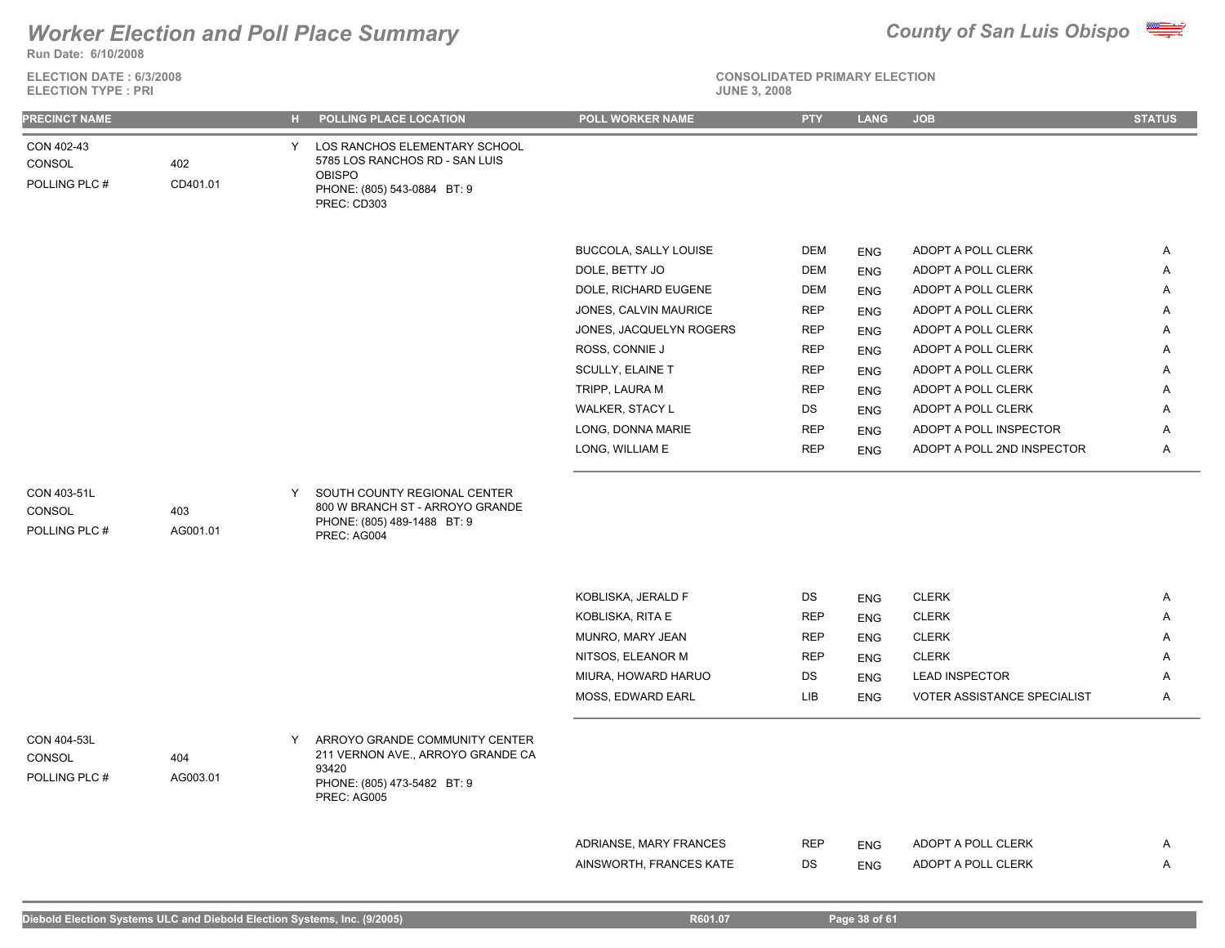### **Run Date: 6/10/2008** *Worker Election and Poll Place Summary County of San Luis Obispo*

**ELECTION DATE : 6/3/2008**



| <b>ELECTION TYPE: PRI</b>              |                 |    |                                                                                                                                | <b>JUNE 3, 2008</b>     |            |            |                             |               |
|----------------------------------------|-----------------|----|--------------------------------------------------------------------------------------------------------------------------------|-------------------------|------------|------------|-----------------------------|---------------|
| PRECINCT NAME                          |                 | н. | POLLING PLACE LOCATION                                                                                                         | POLL WORKER NAME        | <b>PTY</b> | LANG       | <b>JOB</b>                  | <b>STATUS</b> |
| CON 402-43<br>CONSOL<br>POLLING PLC #  | 402<br>CD401.01 | Y  | LOS RANCHOS ELEMENTARY SCHOOL<br>5785 LOS RANCHOS RD - SAN LUIS<br><b>OBISPO</b><br>PHONE: (805) 543-0884 BT: 9<br>PREC: CD303 |                         |            |            |                             |               |
|                                        |                 |    |                                                                                                                                | BUCCOLA, SALLY LOUISE   | DEM        | <b>ENG</b> | ADOPT A POLL CLERK          | A             |
|                                        |                 |    |                                                                                                                                | DOLE, BETTY JO          | <b>DEM</b> | <b>ENG</b> | ADOPT A POLL CLERK          | Α             |
|                                        |                 |    |                                                                                                                                | DOLE, RICHARD EUGENE    | <b>DEM</b> | <b>ENG</b> | ADOPT A POLL CLERK          | A             |
|                                        |                 |    |                                                                                                                                | JONES, CALVIN MAURICE   | <b>REP</b> | <b>ENG</b> | ADOPT A POLL CLERK          | Α             |
|                                        |                 |    |                                                                                                                                | JONES, JACQUELYN ROGERS | <b>REP</b> | <b>ENG</b> | ADOPT A POLL CLERK          | Α             |
|                                        |                 |    |                                                                                                                                | ROSS, CONNIE J          | <b>REP</b> | <b>ENG</b> | ADOPT A POLL CLERK          | Α             |
|                                        |                 |    |                                                                                                                                | SCULLY, ELAINE T        | <b>REP</b> | <b>ENG</b> | ADOPT A POLL CLERK          | Α             |
|                                        |                 |    |                                                                                                                                | TRIPP, LAURA M          | <b>REP</b> | <b>ENG</b> | ADOPT A POLL CLERK          | A             |
|                                        |                 |    |                                                                                                                                | WALKER, STACY L         | DS         | <b>ENG</b> | ADOPT A POLL CLERK          | Α             |
|                                        |                 |    |                                                                                                                                | LONG, DONNA MARIE       | <b>REP</b> | <b>ENG</b> | ADOPT A POLL INSPECTOR      | Α             |
|                                        |                 |    |                                                                                                                                | LONG, WILLIAM E         | <b>REP</b> | <b>ENG</b> | ADOPT A POLL 2ND INSPECTOR  | A             |
| CON 403-51L<br>CONSOL<br>POLLING PLC # | 403<br>AG001.01 | Y  | SOUTH COUNTY REGIONAL CENTER<br>800 W BRANCH ST - ARROYO GRANDE<br>PHONE: (805) 489-1488 BT: 9<br>PREC: AG004                  |                         |            |            |                             |               |
|                                        |                 |    |                                                                                                                                | KOBLISKA, JERALD F      | DS         | <b>ENG</b> | <b>CLERK</b>                | A             |
|                                        |                 |    |                                                                                                                                | KOBLISKA, RITA E        | <b>REP</b> | <b>ENG</b> | <b>CLERK</b>                | A             |
|                                        |                 |    |                                                                                                                                | MUNRO, MARY JEAN        | <b>REP</b> | <b>ENG</b> | <b>CLERK</b>                | Α             |
|                                        |                 |    |                                                                                                                                | NITSOS, ELEANOR M       | <b>REP</b> | <b>ENG</b> | <b>CLERK</b>                | Α             |
|                                        |                 |    |                                                                                                                                | MIURA, HOWARD HARUO     | DS         | <b>ENG</b> | <b>LEAD INSPECTOR</b>       | Α             |
|                                        |                 |    |                                                                                                                                | MOSS, EDWARD EARL       | LIB        | <b>ENG</b> | VOTER ASSISTANCE SPECIALIST | A             |
| CON 404-53L<br>CONSOL<br>POLLING PLC # | 404<br>AG003.01 | Y  | ARROYO GRANDE COMMUNITY CENTER<br>211 VERNON AVE., ARROYO GRANDE CA<br>93420<br>PHONE: (805) 473-5482 BT: 9<br>PREC: AG005     |                         |            |            |                             |               |
|                                        |                 |    |                                                                                                                                |                         |            |            |                             |               |
|                                        |                 |    |                                                                                                                                | ADRIANSE, MARY FRANCES  | <b>REP</b> | ENG        | ADOPT A POLL CLERK          | $\mathsf{A}$  |
|                                        |                 |    |                                                                                                                                | AINSWORTH, FRANCES KATE | DS         | <b>ENG</b> | ADOPT A POLL CLERK          | Α             |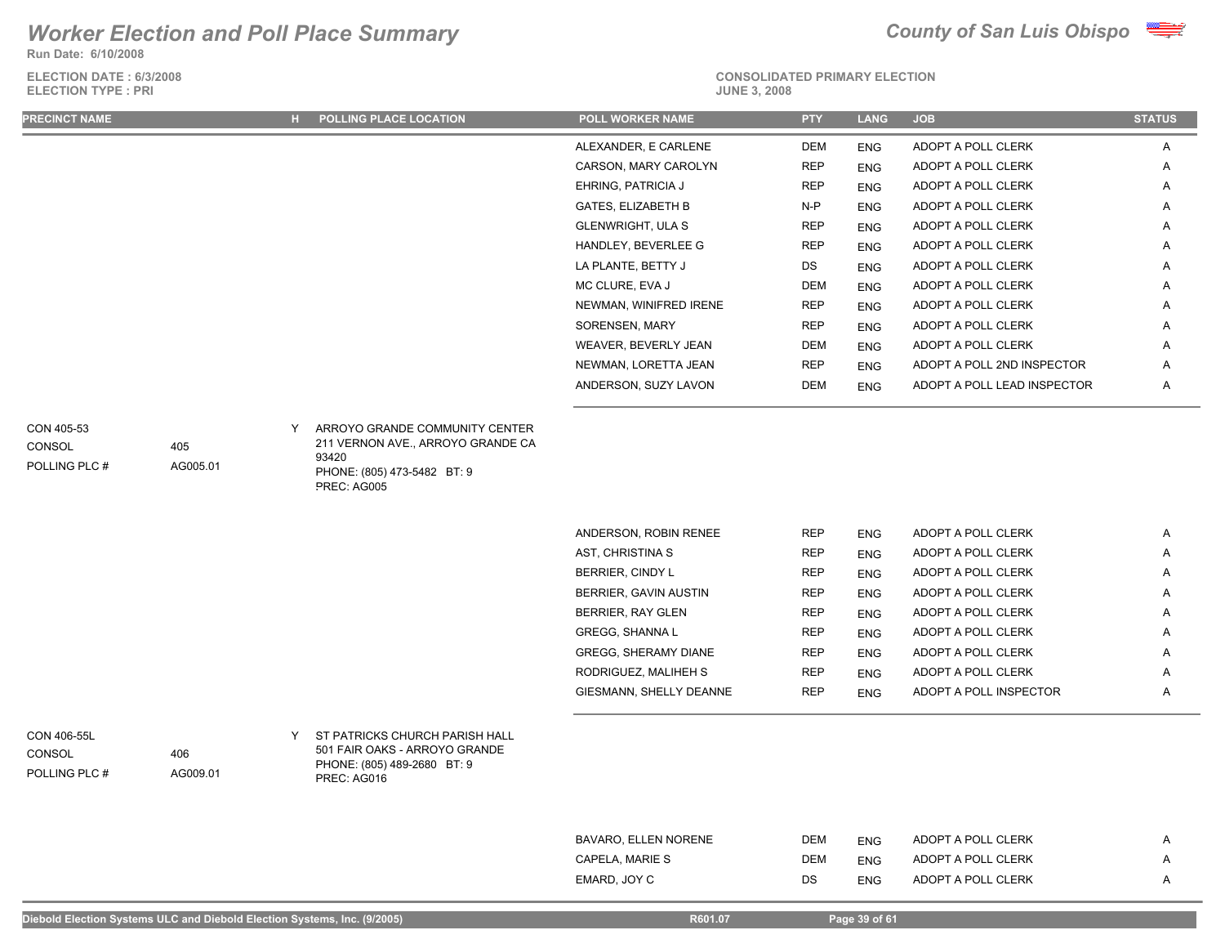**Run Date: 6/10/2008**

**ELECTION DATE : 6/3/2008 ELECTION TYPE : PRI** 



| <b>PRECINCT NAME</b>                   |                 |   | H POLLING PLACE LOCATION                                                                                      | <b>POLL WORKER NAME</b>      | <b>PTY</b> | <b>LANG</b> | <b>JOB</b>                  | <b>STATUS</b> |
|----------------------------------------|-----------------|---|---------------------------------------------------------------------------------------------------------------|------------------------------|------------|-------------|-----------------------------|---------------|
|                                        |                 |   |                                                                                                               | ALEXANDER, E CARLENE         | <b>DEM</b> | <b>ENG</b>  | ADOPT A POLL CLERK          | Α             |
|                                        |                 |   |                                                                                                               | CARSON, MARY CAROLYN         | <b>REP</b> | <b>ENG</b>  | ADOPT A POLL CLERK          | Α             |
|                                        |                 |   |                                                                                                               | EHRING, PATRICIA J           | <b>REP</b> | <b>ENG</b>  | ADOPT A POLL CLERK          | Α             |
|                                        |                 |   |                                                                                                               | <b>GATES, ELIZABETH B</b>    | N-P        | <b>ENG</b>  | ADOPT A POLL CLERK          | Α             |
|                                        |                 |   |                                                                                                               | GLENWRIGHT, ULA S            | <b>REP</b> | <b>ENG</b>  | ADOPT A POLL CLERK          | Α             |
|                                        |                 |   |                                                                                                               | HANDLEY, BEVERLEE G          | <b>REP</b> | <b>ENG</b>  | ADOPT A POLL CLERK          | A             |
|                                        |                 |   |                                                                                                               | LA PLANTE, BETTY J           | DS         | <b>ENG</b>  | ADOPT A POLL CLERK          | Α             |
|                                        |                 |   |                                                                                                               | MC CLURE, EVA J              | <b>DEM</b> | <b>ENG</b>  | ADOPT A POLL CLERK          | Α             |
|                                        |                 |   |                                                                                                               | NEWMAN, WINIFRED IRENE       | <b>REP</b> | <b>ENG</b>  | ADOPT A POLL CLERK          | Α             |
|                                        |                 |   |                                                                                                               | SORENSEN, MARY               | <b>REP</b> | <b>ENG</b>  | ADOPT A POLL CLERK          | Α             |
|                                        |                 |   |                                                                                                               | WEAVER, BEVERLY JEAN         | <b>DEM</b> | <b>ENG</b>  | ADOPT A POLL CLERK          | Α             |
|                                        |                 |   |                                                                                                               | NEWMAN, LORETTA JEAN         | <b>REP</b> | <b>ENG</b>  | ADOPT A POLL 2ND INSPECTOR  | Α             |
|                                        |                 |   |                                                                                                               | ANDERSON, SUZY LAVON         | <b>DEM</b> | <b>ENG</b>  | ADOPT A POLL LEAD INSPECTOR | A             |
| <b>CONSOL</b><br>POLLING PLC #         | 405<br>AG005.01 |   | 211 VERNON AVE., ARROYO GRANDE CA<br>93420<br>PHONE: (805) 473-5482 BT: 9<br>PREC: AG005                      |                              |            |             |                             |               |
|                                        |                 |   |                                                                                                               | ANDERSON, ROBIN RENEE        | <b>REP</b> | <b>ENG</b>  | ADOPT A POLL CLERK          | Α             |
|                                        |                 |   |                                                                                                               | AST, CHRISTINA S             | <b>REP</b> | <b>ENG</b>  | ADOPT A POLL CLERK          | Α             |
|                                        |                 |   |                                                                                                               | BERRIER, CINDY L             | <b>REP</b> | <b>ENG</b>  | ADOPT A POLL CLERK          | Α             |
|                                        |                 |   |                                                                                                               | <b>BERRIER, GAVIN AUSTIN</b> | <b>REP</b> | <b>ENG</b>  | ADOPT A POLL CLERK          | Α             |
|                                        |                 |   |                                                                                                               | <b>BERRIER, RAY GLEN</b>     | <b>REP</b> | <b>ENG</b>  | ADOPT A POLL CLERK          | Α             |
|                                        |                 |   |                                                                                                               | GREGG, SHANNA L              | <b>REP</b> | <b>ENG</b>  | ADOPT A POLL CLERK          | A             |
|                                        |                 |   |                                                                                                               | GREGG, SHERAMY DIANE         | <b>REP</b> | <b>ENG</b>  | ADOPT A POLL CLERK          | Α             |
|                                        |                 |   |                                                                                                               | RODRIGUEZ, MALIHEH S         | <b>REP</b> | <b>ENG</b>  | ADOPT A POLL CLERK          | Α             |
|                                        |                 |   |                                                                                                               | GIESMANN, SHELLY DEANNE      | <b>REP</b> | <b>ENG</b>  | ADOPT A POLL INSPECTOR      | A             |
| CON 406-55L<br>CONSOL<br>POLLING PLC # | 406<br>AG009.01 | Y | ST PATRICKS CHURCH PARISH HALL<br>501 FAIR OAKS - ARROYO GRANDE<br>PHONE: (805) 489-2680 BT: 9<br>PREC: AG016 |                              |            |             |                             |               |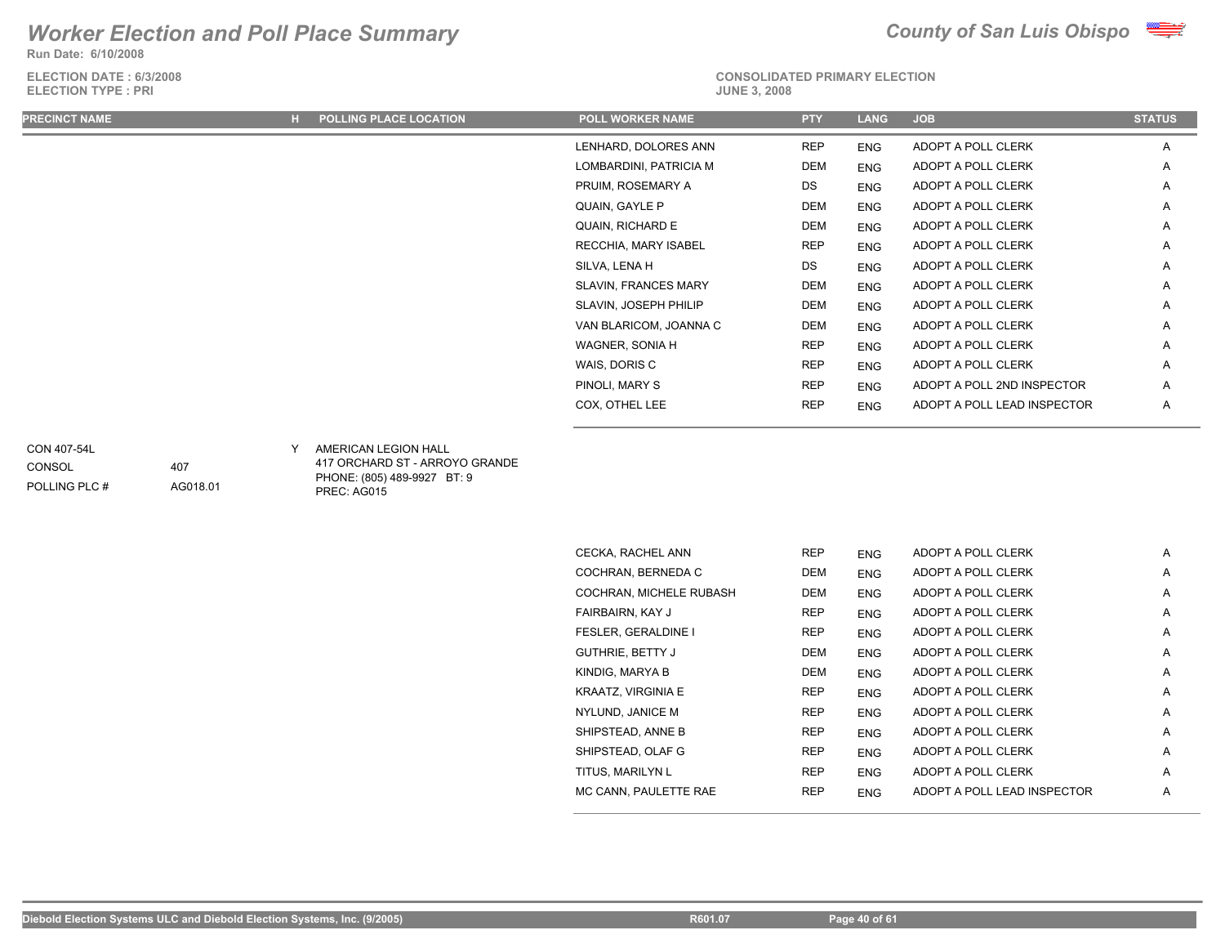**Run Date: 6/10/2008**

**ELECTION DATE : 6/3/2008 ELECTION TYPE : PRI** 



# **CONSOLIDATED PRIMARY ELECTION**

| <b>PRECINCT NAME</b> | H POLLING PLACE LOCATION | <b>POLL WORKER NAME</b>     | <b>PTY</b> | <b>LANG</b> | <b>JOB</b>                  | <b>STATUS</b> |
|----------------------|--------------------------|-----------------------------|------------|-------------|-----------------------------|---------------|
|                      |                          | LENHARD, DOLORES ANN        | <b>REP</b> | <b>ENG</b>  | ADOPT A POLL CLERK          | A             |
|                      |                          | LOMBARDINI, PATRICIA M      | DEM        | ENG         | ADOPT A POLL CLERK          | Α             |
|                      |                          | PRUIM, ROSEMARY A           | DS         | ENG         | ADOPT A POLL CLERK          | Α             |
|                      |                          | QUAIN, GAYLE P              | <b>DEM</b> | <b>ENG</b>  | ADOPT A POLL CLERK          | Α             |
|                      |                          | QUAIN, RICHARD E            | DEM        | ENG         | ADOPT A POLL CLERK          | Α             |
|                      |                          | RECCHIA, MARY ISABEL        | <b>REP</b> | ENG         | ADOPT A POLL CLERK          | Α             |
|                      |                          | SILVA, LENA H               | DS         | <b>ENG</b>  | ADOPT A POLL CLERK          | A             |
|                      |                          | <b>SLAVIN, FRANCES MARY</b> | DEM        | ENG         | ADOPT A POLL CLERK          | Α             |
|                      |                          | SLAVIN, JOSEPH PHILIP       | DEM        | ENG         | ADOPT A POLL CLERK          | A             |
|                      |                          | VAN BLARICOM, JOANNA C      | DEM        | ENG         | ADOPT A POLL CLERK          | Α             |
|                      |                          | WAGNER, SONIA H             | <b>REP</b> | ENG         | ADOPT A POLL CLERK          | Α             |
|                      |                          | WAIS, DORIS C               | <b>REP</b> | <b>ENG</b>  | ADOPT A POLL CLERK          | Α             |
|                      |                          | PINOLI, MARY S              | <b>REP</b> | ENG         | ADOPT A POLL 2ND INSPECTOR  | A             |
|                      |                          | COX, OTHEL LEE              | <b>REP</b> | <b>ENG</b>  | ADOPT A POLL LEAD INSPECTOR | Α             |
|                      |                          |                             |            |             |                             |               |

CONSOL

407

AG018.01

POLLING PLC #

AMERICAN LEGION HALL CON 407-54L Y

417 ORCHARD ST - ARROYO GRANDE PHONE: (805) 489-9927 BT: 9 PREC: AG015

| CECKA, RACHEL ANN          | <b>REP</b> | <b>ENG</b> | ADOPT A POLL CLERK          | A |
|----------------------------|------------|------------|-----------------------------|---|
| COCHRAN, BERNEDA C         | <b>DEM</b> | <b>ENG</b> | ADOPT A POLL CLERK          | A |
| COCHRAN, MICHELE RUBASH    | <b>DEM</b> | <b>ENG</b> | ADOPT A POLL CLERK          | A |
| FAIRBAIRN, KAY J           | <b>REP</b> | <b>ENG</b> | ADOPT A POLL CLERK          | A |
| <b>FESLER, GERALDINE I</b> | <b>REP</b> | <b>ENG</b> | ADOPT A POLL CLERK          | A |
| <b>GUTHRIE, BETTY J</b>    | <b>DEM</b> | <b>ENG</b> | ADOPT A POLL CLERK          | A |
| KINDIG, MARYA B            | <b>DEM</b> | <b>ENG</b> | ADOPT A POLL CLERK          | A |
| KRAATZ, VIRGINIA E         | <b>REP</b> | <b>ENG</b> | ADOPT A POLL CLERK          | A |
| NYLUND, JANICE M           | <b>REP</b> | <b>ENG</b> | ADOPT A POLL CLERK          | Α |
| SHIPSTEAD, ANNE B          | <b>REP</b> | <b>ENG</b> | ADOPT A POLL CLERK          | A |
| SHIPSTEAD, OLAF G          | <b>REP</b> | <b>ENG</b> | ADOPT A POLL CLERK          | A |
| TITUS, MARILYN L           | <b>REP</b> | <b>ENG</b> | ADOPT A POLL CLERK          | A |
| MC CANN, PAULETTE RAE      | <b>REP</b> | <b>ENG</b> | ADOPT A POLL LEAD INSPECTOR | A |
|                            |            |            |                             |   |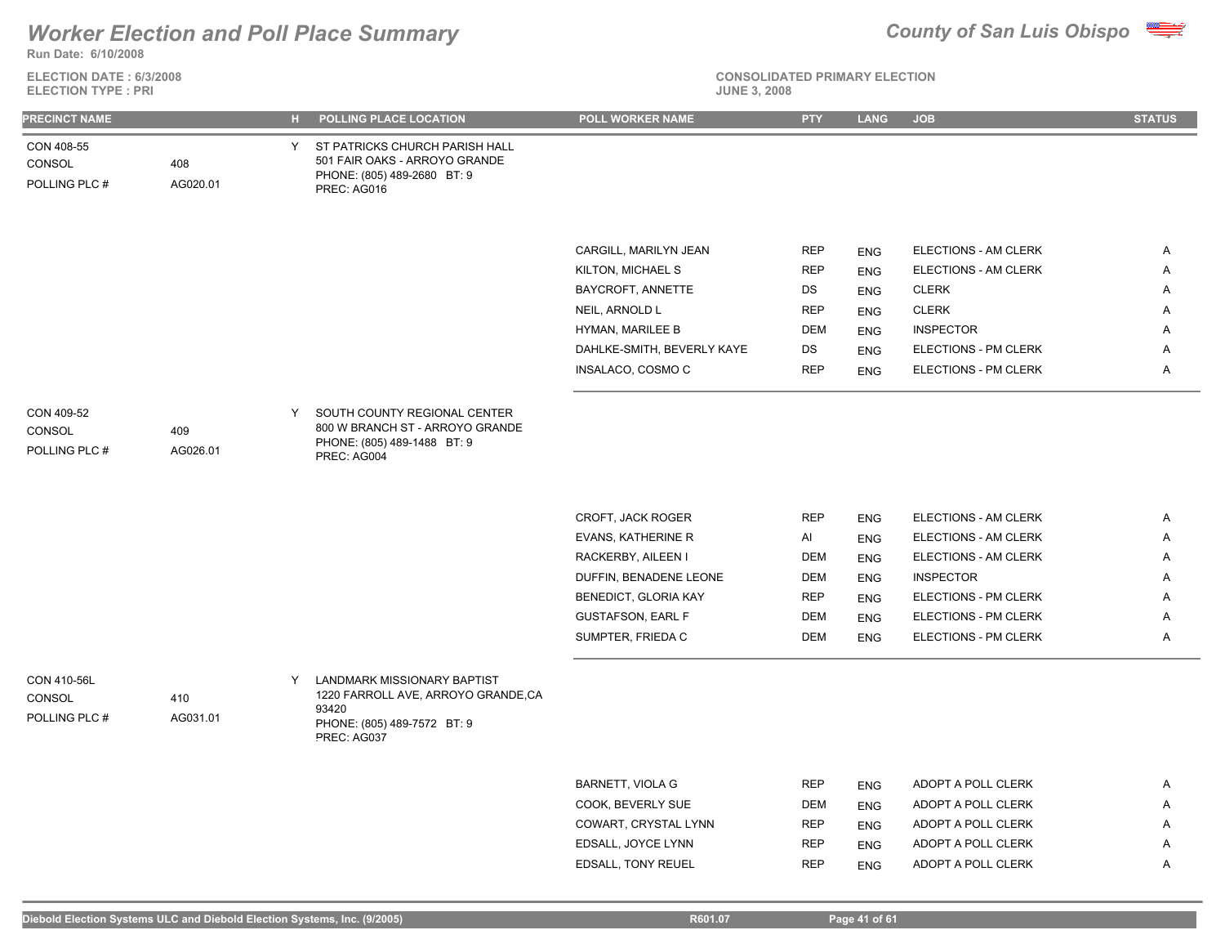

**ELECTION DATE : 6/3/2008 ELECTION TYPE : PRI** 



| <b>PRECINCT NAME</b>                   |                 |   | H POLLING PLACE LOCATION                                                                                                 | POLL WORKER NAME                           | <b>PTY</b>               | <b>LANG</b>              | <b>JOB</b>                               | <b>STATUS</b> |
|----------------------------------------|-----------------|---|--------------------------------------------------------------------------------------------------------------------------|--------------------------------------------|--------------------------|--------------------------|------------------------------------------|---------------|
| CON 408-55<br>CONSOL<br>POLLING PLC #  | 408<br>AG020.01 | Y | ST PATRICKS CHURCH PARISH HALL<br>501 FAIR OAKS - ARROYO GRANDE<br>PHONE: (805) 489-2680 BT: 9<br>PREC: AG016            |                                            |                          |                          |                                          |               |
|                                        |                 |   |                                                                                                                          | CARGILL, MARILYN JEAN                      | <b>REP</b>               | <b>ENG</b>               | ELECTIONS - AM CLERK                     | Α             |
|                                        |                 |   |                                                                                                                          | KILTON, MICHAEL S                          | <b>REP</b>               | <b>ENG</b>               | ELECTIONS - AM CLERK                     | Α             |
|                                        |                 |   |                                                                                                                          | BAYCROFT, ANNETTE                          | DS                       | <b>ENG</b>               | <b>CLERK</b>                             | Α             |
|                                        |                 |   |                                                                                                                          | NEIL, ARNOLD L                             | <b>REP</b>               | <b>ENG</b>               | <b>CLERK</b>                             | Α             |
|                                        |                 |   |                                                                                                                          | HYMAN, MARILEE B                           | <b>DEM</b>               | <b>ENG</b>               | <b>INSPECTOR</b>                         | Α             |
|                                        |                 |   |                                                                                                                          | DAHLKE-SMITH, BEVERLY KAYE                 | DS                       | <b>ENG</b>               | ELECTIONS - PM CLERK                     | A             |
|                                        |                 |   |                                                                                                                          | INSALACO, COSMO C                          | <b>REP</b>               | <b>ENG</b>               | ELECTIONS - PM CLERK                     | Α             |
|                                        |                 |   |                                                                                                                          |                                            |                          |                          |                                          |               |
| CON 409-52<br>CONSOL<br>POLLING PLC #  | 409<br>AG026.01 | Y | SOUTH COUNTY REGIONAL CENTER<br>800 W BRANCH ST - ARROYO GRANDE<br>PHONE: (805) 489-1488 BT: 9<br>PREC: AG004            |                                            |                          |                          |                                          |               |
|                                        |                 |   |                                                                                                                          |                                            |                          |                          |                                          |               |
|                                        |                 |   |                                                                                                                          | CROFT, JACK ROGER                          | <b>REP</b>               | <b>ENG</b>               | ELECTIONS - AM CLERK                     | Α             |
|                                        |                 |   |                                                                                                                          | <b>EVANS, KATHERINE R</b>                  | Al                       | <b>ENG</b>               | ELECTIONS - AM CLERK                     | Α             |
|                                        |                 |   |                                                                                                                          | RACKERBY, AILEEN I                         | <b>DEM</b>               | <b>ENG</b>               | ELECTIONS - AM CLERK                     | Α             |
|                                        |                 |   |                                                                                                                          | DUFFIN, BENADENE LEONE                     | <b>DEM</b>               | <b>ENG</b>               | <b>INSPECTOR</b>                         | Α             |
|                                        |                 |   |                                                                                                                          | BENEDICT, GLORIA KAY                       | <b>REP</b>               | <b>ENG</b>               | ELECTIONS - PM CLERK                     | Α             |
|                                        |                 |   |                                                                                                                          | <b>GUSTAFSON, EARL F</b>                   | <b>DEM</b>               | <b>ENG</b>               | ELECTIONS - PM CLERK                     | Α             |
|                                        |                 |   |                                                                                                                          | SUMPTER, FRIEDA C                          | <b>DEM</b>               | <b>ENG</b>               | ELECTIONS - PM CLERK                     | Α             |
| CON 410-56L<br>CONSOL<br>POLLING PLC # | 410<br>AG031.01 | Y | LANDMARK MISSIONARY BAPTIST<br>1220 FARROLL AVE, ARROYO GRANDE,CA<br>93420<br>PHONE: (805) 489-7572 BT: 9<br>PREC: AG037 |                                            |                          |                          |                                          |               |
|                                        |                 |   |                                                                                                                          |                                            |                          |                          |                                          |               |
|                                        |                 |   |                                                                                                                          | <b>BARNETT, VIOLA G</b>                    | <b>REP</b>               | <b>ENG</b>               | ADOPT A POLL CLERK                       | A             |
|                                        |                 |   |                                                                                                                          | COOK, BEVERLY SUE                          | DEM                      | <b>ENG</b>               | ADOPT A POLL CLERK                       | Α             |
|                                        |                 |   |                                                                                                                          | COWART, CRYSTAL LYNN<br>EDSALL, JOYCE LYNN | <b>REP</b><br><b>REP</b> | <b>ENG</b>               | ADOPT A POLL CLERK<br>ADOPT A POLL CLERK | Α<br>Α        |
|                                        |                 |   |                                                                                                                          | <b>EDSALL, TONY REUEL</b>                  | <b>REP</b>               | <b>ENG</b><br><b>ENG</b> | ADOPT A POLL CLERK                       | Α             |
|                                        |                 |   |                                                                                                                          |                                            |                          |                          |                                          |               |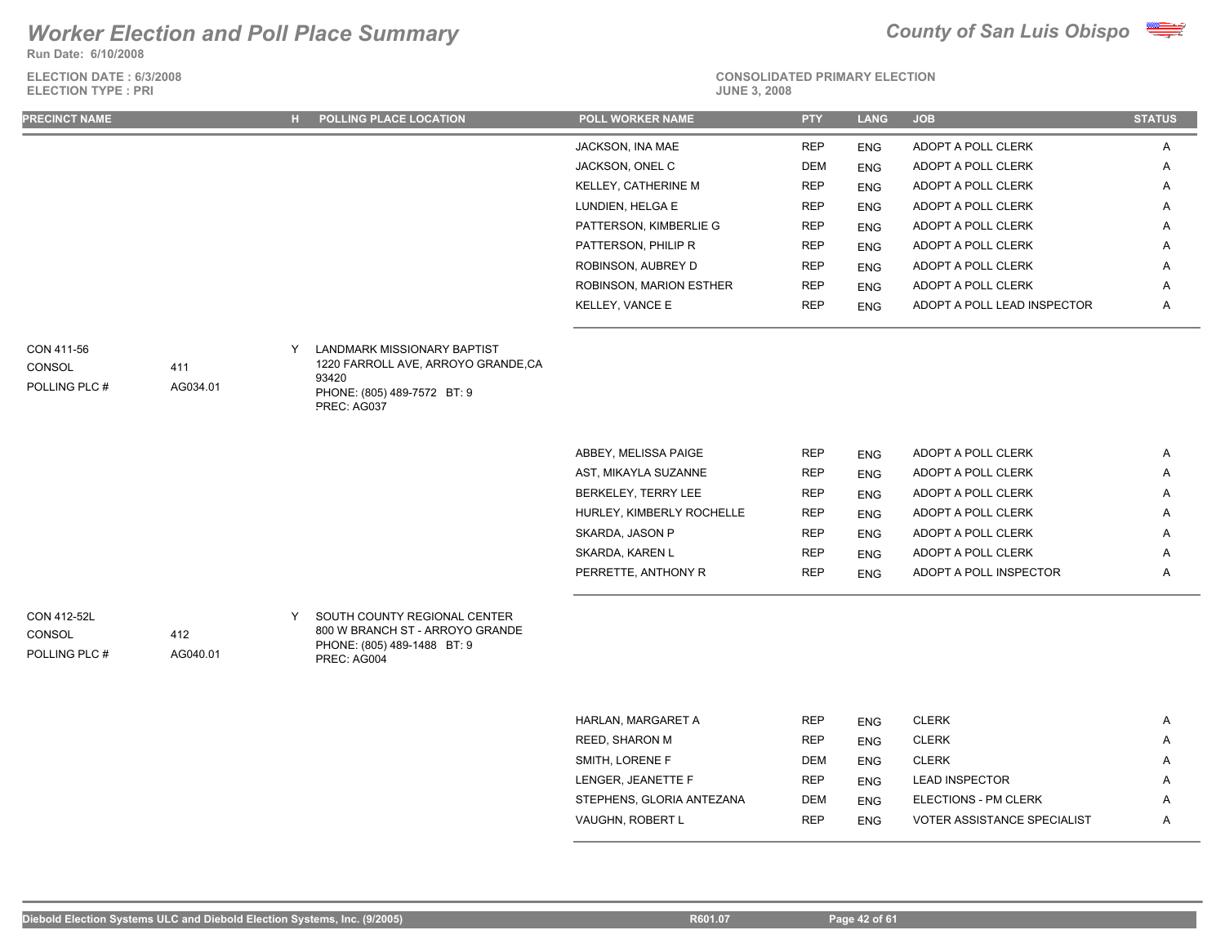**Run Date: 6/10/2008**

**ELECTION DATE : 6/3/2008**



### **CONSOLIDATED PRIMARY ELECTION**

| <b>ELECTION TYPE: PRI</b>              |                 |   |                                                                                                                                 | <b>JUNE 3, 2008</b>                              |                          |                          |                                          |               |
|----------------------------------------|-----------------|---|---------------------------------------------------------------------------------------------------------------------------------|--------------------------------------------------|--------------------------|--------------------------|------------------------------------------|---------------|
| <b>PRECINCT NAME</b>                   |                 |   | H POLLING PLACE LOCATION                                                                                                        | POLL WORKER NAME                                 | <b>PTY</b>               | <b>LANG</b>              | <b>JOB</b>                               | <b>STATUS</b> |
|                                        |                 |   |                                                                                                                                 | JACKSON, INA MAE                                 | <b>REP</b>               | <b>ENG</b>               | ADOPT A POLL CLERK                       | A             |
|                                        |                 |   |                                                                                                                                 | JACKSON, ONEL C                                  | <b>DEM</b>               | <b>ENG</b>               | ADOPT A POLL CLERK                       | A             |
|                                        |                 |   |                                                                                                                                 | KELLEY, CATHERINE M                              | <b>REP</b>               | <b>ENG</b>               | ADOPT A POLL CLERK                       | Α             |
|                                        |                 |   |                                                                                                                                 | LUNDIEN, HELGA E                                 | <b>REP</b>               | <b>ENG</b>               | ADOPT A POLL CLERK                       | A             |
|                                        |                 |   |                                                                                                                                 | PATTERSON, KIMBERLIE G                           | <b>REP</b>               | <b>ENG</b>               | ADOPT A POLL CLERK                       | A             |
|                                        |                 |   |                                                                                                                                 | PATTERSON, PHILIP R                              | <b>REP</b>               | <b>ENG</b>               | ADOPT A POLL CLERK                       | Α             |
|                                        |                 |   |                                                                                                                                 | ROBINSON, AUBREY D                               | <b>REP</b>               | <b>ENG</b>               | ADOPT A POLL CLERK                       | Α             |
|                                        |                 |   |                                                                                                                                 | ROBINSON, MARION ESTHER                          | <b>REP</b>               | <b>ENG</b>               | ADOPT A POLL CLERK                       | A             |
|                                        |                 |   |                                                                                                                                 | KELLEY, VANCE E                                  | <b>REP</b>               | <b>ENG</b>               | ADOPT A POLL LEAD INSPECTOR              | Α             |
| CON 411-56<br>CONSOL<br>POLLING PLC #  | 411<br>AG034.01 | Y | <b>LANDMARK MISSIONARY BAPTIST</b><br>1220 FARROLL AVE, ARROYO GRANDE,CA<br>93420<br>PHONE: (805) 489-7572 BT: 9<br>PREC: AG037 |                                                  |                          |                          |                                          |               |
|                                        |                 |   |                                                                                                                                 |                                                  |                          |                          |                                          |               |
|                                        |                 |   |                                                                                                                                 | ABBEY, MELISSA PAIGE                             | <b>REP</b>               | <b>ENG</b>               | ADOPT A POLL CLERK                       | $\mathsf{A}$  |
|                                        |                 |   |                                                                                                                                 | AST, MIKAYLA SUZANNE                             | <b>REP</b>               | <b>ENG</b>               | ADOPT A POLL CLERK                       | Α             |
|                                        |                 |   |                                                                                                                                 | BERKELEY, TERRY LEE<br>HURLEY, KIMBERLY ROCHELLE | <b>REP</b><br><b>REP</b> | <b>ENG</b>               | ADOPT A POLL CLERK<br>ADOPT A POLL CLERK | Α             |
|                                        |                 |   |                                                                                                                                 | SKARDA, JASON P                                  | <b>REP</b>               | <b>ENG</b>               | ADOPT A POLL CLERK                       | A<br>A        |
|                                        |                 |   |                                                                                                                                 | SKARDA, KAREN L                                  | <b>REP</b>               | <b>ENG</b><br><b>ENG</b> | ADOPT A POLL CLERK                       | Α             |
|                                        |                 |   |                                                                                                                                 | PERRETTE, ANTHONY R                              | <b>REP</b>               | <b>ENG</b>               | ADOPT A POLL INSPECTOR                   | A             |
| CON 412-52L<br>CONSOL<br>POLLING PLC # | 412<br>AG040.01 | Y | SOUTH COUNTY REGIONAL CENTER<br>800 W BRANCH ST - ARROYO GRANDE<br>PHONE: (805) 489-1488 BT: 9<br>PREC: AG004                   |                                                  |                          |                          |                                          |               |
|                                        |                 |   |                                                                                                                                 |                                                  |                          |                          |                                          |               |
|                                        |                 |   |                                                                                                                                 | HARLAN, MARGARET A                               | <b>REP</b>               | <b>ENG</b>               | <b>CLERK</b>                             | A             |
|                                        |                 |   |                                                                                                                                 | REED, SHARON M                                   | <b>REP</b>               | <b>ENG</b>               | <b>CLERK</b>                             | A             |
|                                        |                 |   |                                                                                                                                 | SMITH, LORENE F                                  | <b>DEM</b>               | <b>ENG</b>               | <b>CLERK</b>                             | A             |

LENGER, JEANETTE F FOR THE REP ENG LEAD INSPECTOR A A STEPHENS, GLORIA ANTEZANA DEM ENG ELECTIONS - PM CLERK A VAUGHN, ROBERT LETTER AND REP ENG VOTER ASSISTANCE SPECIALIST A A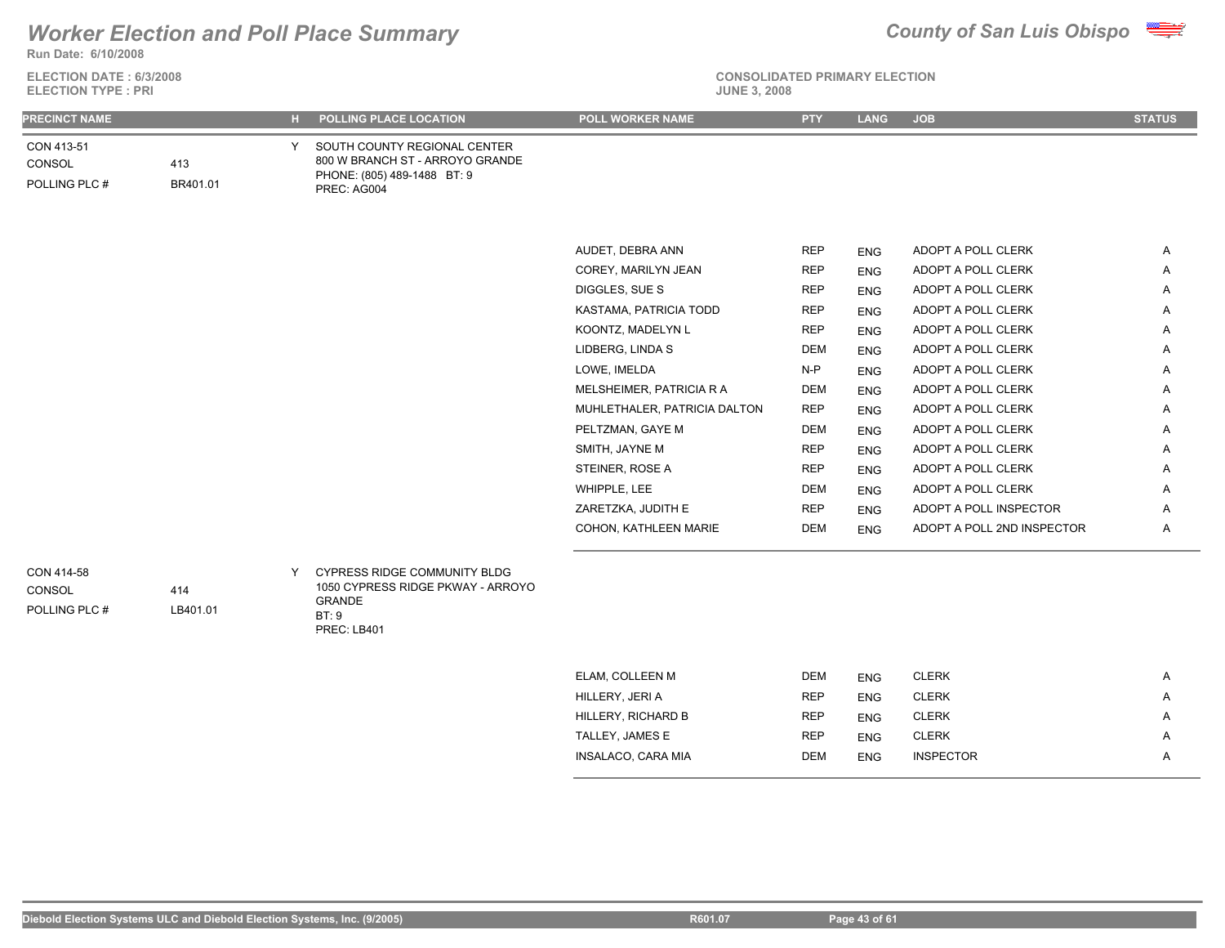### **Run Date: 6/10/2008** *Worker Election and Poll Place Summary County of San Luis Obispo*

**ELECTION DATE : 6/3/2008**



| <b>ELECTION TYPE: PRI</b>             |                 |    |                                                                                                               | <b>JUNE 3, 2008</b>          |            |             |                            |               |
|---------------------------------------|-----------------|----|---------------------------------------------------------------------------------------------------------------|------------------------------|------------|-------------|----------------------------|---------------|
| <b>PRECINCT NAME</b>                  |                 | н. | POLLING PLACE LOCATION                                                                                        | POLL WORKER NAME             | <b>PTY</b> | <b>LANG</b> | <b>JOB</b>                 | <b>STATUS</b> |
| CON 413-51<br>CONSOL<br>POLLING PLC # | 413<br>BR401.01 | Y  | SOUTH COUNTY REGIONAL CENTER<br>800 W BRANCH ST - ARROYO GRANDE<br>PHONE: (805) 489-1488 BT: 9<br>PREC: AG004 |                              |            |             |                            |               |
|                                       |                 |    |                                                                                                               | AUDET, DEBRA ANN             | <b>REP</b> | <b>ENG</b>  | ADOPT A POLL CLERK         | Α             |
|                                       |                 |    |                                                                                                               | COREY, MARILYN JEAN          | <b>REP</b> | <b>ENG</b>  | ADOPT A POLL CLERK         | Α             |
|                                       |                 |    |                                                                                                               | DIGGLES, SUE S               | <b>REP</b> | <b>ENG</b>  | ADOPT A POLL CLERK         | Α             |
|                                       |                 |    |                                                                                                               | KASTAMA, PATRICIA TODD       | <b>REP</b> | <b>ENG</b>  | ADOPT A POLL CLERK         | A             |
|                                       |                 |    |                                                                                                               | KOONTZ, MADELYN L            | <b>REP</b> | <b>ENG</b>  | ADOPT A POLL CLERK         | Α             |
|                                       |                 |    |                                                                                                               | LIDBERG, LINDA S             | <b>DEM</b> | <b>ENG</b>  | ADOPT A POLL CLERK         | Α             |
|                                       |                 |    |                                                                                                               | LOWE, IMELDA                 | $N-P$      | <b>ENG</b>  | ADOPT A POLL CLERK         | Α             |
|                                       |                 |    |                                                                                                               | MELSHEIMER, PATRICIA R A     | <b>DEM</b> | <b>ENG</b>  | ADOPT A POLL CLERK         | Α             |
|                                       |                 |    |                                                                                                               | MUHLETHALER, PATRICIA DALTON | <b>REP</b> | <b>ENG</b>  | ADOPT A POLL CLERK         | Α             |
|                                       |                 |    |                                                                                                               | PELTZMAN, GAYE M             | <b>DEM</b> | <b>ENG</b>  | ADOPT A POLL CLERK         | Α             |
|                                       |                 |    |                                                                                                               | SMITH, JAYNE M               | <b>REP</b> | <b>ENG</b>  | ADOPT A POLL CLERK         | Α             |
|                                       |                 |    |                                                                                                               | STEINER, ROSE A              | <b>REP</b> | <b>ENG</b>  | ADOPT A POLL CLERK         | Α             |
|                                       |                 |    |                                                                                                               | WHIPPLE, LEE                 | <b>DEM</b> | <b>ENG</b>  | ADOPT A POLL CLERK         | Α             |
|                                       |                 |    |                                                                                                               | ZARETZKA, JUDITH E           | <b>REP</b> | <b>ENG</b>  | ADOPT A POLL INSPECTOR     | A             |
|                                       |                 |    |                                                                                                               | COHON, KATHLEEN MARIE        | DEM        | <b>ENG</b>  | ADOPT A POLL 2ND INSPECTOR | A             |
| CON 414-58<br>CONSOL<br>POLLING PLC # | 414<br>LB401.01 | Y  | <b>CYPRESS RIDGE COMMUNITY BLDG</b><br>1050 CYPRESS RIDGE PKWAY - ARROYO<br>GRANDE<br>BT:9<br>PREC: LB401     |                              |            |             |                            |               |
|                                       |                 |    |                                                                                                               | ELAM, COLLEEN M              | DEM        | <b>ENG</b>  | <b>CLERK</b>               | Α             |
|                                       |                 |    |                                                                                                               | HILLERY, JERI A              | <b>REP</b> | <b>ENG</b>  | <b>CLERK</b>               | Α             |
|                                       |                 |    |                                                                                                               | HILLERY, RICHARD B           | <b>REP</b> | <b>ENG</b>  | <b>CLERK</b>               | A             |
|                                       |                 |    |                                                                                                               | TALLEY, JAMES E              | <b>REP</b> | <b>ENG</b>  | <b>CLERK</b>               | Α             |
|                                       |                 |    |                                                                                                               | INSALACO, CARA MIA           | <b>DEM</b> | <b>ENG</b>  | <b>INSPECTOR</b>           | A             |
|                                       |                 |    |                                                                                                               |                              |            |             |                            |               |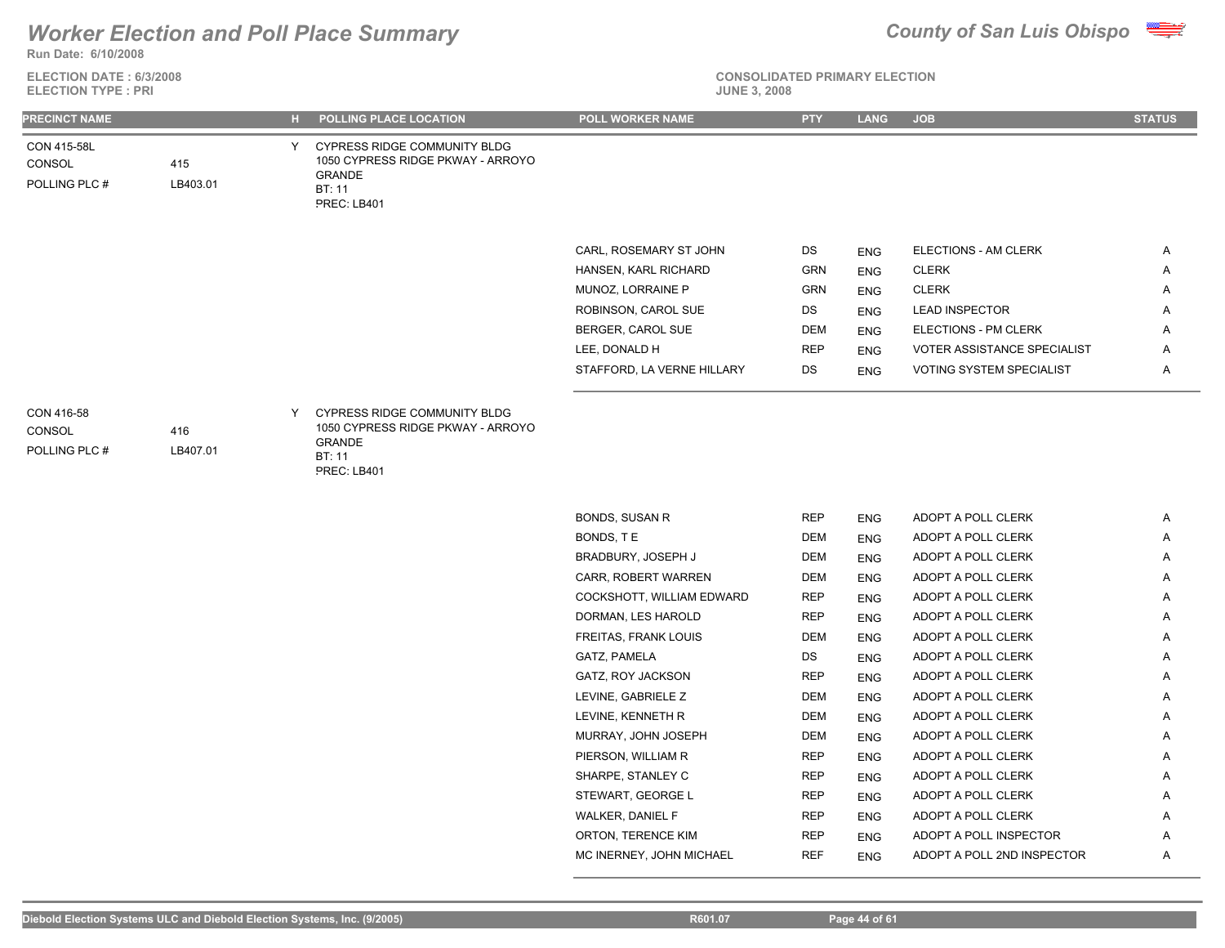

**Run Date: 6/10/2008**

**ELECTION DATE : 6/3/2008 ELECTION TYPE : PRI JUNE 3, 2008**

### **CONSOLIDATED PRIMARY ELECTION**

| <b>JUNE 3, 2008</b> |  |  |  |
|---------------------|--|--|--|
|---------------------|--|--|--|

| Y CYPRESS RIDGE COMMUNITY BLDG<br>1050 CYPRESS RIDGE PKWAY - ARROYO<br>415<br><b>GRANDE</b><br>LB403.01<br>BT: 11<br>PREC: LB401<br>ELECTIONS - AM CLERK<br>CARL, ROSEMARY ST JOHN<br>DS<br>Α<br><b>ENG</b><br>GRN<br>HANSEN, KARL RICHARD<br><b>CLERK</b><br><b>ENG</b><br>A<br><b>CLERK</b><br>MUNOZ, LORRAINE P<br><b>GRN</b><br><b>ENG</b><br>Α<br>ROBINSON, CAROL SUE<br>DS<br><b>LEAD INSPECTOR</b><br>Α<br><b>ENG</b><br>BERGER, CAROL SUE<br>DEM<br>ELECTIONS - PM CLERK<br>A<br><b>ENG</b><br>LEE, DONALD H<br><b>REP</b><br><b>VOTER ASSISTANCE SPECIALIST</b><br>Α<br><b>ENG</b><br>STAFFORD, LA VERNE HILLARY<br><b>VOTING SYSTEM SPECIALIST</b><br>DS<br>Α<br><b>ENG</b><br><b>CYPRESS RIDGE COMMUNITY BLDG</b><br>Y<br>1050 CYPRESS RIDGE PKWAY - ARROYO<br>416<br><b>GRANDE</b><br>LB407.01<br>BT: 11<br>PREC: LB401 |  |  | CON 415-58L<br>CONSOL<br>POLLING PLC # |
|-------------------------------------------------------------------------------------------------------------------------------------------------------------------------------------------------------------------------------------------------------------------------------------------------------------------------------------------------------------------------------------------------------------------------------------------------------------------------------------------------------------------------------------------------------------------------------------------------------------------------------------------------------------------------------------------------------------------------------------------------------------------------------------------------------------------------------------|--|--|----------------------------------------|
|                                                                                                                                                                                                                                                                                                                                                                                                                                                                                                                                                                                                                                                                                                                                                                                                                                     |  |  |                                        |
|                                                                                                                                                                                                                                                                                                                                                                                                                                                                                                                                                                                                                                                                                                                                                                                                                                     |  |  |                                        |
|                                                                                                                                                                                                                                                                                                                                                                                                                                                                                                                                                                                                                                                                                                                                                                                                                                     |  |  |                                        |
|                                                                                                                                                                                                                                                                                                                                                                                                                                                                                                                                                                                                                                                                                                                                                                                                                                     |  |  |                                        |
|                                                                                                                                                                                                                                                                                                                                                                                                                                                                                                                                                                                                                                                                                                                                                                                                                                     |  |  |                                        |
|                                                                                                                                                                                                                                                                                                                                                                                                                                                                                                                                                                                                                                                                                                                                                                                                                                     |  |  |                                        |
|                                                                                                                                                                                                                                                                                                                                                                                                                                                                                                                                                                                                                                                                                                                                                                                                                                     |  |  |                                        |
|                                                                                                                                                                                                                                                                                                                                                                                                                                                                                                                                                                                                                                                                                                                                                                                                                                     |  |  |                                        |
|                                                                                                                                                                                                                                                                                                                                                                                                                                                                                                                                                                                                                                                                                                                                                                                                                                     |  |  |                                        |
|                                                                                                                                                                                                                                                                                                                                                                                                                                                                                                                                                                                                                                                                                                                                                                                                                                     |  |  | CON 416-58<br>CONSOL<br>POLLING PLC #  |
|                                                                                                                                                                                                                                                                                                                                                                                                                                                                                                                                                                                                                                                                                                                                                                                                                                     |  |  |                                        |
| <b>BONDS, SUSAN R</b><br><b>REP</b><br>ADOPT A POLL CLERK<br>Α<br><b>ENG</b>                                                                                                                                                                                                                                                                                                                                                                                                                                                                                                                                                                                                                                                                                                                                                        |  |  |                                        |
| BONDS, TE<br>ADOPT A POLL CLERK<br>DEM<br><b>ENG</b><br>A                                                                                                                                                                                                                                                                                                                                                                                                                                                                                                                                                                                                                                                                                                                                                                           |  |  |                                        |
| BRADBURY, JOSEPH J<br>DEM<br>ADOPT A POLL CLERK<br><b>ENG</b><br>A                                                                                                                                                                                                                                                                                                                                                                                                                                                                                                                                                                                                                                                                                                                                                                  |  |  |                                        |
| CARR, ROBERT WARREN<br>ADOPT A POLL CLERK<br>DEM<br>A<br><b>ENG</b>                                                                                                                                                                                                                                                                                                                                                                                                                                                                                                                                                                                                                                                                                                                                                                 |  |  |                                        |
| COCKSHOTT, WILLIAM EDWARD<br><b>REP</b><br>ADOPT A POLL CLERK<br>A<br><b>ENG</b>                                                                                                                                                                                                                                                                                                                                                                                                                                                                                                                                                                                                                                                                                                                                                    |  |  |                                        |
| DORMAN, LES HAROLD<br><b>REP</b><br>ADOPT A POLL CLERK<br><b>ENG</b><br>A                                                                                                                                                                                                                                                                                                                                                                                                                                                                                                                                                                                                                                                                                                                                                           |  |  |                                        |
| FREITAS, FRANK LOUIS<br><b>DEM</b><br>ADOPT A POLL CLERK<br>Α<br><b>ENG</b>                                                                                                                                                                                                                                                                                                                                                                                                                                                                                                                                                                                                                                                                                                                                                         |  |  |                                        |
| GATZ, PAMELA<br>ADOPT A POLL CLERK<br>DS<br>Α<br><b>ENG</b>                                                                                                                                                                                                                                                                                                                                                                                                                                                                                                                                                                                                                                                                                                                                                                         |  |  |                                        |
| GATZ, ROY JACKSON<br><b>REP</b><br>ADOPT A POLL CLERK<br><b>ENG</b><br>Α<br>LEVINE, GABRIELE Z                                                                                                                                                                                                                                                                                                                                                                                                                                                                                                                                                                                                                                                                                                                                      |  |  |                                        |
| DEM<br>ADOPT A POLL CLERK<br>Α<br><b>ENG</b>                                                                                                                                                                                                                                                                                                                                                                                                                                                                                                                                                                                                                                                                                                                                                                                        |  |  |                                        |
| LEVINE, KENNETH R<br>DEM<br>ADOPT A POLL CLERK<br>Α<br><b>ENG</b><br>MURRAY, JOHN JOSEPH<br>DEM<br>ADOPT A POLL CLERK<br>Α                                                                                                                                                                                                                                                                                                                                                                                                                                                                                                                                                                                                                                                                                                          |  |  |                                        |
| <b>ENG</b><br>PIERSON, WILLIAM R<br><b>REP</b><br>ADOPT A POLL CLERK<br>Α<br><b>ENG</b>                                                                                                                                                                                                                                                                                                                                                                                                                                                                                                                                                                                                                                                                                                                                             |  |  |                                        |
| SHARPE, STANLEY C<br><b>REP</b><br>ADOPT A POLL CLERK<br><b>ENG</b><br>A                                                                                                                                                                                                                                                                                                                                                                                                                                                                                                                                                                                                                                                                                                                                                            |  |  |                                        |
| STEWART, GEORGE L<br><b>REP</b><br>ADOPT A POLL CLERK<br><b>ENG</b>                                                                                                                                                                                                                                                                                                                                                                                                                                                                                                                                                                                                                                                                                                                                                                 |  |  |                                        |
| WALKER, DANIEL F<br><b>REP</b><br>ADOPT A POLL CLERK<br>A<br><b>ENG</b>                                                                                                                                                                                                                                                                                                                                                                                                                                                                                                                                                                                                                                                                                                                                                             |  |  |                                        |

ORTON, TERENCE KIM **REP** ENG ADOPT A POLL INSPECTOR A MC INERNEY, JOHN MICHAEL REF ENG ADOPT A POLL 2ND INSPECTOR A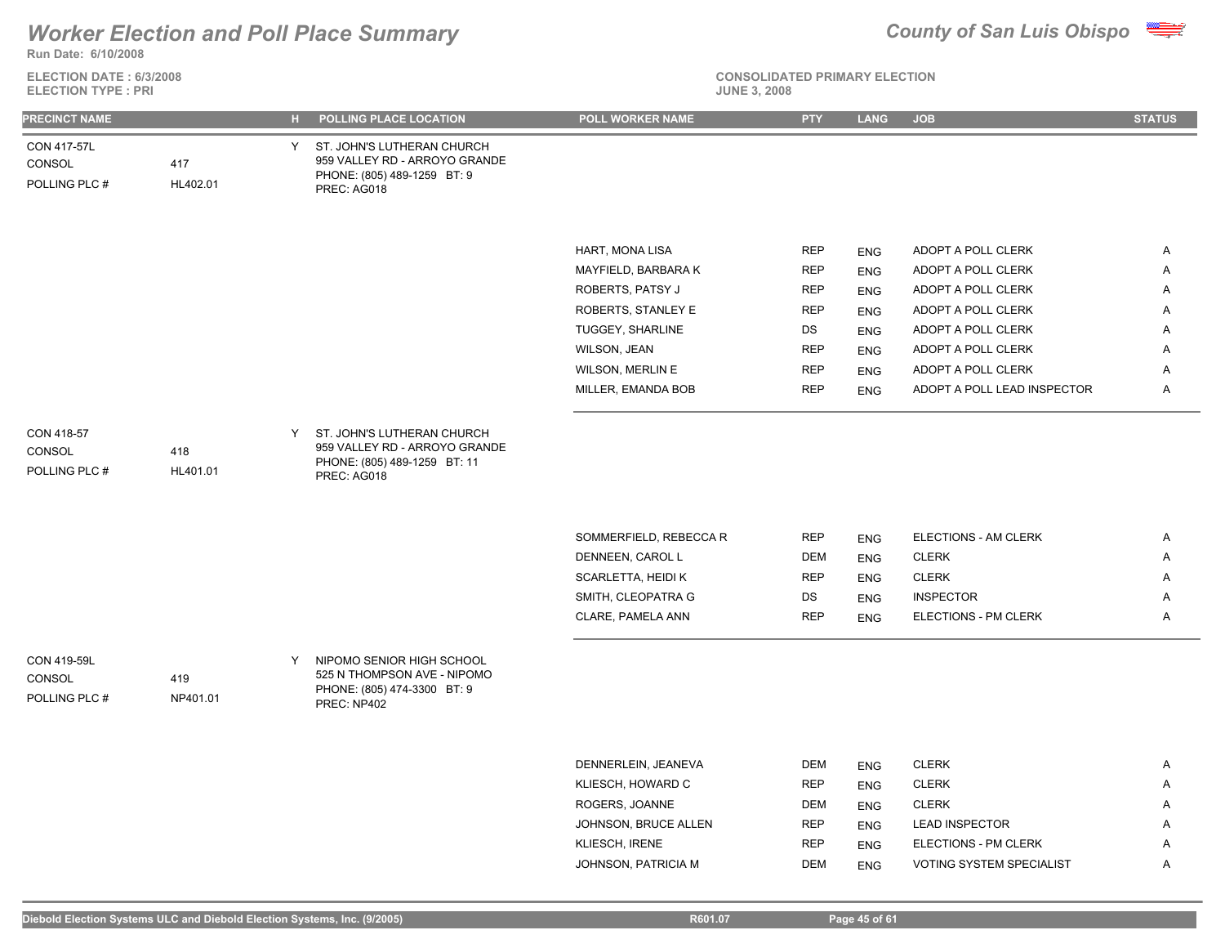

**ELECTION DATE : 6/3/2008 ELECTION TYPE : PRI** 



**CONSOLIDATED PRIMARY ELECTION**

| <b>PRECINCT NAME</b>                   |                 |   | H POLLING PLACE LOCATION                                                                                    | POLL WORKER NAME        | <b>PTY</b> | LANG       | <b>JOB</b>                  | <b>STATUS</b> |
|----------------------------------------|-----------------|---|-------------------------------------------------------------------------------------------------------------|-------------------------|------------|------------|-----------------------------|---------------|
| CON 417-57L<br>CONSOL<br>POLLING PLC # | 417<br>HL402.01 |   | Y ST. JOHN'S LUTHERAN CHURCH<br>959 VALLEY RD - ARROYO GRANDE<br>PHONE: (805) 489-1259 BT: 9<br>PREC: AG018 |                         |            |            |                             |               |
|                                        |                 |   |                                                                                                             |                         |            |            |                             |               |
|                                        |                 |   |                                                                                                             | HART, MONA LISA         | <b>REP</b> | <b>ENG</b> | ADOPT A POLL CLERK          | Α             |
|                                        |                 |   |                                                                                                             | MAYFIELD, BARBARA K     | <b>REP</b> | <b>ENG</b> | ADOPT A POLL CLERK          | Α             |
|                                        |                 |   |                                                                                                             | ROBERTS, PATSY J        | <b>REP</b> | <b>ENG</b> | ADOPT A POLL CLERK          | Α             |
|                                        |                 |   |                                                                                                             | ROBERTS, STANLEY E      | <b>REP</b> | <b>ENG</b> | ADOPT A POLL CLERK          | Α             |
|                                        |                 |   |                                                                                                             | TUGGEY, SHARLINE        | DS         | <b>ENG</b> | ADOPT A POLL CLERK          | Α             |
|                                        |                 |   |                                                                                                             | WILSON, JEAN            | <b>REP</b> | <b>ENG</b> | ADOPT A POLL CLERK          | Α             |
|                                        |                 |   |                                                                                                             | <b>WILSON, MERLIN E</b> | <b>REP</b> | <b>ENG</b> | ADOPT A POLL CLERK          | Α             |
|                                        |                 |   |                                                                                                             | MILLER, EMANDA BOB      | <b>REP</b> | <b>ENG</b> | ADOPT A POLL LEAD INSPECTOR | Α             |
| CON 418-57<br>CONSOL<br>POLLING PLC #  | 418<br>HL401.01 | Y | ST. JOHN'S LUTHERAN CHURCH<br>959 VALLEY RD - ARROYO GRANDE<br>PHONE: (805) 489-1259 BT: 11<br>PREC: AG018  |                         |            |            |                             |               |
|                                        |                 |   |                                                                                                             | SOMMERFIELD, REBECCA R  | <b>REP</b> | <b>ENG</b> | ELECTIONS - AM CLERK        | Α             |
|                                        |                 |   |                                                                                                             | DENNEEN, CAROL L        | <b>DEM</b> | <b>ENG</b> | <b>CLERK</b>                | A             |
|                                        |                 |   |                                                                                                             | SCARLETTA, HEIDI K      | <b>REP</b> | <b>ENG</b> | <b>CLERK</b>                | Α             |
|                                        |                 |   |                                                                                                             | SMITH, CLEOPATRA G      | DS         | <b>ENG</b> | <b>INSPECTOR</b>            | Α             |
|                                        |                 |   |                                                                                                             | CLARE, PAMELA ANN       | <b>REP</b> | <b>ENG</b> | ELECTIONS - PM CLERK        | Α             |
| CON 419-59L<br>CONSOL<br>POLLING PLC # | 419<br>NP401.01 | Y | NIPOMO SENIOR HIGH SCHOOL<br>525 N THOMPSON AVE - NIPOMO<br>PHONE: (805) 474-3300 BT: 9<br>PREC: NP402      |                         |            |            |                             |               |
|                                        |                 |   |                                                                                                             |                         |            |            |                             |               |
|                                        |                 |   |                                                                                                             | DENNERLEIN, JEANEVA     | <b>DEM</b> | <b>ENG</b> | <b>CLERK</b>                | Α             |
|                                        |                 |   |                                                                                                             | KLIESCH, HOWARD C       | <b>REP</b> | <b>ENG</b> | <b>CLERK</b>                | Α             |
|                                        |                 |   |                                                                                                             | ROGERS, JOANNE          | <b>DEM</b> | <b>ENG</b> | <b>CLERK</b>                | A             |

JOHNSON, BRUCE ALLEN REP ENG LEAD INSPECTOR A KLIESCH, IRENE **ENG ELECTIONS - PM CLERK A** JOHNSON, PATRICIA M DEM ENG VOTING SYSTEM SPECIALIST A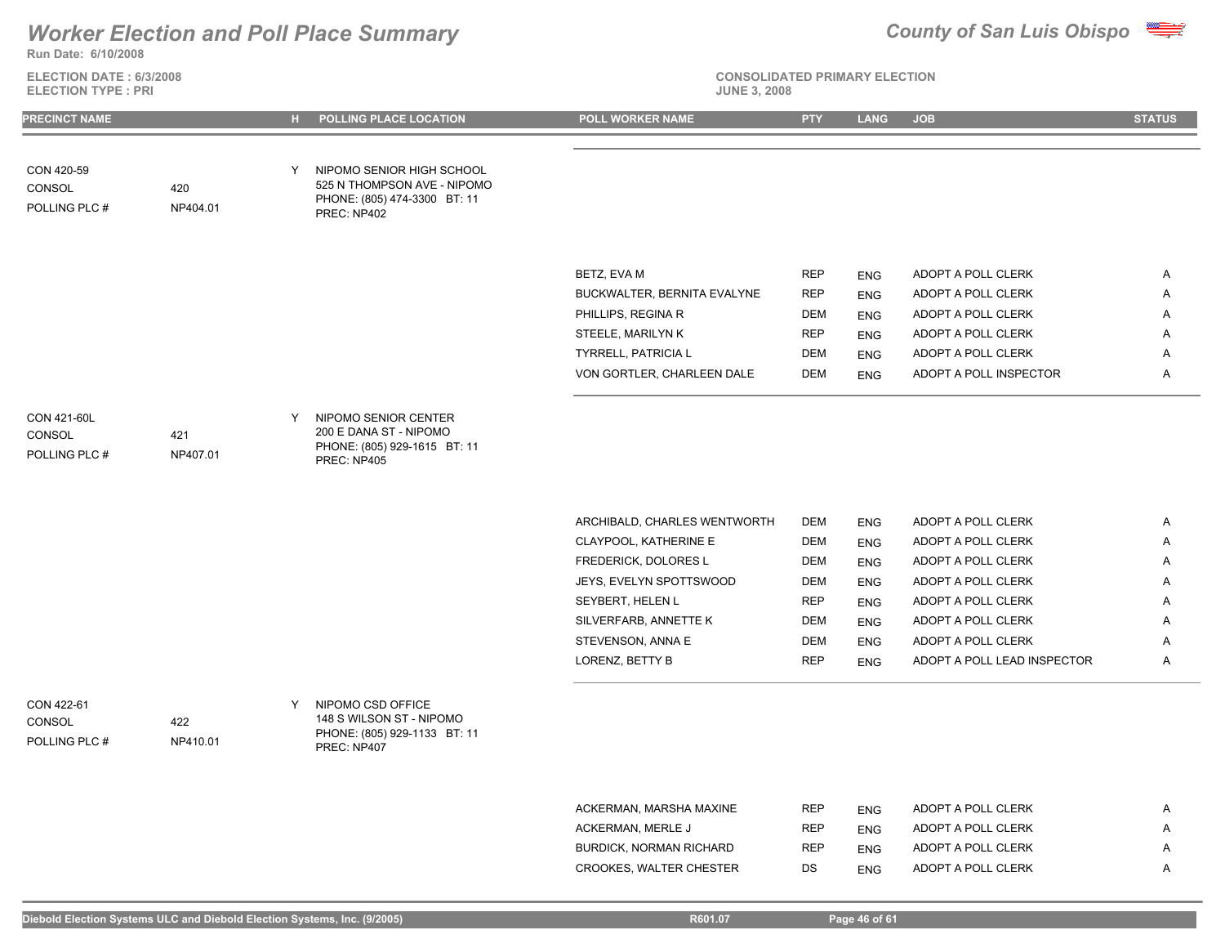

**Run Date: 6/10/2008**

**ELECTION DATE : 6/3/2008 ELECTION TYPE : PRI** 

# **CONSOLIDATED PRIMARY ELECTION**

| <b>PRECINCT NAME</b>                   |                 |   | H POLLING PLACE LOCATION                                                                                | <b>POLL WORKER NAME</b>                                  | <b>PTY</b>               | <b>LANG</b>              | <b>JOB</b>                                   | <b>STATUS</b> |
|----------------------------------------|-----------------|---|---------------------------------------------------------------------------------------------------------|----------------------------------------------------------|--------------------------|--------------------------|----------------------------------------------|---------------|
|                                        |                 |   |                                                                                                         |                                                          |                          |                          |                                              |               |
| CON 420-59<br>CONSOL<br>POLLING PLC #  | 420<br>NP404.01 | Y | NIPOMO SENIOR HIGH SCHOOL<br>525 N THOMPSON AVE - NIPOMO<br>PHONE: (805) 474-3300 BT: 11<br>PREC: NP402 |                                                          |                          |                          |                                              |               |
|                                        |                 |   |                                                                                                         |                                                          |                          |                          |                                              |               |
|                                        |                 |   |                                                                                                         | BETZ, EVA M                                              | <b>REP</b>               | <b>ENG</b>               | ADOPT A POLL CLERK                           | Α             |
|                                        |                 |   |                                                                                                         | BUCKWALTER, BERNITA EVALYNE                              | <b>REP</b>               | <b>ENG</b>               | ADOPT A POLL CLERK                           | Α             |
|                                        |                 |   |                                                                                                         | PHILLIPS, REGINA R                                       | <b>DEM</b><br><b>REP</b> | <b>ENG</b>               | ADOPT A POLL CLERK                           | Α<br>Α        |
|                                        |                 |   |                                                                                                         | STEELE, MARILYN K                                        |                          | <b>ENG</b>               | ADOPT A POLL CLERK                           |               |
|                                        |                 |   |                                                                                                         | <b>TYRRELL, PATRICIA L</b><br>VON GORTLER, CHARLEEN DALE | <b>DEM</b><br><b>DEM</b> | <b>ENG</b><br><b>ENG</b> | ADOPT A POLL CLERK<br>ADOPT A POLL INSPECTOR | Α<br>Α        |
|                                        |                 |   |                                                                                                         |                                                          |                          |                          |                                              |               |
| CON 421-60L<br>CONSOL<br>POLLING PLC # | 421<br>NP407.01 | Y | NIPOMO SENIOR CENTER<br>200 E DANA ST - NIPOMO<br>PHONE: (805) 929-1615 BT: 11<br>PREC: NP405           |                                                          |                          |                          |                                              |               |
|                                        |                 |   |                                                                                                         |                                                          |                          |                          |                                              |               |
|                                        |                 |   |                                                                                                         | ARCHIBALD, CHARLES WENTWORTH                             | <b>DEM</b>               | <b>ENG</b>               | ADOPT A POLL CLERK                           | Α             |
|                                        |                 |   |                                                                                                         | CLAYPOOL, KATHERINE E                                    | <b>DEM</b>               | <b>ENG</b>               | ADOPT A POLL CLERK                           | Α             |
|                                        |                 |   |                                                                                                         | FREDERICK, DOLORES L                                     | <b>DEM</b>               | <b>ENG</b>               | ADOPT A POLL CLERK                           | Α             |
|                                        |                 |   |                                                                                                         | JEYS, EVELYN SPOTTSWOOD                                  | <b>DEM</b>               | <b>ENG</b>               | ADOPT A POLL CLERK                           | Α             |
|                                        |                 |   |                                                                                                         | SEYBERT, HELEN L                                         | <b>REP</b>               | <b>ENG</b>               | ADOPT A POLL CLERK                           | Α             |
|                                        |                 |   |                                                                                                         | SILVERFARB, ANNETTE K                                    | <b>DEM</b>               | <b>ENG</b>               | ADOPT A POLL CLERK                           | Α             |
|                                        |                 |   |                                                                                                         | STEVENSON, ANNA E                                        | <b>DEM</b>               | <b>ENG</b>               | ADOPT A POLL CLERK                           | Α             |
|                                        |                 |   |                                                                                                         | LORENZ, BETTY B                                          | <b>REP</b>               | <b>ENG</b>               | ADOPT A POLL LEAD INSPECTOR                  | A             |
| CON 422-61<br>CONSOL<br>POLLING PLC #  | 422<br>NP410.01 | Y | NIPOMO CSD OFFICE<br>148 S WILSON ST - NIPOMO<br>PHONE: (805) 929-1133 BT: 11<br>PREC: NP407            |                                                          |                          |                          |                                              |               |
|                                        |                 |   |                                                                                                         |                                                          |                          |                          |                                              |               |
|                                        |                 |   |                                                                                                         | ACKERMAN, MARSHA MAXINE                                  | <b>REP</b>               | <b>ENG</b>               | ADOPT A POLL CLERK                           | Α             |
|                                        |                 |   |                                                                                                         | ACKERMAN, MERLE J                                        | <b>REP</b>               | <b>ENG</b>               | ADOPT A POLL CLERK                           | Α             |
|                                        |                 |   |                                                                                                         | <b>BURDICK, NORMAN RICHARD</b>                           | <b>REP</b>               | <b>ENG</b>               | ADOPT A POLL CLERK                           | Α             |

CROOKES, WALTER CHESTER DS ENG ADOPT A POLL CLERK A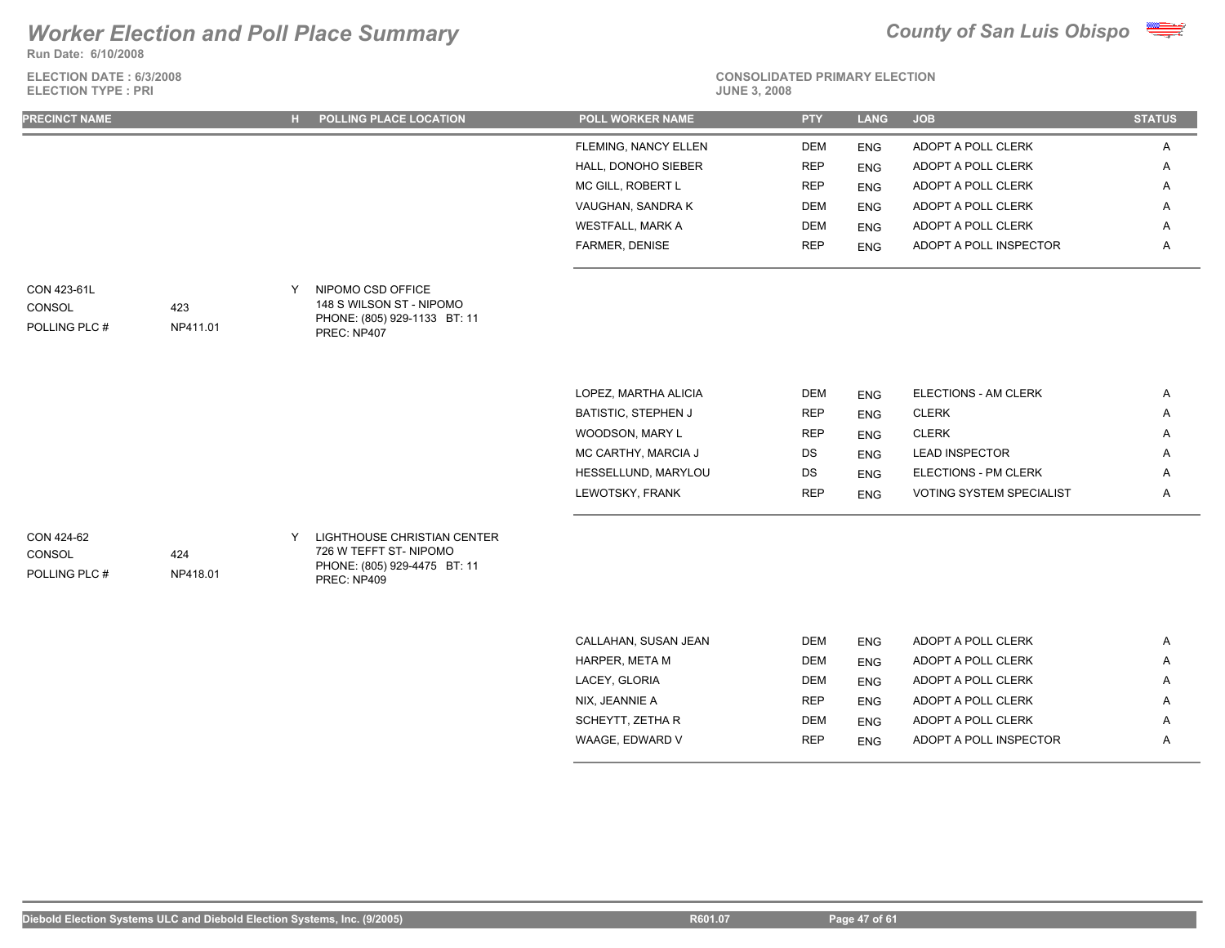**Run Date: 6/10/2008**

**ELECTION DATE : 6/3/2008 ELECTION TYPE : PRI** 





| FLEMING, NANCY ELLEN<br>ADOPT A POLL CLERK<br>DEM<br><b>ENG</b><br>HALL, DONOHO SIEBER<br>ADOPT A POLL CLERK<br><b>REP</b><br><b>ENG</b><br>MC GILL, ROBERT L<br><b>REP</b><br>ADOPT A POLL CLERK<br><b>ENG</b><br>VAUGHAN, SANDRA K<br>ADOPT A POLL CLERK<br>DEM<br><b>ENG</b><br><b>WESTFALL, MARK A</b><br>ADOPT A POLL CLERK<br><b>DEM</b><br><b>ENG</b><br>FARMER, DENISE<br><b>REP</b><br>ADOPT A POLL INSPECTOR<br>ENG<br>NIPOMO CSD OFFICE<br>CON 423-61L<br>Y<br>148 S WILSON ST - NIPOMO<br>CONSOL<br>423<br>PHONE: (805) 929-1133 BT: 11<br>POLLING PLC #<br>NP411.01<br>PREC: NP407<br>LOPEZ, MARTHA ALICIA<br>ELECTIONS - AM CLERK<br>DEM<br><b>ENG</b><br>BATISTIC, STEPHEN J<br><b>CLERK</b><br><b>REP</b><br>ENG<br>WOODSON, MARY L<br><b>REP</b><br><b>CLERK</b><br>ENG<br>MC CARTHY, MARCIA J<br><b>LEAD INSPECTOR</b><br>DS<br><b>ENG</b><br>ELECTIONS - PM CLERK<br>HESSELLUND, MARYLOU<br>DS<br><b>ENG</b><br>LEWOTSKY, FRANK<br><b>REP</b><br>VOTING SYSTEM SPECIALIST<br><b>ENG</b><br>CON 424-62<br>LIGHTHOUSE CHRISTIAN CENTER<br>Y<br>726 W TEFFT ST-NIPOMO<br>424<br>CONSOL<br>PHONE: (805) 929-4475 BT: 11<br>POLLING PLC #<br>NP418.01 | <b>PRECINCT NAME</b> |  | POLLING PLACE LOCATION | <b>POLL WORKER NAME</b> | <b>PTY</b> | <b>LANG</b> | <b>JOB</b> | <b>STATUS</b> |
|---------------------------------------------------------------------------------------------------------------------------------------------------------------------------------------------------------------------------------------------------------------------------------------------------------------------------------------------------------------------------------------------------------------------------------------------------------------------------------------------------------------------------------------------------------------------------------------------------------------------------------------------------------------------------------------------------------------------------------------------------------------------------------------------------------------------------------------------------------------------------------------------------------------------------------------------------------------------------------------------------------------------------------------------------------------------------------------------------------------------------------------------------------------------|----------------------|--|------------------------|-------------------------|------------|-------------|------------|---------------|
|                                                                                                                                                                                                                                                                                                                                                                                                                                                                                                                                                                                                                                                                                                                                                                                                                                                                                                                                                                                                                                                                                                                                                                     |                      |  |                        |                         |            |             |            | Α             |
|                                                                                                                                                                                                                                                                                                                                                                                                                                                                                                                                                                                                                                                                                                                                                                                                                                                                                                                                                                                                                                                                                                                                                                     |                      |  |                        |                         |            |             |            | A             |
|                                                                                                                                                                                                                                                                                                                                                                                                                                                                                                                                                                                                                                                                                                                                                                                                                                                                                                                                                                                                                                                                                                                                                                     |                      |  |                        |                         |            |             |            | Α             |
|                                                                                                                                                                                                                                                                                                                                                                                                                                                                                                                                                                                                                                                                                                                                                                                                                                                                                                                                                                                                                                                                                                                                                                     |                      |  |                        |                         |            |             |            | A             |
|                                                                                                                                                                                                                                                                                                                                                                                                                                                                                                                                                                                                                                                                                                                                                                                                                                                                                                                                                                                                                                                                                                                                                                     |                      |  |                        |                         |            |             |            | A             |
|                                                                                                                                                                                                                                                                                                                                                                                                                                                                                                                                                                                                                                                                                                                                                                                                                                                                                                                                                                                                                                                                                                                                                                     |                      |  |                        |                         |            |             |            | Α             |
|                                                                                                                                                                                                                                                                                                                                                                                                                                                                                                                                                                                                                                                                                                                                                                                                                                                                                                                                                                                                                                                                                                                                                                     |                      |  |                        |                         |            |             |            |               |
|                                                                                                                                                                                                                                                                                                                                                                                                                                                                                                                                                                                                                                                                                                                                                                                                                                                                                                                                                                                                                                                                                                                                                                     |                      |  |                        |                         |            |             |            |               |
|                                                                                                                                                                                                                                                                                                                                                                                                                                                                                                                                                                                                                                                                                                                                                                                                                                                                                                                                                                                                                                                                                                                                                                     |                      |  |                        |                         |            |             |            | Α             |
|                                                                                                                                                                                                                                                                                                                                                                                                                                                                                                                                                                                                                                                                                                                                                                                                                                                                                                                                                                                                                                                                                                                                                                     |                      |  |                        |                         |            |             |            | A             |
|                                                                                                                                                                                                                                                                                                                                                                                                                                                                                                                                                                                                                                                                                                                                                                                                                                                                                                                                                                                                                                                                                                                                                                     |                      |  |                        |                         |            |             |            | A             |
|                                                                                                                                                                                                                                                                                                                                                                                                                                                                                                                                                                                                                                                                                                                                                                                                                                                                                                                                                                                                                                                                                                                                                                     |                      |  |                        |                         |            |             |            | A             |
|                                                                                                                                                                                                                                                                                                                                                                                                                                                                                                                                                                                                                                                                                                                                                                                                                                                                                                                                                                                                                                                                                                                                                                     |                      |  |                        |                         |            |             |            | Α             |
|                                                                                                                                                                                                                                                                                                                                                                                                                                                                                                                                                                                                                                                                                                                                                                                                                                                                                                                                                                                                                                                                                                                                                                     |                      |  |                        |                         |            |             |            | Α             |
|                                                                                                                                                                                                                                                                                                                                                                                                                                                                                                                                                                                                                                                                                                                                                                                                                                                                                                                                                                                                                                                                                                                                                                     |                      |  | PREC: NP409            |                         |            |             |            |               |
| CALL ALIANE CHICANI IEANI<br>$D T M$ $= \frac{1}{2}$<br>ADODE A DOLL OLEDIZ                                                                                                                                                                                                                                                                                                                                                                                                                                                                                                                                                                                                                                                                                                                                                                                                                                                                                                                                                                                                                                                                                         |                      |  |                        |                         |            |             |            |               |

| CALLAHAN, SUSAN JEAN | <b>DEM</b> | <b>ENG</b> | ADOPT A POLL CLERK     | A |
|----------------------|------------|------------|------------------------|---|
| HARPER. META M       | <b>DEM</b> | <b>ENG</b> | ADOPT A POLL CLERK     | A |
| LACEY, GLORIA        | <b>DEM</b> | <b>ENG</b> | ADOPT A POLL CLERK     | A |
| NIX. JEANNIE A       | <b>REP</b> | <b>ENG</b> | ADOPT A POLL CLERK     | A |
| SCHEYTT, ZETHA R     | <b>DEM</b> | <b>ENG</b> | ADOPT A POLL CLERK     | Α |
| WAAGE. EDWARD V      | <b>REP</b> | <b>ENG</b> | ADOPT A POLL INSPECTOR | Α |
|                      |            |            |                        |   |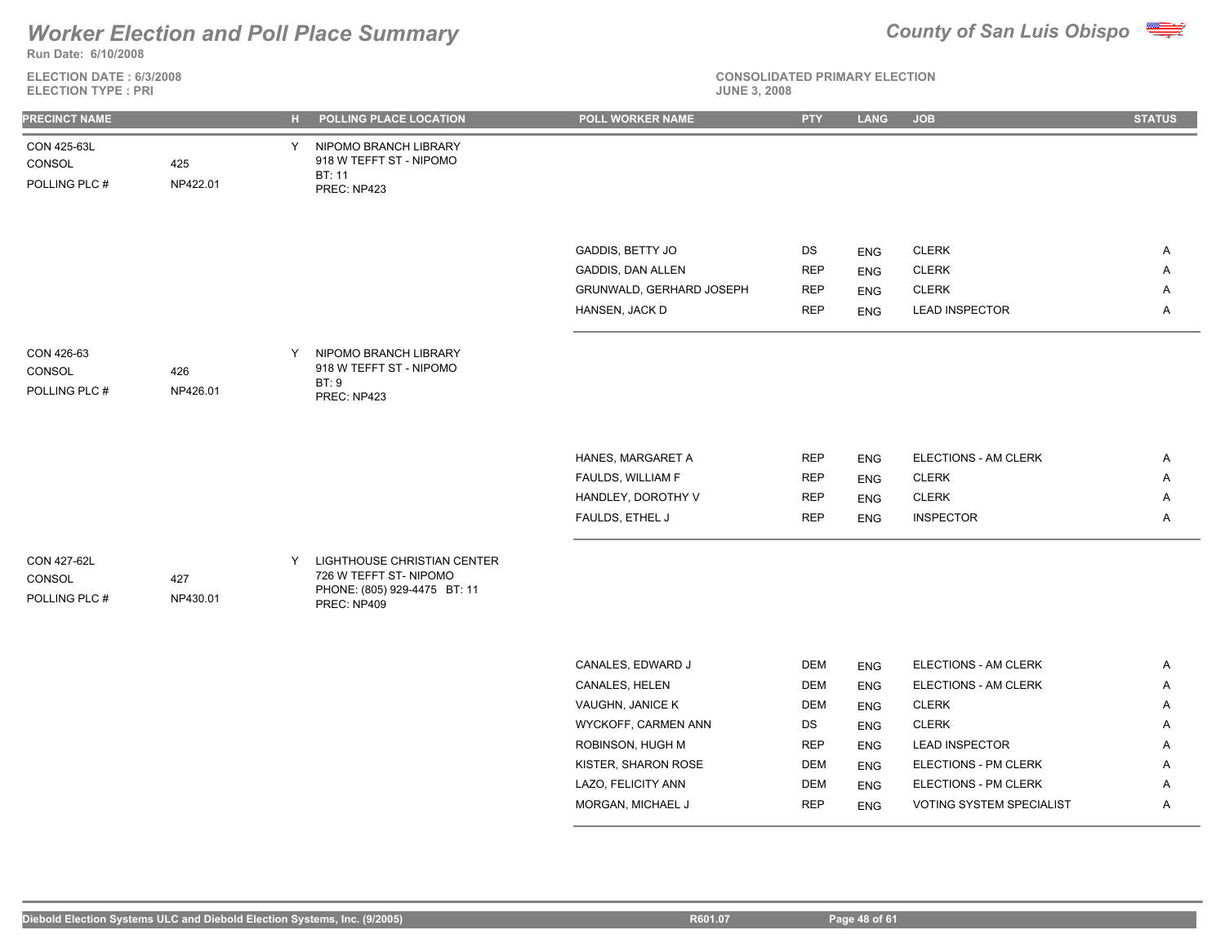**Run Date: 6/10/2008**

**ELECTION DATE : 6/3/2008 ELECTION TYPE : PRI** 



| CON 425-63L<br>NIPOMO BRANCH LIBRARY<br>Y<br>918 W TEFFT ST - NIPOMO<br>425<br>CONSOL<br>BT: 11<br>POLLING PLC #<br>NP422.01<br>PREC: NP423<br>GADDIS, BETTY JO<br>DS<br><b>CLERK</b><br>A<br><b>ENG</b><br>GADDIS, DAN ALLEN<br><b>REP</b><br><b>CLERK</b><br>Α<br><b>ENG</b><br>GRUNWALD, GERHARD JOSEPH<br><b>REP</b><br><b>CLERK</b><br>Α<br><b>ENG</b><br>HANSEN, JACK D<br><b>REP</b><br><b>LEAD INSPECTOR</b><br>Α<br><b>ENG</b><br>NIPOMO BRANCH LIBRARY<br>CON 426-63<br>Y<br>918 W TEFFT ST - NIPOMO<br>CONSOL<br>426<br>BT:9<br>POLLING PLC #<br>NP426.01<br>PREC: NP423<br>HANES, MARGARET A<br>ELECTIONS - AM CLERK<br><b>REP</b><br>A<br><b>ENG</b><br>FAULDS, WILLIAM F<br><b>REP</b><br><b>CLERK</b><br>Α<br><b>ENG</b><br>HANDLEY, DOROTHY V<br><b>REP</b><br><b>CLERK</b><br>A<br><b>ENG</b><br>FAULDS, ETHEL J<br><b>REP</b><br><b>INSPECTOR</b><br>Α<br><b>ENG</b><br>CON 427-62L<br>LIGHTHOUSE CHRISTIAN CENTER<br>Y<br>726 W TEFFT ST-NIPOMO<br>CONSOL<br>427<br>PHONE: (805) 929-4475 BT: 11<br>POLLING PLC #<br>NP430.01<br>PREC: NP409<br>CANALES, EDWARD J<br><b>DEM</b><br>ELECTIONS - AM CLERK<br>Α<br><b>ENG</b><br>CANALES, HELEN<br><b>DEM</b><br>ELECTIONS - AM CLERK<br>Α<br><b>ENG</b><br>VAUGHN, JANICE K<br><b>CLERK</b><br>DEM<br>Α<br><b>ENG</b><br>WYCKOFF, CARMEN ANN<br>DS<br><b>CLERK</b><br>Α<br><b>ENG</b><br>ROBINSON, HUGH M<br><b>REP</b><br><b>LEAD INSPECTOR</b><br>Α<br><b>ENG</b><br>KISTER, SHARON ROSE<br><b>DEM</b><br>ELECTIONS - PM CLERK<br>Α<br><b>ENG</b><br>LAZO, FELICITY ANN<br><b>DEM</b><br>ELECTIONS - PM CLERK<br><b>ENG</b><br>Α<br>MORGAN, MICHAEL J<br><b>REP</b><br>VOTING SYSTEM SPECIALIST<br>Α<br><b>ENG</b> | PRECINCT NAME |  | H POLLING PLACE LOCATION | POLL WORKER NAME | <b>PTY</b> | <b>LANG</b> | <b>JOB</b> | <b>STATUS</b> |
|---------------------------------------------------------------------------------------------------------------------------------------------------------------------------------------------------------------------------------------------------------------------------------------------------------------------------------------------------------------------------------------------------------------------------------------------------------------------------------------------------------------------------------------------------------------------------------------------------------------------------------------------------------------------------------------------------------------------------------------------------------------------------------------------------------------------------------------------------------------------------------------------------------------------------------------------------------------------------------------------------------------------------------------------------------------------------------------------------------------------------------------------------------------------------------------------------------------------------------------------------------------------------------------------------------------------------------------------------------------------------------------------------------------------------------------------------------------------------------------------------------------------------------------------------------------------------------------------------------------------------------------------------------------------------------------|---------------|--|--------------------------|------------------|------------|-------------|------------|---------------|
|                                                                                                                                                                                                                                                                                                                                                                                                                                                                                                                                                                                                                                                                                                                                                                                                                                                                                                                                                                                                                                                                                                                                                                                                                                                                                                                                                                                                                                                                                                                                                                                                                                                                                       |               |  |                          |                  |            |             |            |               |
|                                                                                                                                                                                                                                                                                                                                                                                                                                                                                                                                                                                                                                                                                                                                                                                                                                                                                                                                                                                                                                                                                                                                                                                                                                                                                                                                                                                                                                                                                                                                                                                                                                                                                       |               |  |                          |                  |            |             |            |               |
|                                                                                                                                                                                                                                                                                                                                                                                                                                                                                                                                                                                                                                                                                                                                                                                                                                                                                                                                                                                                                                                                                                                                                                                                                                                                                                                                                                                                                                                                                                                                                                                                                                                                                       |               |  |                          |                  |            |             |            |               |
|                                                                                                                                                                                                                                                                                                                                                                                                                                                                                                                                                                                                                                                                                                                                                                                                                                                                                                                                                                                                                                                                                                                                                                                                                                                                                                                                                                                                                                                                                                                                                                                                                                                                                       |               |  |                          |                  |            |             |            |               |
|                                                                                                                                                                                                                                                                                                                                                                                                                                                                                                                                                                                                                                                                                                                                                                                                                                                                                                                                                                                                                                                                                                                                                                                                                                                                                                                                                                                                                                                                                                                                                                                                                                                                                       |               |  |                          |                  |            |             |            |               |
|                                                                                                                                                                                                                                                                                                                                                                                                                                                                                                                                                                                                                                                                                                                                                                                                                                                                                                                                                                                                                                                                                                                                                                                                                                                                                                                                                                                                                                                                                                                                                                                                                                                                                       |               |  |                          |                  |            |             |            |               |
|                                                                                                                                                                                                                                                                                                                                                                                                                                                                                                                                                                                                                                                                                                                                                                                                                                                                                                                                                                                                                                                                                                                                                                                                                                                                                                                                                                                                                                                                                                                                                                                                                                                                                       |               |  |                          |                  |            |             |            |               |
|                                                                                                                                                                                                                                                                                                                                                                                                                                                                                                                                                                                                                                                                                                                                                                                                                                                                                                                                                                                                                                                                                                                                                                                                                                                                                                                                                                                                                                                                                                                                                                                                                                                                                       |               |  |                          |                  |            |             |            |               |
|                                                                                                                                                                                                                                                                                                                                                                                                                                                                                                                                                                                                                                                                                                                                                                                                                                                                                                                                                                                                                                                                                                                                                                                                                                                                                                                                                                                                                                                                                                                                                                                                                                                                                       |               |  |                          |                  |            |             |            |               |
|                                                                                                                                                                                                                                                                                                                                                                                                                                                                                                                                                                                                                                                                                                                                                                                                                                                                                                                                                                                                                                                                                                                                                                                                                                                                                                                                                                                                                                                                                                                                                                                                                                                                                       |               |  |                          |                  |            |             |            |               |
|                                                                                                                                                                                                                                                                                                                                                                                                                                                                                                                                                                                                                                                                                                                                                                                                                                                                                                                                                                                                                                                                                                                                                                                                                                                                                                                                                                                                                                                                                                                                                                                                                                                                                       |               |  |                          |                  |            |             |            |               |
|                                                                                                                                                                                                                                                                                                                                                                                                                                                                                                                                                                                                                                                                                                                                                                                                                                                                                                                                                                                                                                                                                                                                                                                                                                                                                                                                                                                                                                                                                                                                                                                                                                                                                       |               |  |                          |                  |            |             |            |               |
|                                                                                                                                                                                                                                                                                                                                                                                                                                                                                                                                                                                                                                                                                                                                                                                                                                                                                                                                                                                                                                                                                                                                                                                                                                                                                                                                                                                                                                                                                                                                                                                                                                                                                       |               |  |                          |                  |            |             |            |               |
|                                                                                                                                                                                                                                                                                                                                                                                                                                                                                                                                                                                                                                                                                                                                                                                                                                                                                                                                                                                                                                                                                                                                                                                                                                                                                                                                                                                                                                                                                                                                                                                                                                                                                       |               |  |                          |                  |            |             |            |               |
|                                                                                                                                                                                                                                                                                                                                                                                                                                                                                                                                                                                                                                                                                                                                                                                                                                                                                                                                                                                                                                                                                                                                                                                                                                                                                                                                                                                                                                                                                                                                                                                                                                                                                       |               |  |                          |                  |            |             |            |               |
|                                                                                                                                                                                                                                                                                                                                                                                                                                                                                                                                                                                                                                                                                                                                                                                                                                                                                                                                                                                                                                                                                                                                                                                                                                                                                                                                                                                                                                                                                                                                                                                                                                                                                       |               |  |                          |                  |            |             |            |               |
|                                                                                                                                                                                                                                                                                                                                                                                                                                                                                                                                                                                                                                                                                                                                                                                                                                                                                                                                                                                                                                                                                                                                                                                                                                                                                                                                                                                                                                                                                                                                                                                                                                                                                       |               |  |                          |                  |            |             |            |               |
|                                                                                                                                                                                                                                                                                                                                                                                                                                                                                                                                                                                                                                                                                                                                                                                                                                                                                                                                                                                                                                                                                                                                                                                                                                                                                                                                                                                                                                                                                                                                                                                                                                                                                       |               |  |                          |                  |            |             |            |               |
|                                                                                                                                                                                                                                                                                                                                                                                                                                                                                                                                                                                                                                                                                                                                                                                                                                                                                                                                                                                                                                                                                                                                                                                                                                                                                                                                                                                                                                                                                                                                                                                                                                                                                       |               |  |                          |                  |            |             |            |               |
|                                                                                                                                                                                                                                                                                                                                                                                                                                                                                                                                                                                                                                                                                                                                                                                                                                                                                                                                                                                                                                                                                                                                                                                                                                                                                                                                                                                                                                                                                                                                                                                                                                                                                       |               |  |                          |                  |            |             |            |               |
|                                                                                                                                                                                                                                                                                                                                                                                                                                                                                                                                                                                                                                                                                                                                                                                                                                                                                                                                                                                                                                                                                                                                                                                                                                                                                                                                                                                                                                                                                                                                                                                                                                                                                       |               |  |                          |                  |            |             |            |               |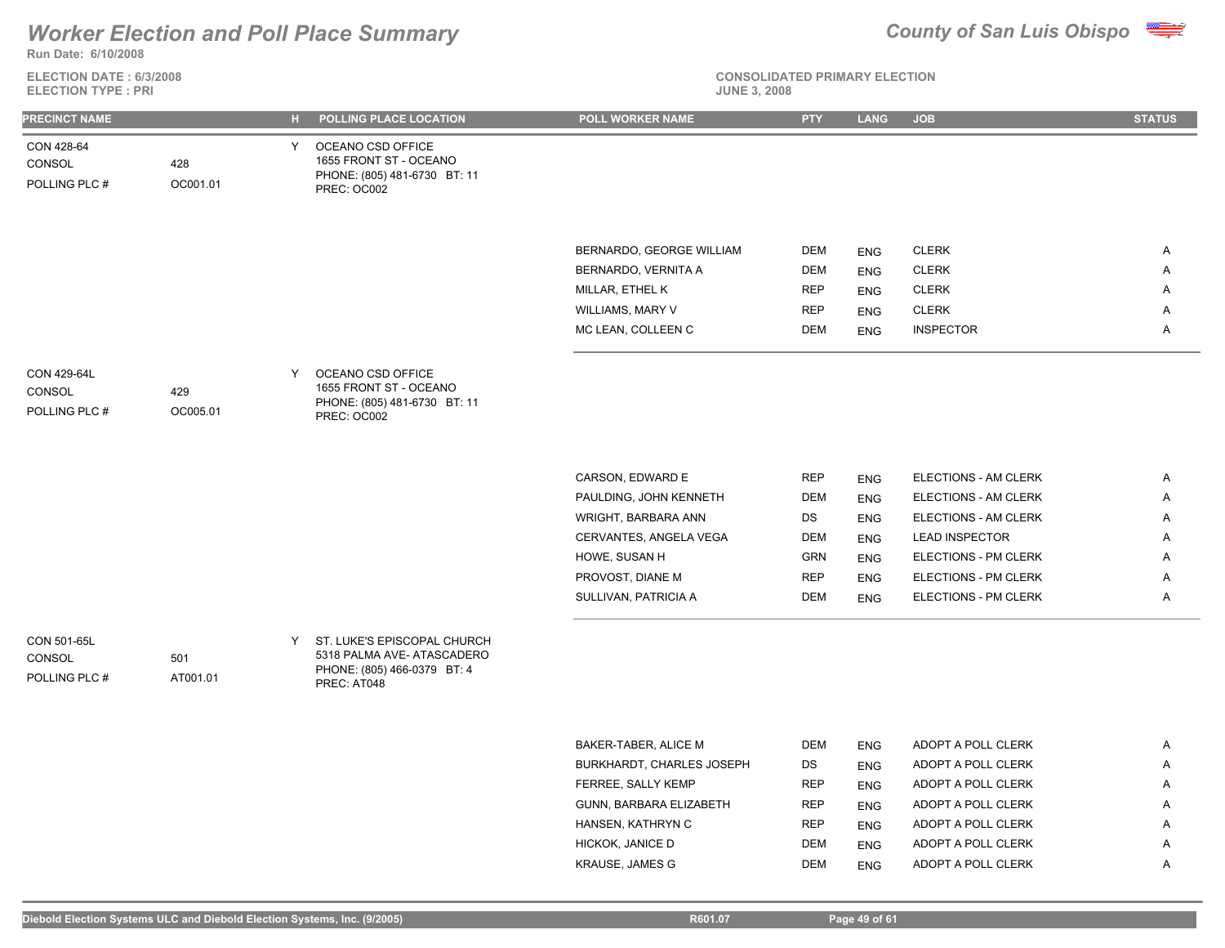**Run Date: 6/10/2008**

### **ELECTION DATE : 6/3/2008 ELECTION TYPE : PRI**



**CONSOLIDATED PRIMARY ELECTION**

| PRECINCT NAME                          |                 | н. | <b>POLLING PLACE LOCATION</b>                                                                           | <b>POLL WORKER NAME</b>                       | <b>PTY</b>               | <b>LANG</b>              | <b>JOB</b>                               | <b>STATUS</b> |
|----------------------------------------|-----------------|----|---------------------------------------------------------------------------------------------------------|-----------------------------------------------|--------------------------|--------------------------|------------------------------------------|---------------|
| CON 428-64<br>CONSOL<br>POLLING PLC #  | 428<br>OC001.01 | Y. | OCEANO CSD OFFICE<br>1655 FRONT ST - OCEANO<br>PHONE: (805) 481-6730 BT: 11<br>PREC: OC002              |                                               |                          |                          |                                          |               |
|                                        |                 |    |                                                                                                         | BERNARDO, GEORGE WILLIAM                      | DEM                      | <b>ENG</b>               | <b>CLERK</b>                             | A             |
|                                        |                 |    |                                                                                                         | BERNARDO, VERNITA A                           | <b>DEM</b>               | <b>ENG</b>               | <b>CLERK</b>                             | Α             |
|                                        |                 |    |                                                                                                         | MILLAR, ETHEL K                               | <b>REP</b>               | <b>ENG</b>               | <b>CLERK</b>                             | A             |
|                                        |                 |    |                                                                                                         | WILLIAMS, MARY V                              | <b>REP</b>               | <b>ENG</b>               | <b>CLERK</b>                             | Α             |
|                                        |                 |    |                                                                                                         | MC LEAN, COLLEEN C                            | <b>DEM</b>               | <b>ENG</b>               | <b>INSPECTOR</b>                         | Α             |
| CON 429-64L                            |                 | Y  | OCEANO CSD OFFICE                                                                                       |                                               |                          |                          |                                          |               |
| CONSOL<br>POLLING PLC #                | 429<br>OC005.01 |    | 1655 FRONT ST - OCEANO<br>PHONE: (805) 481-6730 BT: 11<br>PREC: OC002                                   |                                               |                          |                          |                                          |               |
|                                        |                 |    |                                                                                                         |                                               |                          |                          |                                          |               |
|                                        |                 |    |                                                                                                         | CARSON, EDWARD E                              | <b>REP</b>               | <b>ENG</b>               | ELECTIONS - AM CLERK                     | Α             |
|                                        |                 |    |                                                                                                         | PAULDING, JOHN KENNETH                        | <b>DEM</b>               | <b>ENG</b>               | ELECTIONS - AM CLERK                     | Α             |
|                                        |                 |    |                                                                                                         | WRIGHT, BARBARA ANN                           | DS                       | <b>ENG</b>               | ELECTIONS - AM CLERK                     | A             |
|                                        |                 |    |                                                                                                         | CERVANTES, ANGELA VEGA                        | <b>DEM</b>               | <b>ENG</b>               | <b>LEAD INSPECTOR</b>                    | Α             |
|                                        |                 |    |                                                                                                         | HOWE, SUSAN H                                 | <b>GRN</b>               | <b>ENG</b>               | ELECTIONS - PM CLERK                     | A             |
|                                        |                 |    |                                                                                                         | PROVOST, DIANE M                              | <b>REP</b>               | <b>ENG</b>               | ELECTIONS - PM CLERK                     | Α             |
|                                        |                 |    |                                                                                                         | SULLIVAN, PATRICIA A                          | DEM                      | <b>ENG</b>               | ELECTIONS - PM CLERK                     | A             |
| CON 501-65L<br>CONSOL<br>POLLING PLC # | 501<br>AT001.01 | Y  | ST. LUKE'S EPISCOPAL CHURCH<br>5318 PALMA AVE- ATASCADERO<br>PHONE: (805) 466-0379 BT: 4<br>PREC: AT048 |                                               |                          |                          |                                          |               |
|                                        |                 |    |                                                                                                         |                                               |                          |                          |                                          |               |
|                                        |                 |    |                                                                                                         |                                               |                          |                          |                                          |               |
|                                        |                 |    |                                                                                                         | BAKER-TABER, ALICE M                          | DEM                      | ENG                      | ADOPT A POLL CLERK                       | Α             |
|                                        |                 |    |                                                                                                         | BURKHARDT, CHARLES JOSEPH                     | DS                       | <b>ENG</b>               | ADOPT A POLL CLERK                       | Α             |
|                                        |                 |    |                                                                                                         | FERREE, SALLY KEMP<br>GUNN, BARBARA ELIZABETH | <b>REP</b><br><b>REP</b> | <b>ENG</b>               | ADOPT A POLL CLERK<br>ADOPT A POLL CLERK | Α<br>Α        |
|                                        |                 |    |                                                                                                         | HANSEN, KATHRYN C                             | <b>REP</b>               | <b>ENG</b>               | ADOPT A POLL CLERK                       | A             |
|                                        |                 |    |                                                                                                         | HICKOK, JANICE D                              | <b>DEM</b>               | <b>ENG</b><br><b>ENG</b> | ADOPT A POLL CLERK                       | A             |
|                                        |                 |    |                                                                                                         |                                               |                          |                          |                                          |               |

KRAUSE, JAMES G DEM ENG ADOPT A POLL CLERK A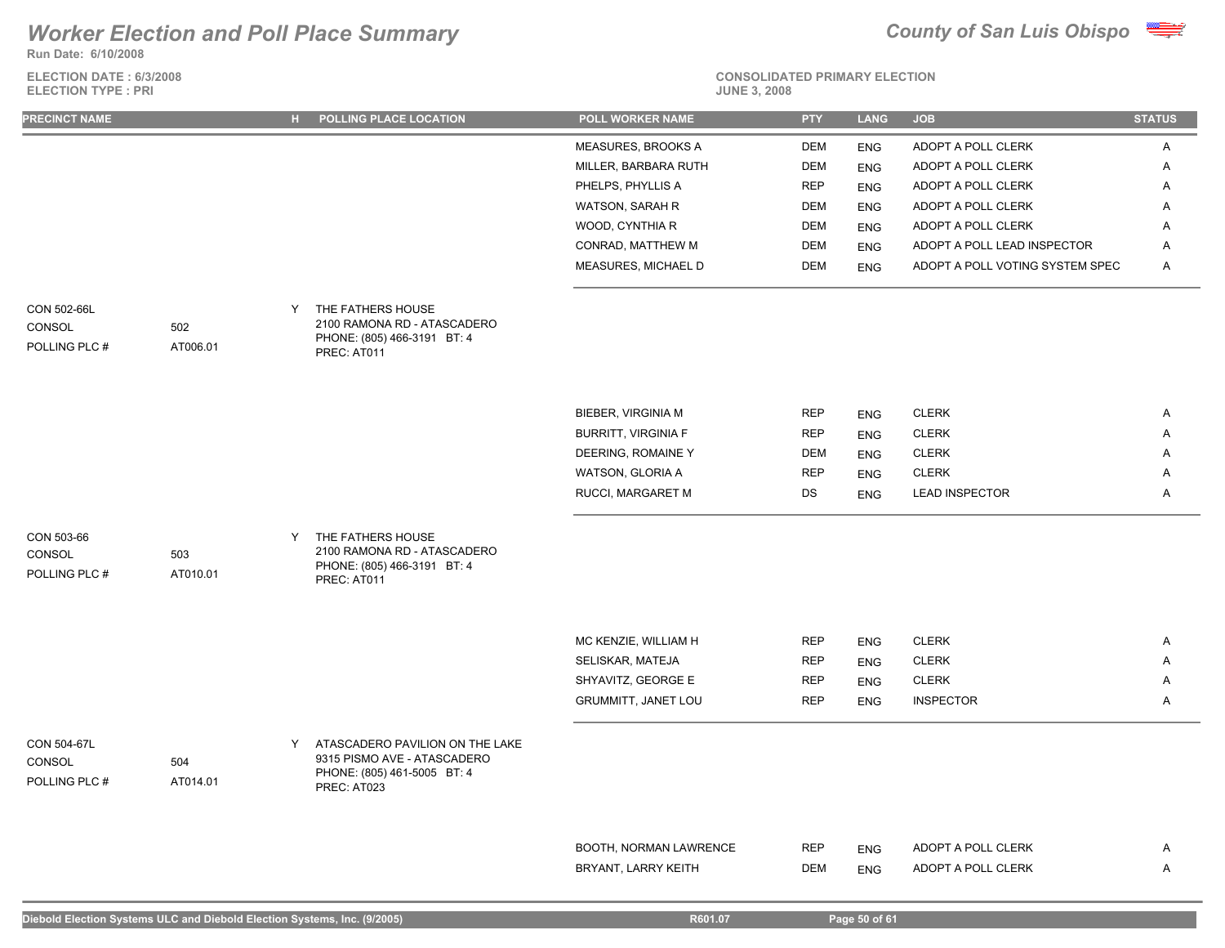**Run Date: 6/10/2008**

**ELECTION DATE : 6/3/2008 ELECTION TYPE : PRI** 





| PRECINCT NAME                                             | H POLLING PLACE LOCATION                                                                                          | POLL WORKER NAME           | <b>PTY</b> | <b>LANG</b>              | <b>JOB</b>                      | <b>STATUS</b> |
|-----------------------------------------------------------|-------------------------------------------------------------------------------------------------------------------|----------------------------|------------|--------------------------|---------------------------------|---------------|
|                                                           |                                                                                                                   | MEASURES, BROOKS A         | <b>DEM</b> | <b>ENG</b>               | ADOPT A POLL CLERK              | A             |
|                                                           |                                                                                                                   | MILLER, BARBARA RUTH       | <b>DEM</b> | <b>ENG</b>               | ADOPT A POLL CLERK              | Α             |
|                                                           |                                                                                                                   | PHELPS, PHYLLIS A          | <b>REP</b> | <b>ENG</b>               | ADOPT A POLL CLERK              | Α             |
|                                                           |                                                                                                                   | WATSON, SARAH R            | <b>DEM</b> | <b>ENG</b>               | ADOPT A POLL CLERK              | A             |
|                                                           |                                                                                                                   | WOOD, CYNTHIA R            | DEM        | <b>ENG</b>               | ADOPT A POLL CLERK              | A             |
|                                                           |                                                                                                                   | CONRAD, MATTHEW M          | DEM        | <b>ENG</b>               | ADOPT A POLL LEAD INSPECTOR     | Α             |
|                                                           |                                                                                                                   | MEASURES, MICHAEL D        | <b>DEM</b> | <b>ENG</b>               | ADOPT A POLL VOTING SYSTEM SPEC | A             |
| CON 502-66L<br>CONSOL<br>502<br>POLLING PLC #<br>AT006.01 | THE FATHERS HOUSE<br>Y<br>2100 RAMONA RD - ATASCADERO<br>PHONE: (805) 466-3191 BT: 4<br>PREC: AT011               |                            |            |                          |                                 |               |
|                                                           |                                                                                                                   | BIEBER, VIRGINIA M         | <b>REP</b> | <b>ENG</b>               | <b>CLERK</b>                    | A             |
|                                                           |                                                                                                                   | <b>BURRITT, VIRGINIA F</b> | <b>REP</b> | <b>ENG</b>               | <b>CLERK</b>                    | Α             |
|                                                           |                                                                                                                   | DEERING, ROMAINE Y         | <b>DEM</b> | <b>ENG</b>               | <b>CLERK</b>                    | A             |
|                                                           |                                                                                                                   | WATSON, GLORIA A           | <b>REP</b> | <b>ENG</b>               | <b>CLERK</b>                    | Α             |
|                                                           |                                                                                                                   | RUCCI, MARGARET M          | DS         | <b>ENG</b>               | <b>LEAD INSPECTOR</b>           | A             |
| CON 503-66<br>CONSOL<br>503<br>POLLING PLC #<br>AT010.01  | THE FATHERS HOUSE<br>Y<br>2100 RAMONA RD - ATASCADERO<br>PHONE: (805) 466-3191 BT: 4<br>PREC: AT011               |                            |            |                          |                                 |               |
|                                                           |                                                                                                                   | MC KENZIE, WILLIAM H       | <b>REP</b> |                          | <b>CLERK</b>                    | A             |
|                                                           |                                                                                                                   | SELISKAR, MATEJA           | <b>REP</b> | <b>ENG</b><br><b>ENG</b> | <b>CLERK</b>                    | Α             |
|                                                           |                                                                                                                   | SHYAVITZ, GEORGE E         | <b>REP</b> | <b>ENG</b>               | <b>CLERK</b>                    | Α             |
|                                                           |                                                                                                                   | GRUMMITT, JANET LOU        | <b>REP</b> | <b>ENG</b>               | <b>INSPECTOR</b>                | Α             |
| CON 504-67L<br>CONSOL<br>504<br>POLLING PLC #<br>AT014.01 | ATASCADERO PAVILION ON THE LAKE<br>Y<br>9315 PISMO AVE - ATASCADERO<br>PHONE: (805) 461-5005 BT: 4<br>PREC: AT023 |                            |            |                          |                                 |               |
|                                                           |                                                                                                                   |                            |            |                          |                                 |               |
|                                                           |                                                                                                                   | BOOTH, NORMAN LAWRENCE     | <b>REP</b> | <b>ENG</b>               | ADOPT A POLL CLERK              | A             |
|                                                           |                                                                                                                   | BRYANT, LARRY KEITH        | <b>DEM</b> | <b>ENG</b>               | ADOPT A POLL CLERK              | Α             |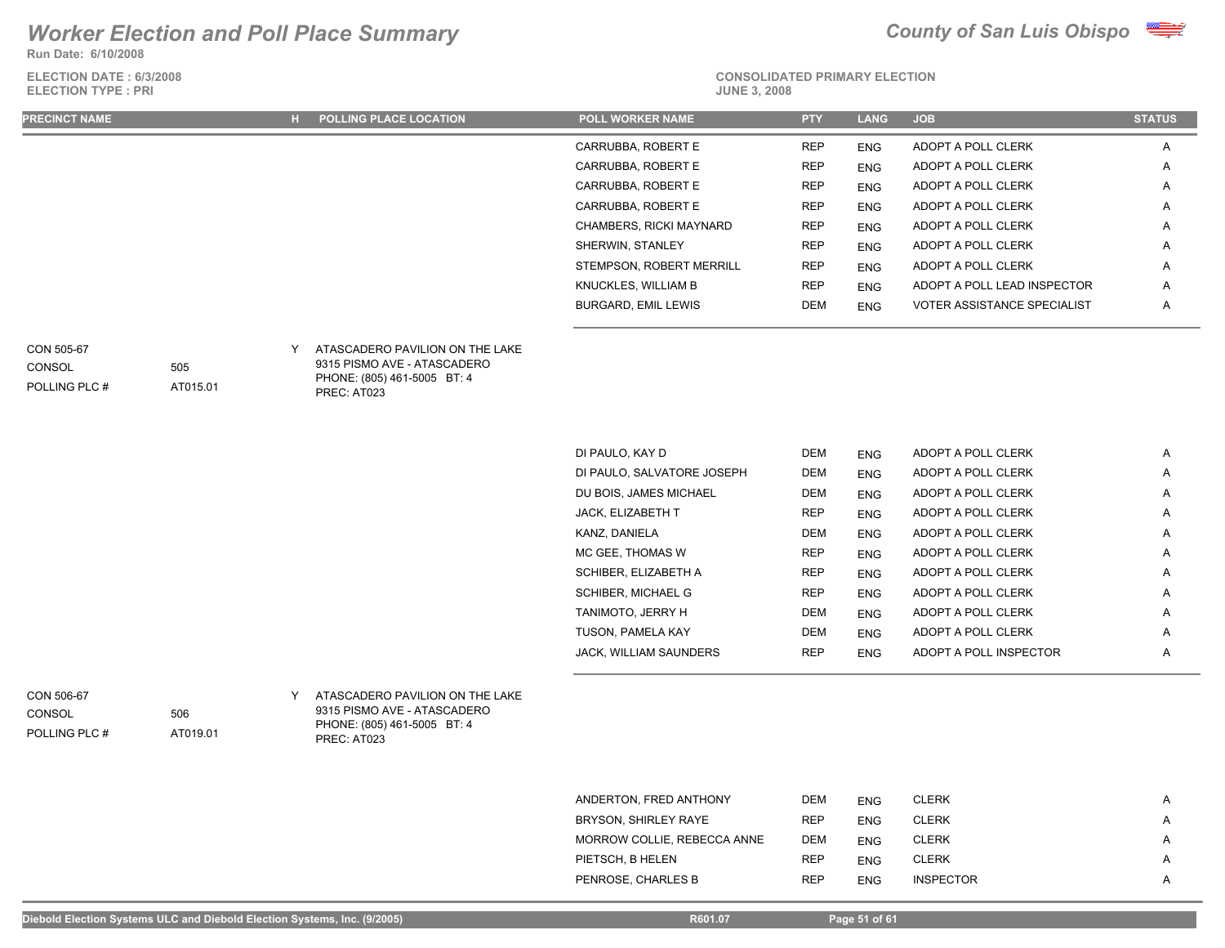**Run Date: 6/10/2008**

**ELECTION DATE : 6/3/2008 ELECTION TYPE : PRI** 



# **CONSOLIDATED PRIMARY ELECTION**

| <b>PRECINCT NAME</b> | <b>H</b> POLLING PLACE LOCATION | <b>POLL WORKER NAME</b>    | <b>PTY</b> | <b>LANG</b> | <b>JOB</b>                         | <b>STATUS</b> |
|----------------------|---------------------------------|----------------------------|------------|-------------|------------------------------------|---------------|
|                      |                                 | CARRUBBA, ROBERT E         | <b>REP</b> | <b>ENG</b>  | ADOPT A POLL CLERK                 | A             |
|                      |                                 | CARRUBBA, ROBERT E         | <b>REP</b> | <b>ENG</b>  | ADOPT A POLL CLERK                 | A             |
|                      |                                 | CARRUBBA, ROBERT E         | <b>REP</b> | <b>ENG</b>  | ADOPT A POLL CLERK                 | A             |
|                      |                                 | CARRUBBA, ROBERT E         | <b>REP</b> | <b>ENG</b>  | ADOPT A POLL CLERK                 | A             |
|                      |                                 | CHAMBERS, RICKI MAYNARD    | <b>REP</b> | <b>ENG</b>  | ADOPT A POLL CLERK                 | A             |
|                      |                                 | SHERWIN, STANLEY           | <b>REP</b> | <b>ENG</b>  | ADOPT A POLL CLERK                 | A             |
|                      |                                 | STEMPSON, ROBERT MERRILL   | <b>REP</b> | <b>ENG</b>  | ADOPT A POLL CLERK                 | A             |
|                      |                                 | KNUCKLES, WILLIAM B        | <b>REP</b> | <b>ENG</b>  | ADOPT A POLL LEAD INSPECTOR        | A             |
|                      |                                 | <b>BURGARD, EMIL LEWIS</b> | <b>DEM</b> | <b>ENG</b>  | <b>VOTER ASSISTANCE SPECIALIST</b> | A             |
|                      |                                 |                            |            |             |                                    |               |

# **CONSOL**

POLLING PLC # AT015.01

505

506

AT019.01

ATASCADERO PAVILION ON THE LAKE CON 505-67 Y 9315 PISMO AVE - ATASCADERO PHONE: (805) 461-5005 BT: 4 PREC: AT023

| DI PAULO, KAY D               | <b>DEM</b> | <b>ENG</b> | ADOPT A POLL CLERK     | Α |
|-------------------------------|------------|------------|------------------------|---|
| DI PAULO, SALVATORE JOSEPH    | <b>DEM</b> | <b>ENG</b> | ADOPT A POLL CLERK     | A |
| DU BOIS, JAMES MICHAEL        | <b>DEM</b> | <b>ENG</b> | ADOPT A POLL CLERK     | A |
| <b>JACK. ELIZABETH T</b>      | <b>REP</b> | <b>ENG</b> | ADOPT A POLL CLERK     | A |
| KANZ, DANIELA                 | <b>DEM</b> | <b>ENG</b> | ADOPT A POLL CLERK     | A |
| MC GEE. THOMAS W              | <b>REP</b> | <b>ENG</b> | ADOPT A POLL CLERK     | A |
| SCHIBER, ELIZABETH A          | <b>REP</b> | <b>ENG</b> | ADOPT A POLL CLERK     | A |
| <b>SCHIBER, MICHAEL G</b>     | <b>REP</b> | <b>ENG</b> | ADOPT A POLL CLERK     | A |
| TANIMOTO. JERRY H             | <b>DEM</b> | <b>ENG</b> | ADOPT A POLL CLERK     | A |
| TUSON, PAMELA KAY             | <b>DEM</b> | <b>ENG</b> | ADOPT A POLL CLERK     | A |
| <b>JACK. WILLIAM SAUNDERS</b> | <b>REP</b> | <b>ENG</b> | ADOPT A POLL INSPECTOR | A |

## POLLING PLC # **CONSOL**

ATASCADERO PAVILION ON THE LAKE CON 506-67 Y 9315 PISMO AVE - ATASCADERO PHONE: (805) 461-5005 BT: 4 PREC: AT023

| ANDERTON, FRED ANTHONY      | <b>DEM</b> | <b>ENG</b> | <b>CLERK</b>     | A |
|-----------------------------|------------|------------|------------------|---|
| BRYSON, SHIRLEY RAYE        | <b>REP</b> | <b>ENG</b> | <b>CLERK</b>     | A |
| MORROW COLLIE, REBECCA ANNE | <b>DEM</b> | <b>ENG</b> | <b>CLERK</b>     | A |
| PIETSCH, B HELEN            | <b>REP</b> | <b>ENG</b> | <b>CLERK</b>     | A |
| PENROSE, CHARLES B          | <b>REP</b> | <b>ENG</b> | <b>INSPECTOR</b> | A |
|                             |            |            |                  |   |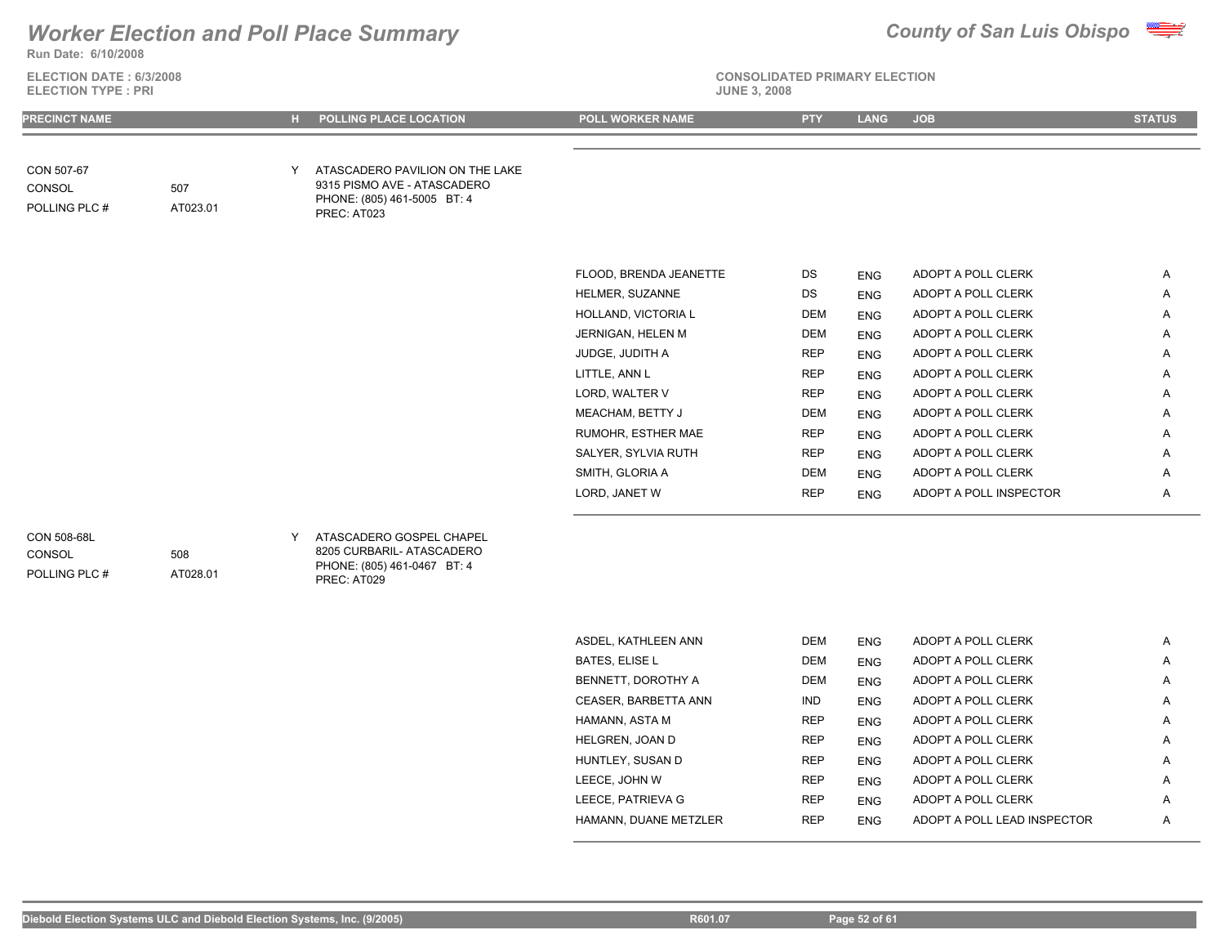### **Run Date: 6/10/2008** *Worker Election and Poll Place Summary County of San Luis Obispo*



| <b>ELECTION DATE: 6/3/2008</b><br><b>ELECTION TYPE: PRI</b> |                 |   |                                                                                                              | <b>CONSOLIDATED PRIMARY ELECTION</b><br><b>JUNE 3, 2008</b> |            |             |                             |               |  |
|-------------------------------------------------------------|-----------------|---|--------------------------------------------------------------------------------------------------------------|-------------------------------------------------------------|------------|-------------|-----------------------------|---------------|--|
| <b>PRECINCT NAME</b>                                        |                 |   | H POLLING PLACE LOCATION                                                                                     | <b>POLL WORKER NAME</b>                                     | <b>PTY</b> | <b>LANG</b> | <b>JOB</b>                  | <b>STATUS</b> |  |
| CON 507-67<br>CONSOL<br>POLLING PLC #                       | 507<br>AT023.01 | Y | ATASCADERO PAVILION ON THE LAKE<br>9315 PISMO AVE - ATASCADERO<br>PHONE: (805) 461-5005 BT: 4<br>PREC: AT023 |                                                             |            |             |                             |               |  |
|                                                             |                 |   |                                                                                                              |                                                             |            |             |                             |               |  |
|                                                             |                 |   |                                                                                                              | FLOOD, BRENDA JEANETTE                                      | DS         | <b>ENG</b>  | ADOPT A POLL CLERK          | A             |  |
|                                                             |                 |   |                                                                                                              | HELMER, SUZANNE                                             | DS         | <b>ENG</b>  | ADOPT A POLL CLERK          | A             |  |
|                                                             |                 |   |                                                                                                              | HOLLAND, VICTORIA L                                         | DEM        | <b>ENG</b>  | ADOPT A POLL CLERK          | Α             |  |
|                                                             |                 |   |                                                                                                              | JERNIGAN, HELEN M                                           | <b>DEM</b> | <b>ENG</b>  | ADOPT A POLL CLERK          | Α             |  |
|                                                             |                 |   |                                                                                                              | JUDGE, JUDITH A                                             | <b>REP</b> | <b>ENG</b>  | ADOPT A POLL CLERK          | Α             |  |
|                                                             |                 |   |                                                                                                              | LITTLE, ANN L                                               | <b>REP</b> | <b>ENG</b>  | ADOPT A POLL CLERK          | Α             |  |
|                                                             |                 |   |                                                                                                              | LORD, WALTER V                                              | <b>REP</b> | <b>ENG</b>  | ADOPT A POLL CLERK          | Α             |  |
|                                                             |                 |   |                                                                                                              | MEACHAM, BETTY J                                            | DEM        | <b>ENG</b>  | ADOPT A POLL CLERK          | Α             |  |
|                                                             |                 |   |                                                                                                              | RUMOHR, ESTHER MAE                                          | <b>REP</b> | <b>ENG</b>  | ADOPT A POLL CLERK          | Α             |  |
|                                                             |                 |   |                                                                                                              | SALYER, SYLVIA RUTH                                         | <b>REP</b> | <b>ENG</b>  | ADOPT A POLL CLERK          | Α             |  |
|                                                             |                 |   |                                                                                                              | SMITH, GLORIA A                                             | DEM        | <b>ENG</b>  | ADOPT A POLL CLERK          | Α             |  |
|                                                             |                 |   |                                                                                                              | LORD, JANET W                                               | <b>REP</b> | <b>ENG</b>  | ADOPT A POLL INSPECTOR      | A             |  |
| CON 508-68L<br>CONSOL<br>POLLING PLC #                      | 508<br>AT028.01 | Y | ATASCADERO GOSPEL CHAPEL<br>8205 CURBARIL- ATASCADERO<br>PHONE: (805) 461-0467 BT: 4<br>PREC: AT029          |                                                             |            |             |                             |               |  |
|                                                             |                 |   |                                                                                                              | ASDEL, KATHLEEN ANN                                         | DEM        | <b>ENG</b>  | ADOPT A POLL CLERK          | Α             |  |
|                                                             |                 |   |                                                                                                              | <b>BATES, ELISE L</b>                                       | DEM        | <b>ENG</b>  | ADOPT A POLL CLERK          | A             |  |
|                                                             |                 |   |                                                                                                              | BENNETT, DOROTHY A                                          | <b>DEM</b> | <b>ENG</b>  | ADOPT A POLL CLERK          | Α             |  |
|                                                             |                 |   |                                                                                                              | CEASER, BARBETTA ANN                                        | <b>IND</b> | <b>ENG</b>  | ADOPT A POLL CLERK          | Α             |  |
|                                                             |                 |   |                                                                                                              | HAMANN, ASTA M                                              | <b>REP</b> | <b>ENG</b>  | ADOPT A POLL CLERK          | A             |  |
|                                                             |                 |   |                                                                                                              | HELGREN, JOAN D                                             | <b>REP</b> | <b>ENG</b>  | ADOPT A POLL CLERK          | Α             |  |
|                                                             |                 |   |                                                                                                              | HUNTLEY, SUSAN D                                            | <b>REP</b> | <b>ENG</b>  | ADOPT A POLL CLERK          | A             |  |
|                                                             |                 |   |                                                                                                              | LEECE, JOHN W                                               | REP        | <b>ENG</b>  | ADOPT A POLL CLERK          | A             |  |
|                                                             |                 |   |                                                                                                              | LEECE, PATRIEVA G                                           | REP        | <b>ENG</b>  | ADOPT A POLL CLERK          | Α             |  |
|                                                             |                 |   |                                                                                                              | HAMANN, DUANE METZLER                                       | <b>REP</b> | <b>ENG</b>  | ADOPT A POLL LEAD INSPECTOR | A             |  |
|                                                             |                 |   |                                                                                                              |                                                             |            |             |                             |               |  |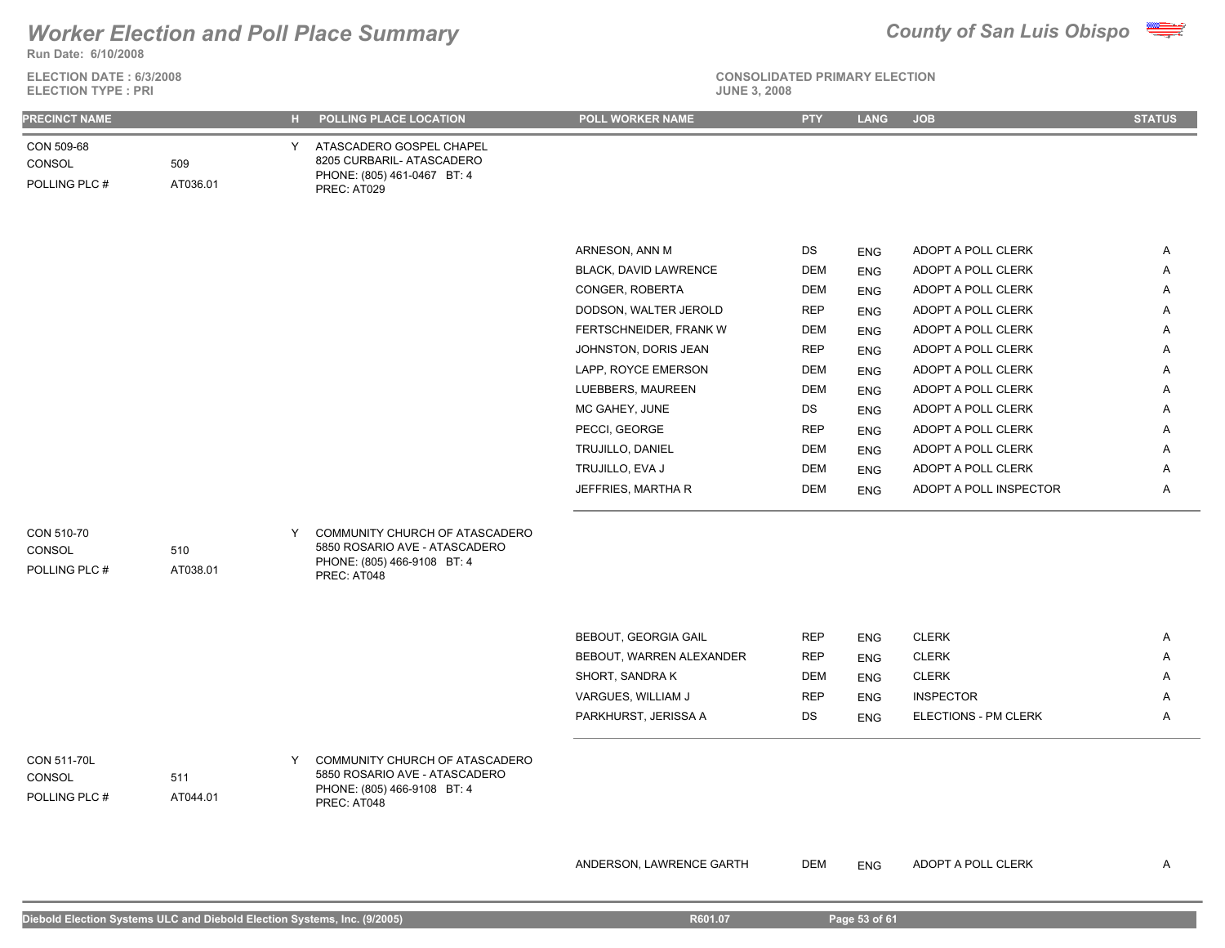

**ELECTION DATE : 6/3/2008**





| <b>PRECINCT NAME</b>                          |                 | н. | POLLING PLACE LOCATION                                                                                        | POLL WORKER NAME             | <b>PTY</b> | <b>LANG</b> | <b>JOB</b>             | <b>STATUS</b> |
|-----------------------------------------------|-----------------|----|---------------------------------------------------------------------------------------------------------------|------------------------------|------------|-------------|------------------------|---------------|
| CON 509-68<br>CONSOL<br>POLLING PLC #         | 509<br>AT036.01 | Y  | ATASCADERO GOSPEL CHAPEL<br>8205 CURBARIL- ATASCADERO<br>PHONE: (805) 461-0467 BT: 4<br>PREC: AT029           |                              |            |             |                        |               |
|                                               |                 |    |                                                                                                               |                              |            |             |                        |               |
|                                               |                 |    |                                                                                                               | ARNESON, ANN M               | DS         | <b>ENG</b>  | ADOPT A POLL CLERK     | Α             |
|                                               |                 |    |                                                                                                               | <b>BLACK, DAVID LAWRENCE</b> | DEM        | <b>ENG</b>  | ADOPT A POLL CLERK     | Α             |
|                                               |                 |    |                                                                                                               | CONGER, ROBERTA              | DEM        | <b>ENG</b>  | ADOPT A POLL CLERK     | Α             |
|                                               |                 |    |                                                                                                               | DODSON, WALTER JEROLD        | <b>REP</b> | <b>ENG</b>  | ADOPT A POLL CLERK     | Α             |
|                                               |                 |    |                                                                                                               | FERTSCHNEIDER, FRANK W       | DEM        | <b>ENG</b>  | ADOPT A POLL CLERK     | Α             |
|                                               |                 |    |                                                                                                               | JOHNSTON, DORIS JEAN         | <b>REP</b> | <b>ENG</b>  | ADOPT A POLL CLERK     | Α             |
|                                               |                 |    |                                                                                                               | LAPP, ROYCE EMERSON          | DEM        | <b>ENG</b>  | ADOPT A POLL CLERK     | Α             |
|                                               |                 |    |                                                                                                               | LUEBBERS, MAUREEN            | DEM        | <b>ENG</b>  | ADOPT A POLL CLERK     | Α             |
|                                               |                 |    |                                                                                                               | MC GAHEY, JUNE               | DS         | <b>ENG</b>  | ADOPT A POLL CLERK     | Α             |
|                                               |                 |    |                                                                                                               | PECCI, GEORGE                | <b>REP</b> | <b>ENG</b>  | ADOPT A POLL CLERK     | Α             |
|                                               |                 |    |                                                                                                               | TRUJILLO, DANIEL             | DEM        | <b>ENG</b>  | ADOPT A POLL CLERK     | Α             |
|                                               |                 |    |                                                                                                               | TRUJILLO, EVA J              | DEM        | <b>ENG</b>  | ADOPT A POLL CLERK     | Α             |
|                                               |                 |    |                                                                                                               | JEFFRIES, MARTHA R           | DEM        | <b>ENG</b>  | ADOPT A POLL INSPECTOR | A             |
| CON 510-70<br>CONSOL<br>POLLING PLC #         | 510<br>AT038.01 | Y  | COMMUNITY CHURCH OF ATASCADERO<br>5850 ROSARIO AVE - ATASCADERO<br>PHONE: (805) 466-9108 BT: 4<br>PREC: AT048 |                              |            |             |                        |               |
|                                               |                 |    |                                                                                                               | BEBOUT, GEORGIA GAIL         | <b>REP</b> | <b>ENG</b>  | <b>CLERK</b>           | Α             |
|                                               |                 |    |                                                                                                               | BEBOUT, WARREN ALEXANDER     | <b>REP</b> | <b>ENG</b>  | <b>CLERK</b>           | Α             |
|                                               |                 |    |                                                                                                               | SHORT, SANDRA K              | DEM        | <b>ENG</b>  | <b>CLERK</b>           | A             |
|                                               |                 |    |                                                                                                               | VARGUES, WILLIAM J           | <b>REP</b> | <b>ENG</b>  | <b>INSPECTOR</b>       | A             |
|                                               |                 |    |                                                                                                               | PARKHURST, JERISSA A         | DS         | <b>ENG</b>  | ELECTIONS - PM CLERK   | Α             |
|                                               |                 |    |                                                                                                               |                              |            |             |                        |               |
| CON 511-70L<br><b>CONSOL</b><br>POLLING PLC # | 511<br>AT044.01 | Y  | COMMUNITY CHURCH OF ATASCADERO<br>5850 ROSARIO AVE - ATASCADERO<br>PHONE: (805) 466-9108 BT: 4<br>PREC: AT048 |                              |            |             |                        |               |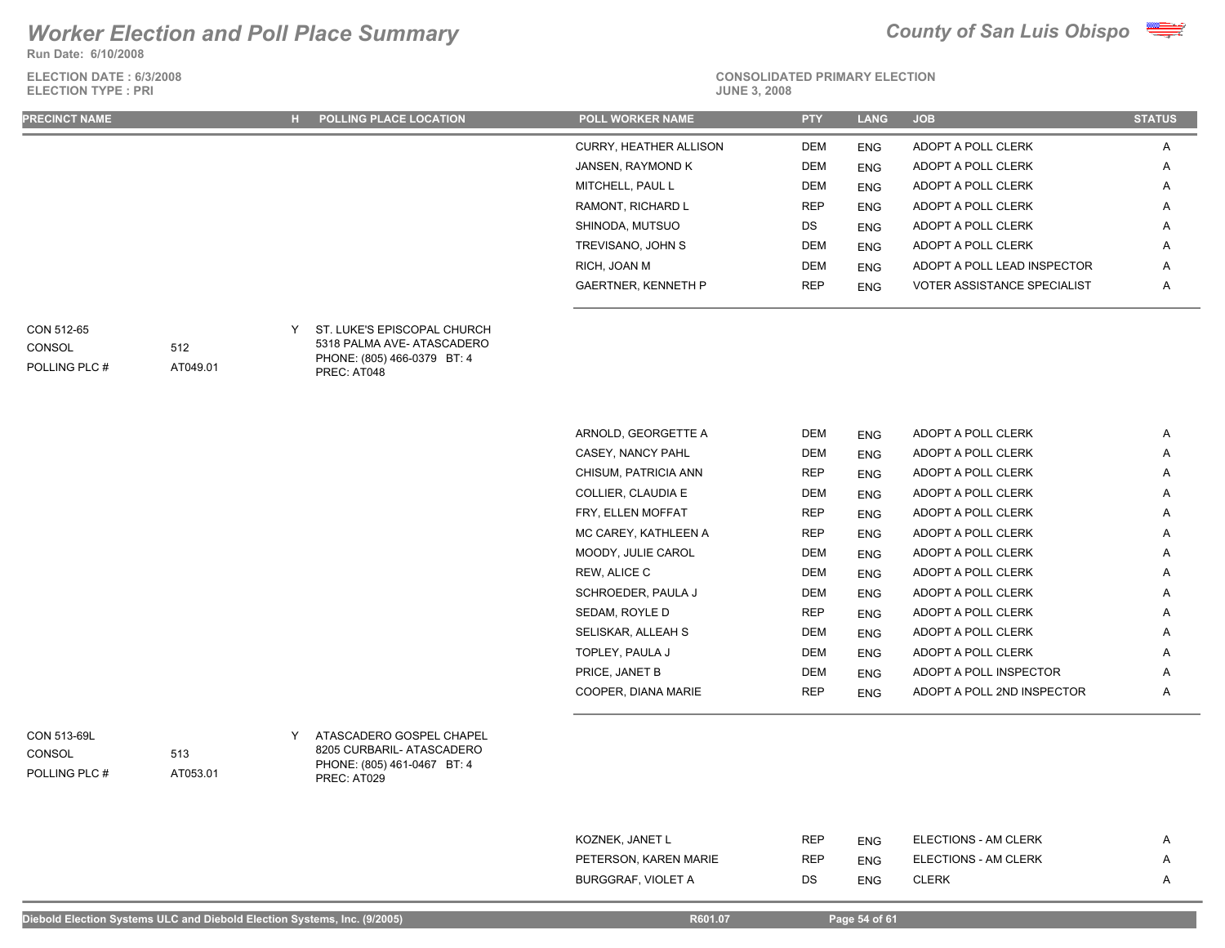**Run Date: 6/10/2008**

**ELECTION DATE : 6/3/2008 ELECTION TYPE : PRI** 



**CONSOLIDATED PRIMARY ELECTION**

| <b>PRECINCT NAME</b> | <b>H</b> POLLING PLACE LOCATION | <b>POLL WORKER NAME</b>       | <b>PTY</b> | <b>LANG</b> | <b>JOB</b>                         | <b>STATUS</b>  |
|----------------------|---------------------------------|-------------------------------|------------|-------------|------------------------------------|----------------|
|                      |                                 | <b>CURRY, HEATHER ALLISON</b> | DEM        | <b>ENG</b>  | ADOPT A POLL CLERK                 | $\mathsf{A}$   |
|                      |                                 | JANSEN, RAYMOND K             | DEM        | <b>ENG</b>  | ADOPT A POLL CLERK                 | $\mathsf{A}$   |
|                      |                                 | MITCHELL, PAUL L              | DEM        | <b>ENG</b>  | ADOPT A POLL CLERK                 | A              |
|                      |                                 | RAMONT, RICHARD L             | <b>REP</b> | <b>ENG</b>  | ADOPT A POLL CLERK                 | $\mathsf{A}$   |
|                      |                                 | SHINODA, MUTSUO               | DS         | <b>ENG</b>  | ADOPT A POLL CLERK                 | $\overline{A}$ |
|                      |                                 | TREVISANO, JOHN S             | <b>DEM</b> | <b>ENG</b>  | ADOPT A POLL CLERK                 | $\overline{A}$ |
|                      |                                 | RICH, JOAN M                  | DEM        | <b>ENG</b>  | ADOPT A POLL LEAD INSPECTOR        | A              |
|                      |                                 | <b>GAERTNER, KENNETH P</b>    | <b>REP</b> | <b>ENG</b>  | <b>VOTER ASSISTANCE SPECIALIST</b> | $\mathsf{A}$   |
|                      |                                 |                               |            |             |                                    |                |

**CONSOL** 

| CON 512-65    |          | Y ST. LUKE'S EPISCOPAL CHURCH |  |
|---------------|----------|-------------------------------|--|
| CONSOL        | 512      | 5318 PALMA AVE- ATASCADERO    |  |
|               |          | PHONE: (805) 466-0379 BT: 4   |  |
| POLLING PLC # | AT049.01 | PREC: AT048                   |  |

| ARNOLD, GEORGETTE A  | <b>DEM</b> | <b>ENG</b> | ADOPT A POLL CLERK         | A |
|----------------------|------------|------------|----------------------------|---|
| CASEY, NANCY PAHL    | DEM        | <b>ENG</b> | ADOPT A POLL CLERK         | A |
| CHISUM, PATRICIA ANN | <b>REP</b> | <b>ENG</b> | ADOPT A POLL CLERK         | Α |
| COLLIER, CLAUDIA E   | <b>DEM</b> | <b>ENG</b> | ADOPT A POLL CLERK         | Α |
| FRY, ELLEN MOFFAT    | <b>REP</b> | <b>ENG</b> | ADOPT A POLL CLERK         | Α |
| MC CAREY, KATHLEEN A | <b>REP</b> | <b>ENG</b> | ADOPT A POLL CLERK         | A |
| MOODY, JULIE CAROL   | <b>DEM</b> | <b>ENG</b> | ADOPT A POLL CLERK         | A |
| REW, ALICE C         | <b>DEM</b> | <b>ENG</b> | ADOPT A POLL CLERK         | A |
| SCHROEDER, PAULA J   | <b>DEM</b> | <b>ENG</b> | ADOPT A POLL CLERK         | A |
| SEDAM, ROYLE D       | <b>REP</b> | <b>ENG</b> | ADOPT A POLL CLERK         | A |
| SELISKAR, ALLEAH S   | <b>DEM</b> | <b>ENG</b> | ADOPT A POLL CLERK         | A |
| TOPLEY, PAULA J      | <b>DEM</b> | <b>ENG</b> | ADOPT A POLL CLERK         | Α |
| PRICE, JANET B       | <b>DEM</b> | <b>ENG</b> | ADOPT A POLL INSPECTOR     | Α |
| COOPER, DIANA MARIE  | <b>REP</b> | <b>ENG</b> | ADOPT A POLL 2ND INSPECTOR | A |

POLLING PLC # CONSOL

ATASCADERO GOSPEL CHAPEL CON 513-69L Y 8205 CURBARIL- ATASCADERO PHONE: (805) 461-0467 BT: 4 PREC: AT029

> KOZNEK, JANET LAND FOR SAMING HER REP ENG ELECTIONS - AM CLERK A AM A PETERSON, KAREN MARIE **REP** ENG ELECTIONS - AM CLERK A BURGGRAF, VIOLET A DS ENG CLERK A A

513

AT053.01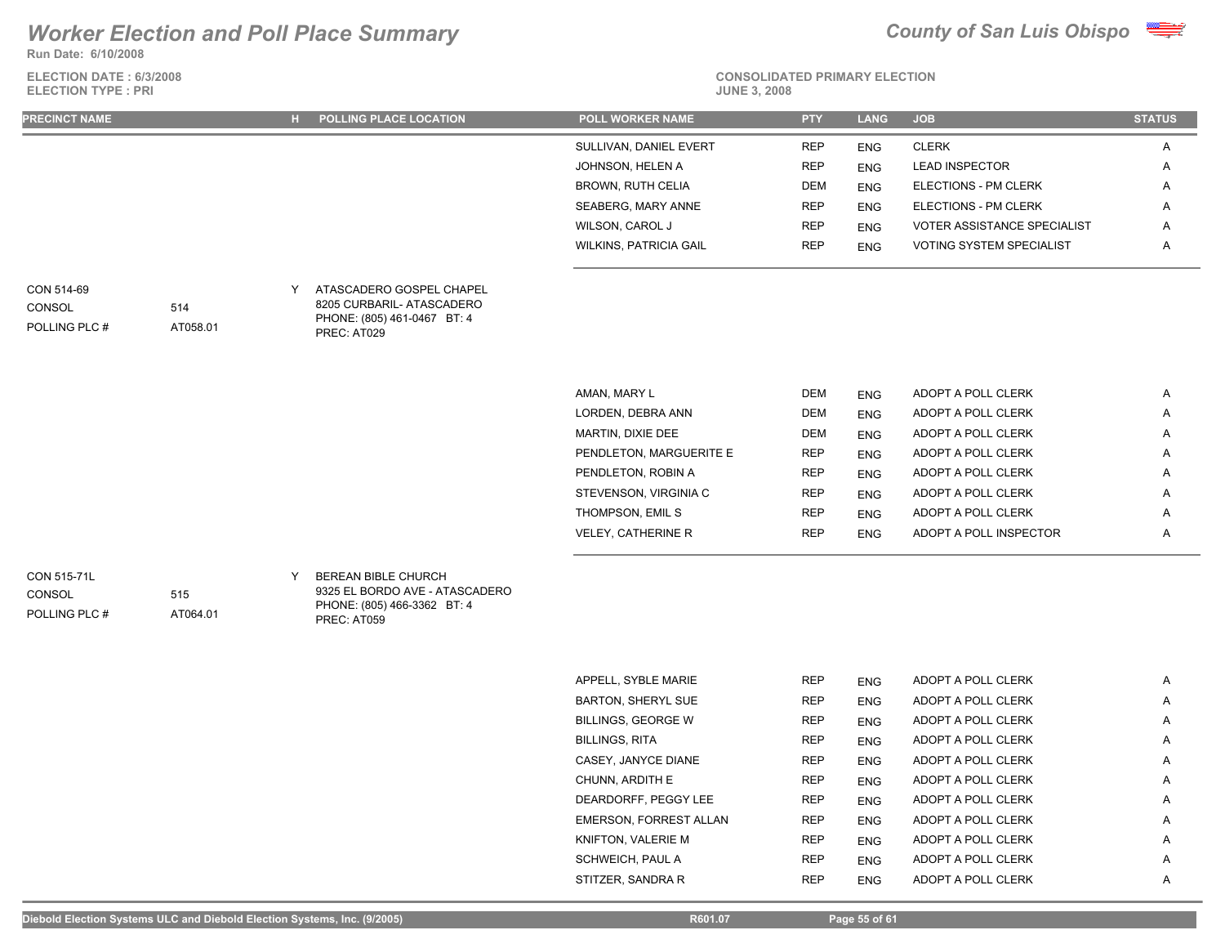**Run Date: 6/10/2008**

**ELECTION DATE : 6/3/2008 ELECTION TYPE : PRI** 





## **CONSOLIDATED PRIMARY ELECTION**

| <b>PRECINCT NAME</b>                   |                 |   | H POLLING PLACE LOCATION                                                                            | <b>POLL WORKER NAME</b>       | <b>PTY</b> | <b>LANG</b> | <b>JOB</b>                         | <b>STATUS</b> |
|----------------------------------------|-----------------|---|-----------------------------------------------------------------------------------------------------|-------------------------------|------------|-------------|------------------------------------|---------------|
|                                        |                 |   |                                                                                                     | SULLIVAN, DANIEL EVERT        | <b>REP</b> | <b>ENG</b>  | <b>CLERK</b>                       | Α             |
|                                        |                 |   |                                                                                                     | JOHNSON, HELEN A              | <b>REP</b> | <b>ENG</b>  | <b>LEAD INSPECTOR</b>              | Α             |
|                                        |                 |   |                                                                                                     | <b>BROWN, RUTH CELIA</b>      | <b>DEM</b> | <b>ENG</b>  | ELECTIONS - PM CLERK               | Α             |
|                                        |                 |   |                                                                                                     | SEABERG, MARY ANNE            | <b>REP</b> | <b>ENG</b>  | ELECTIONS - PM CLERK               | Α             |
|                                        |                 |   |                                                                                                     | WILSON, CAROL J               | <b>REP</b> | <b>ENG</b>  | <b>VOTER ASSISTANCE SPECIALIST</b> | Α             |
|                                        |                 |   |                                                                                                     | <b>WILKINS, PATRICIA GAIL</b> | <b>REP</b> | <b>ENG</b>  | VOTING SYSTEM SPECIALIST           | Α             |
| CON 514-69<br>CONSOL<br>POLLING PLC #  | 514<br>AT058.01 | Y | ATASCADERO GOSPEL CHAPEL<br>8205 CURBARIL- ATASCADERO<br>PHONE: (805) 461-0467 BT: 4<br>PREC: AT029 |                               |            |             |                                    |               |
|                                        |                 |   |                                                                                                     |                               |            |             |                                    |               |
|                                        |                 |   |                                                                                                     | AMAN, MARY L                  | <b>DEM</b> | <b>ENG</b>  | ADOPT A POLL CLERK                 | Α             |
|                                        |                 |   |                                                                                                     | LORDEN, DEBRA ANN             | <b>DEM</b> | <b>ENG</b>  | ADOPT A POLL CLERK                 | Α             |
|                                        |                 |   |                                                                                                     | MARTIN, DIXIE DEE             | <b>DEM</b> | <b>ENG</b>  | ADOPT A POLL CLERK                 | Α             |
|                                        |                 |   |                                                                                                     | PENDLETON, MARGUERITE E       | <b>REP</b> | <b>ENG</b>  | ADOPT A POLL CLERK                 | Α             |
|                                        |                 |   |                                                                                                     | PENDLETON, ROBIN A            | <b>REP</b> | <b>ENG</b>  | ADOPT A POLL CLERK                 | Α             |
|                                        |                 |   |                                                                                                     | STEVENSON, VIRGINIA C         | <b>REP</b> | <b>ENG</b>  | ADOPT A POLL CLERK                 | Α             |
|                                        |                 |   |                                                                                                     | THOMPSON, EMIL S              | <b>REP</b> | <b>ENG</b>  | ADOPT A POLL CLERK                 | Α             |
|                                        |                 |   |                                                                                                     | <b>VELEY, CATHERINE R</b>     | <b>REP</b> | <b>ENG</b>  | ADOPT A POLL INSPECTOR             | Α             |
| CON 515-71L<br>CONSOL<br>POLLING PLC # | 515<br>AT064.01 | Y | BEREAN BIBLE CHURCH<br>9325 EL BORDO AVE - ATASCADERO<br>PHONE: (805) 466-3362 BT: 4<br>PREC: AT059 |                               |            |             |                                    |               |
|                                        |                 |   |                                                                                                     |                               |            |             |                                    |               |
|                                        |                 |   |                                                                                                     | APPELL, SYBLE MARIE           | <b>REP</b> | <b>ENG</b>  | ADOPT A POLL CLERK                 | Α             |
|                                        |                 |   |                                                                                                     | <b>BARTON, SHERYL SUE</b>     | <b>REP</b> | <b>ENG</b>  | ADOPT A POLL CLERK                 | Α             |
|                                        |                 |   |                                                                                                     | <b>BILLINGS, GEORGE W</b>     | <b>REP</b> | <b>ENG</b>  | ADOPT A POLL CLERK                 | Α             |
|                                        |                 |   |                                                                                                     | <b>BILLINGS, RITA</b>         | <b>REP</b> | <b>ENG</b>  | ADOPT A POLL CLERK                 | Α             |
|                                        |                 |   |                                                                                                     | CASEY, JANYCE DIANE           | <b>REP</b> | <b>ENG</b>  | ADOPT A POLL CLERK                 | А             |
|                                        |                 |   |                                                                                                     | CHUNN, ARDITH E               | <b>REP</b> | <b>ENG</b>  | ADOPT A POLL CLERK                 | Α             |

DEARDORFF, PEGGY LEE REP ENG ADOPT A POLL CLERK A EMERSON, FORREST ALLAN REP ENG ADOPT A POLL CLERK A KNIFTON, VALERIE M **REP** ENG ADOPT A POLL CLERK A SCHWEICH, PAUL A **REP** ENG ADOPT A POLL CLERK A A STITZER, SANDRA R REP ENG ADOPT A POLL CLERK A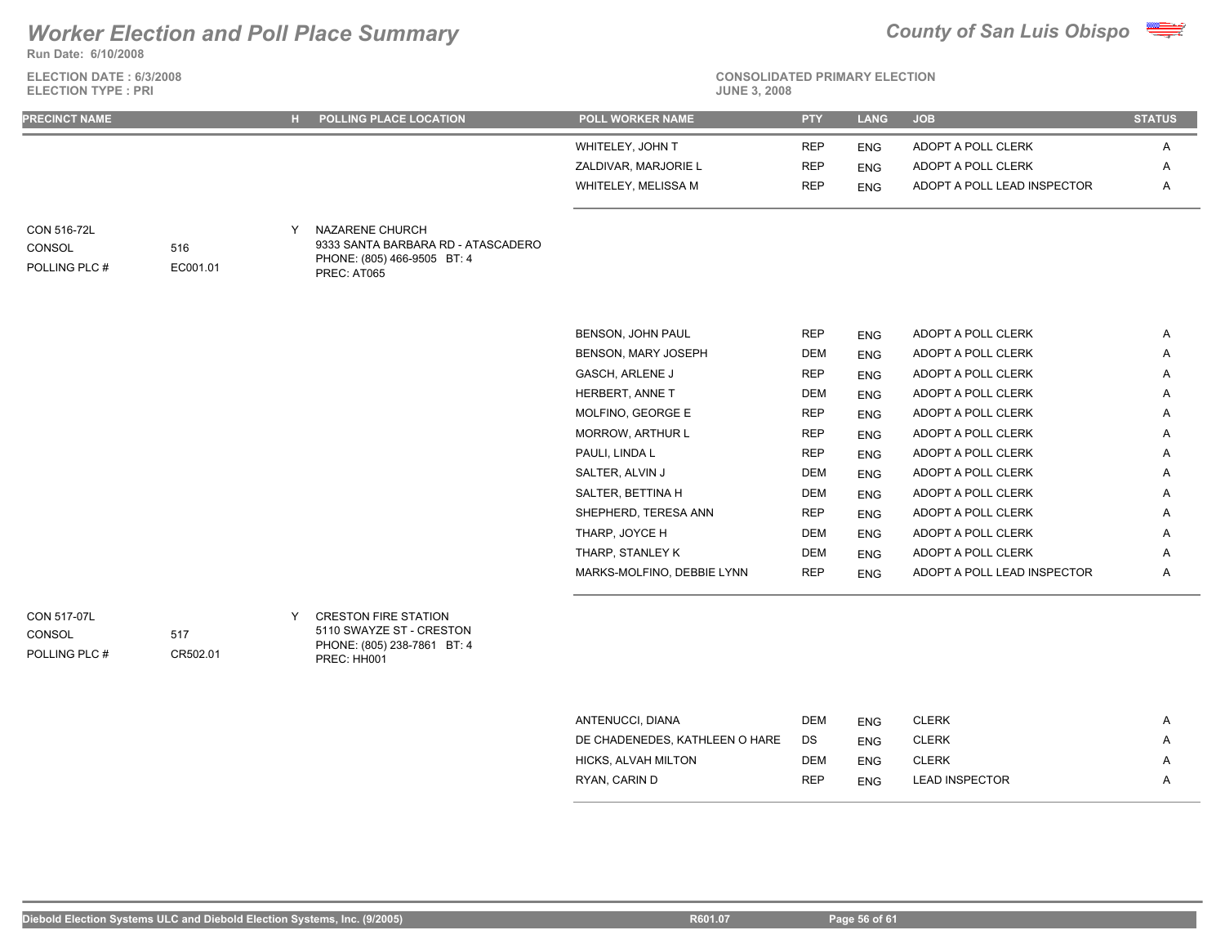**Run Date: 6/10/2008**

**ELECTION DATE : 6/3/2008 ELECTION TYPE : PRI** 



# **CONSOLIDATED PRIMARY ELECTION**

| <b>PRECINCT NAME</b>                   |                 |        | H POLLING PLACE LOCATION                                                                            | <b>POLL WORKER NAME</b>    | <b>PTY</b> | <b>LANG</b> | <b>JOB</b>                  | <b>STATUS</b> |
|----------------------------------------|-----------------|--------|-----------------------------------------------------------------------------------------------------|----------------------------|------------|-------------|-----------------------------|---------------|
|                                        |                 |        |                                                                                                     | WHITELEY, JOHN T           | <b>REP</b> | <b>ENG</b>  | ADOPT A POLL CLERK          | Α             |
|                                        |                 |        |                                                                                                     | ZALDIVAR, MARJORIE L       | <b>REP</b> | <b>ENG</b>  | ADOPT A POLL CLERK          | Α             |
|                                        |                 |        |                                                                                                     | WHITELEY, MELISSA M        | <b>REP</b> | <b>ENG</b>  | ADOPT A POLL LEAD INSPECTOR | Α             |
| CON 516-72L<br>CONSOL<br>POLLING PLC # | 516<br>EC001.01 | $\vee$ | NAZARENE CHURCH<br>9333 SANTA BARBARA RD - ATASCADERO<br>PHONE: (805) 466-9505 BT: 4<br>PREC: AT065 |                            |            |             |                             |               |
|                                        |                 |        |                                                                                                     | BENSON, JOHN PAUL          | <b>REP</b> | <b>ENG</b>  | ADOPT A POLL CLERK          | Α             |
|                                        |                 |        |                                                                                                     | <b>BENSON, MARY JOSEPH</b> | <b>DEM</b> | <b>ENG</b>  | ADOPT A POLL CLERK          | Α             |
|                                        |                 |        |                                                                                                     | <b>GASCH, ARLENE J</b>     | <b>REP</b> | <b>ENG</b>  | ADOPT A POLL CLERK          | Α             |
|                                        |                 |        |                                                                                                     | HERBERT, ANNE T            | DEM        | <b>ENG</b>  | ADOPT A POLL CLERK          | Α             |
|                                        |                 |        |                                                                                                     | MOLFINO, GEORGE E          | <b>REP</b> | <b>ENG</b>  | ADOPT A POLL CLERK          | A             |
|                                        |                 |        |                                                                                                     | <b>MORROW, ARTHUR L</b>    | <b>REP</b> | <b>ENG</b>  | ADOPT A POLL CLERK          | Α             |
|                                        |                 |        |                                                                                                     | PAULI, LINDA L             | <b>REP</b> | <b>ENG</b>  | ADOPT A POLL CLERK          | Α             |
|                                        |                 |        |                                                                                                     | SALTER, ALVIN J            | <b>DEM</b> | <b>ENG</b>  | ADOPT A POLL CLERK          | Α             |
|                                        |                 |        |                                                                                                     | SALTER, BETTINA H          | <b>DEM</b> | <b>ENG</b>  | ADOPT A POLL CLERK          | Α             |
|                                        |                 |        |                                                                                                     | SHEPHERD, TERESA ANN       | <b>REP</b> | <b>ENG</b>  | ADOPT A POLL CLERK          | Α             |
|                                        |                 |        |                                                                                                     | THARP, JOYCE H             | <b>DEM</b> | <b>ENG</b>  | ADOPT A POLL CLERK          | Α             |
|                                        |                 |        |                                                                                                     | THARP, STANLEY K           | DEM        | <b>ENG</b>  | ADOPT A POLL CLERK          | Α             |
|                                        |                 |        |                                                                                                     | MARKS-MOLFINO, DEBBIE LYNN | <b>REP</b> | <b>ENG</b>  | ADOPT A POLL LEAD INSPECTOR | Α             |

POLLING PLC # **CONSOL** 

5110 SWAYZE ST - CRESTON PHONE: (805) 238-7861 BT: 4 PREC: HH001

| ANTENUCCI, DIANA               | <b>DEM</b> | <b>ENG</b> | CLERK                 | Α |
|--------------------------------|------------|------------|-----------------------|---|
| DE CHADENEDES, KATHLEEN O HARE | DS         | <b>ENG</b> | CLERK                 | A |
| HICKS, ALVAH MILTON            | <b>DEM</b> | <b>ENG</b> | CLERK                 | Α |
| RYAN, CARIN D                  | <b>REP</b> | <b>ENG</b> | <b>LEAD INSPECTOR</b> | A |
|                                |            |            |                       |   |

517

CR502.01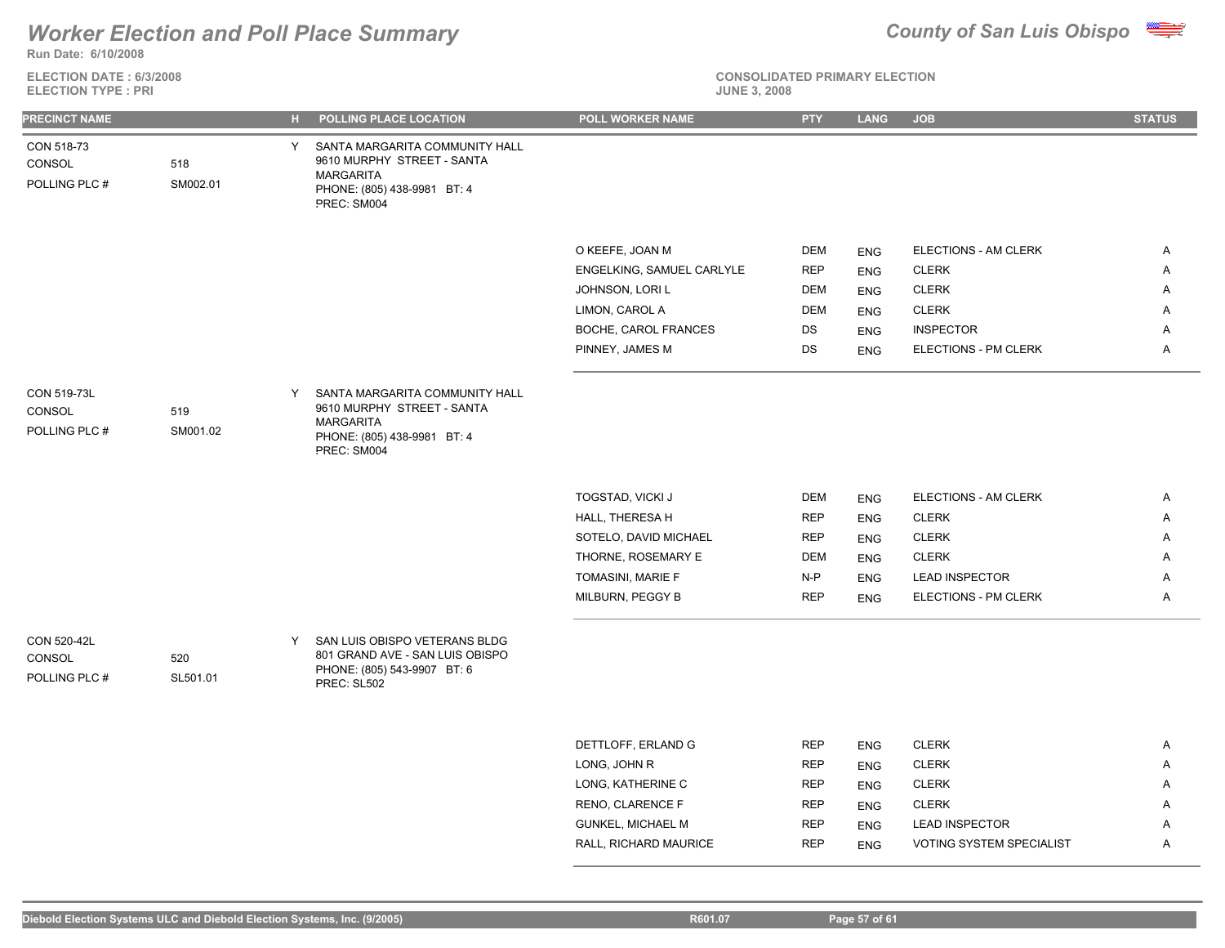### **Run Date: 6/10/2008** *Worker Election and Poll Place Summary County of San Luis Obispo*



| <b>ELECTION DATE: 6/3/2008</b><br><b>ELECTION TYPE: PRI</b> |                 |    |                                                                                                                                | <b>CONSOLIDATED PRIMARY ELECTION</b><br><b>JUNE 3, 2008</b> |            |             |                       |               |  |
|-------------------------------------------------------------|-----------------|----|--------------------------------------------------------------------------------------------------------------------------------|-------------------------------------------------------------|------------|-------------|-----------------------|---------------|--|
| <b>PRECINCT NAME</b>                                        |                 | H. | POLLING PLACE LOCATION                                                                                                         | POLL WORKER NAME                                            | <b>PTY</b> | <b>LANG</b> | <b>JOB</b>            | <b>STATUS</b> |  |
| CON 518-73<br>CONSOL<br>POLLING PLC #                       | 518<br>SM002.01 | Y  | SANTA MARGARITA COMMUNITY HALL<br>9610 MURPHY STREET - SANTA<br><b>MARGARITA</b><br>PHONE: (805) 438-9981 BT: 4<br>PREC: SM004 |                                                             |            |             |                       |               |  |
|                                                             |                 |    |                                                                                                                                | O KEEFE, JOAN M                                             | DEM        | <b>ENG</b>  | ELECTIONS - AM CLERK  | Α             |  |
|                                                             |                 |    |                                                                                                                                | ENGELKING, SAMUEL CARLYLE                                   | <b>REP</b> | <b>ENG</b>  | <b>CLERK</b>          | A             |  |
|                                                             |                 |    |                                                                                                                                | JOHNSON, LORI L                                             | <b>DEM</b> | <b>ENG</b>  | <b>CLERK</b>          | A             |  |
|                                                             |                 |    |                                                                                                                                | LIMON, CAROL A                                              | <b>DEM</b> | <b>ENG</b>  | <b>CLERK</b>          | A             |  |
|                                                             |                 |    |                                                                                                                                | BOCHE, CAROL FRANCES                                        | DS         | <b>ENG</b>  | <b>INSPECTOR</b>      | Α             |  |
|                                                             |                 |    |                                                                                                                                | PINNEY, JAMES M                                             | DS         | <b>ENG</b>  | ELECTIONS - PM CLERK  | A             |  |
| CON 519-73L<br>CONSOL<br>POLLING PLC #                      | 519<br>SM001.02 | Y  | SANTA MARGARITA COMMUNITY HALL<br>9610 MURPHY STREET - SANTA<br><b>MARGARITA</b><br>PHONE: (805) 438-9981 BT: 4<br>PREC: SM004 |                                                             |            |             |                       |               |  |
|                                                             |                 |    |                                                                                                                                | TOGSTAD, VICKI J                                            | <b>DEM</b> | <b>ENG</b>  | ELECTIONS - AM CLERK  | $\mathsf{A}$  |  |
|                                                             |                 |    |                                                                                                                                | HALL, THERESA H                                             | <b>REP</b> | <b>ENG</b>  | <b>CLERK</b>          | A             |  |
|                                                             |                 |    |                                                                                                                                | SOTELO, DAVID MICHAEL                                       | <b>REP</b> | <b>ENG</b>  | <b>CLERK</b>          | Α             |  |
|                                                             |                 |    |                                                                                                                                | THORNE, ROSEMARY E                                          | <b>DEM</b> | <b>ENG</b>  | <b>CLERK</b>          | Α             |  |
|                                                             |                 |    |                                                                                                                                | TOMASINI, MARIE F                                           | $N-P$      | <b>ENG</b>  | <b>LEAD INSPECTOR</b> | Α             |  |
|                                                             |                 |    |                                                                                                                                | MILBURN, PEGGY B                                            | <b>REP</b> | <b>ENG</b>  | ELECTIONS - PM CLERK  | A             |  |
| <b>CON 520-42L</b><br>CONSOL<br>POLLING PLC #               | 520<br>SL501.01 | Y  | SAN LUIS OBISPO VETERANS BLDG<br>801 GRAND AVE - SAN LUIS OBISPO<br>PHONE: (805) 543-9907 BT: 6<br>PREC: SL502                 |                                                             |            |             |                       |               |  |
|                                                             |                 |    |                                                                                                                                |                                                             |            |             |                       |               |  |
|                                                             |                 |    |                                                                                                                                | DETTLOFF, ERLAND G                                          | <b>REP</b> | <b>ENG</b>  | <b>CLERK</b>          | $\mathsf{A}$  |  |
|                                                             |                 |    |                                                                                                                                | LONG, JOHN R                                                | <b>REP</b> | <b>ENG</b>  | <b>CLERK</b>          | A             |  |
|                                                             |                 |    |                                                                                                                                | LONG, KATHERINE C                                           | <b>REP</b> | <b>ENG</b>  | <b>CLERK</b>          | A             |  |
|                                                             |                 |    |                                                                                                                                | RENO, CLARENCE F                                            | <b>REP</b> | <b>ENG</b>  | <b>CLERK</b>          | A             |  |
|                                                             |                 |    |                                                                                                                                | <b>GUNKEL, MICHAEL M</b>                                    | <b>REP</b> | <b>ENG</b>  | <b>LEAD INSPECTOR</b> | A             |  |

RALL, RICHARD MAURICE **REP** ENG VOTING SYSTEM SPECIALIST A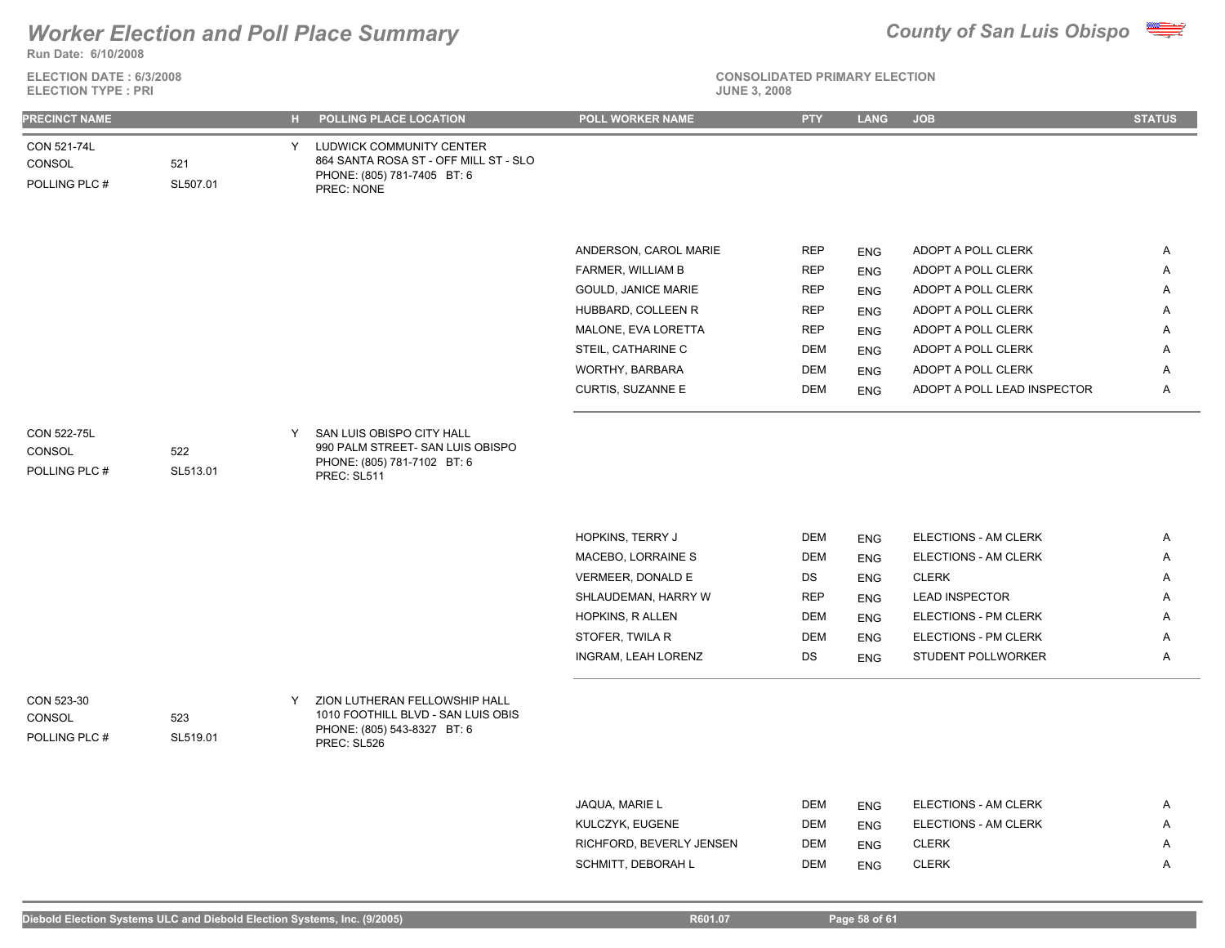

**Run Date: 6/10/2008**

**ELECTION DATE : 6/3/2008 ELECTION TYPE : PRI** 

|  |  | JNE 3.7 |  | о |
|--|--|---------|--|---|
|  |  |         |  |   |

| <b>PRECINCT NAME</b>                          |                 |   | H POLLING PLACE LOCATION                                                                                          | POLL WORKER NAME                        | <b>PTY</b>       | <b>LANG</b>              | <b>JOB</b>                           | <b>STATUS</b> |
|-----------------------------------------------|-----------------|---|-------------------------------------------------------------------------------------------------------------------|-----------------------------------------|------------------|--------------------------|--------------------------------------|---------------|
| CON 521-74L<br>CONSOL<br>POLLING PLC #        | 521<br>SL507.01 |   | Y LUDWICK COMMUNITY CENTER<br>864 SANTA ROSA ST - OFF MILL ST - SLO<br>PHONE: (805) 781-7405 BT: 6<br>PREC: NONE  |                                         |                  |                          |                                      |               |
|                                               |                 |   |                                                                                                                   | ANDERSON, CAROL MARIE                   | <b>REP</b>       |                          | ADOPT A POLL CLERK                   | A             |
|                                               |                 |   |                                                                                                                   | FARMER, WILLIAM B                       | <b>REP</b>       | ENG<br>ENG               | ADOPT A POLL CLERK                   | Α             |
|                                               |                 |   |                                                                                                                   | <b>GOULD, JANICE MARIE</b>              | <b>REP</b>       | <b>ENG</b>               | ADOPT A POLL CLERK                   | Α             |
|                                               |                 |   |                                                                                                                   | HUBBARD, COLLEEN R                      | <b>REP</b>       | <b>ENG</b>               | ADOPT A POLL CLERK                   | Α             |
|                                               |                 |   |                                                                                                                   | MALONE, EVA LORETTA                     | <b>REP</b>       | <b>ENG</b>               | ADOPT A POLL CLERK                   | A             |
|                                               |                 |   |                                                                                                                   | STEIL, CATHARINE C                      | <b>DEM</b>       | <b>ENG</b>               | ADOPT A POLL CLERK                   | A             |
|                                               |                 |   |                                                                                                                   | WORTHY, BARBARA                         | <b>DEM</b>       | <b>ENG</b>               | ADOPT A POLL CLERK                   | Α             |
|                                               |                 |   |                                                                                                                   | CURTIS, SUZANNE E                       | DEM              | <b>ENG</b>               | ADOPT A POLL LEAD INSPECTOR          | Α             |
| <b>CON 522-75L</b><br>CONSOL<br>POLLING PLC # | 522<br>SL513.01 | Y | SAN LUIS OBISPO CITY HALL<br>990 PALM STREET- SAN LUIS OBISPO<br>PHONE: (805) 781-7102 BT: 6<br>PREC: SL511       |                                         |                  |                          |                                      |               |
|                                               |                 |   |                                                                                                                   |                                         |                  |                          |                                      |               |
|                                               |                 |   |                                                                                                                   | HOPKINS, TERRY J                        | <b>DEM</b>       | <b>ENG</b>               | ELECTIONS - AM CLERK                 | Α             |
|                                               |                 |   |                                                                                                                   | MACEBO, LORRAINE S<br>VERMEER, DONALD E | DEM              | <b>ENG</b>               | ELECTIONS - AM CLERK<br><b>CLERK</b> | Α             |
|                                               |                 |   |                                                                                                                   | SHLAUDEMAN, HARRY W                     | DS<br><b>REP</b> | <b>ENG</b><br><b>ENG</b> | <b>LEAD INSPECTOR</b>                | Α<br>Α        |
|                                               |                 |   |                                                                                                                   | HOPKINS, R ALLEN                        | <b>DEM</b>       | <b>ENG</b>               | ELECTIONS - PM CLERK                 | A             |
|                                               |                 |   |                                                                                                                   | STOFER, TWILA R                         | <b>DEM</b>       | <b>ENG</b>               | ELECTIONS - PM CLERK                 | A             |
|                                               |                 |   |                                                                                                                   | INGRAM, LEAH LORENZ                     | DS               | <b>ENG</b>               | STUDENT POLLWORKER                   | A             |
| CON 523-30<br>CONSOL<br>POLLING PLC #         | 523<br>SL519.01 | Y | ZION LUTHERAN FELLOWSHIP HALL<br>1010 FOOTHILL BLVD - SAN LUIS OBIS<br>PHONE: (805) 543-8327 BT: 6<br>PREC: SL526 |                                         |                  |                          |                                      |               |
|                                               |                 |   |                                                                                                                   |                                         |                  |                          |                                      |               |
|                                               |                 |   |                                                                                                                   | JAQUA, MARIE L                          | DEM              | <b>ENG</b>               | ELECTIONS - AM CLERK                 | Α             |
|                                               |                 |   |                                                                                                                   | KULCZYK, EUGENE                         | <b>DEM</b>       | <b>ENG</b>               | ELECTIONS - AM CLERK                 | A             |
|                                               |                 |   |                                                                                                                   | RICHFORD, BEVERLY JENSEN                | DEM              | <b>ENG</b>               | <b>CLERK</b>                         | Α             |
|                                               |                 |   |                                                                                                                   | SCHMITT, DEBORAH L                      | <b>DEM</b>       | <b>ENG</b>               | <b>CLERK</b>                         | Α             |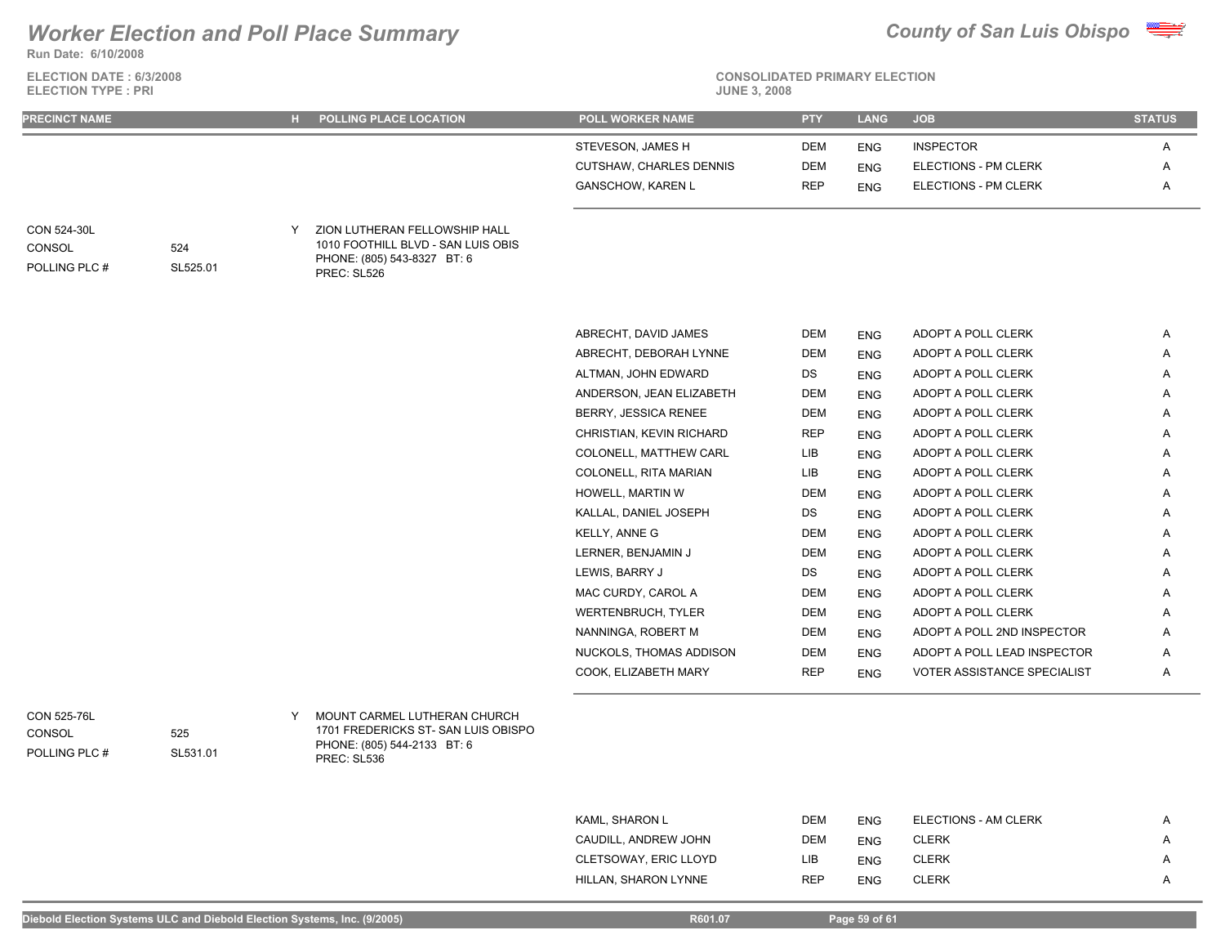**Run Date: 6/10/2008**

**ELECTION DATE : 6/3/2008 ELECTION TYPE : PRI** 



**CONSOLIDATED PRIMARY ELECTION**

| <b>PRECINCT NAME</b>                                 |                 |   | <b>H</b> POLLING PLACE LOCATION                                                                                   | <b>POLL WORKER NAME</b>        | <b>PTY</b> | <b>LANG</b> | <b>JOB</b>                  | <b>STATUS</b> |
|------------------------------------------------------|-----------------|---|-------------------------------------------------------------------------------------------------------------------|--------------------------------|------------|-------------|-----------------------------|---------------|
|                                                      |                 |   |                                                                                                                   | STEVESON, JAMES H              | <b>DEM</b> | <b>ENG</b>  | <b>INSPECTOR</b>            | Α             |
|                                                      |                 |   |                                                                                                                   | <b>CUTSHAW, CHARLES DENNIS</b> | <b>DEM</b> | <b>ENG</b>  | ELECTIONS - PM CLERK        | A             |
|                                                      |                 |   |                                                                                                                   | <b>GANSCHOW, KAREN L</b>       | <b>REP</b> | <b>ENG</b>  | ELECTIONS - PM CLERK        | A             |
| <b>CON 524-30L</b><br><b>CONSOL</b><br>POLLING PLC # | 524<br>SL525.01 |   | ZION LUTHERAN FELLOWSHIP HALL<br>1010 FOOTHILL BLVD - SAN LUIS OBIS<br>PHONE: (805) 543-8327 BT: 6<br>PREC: SL526 |                                |            |             |                             |               |
|                                                      |                 |   |                                                                                                                   | ABRECHT, DAVID JAMES           | <b>DEM</b> | <b>ENG</b>  | ADOPT A POLL CLERK          | A             |
|                                                      |                 |   |                                                                                                                   | ABRECHT, DEBORAH LYNNE         | <b>DEM</b> | <b>ENG</b>  | ADOPT A POLL CLERK          | A             |
|                                                      |                 |   |                                                                                                                   | ALTMAN, JOHN EDWARD            | DS         | <b>ENG</b>  | ADOPT A POLL CLERK          | Α             |
|                                                      |                 |   |                                                                                                                   | ANDERSON, JEAN ELIZABETH       | <b>DEM</b> | <b>ENG</b>  | ADOPT A POLL CLERK          | Α             |
|                                                      |                 |   |                                                                                                                   | <b>BERRY, JESSICA RENEE</b>    | <b>DEM</b> | <b>ENG</b>  | ADOPT A POLL CLERK          | Α             |
|                                                      |                 |   |                                                                                                                   | CHRISTIAN, KEVIN RICHARD       | <b>REP</b> | <b>ENG</b>  | ADOPT A POLL CLERK          | A             |
|                                                      |                 |   |                                                                                                                   | COLONELL, MATTHEW CARL         | LIB        | <b>ENG</b>  | ADOPT A POLL CLERK          | A             |
|                                                      |                 |   |                                                                                                                   | COLONELL, RITA MARIAN          | LIB        | <b>ENG</b>  | ADOPT A POLL CLERK          | Α             |
|                                                      |                 |   |                                                                                                                   | HOWELL, MARTIN W               | <b>DEM</b> | <b>ENG</b>  | ADOPT A POLL CLERK          | A             |
|                                                      |                 |   |                                                                                                                   | KALLAL, DANIEL JOSEPH          | DS         | <b>ENG</b>  | ADOPT A POLL CLERK          | A             |
|                                                      |                 |   |                                                                                                                   | KELLY, ANNE G                  | <b>DEM</b> | <b>ENG</b>  | ADOPT A POLL CLERK          | Α             |
|                                                      |                 |   |                                                                                                                   | LERNER, BENJAMIN J             | <b>DEM</b> | <b>ENG</b>  | ADOPT A POLL CLERK          | Α             |
|                                                      |                 |   |                                                                                                                   | LEWIS, BARRY J                 | DS         | <b>ENG</b>  | ADOPT A POLL CLERK          | Α             |
|                                                      |                 |   |                                                                                                                   | MAC CURDY, CAROL A             | <b>DEM</b> | <b>ENG</b>  | ADOPT A POLL CLERK          | A             |
|                                                      |                 |   |                                                                                                                   | <b>WERTENBRUCH, TYLER</b>      | <b>DEM</b> | <b>ENG</b>  | ADOPT A POLL CLERK          | Α             |
|                                                      |                 |   |                                                                                                                   | NANNINGA, ROBERT M             | <b>DEM</b> | <b>ENG</b>  | ADOPT A POLL 2ND INSPECTOR  | Α             |
|                                                      |                 |   |                                                                                                                   | NUCKOLS, THOMAS ADDISON        | <b>DEM</b> | <b>ENG</b>  | ADOPT A POLL LEAD INSPECTOR | Α             |
|                                                      |                 |   |                                                                                                                   | COOK, ELIZABETH MARY           | <b>REP</b> | <b>ENG</b>  | VOTER ASSISTANCE SPECIALIST | A             |
| <b>CON 525-76L</b><br><b>CONSOL</b>                  | 525             | Y | MOUNT CARMEL LUTHERAN CHURCH<br>1701 FREDERICKS ST-SAN LUIS OBISPO                                                |                                |            |             |                             |               |

POLLING PLC #

PHONE: (805) 544-2133 BT: 6 PREC: SL536

| KAML, SHARON L        | DEM        | <b>ENG</b> | ELECTIONS - AM CLERK | А              |
|-----------------------|------------|------------|----------------------|----------------|
| CAUDILL, ANDREW JOHN  | DEM        | <b>ENG</b> | <b>CLERK</b>         | A              |
| CLETSOWAY, ERIC LLOYD | LIB        | <b>ENG</b> | <b>CLERK</b>         | A              |
| HILLAN, SHARON LYNNE  | <b>REP</b> | <b>ENG</b> | <b>CLERK</b>         | $\overline{A}$ |

SL531.01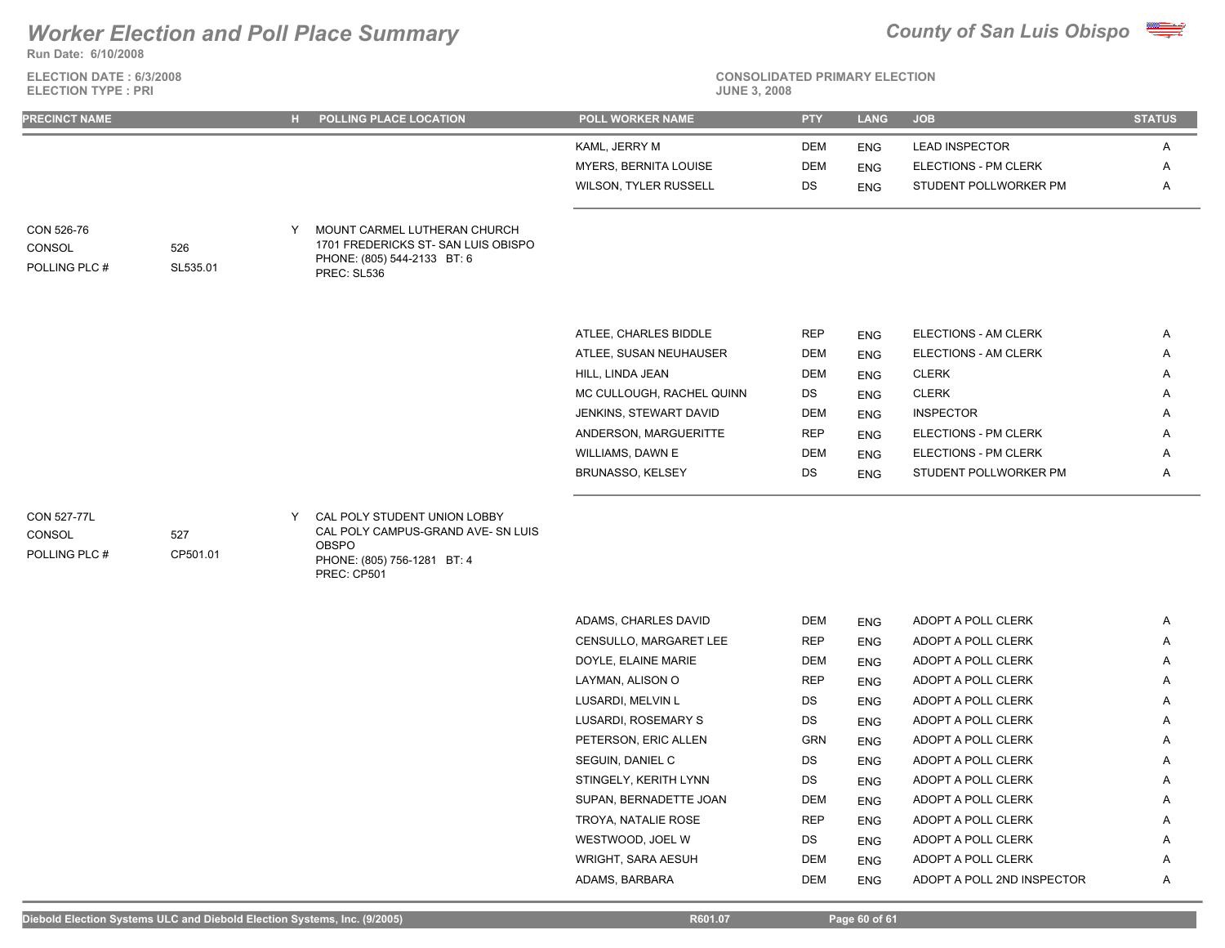**Run Date: 6/10/2008**

**ELECTION DATE : 6/3/2008 ELECTION TYPE : PRI** 



**CONSOLIDATED PRIMARY ELECTION**

| KAML, JERRY M<br><b>LEAD INSPECTOR</b><br>DEM<br>Α<br><b>ENG</b><br>MYERS, BERNITA LOUISE<br><b>DEM</b><br>ELECTIONS - PM CLERK<br><b>ENG</b><br>Α<br>DS<br>Α<br>WILSON, TYLER RUSSELL<br>STUDENT POLLWORKER PM<br><b>ENG</b><br>MOUNT CARMEL LUTHERAN CHURCH<br>CON 526-76<br>Y<br>1701 FREDERICKS ST- SAN LUIS OBISPO<br>CONSOL<br>526<br>PHONE: (805) 544-2133 BT: 6<br>POLLING PLC #<br>SL535.01<br>PREC: SL536<br>ATLEE, CHARLES BIDDLE<br><b>REP</b><br>ELECTIONS - AM CLERK<br>Α<br><b>ENG</b><br><b>DEM</b><br>ATLEE, SUSAN NEUHAUSER<br>ELECTIONS - AM CLERK<br>Α<br><b>ENG</b><br>HILL, LINDA JEAN<br><b>DEM</b><br><b>CLERK</b><br>Α<br><b>ENG</b><br>MC CULLOUGH, RACHEL QUINN<br><b>CLERK</b><br>DS<br>A<br><b>ENG</b><br><b>INSPECTOR</b><br>JENKINS, STEWART DAVID<br><b>DEM</b><br>Α<br><b>ENG</b><br><b>REP</b><br>ANDERSON, MARGUERITTE<br>ELECTIONS - PM CLERK<br>Α<br><b>ENG</b><br>WILLIAMS, DAWN E<br><b>DEM</b><br>ELECTIONS - PM CLERK<br>Α<br><b>ENG</b><br>BRUNASSO, KELSEY<br>DS<br>STUDENT POLLWORKER PM<br>A<br><b>ENG</b><br>CAL POLY STUDENT UNION LOBBY<br><b>CON 527-77L</b><br>Y<br>CAL POLY CAMPUS-GRAND AVE- SN LUIS<br>527<br>CONSOL<br><b>OBSPO</b><br>POLLING PLC #<br>CP501.01<br>PHONE: (805) 756-1281 BT: 4<br>PREC: CP501<br>ADAMS, CHARLES DAVID<br><b>DEM</b><br>ADOPT A POLL CLERK<br>Α<br><b>ENG</b><br>CENSULLO, MARGARET LEE<br><b>REP</b><br>ADOPT A POLL CLERK<br>A<br><b>ENG</b><br>DOYLE, ELAINE MARIE<br><b>DEM</b><br>ADOPT A POLL CLERK<br>A<br><b>ENG</b><br>LAYMAN, ALISON O<br><b>REP</b><br>ADOPT A POLL CLERK<br>Α<br><b>ENG</b><br>LUSARDI, MELVIN L<br>DS<br>ADOPT A POLL CLERK<br>Α<br><b>ENG</b><br>LUSARDI, ROSEMARY S<br>DS<br>ADOPT A POLL CLERK<br>A<br><b>ENG</b> | <b>PRECINCT NAME</b> |  | H POLLING PLACE LOCATION | <b>POLL WORKER NAME</b> | <b>PTY</b> | <b>LANG</b> | <b>JOB</b>         | <b>STATUS</b> |
|-----------------------------------------------------------------------------------------------------------------------------------------------------------------------------------------------------------------------------------------------------------------------------------------------------------------------------------------------------------------------------------------------------------------------------------------------------------------------------------------------------------------------------------------------------------------------------------------------------------------------------------------------------------------------------------------------------------------------------------------------------------------------------------------------------------------------------------------------------------------------------------------------------------------------------------------------------------------------------------------------------------------------------------------------------------------------------------------------------------------------------------------------------------------------------------------------------------------------------------------------------------------------------------------------------------------------------------------------------------------------------------------------------------------------------------------------------------------------------------------------------------------------------------------------------------------------------------------------------------------------------------------------------------------------------------------------------------------------------------------|----------------------|--|--------------------------|-------------------------|------------|-------------|--------------------|---------------|
|                                                                                                                                                                                                                                                                                                                                                                                                                                                                                                                                                                                                                                                                                                                                                                                                                                                                                                                                                                                                                                                                                                                                                                                                                                                                                                                                                                                                                                                                                                                                                                                                                                                                                                                                         |                      |  |                          |                         |            |             |                    |               |
|                                                                                                                                                                                                                                                                                                                                                                                                                                                                                                                                                                                                                                                                                                                                                                                                                                                                                                                                                                                                                                                                                                                                                                                                                                                                                                                                                                                                                                                                                                                                                                                                                                                                                                                                         |                      |  |                          |                         |            |             |                    |               |
|                                                                                                                                                                                                                                                                                                                                                                                                                                                                                                                                                                                                                                                                                                                                                                                                                                                                                                                                                                                                                                                                                                                                                                                                                                                                                                                                                                                                                                                                                                                                                                                                                                                                                                                                         |                      |  |                          |                         |            |             |                    |               |
|                                                                                                                                                                                                                                                                                                                                                                                                                                                                                                                                                                                                                                                                                                                                                                                                                                                                                                                                                                                                                                                                                                                                                                                                                                                                                                                                                                                                                                                                                                                                                                                                                                                                                                                                         |                      |  |                          |                         |            |             |                    |               |
|                                                                                                                                                                                                                                                                                                                                                                                                                                                                                                                                                                                                                                                                                                                                                                                                                                                                                                                                                                                                                                                                                                                                                                                                                                                                                                                                                                                                                                                                                                                                                                                                                                                                                                                                         |                      |  |                          |                         |            |             |                    |               |
|                                                                                                                                                                                                                                                                                                                                                                                                                                                                                                                                                                                                                                                                                                                                                                                                                                                                                                                                                                                                                                                                                                                                                                                                                                                                                                                                                                                                                                                                                                                                                                                                                                                                                                                                         |                      |  |                          |                         |            |             |                    |               |
|                                                                                                                                                                                                                                                                                                                                                                                                                                                                                                                                                                                                                                                                                                                                                                                                                                                                                                                                                                                                                                                                                                                                                                                                                                                                                                                                                                                                                                                                                                                                                                                                                                                                                                                                         |                      |  |                          |                         |            |             |                    |               |
|                                                                                                                                                                                                                                                                                                                                                                                                                                                                                                                                                                                                                                                                                                                                                                                                                                                                                                                                                                                                                                                                                                                                                                                                                                                                                                                                                                                                                                                                                                                                                                                                                                                                                                                                         |                      |  |                          |                         |            |             |                    |               |
|                                                                                                                                                                                                                                                                                                                                                                                                                                                                                                                                                                                                                                                                                                                                                                                                                                                                                                                                                                                                                                                                                                                                                                                                                                                                                                                                                                                                                                                                                                                                                                                                                                                                                                                                         |                      |  |                          |                         |            |             |                    |               |
|                                                                                                                                                                                                                                                                                                                                                                                                                                                                                                                                                                                                                                                                                                                                                                                                                                                                                                                                                                                                                                                                                                                                                                                                                                                                                                                                                                                                                                                                                                                                                                                                                                                                                                                                         |                      |  |                          |                         |            |             |                    |               |
|                                                                                                                                                                                                                                                                                                                                                                                                                                                                                                                                                                                                                                                                                                                                                                                                                                                                                                                                                                                                                                                                                                                                                                                                                                                                                                                                                                                                                                                                                                                                                                                                                                                                                                                                         |                      |  |                          |                         |            |             |                    |               |
|                                                                                                                                                                                                                                                                                                                                                                                                                                                                                                                                                                                                                                                                                                                                                                                                                                                                                                                                                                                                                                                                                                                                                                                                                                                                                                                                                                                                                                                                                                                                                                                                                                                                                                                                         |                      |  |                          |                         |            |             |                    |               |
|                                                                                                                                                                                                                                                                                                                                                                                                                                                                                                                                                                                                                                                                                                                                                                                                                                                                                                                                                                                                                                                                                                                                                                                                                                                                                                                                                                                                                                                                                                                                                                                                                                                                                                                                         |                      |  |                          |                         |            |             |                    |               |
|                                                                                                                                                                                                                                                                                                                                                                                                                                                                                                                                                                                                                                                                                                                                                                                                                                                                                                                                                                                                                                                                                                                                                                                                                                                                                                                                                                                                                                                                                                                                                                                                                                                                                                                                         |                      |  |                          |                         |            |             |                    |               |
|                                                                                                                                                                                                                                                                                                                                                                                                                                                                                                                                                                                                                                                                                                                                                                                                                                                                                                                                                                                                                                                                                                                                                                                                                                                                                                                                                                                                                                                                                                                                                                                                                                                                                                                                         |                      |  |                          |                         |            |             |                    |               |
|                                                                                                                                                                                                                                                                                                                                                                                                                                                                                                                                                                                                                                                                                                                                                                                                                                                                                                                                                                                                                                                                                                                                                                                                                                                                                                                                                                                                                                                                                                                                                                                                                                                                                                                                         |                      |  |                          |                         |            |             |                    |               |
|                                                                                                                                                                                                                                                                                                                                                                                                                                                                                                                                                                                                                                                                                                                                                                                                                                                                                                                                                                                                                                                                                                                                                                                                                                                                                                                                                                                                                                                                                                                                                                                                                                                                                                                                         |                      |  |                          |                         |            |             |                    |               |
|                                                                                                                                                                                                                                                                                                                                                                                                                                                                                                                                                                                                                                                                                                                                                                                                                                                                                                                                                                                                                                                                                                                                                                                                                                                                                                                                                                                                                                                                                                                                                                                                                                                                                                                                         |                      |  |                          |                         |            |             |                    |               |
|                                                                                                                                                                                                                                                                                                                                                                                                                                                                                                                                                                                                                                                                                                                                                                                                                                                                                                                                                                                                                                                                                                                                                                                                                                                                                                                                                                                                                                                                                                                                                                                                                                                                                                                                         |                      |  |                          |                         |            |             |                    |               |
|                                                                                                                                                                                                                                                                                                                                                                                                                                                                                                                                                                                                                                                                                                                                                                                                                                                                                                                                                                                                                                                                                                                                                                                                                                                                                                                                                                                                                                                                                                                                                                                                                                                                                                                                         |                      |  |                          |                         |            |             |                    |               |
|                                                                                                                                                                                                                                                                                                                                                                                                                                                                                                                                                                                                                                                                                                                                                                                                                                                                                                                                                                                                                                                                                                                                                                                                                                                                                                                                                                                                                                                                                                                                                                                                                                                                                                                                         |                      |  |                          |                         |            |             |                    |               |
|                                                                                                                                                                                                                                                                                                                                                                                                                                                                                                                                                                                                                                                                                                                                                                                                                                                                                                                                                                                                                                                                                                                                                                                                                                                                                                                                                                                                                                                                                                                                                                                                                                                                                                                                         |                      |  |                          |                         |            |             |                    |               |
|                                                                                                                                                                                                                                                                                                                                                                                                                                                                                                                                                                                                                                                                                                                                                                                                                                                                                                                                                                                                                                                                                                                                                                                                                                                                                                                                                                                                                                                                                                                                                                                                                                                                                                                                         |                      |  |                          |                         |            |             |                    |               |
|                                                                                                                                                                                                                                                                                                                                                                                                                                                                                                                                                                                                                                                                                                                                                                                                                                                                                                                                                                                                                                                                                                                                                                                                                                                                                                                                                                                                                                                                                                                                                                                                                                                                                                                                         |                      |  |                          |                         |            |             |                    |               |
|                                                                                                                                                                                                                                                                                                                                                                                                                                                                                                                                                                                                                                                                                                                                                                                                                                                                                                                                                                                                                                                                                                                                                                                                                                                                                                                                                                                                                                                                                                                                                                                                                                                                                                                                         |                      |  |                          |                         |            |             |                    |               |
|                                                                                                                                                                                                                                                                                                                                                                                                                                                                                                                                                                                                                                                                                                                                                                                                                                                                                                                                                                                                                                                                                                                                                                                                                                                                                                                                                                                                                                                                                                                                                                                                                                                                                                                                         |                      |  |                          |                         |            |             |                    |               |
|                                                                                                                                                                                                                                                                                                                                                                                                                                                                                                                                                                                                                                                                                                                                                                                                                                                                                                                                                                                                                                                                                                                                                                                                                                                                                                                                                                                                                                                                                                                                                                                                                                                                                                                                         |                      |  |                          |                         |            |             |                    |               |
|                                                                                                                                                                                                                                                                                                                                                                                                                                                                                                                                                                                                                                                                                                                                                                                                                                                                                                                                                                                                                                                                                                                                                                                                                                                                                                                                                                                                                                                                                                                                                                                                                                                                                                                                         |                      |  |                          |                         |            |             |                    |               |
|                                                                                                                                                                                                                                                                                                                                                                                                                                                                                                                                                                                                                                                                                                                                                                                                                                                                                                                                                                                                                                                                                                                                                                                                                                                                                                                                                                                                                                                                                                                                                                                                                                                                                                                                         |                      |  |                          |                         |            |             |                    |               |
|                                                                                                                                                                                                                                                                                                                                                                                                                                                                                                                                                                                                                                                                                                                                                                                                                                                                                                                                                                                                                                                                                                                                                                                                                                                                                                                                                                                                                                                                                                                                                                                                                                                                                                                                         |                      |  |                          |                         |            |             |                    |               |
|                                                                                                                                                                                                                                                                                                                                                                                                                                                                                                                                                                                                                                                                                                                                                                                                                                                                                                                                                                                                                                                                                                                                                                                                                                                                                                                                                                                                                                                                                                                                                                                                                                                                                                                                         |                      |  |                          | PETERSON, ERIC ALLEN    | <b>GRN</b> | <b>ENG</b>  | ADOPT A POLL CLERK | A             |
| SEGUIN, DANIEL C<br>DS<br>ADOPT A POLL CLERK<br>Α<br><b>ENG</b>                                                                                                                                                                                                                                                                                                                                                                                                                                                                                                                                                                                                                                                                                                                                                                                                                                                                                                                                                                                                                                                                                                                                                                                                                                                                                                                                                                                                                                                                                                                                                                                                                                                                         |                      |  |                          |                         |            |             |                    |               |

STINGELY, KERITH LYNN DS ENG ADOPT A POLL CLERK A SUPAN, BERNADETTE JOAN DEM ENG ADOPT A POLL CLERK A TROYA, NATALIE ROSE **REP** ENG ADOPT A POLL CLERK A WESTWOOD, JOEL W DS ENG ADOPT A POLL CLERK A WRIGHT, SARA AESUH DEM ENG ADOPT A POLL CLERK A ADAMS, BARBARA DEM ENG ADOPT A POLL 2ND INSPECTOR A